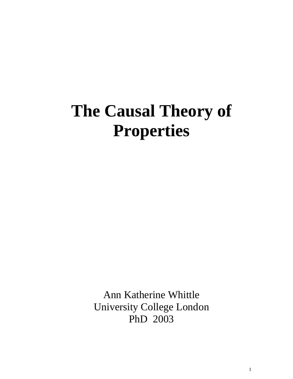# **The Causal Theory of Properties**

Ann Katherine Whittle University College London PhD 2003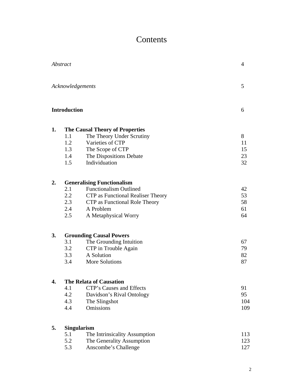## Contents

|    | Abstract                        |                                                                                                                                                                               | 4                          |
|----|---------------------------------|-------------------------------------------------------------------------------------------------------------------------------------------------------------------------------|----------------------------|
|    | Acknowledgements                |                                                                                                                                                                               | 5                          |
|    | <b>Introduction</b>             |                                                                                                                                                                               | 6                          |
| 1. | 1.1<br>1.2<br>1.3<br>1.4<br>1.5 | <b>The Causal Theory of Properties</b><br>The Theory Under Scrutiny<br>Varieties of CTP<br>The Scope of CTP<br>The Dispositions Debate<br>Individuation                       | 8<br>11<br>15<br>23<br>32  |
| 2. | 2.1<br>2.2<br>2.3<br>2.4<br>2.5 | <b>Generalising Functionalism</b><br><b>Functionalism Outlined</b><br>CTP as Functional Realiser Theory<br>CTP as Functional Role Theory<br>A Problem<br>A Metaphysical Worry | 42<br>53<br>58<br>61<br>64 |
| 3. | 3.1<br>3.2<br>3.3<br>3.4        | <b>Grounding Causal Powers</b><br>The Grounding Intuition<br>CTP in Trouble Again<br>A Solution<br>More Solutions                                                             | 67<br>79<br>82<br>87       |
| 4. | 4.1<br>4.2<br>4.3<br>4.4        | <b>The Relata of Causation</b><br>CTP's Causes and Effects<br>Davidson's Rival Ontology<br>The Slingshot<br>Omissions                                                         | 91<br>95<br>104<br>109     |
| 5. | 5.1<br>5.2<br>5.3               | <b>Singularism</b><br>The Intrinsicality Assumption<br>The Generality Assumption<br>Anscombe's Challenge                                                                      | 113<br>123<br>127          |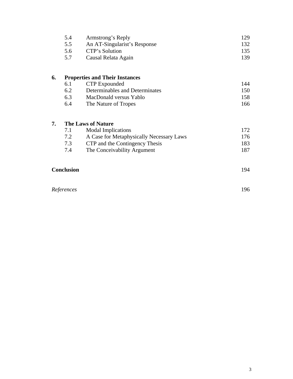|    | 5.4<br>Armstrong's Reply |                                       | 129 |
|----|--------------------------|---------------------------------------|-----|
|    | 5.5                      | An AT-Singularist's Response          | 132 |
|    | 5.6                      | CTP's Solution                        | 135 |
|    | 5.7                      | Causal Relata Again                   | 139 |
| 6. |                          | <b>Properties and Their Instances</b> |     |
|    | 6.1                      | CTP Expounded                         | 144 |
|    | 6.2                      | Determinables and Determinates        | 150 |
|    |                          |                                       |     |
|    | 6.3                      | MacDonald versus Yablo                | 158 |

#### **7. The Laws of Nature**

| 7.1 | <b>Modal Implications</b>                | 172. |
|-----|------------------------------------------|------|
| 7.2 | A Case for Metaphysically Necessary Laws | 176. |
| 7.3 | CTP and the Contingency Thesis           | 183  |
| 7.4 | The Conceivability Argument              | 187  |

| <b>Conclusion</b> | $Q_{\Delta}$ |
|-------------------|--------------|
|-------------------|--------------|

| References | 196 |
|------------|-----|
|            |     |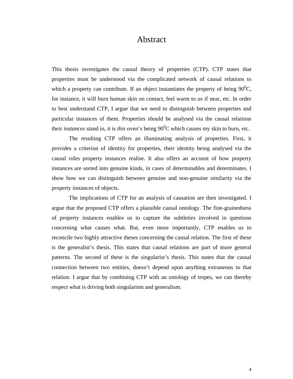### Abstract

This thesis investigates the causal theory of properties (CTP). CTP states that properties must be understood via the complicated network of causal relations to which a property can contribute. If an object instantiates the property of being  $90^0C$ , for instance, it will burn human skin on contact, feel warm to us if near, etc. In order to best understand CTP, I argue that we need to distinguish between properties and particular instances of them. Properties should be analysed via the causal relations their *instances* stand in, it is *this* oven's being 90<sup>0</sup>C which causes my skin to burn, etc.

The resulting CTP offers an illuminating analysis of properties. First, it provides a criterion of identity for properties, their identity being analysed via the causal roles property instances realise. It also offers an account of how property instances are sorted into genuine kinds, in cases of determinables and determinates. I show how we can distinguish between genuine and non-genuine similarity via the property instances of objects.

The implications of CTP for an analysis of causation are then investigated. I argue that the proposed CTP offers a plausible causal ontology. The fine-grainedness of property instances enables us to capture the subtleties involved in questions concerning what causes what. But, even more importantly, CTP enables us to reconcile two highly attractive theses concerning the causal relation. The first of these is the generalist's thesis. This states that causal relations are part of more general patterns. The second of these is the singularist's thesis. This states that the causal connection between two entities, doesn't depend upon anything extraneous to that relation. I argue that by combining CTP with an ontology of tropes, we can thereby respect what is driving both singularism and generalism.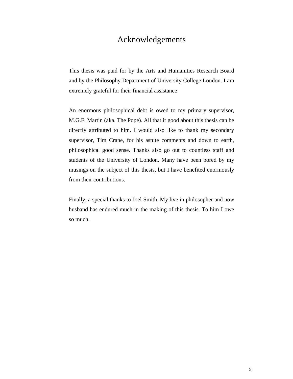## Acknowledgements

This thesis was paid for by the Arts and Humanities Research Board and by the Philosophy Department of University College London. I am extremely grateful for their financial assistance

An enormous philosophical debt is owed to my primary supervisor, M.G.F. Martin (aka. The Pope). All that it good about this thesis can be directly attributed to him. I would also like to thank my secondary supervisor, Tim Crane, for his astute comments and down to earth, philosophical good sense. Thanks also go out to countless staff and students of the University of London. Many have been bored by my musings on the subject of this thesis, but I have benefited enormously from their contributions.

Finally, a special thanks to Joel Smith. My live in philosopher and now husband has endured much in the making of this thesis. To him I owe so much.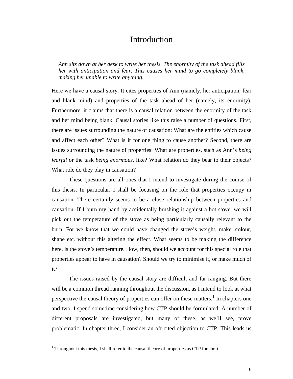## Introduction

*Ann sits down at her desk to write her thesis. The enormity of the task ahead fills her with anticipation and fear. This causes her mind to go completely blank, making her unable to write anything.* 

Here we have a causal story. It cites properties of Ann (namely, her anticipation, fear and blank mind) and properties of the task ahead of her (namely, its enormity). Furthermore, it claims that there is a causal relation between the enormity of the task and her mind being blank. Causal stories like this raise a number of questions. First, there are issues surrounding the nature of causation: What are the entities which cause and affect each other? What is it for one thing to cause another? Second, there are issues surrounding the nature of properties: What are properties, such as Ann's *being fearful* or the task *being enormous*, like? What relation do they bear to their objects? What role do they play in causation?

These questions are all ones that I intend to investigate during the course of this thesis. In particular, I shall be focusing on the role that properties occupy in causation. There certainly seems to be a close relationship between properties and causation. If I burn my hand by accidentally brushing it against a hot stove, we will pick out the temperature of the stove as being particularly causally relevant to the burn. For we know that we could have changed the stove's weight, make, colour, shape etc. without this altering the effect. What seems to be making the difference here, is the stove's temperature. How, then, should we account for this special role that properties appear to have in causation? Should we try to minimise it, or make much of it?

The issues raised by the causal story are difficult and far ranging. But there will be a common thread running throughout the discussion, as I intend to look at what perspective the causal theory of properties can offer on these matters.<sup>1</sup> In chapters one and two, I spend sometime considering how CTP should be formulated. A number of different proposals are investigated, but many of these, as we'll see, prove problematic. In chapter three, I consider an oft-cited objection to CTP. This leads us

<sup>&</sup>lt;sup>1</sup> Throughout this thesis, I shall refer to the causal theory of properties as CTP for short.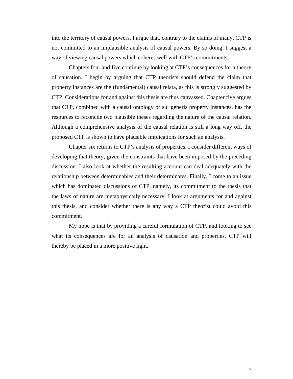into the territory of causal powers. I argue that, contrary to the claims of many, CTP is not committed to an implausible analysis of causal powers. By so doing, I suggest a way of viewing causal powers which coheres well with CTP's commitments.

Chapters four and five continue by looking at CTP's consequences for a theory of causation. I begin by arguing that CTP theorists should defend the claim that property instances are the (fundamental) causal relata, as this is strongly suggested by CTP. Considerations for and against this thesis are thus canvassed. Chapter five argues that CTP, combined with a causal ontology of sui generis property instances, has the resources to reconcile two plausible theses regarding the nature of the causal relation. Although a comprehensive analysis of the causal relation is still a long way off, the proposed CTP is shown to have plausible implications for such an analysis.

Chapter six returns to CTP's analysis of properties. I consider different ways of developing that theory, given the constraints that have been imposed by the preceding discussion. I also look at whether the resulting account can deal adequately with the relationship between determinables and their determinates. Finally, I come to an issue which has dominated discussions of CTP, namely, its commitment to the thesis that the laws of nature are metaphysically necessary. I look at arguments for and against this thesis, and consider whether there is any way a CTP theorist could avoid this commitment.

My hope is that by providing a careful formulation of CTP, and looking to see what its consequences are for an analysis of causation and properties, CTP will thereby be placed in a more positive light.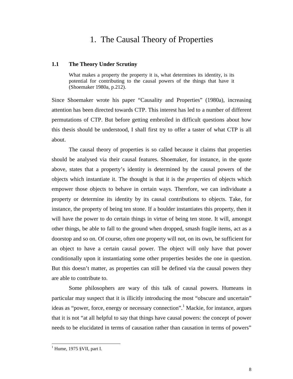## 1. The Causal Theory of Properties

#### **1.1 The Theory Under Scrutiny**

What makes a property the property it is, what determines its identity, is its potential for contributing to the causal powers of the things that have it (Shoemaker 1980a, p.212).

Since Shoemaker wrote his paper "Causality and Properties" (1980a), increasing attention has been directed towards CTP. This interest has led to a number of different permutations of CTP. But before getting embroiled in difficult questions about how this thesis should be understood, I shall first try to offer a taster of what CTP is all about.

The causal theory of properties is so called because it claims that properties should be analysed via their causal features. Shoemaker, for instance, in the quote above, states that a property's identity is determined by the causal powers of the objects which instantiate it. The thought is that it is the *properties* of objects which empower those objects to behave in certain ways. Therefore, we can individuate a property or determine its identity by its causal contributions to objects. Take, for instance, the property of being ten stone. If a boulder instantiates this property, then it will have the power to do certain things in virtue of being ten stone. It will, amongst other things, be able to fall to the ground when dropped, smash fragile items, act as a doorstop and so on. Of course, often one property will not, on its own, be sufficient for an object to have a certain causal power. The object will only have that power conditionally upon it instantiating some other properties besides the one in question. But this doesn't matter, as properties can still be defined via the causal powers they are able to contribute to.

Some philosophers are wary of this talk of causal powers. Humeans in particular may suspect that it is illicitly introducing the most "obscure and uncertain" ideas as "power, force, energy or necessary connection".<sup>1</sup> Mackie, for instance, argues that it is not "at all helpful to say that things have causal powers: the concept of power needs to be elucidated in terms of causation rather than causation in terms of powers"

 $<sup>1</sup>$  Hume, 1975 §VII, part I.</sup>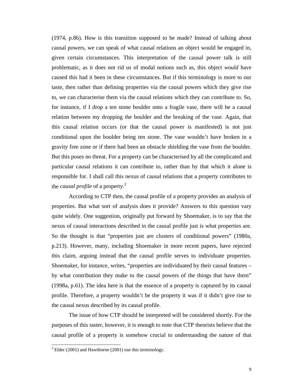(1974, p.86). How is this transition supposed to be made? Instead of talking about causal powers, we can speak of what causal relations an object would be engaged in, given certain circumstances. This interpretation of the causal power talk is still problematic, as it does not rid us of modal notions such as, this object *would* have caused this had it been in these circumstances. But if this terminology is more to our taste, then rather than defining properties via the causal powers which they give rise to, we can characterise them via the causal relations which they can contribute to. So, for instance, if I drop a ten stone boulder onto a fragile vase, there will be a causal relation between my dropping the boulder and the breaking of the vase. Again, that this causal relation occurs (or that the causal power is manifested) is not just conditional upon the boulder being ten stone. The vase wouldn't have broken in a gravity free zone or if there had been an obstacle shielding the vase from the boulder. But this poses no threat. For a property can be characterised by all the complicated and particular causal relations it can contribute to, rather than by that which it alone is responsible for. I shall call this nexus of causal relations that a property contributes to the *causal profile* of a property.<sup>2</sup>

According to CTP then, the causal profile of a property provides an analysis of properties. But what sort of analysis does it provide? Answers to this question vary quite widely. One suggestion, originally put forward by Shoemaker, is to say that the nexus of causal interactions described in the causal profile just is what properties are. So the thought is that "properties just are clusters of conditional powers" (1980a, p.213). However, many, including Shoemaker in more recent papers, have rejected this claim, arguing instead that the causal profile serves to individuate properties. Shoemaker, for instance, writes, "properties are individuated by their causal features – by what contribution they make to the causal powers of the things that have them" (1998a, p.61). The idea here is that the essence of a property is captured by its causal profile. Therefore, a property wouldn't be the property it was if it didn't give rise to the causal nexus described by its causal profile.

The issue of how CTP should be interpreted will be considered shortly. For the purposes of this taster, however, it is enough to note that CTP theorists believe that the causal profile of a property is somehow crucial to understanding the nature of that

 $2^2$  Elder (2001) and Hawthorne (2001) use this terminology.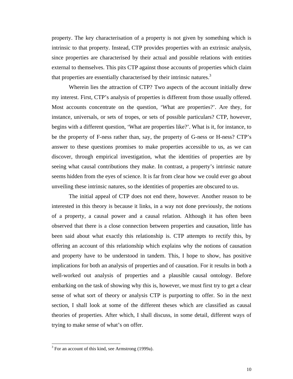property. The key characterisation of a property is not given by something which is intrinsic to that property. Instead, CTP provides properties with an extrinsic analysis, since properties are characterised by their actual and possible relations with entities external to themselves. This pits CTP against those accounts of properties which claim that properties are essentially characterised by their intrinsic natures.<sup>3</sup>

Wherein lies the attraction of CTP? Two aspects of the account initially drew my interest. First, CTP's analysis of properties is different from those usually offered. Most accounts concentrate on the question, 'What are properties?'. Are they, for instance, universals, or sets of tropes, or sets of possible particulars? CTP, however, begins with a different question, 'What are properties like?'. What is it, for instance, to be the property of F-ness rather than, say, the property of G-ness or H-ness? CTP's answer to these questions promises to make properties accessible to us, as we can discover, through empirical investigation, what the identities of properties are by seeing what causal contributions they make. In contrast, a property's intrinsic nature seems hidden from the eyes of science. It is far from clear how we could ever go about unveiling these intrinsic natures, so the identities of properties are obscured to us.

The initial appeal of CTP does not end there, however. Another reason to be interested in this theory is because it links, in a way not done previously, the notions of a property, a causal power and a causal relation. Although it has often been observed that there is a close connection between properties and causation, little has been said about what exactly this relationship is. CTP attempts to rectify this, by offering an account of this relationship which explains why the notions of causation and property have to be understood in tandem. This, I hope to show, has positive implications for both an analysis of properties and of causation. For it results in both a well-worked out analysis of properties and a plausible causal ontology. Before embarking on the task of showing why this is, however, we must first try to get a clear sense of what sort of theory or analysis CTP is purporting to offer. So in the next section, I shall look at some of the different theses which are classified as causal theories of properties. After which, I shall discuss, in some detail, different ways of trying to make sense of what's on offer.

 $3$  For an account of this kind, see Armstrong (1999a).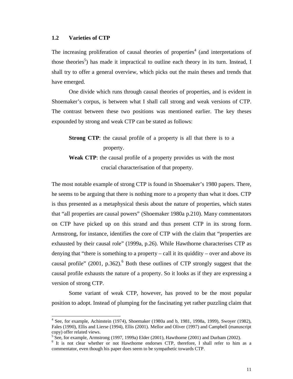The increasing proliferation of causal theories of properties<sup>4</sup> (and interpretations of those theories<sup>5</sup>) has made it impractical to outline each theory in its turn. Instead, I shall try to offer a general overview, which picks out the main theses and trends that have emerged.

One divide which runs through causal theories of properties, and is evident in Shoemaker's corpus, is between what I shall call strong and weak versions of CTP. The contrast between these two positions was mentioned earlier. The key theses expounded by strong and weak CTP can be stated as follows:

**Strong CTP**: the causal profile of a property is all that there is to a property.

**Weak CTP**: the causal profile of a property provides us with the most crucial characterisation of that property.

The most notable example of strong CTP is found in Shoemaker's 1980 papers. There, he seems to be arguing that there is nothing more to a property than what it does. CTP is thus presented as a metaphysical thesis about the nature of properties, which states that "all properties are causal powers" (Shoemaker 1980a p.210). Many commentators on CTP have picked up on this strand and thus present CTP in its strong form. Armstrong, for instance, identifies the core of CTP with the claim that "properties are exhausted by their causal role" (1999a, p.26). While Hawthorne characterises CTP as denying that "there is something to a property – call it its quiddity – over and above its causal profile"  $(2001, p.362)$ .<sup>6</sup> Both these outlines of CTP strongly suggest that the causal profile exhausts the nature of a property. So it looks as if they are expressing a version of strong CTP.

Some variant of weak CTP, however, has proved to be the most popular position to adopt. Instead of plumping for the fascinating yet rather puzzling claim that

 4 See, for example, Achinstein (1974), Shoemaker (1980a and b, 1981, 1998a, 1999), Swoyer (1982), Fales (1990), Ellis and Lierse (1994), Ellis (2001). Mellor and Oliver (1997) and Campbell (manuscript copy) offer related views.

 $5 \text{ See}$ , for example, Armstrong (1997, 1999a) Elder (2001), Hawthorne (2001) and Durham (2002).

<sup>&</sup>lt;sup>6</sup> It is not clear whether or not Hawthorne endorses CTP, therefore, I shall refer to him as a commentator, even though his paper does seem to be sympathetic towards CTP.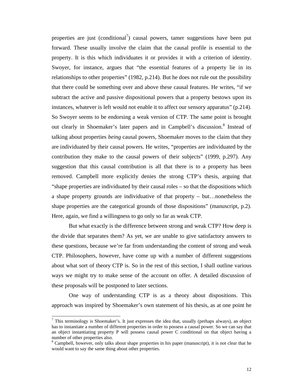properties are just (conditional<sup>7</sup>) causal powers, tamer suggestions have been put forward. These usually involve the claim that the causal profile is essential to the property. It is this which individuates it or provides it with a criterion of identity. Swoyer, for instance, argues that "the essential features of a property lie in its relationships to other properties" (1982, p.214). But he does not rule out the possibility that there could be something over and above these causal features. He writes, "if we subtract the active and passive dispositional powers that a property bestows upon its instances, whatever is left would not enable it to affect our sensory apparatus" (p.214). So Swoyer seems to be endorsing a weak version of CTP. The same point is brought out clearly in Shoemaker's later papers and in Campbell's discussion.<sup>8</sup> Instead of talking about properties *being* causal powers, Shoemaker moves to the claim that they are individuated by their causal powers. He writes, "properties are individuated by the contribution they make to the causal powers of their subjects" (1999, p.297). Any suggestion that this causal contribution is all that there is to a property has been removed. Campbell more explicitly denies the strong CTP's thesis, arguing that "shape properties are individuated by their causal roles – so that the dispositions which a shape property grounds are individuative of that property – but…nonetheless the shape properties are the categorical grounds of those dispositions" (manuscript, p.2). Here, again, we find a willingness to go only so far as weak CTP.

But what exactly is the difference between strong and weak CTP? How deep is the divide that separates them? As yet, we are unable to give satisfactory answers to these questions, because we're far from understanding the content of strong and weak CTP. Philosophers, however, have come up with a number of different suggestions about what sort of theory CTP is. So in the rest of this section, I shall outline various ways we might try to make sense of the account on offer. A detailed discussion of these proposals will be postponed to later sections.

One way of understanding CTP is as a theory about dispositions. This approach was inspired by Shoemaker's own statement of his thesis, as at one point he

l

 $^7$  This terminology is Shoemaker's. It just expresses the idea that, usually (perhaps always), an object has to instantiate a number of different properties in order to possess a causal power. So we can say that an object instantiating property P will possess causal power C conditional on that object having a number of other properties also.

<sup>&</sup>lt;sup>8</sup> Campbell, however, only talks about shape properties in his paper (manuscript), it is not clear that he would want to say the same thing about other properties.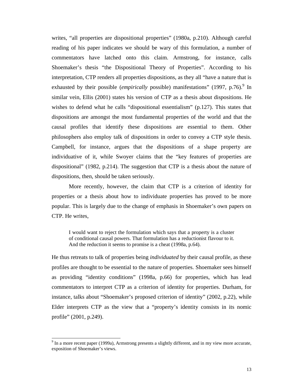writes, "all properties are dispositional properties" (1980a, p.210). Although careful reading of his paper indicates we should be wary of this formulation, a number of commentators have latched onto this claim. Armstrong, for instance, calls Shoemaker's thesis "the Dispositional Theory of Properties". According to his interpretation, CTP renders all properties dispositions, as they all "have a nature that is exhausted by their possible (*empirically* possible) manifestations" (1997, p.76).<sup>9</sup> In similar vein, Ellis (2001) states his version of CTP as a thesis about dispositions. He wishes to defend what he calls "dispositional essentialism" (p.127). This states that dispositions are amongst the most fundamental properties of the world and that the causal profiles that identify these dispositions are essential to them. Other philosophers also employ talk of dispositions in order to convey a CTP style thesis. Campbell, for instance, argues that the dispositions of a shape property are individuative of it, while Swoyer claims that the "key features of properties are dispositional" (1982, p.214). The suggestion that CTP is a thesis about the nature of dispositions, then, should be taken seriously.

More recently, however, the claim that CTP is a criterion of identity for properties or a thesis about how to individuate properties has proved to be more popular. This is largely due to the change of emphasis in Shoemaker's own papers on CTP. He writes,

I would want to reject the formulation which says that a property is a cluster of conditional causal powers. That formulation has a reductionist flavour to it. And the reduction it seems to promise is a cheat (1998a, p.64).

He thus retreats to talk of properties being *individuated* by their causal profile, as these profiles are thought to be essential to the nature of properties. Shoemaker sees himself as providing "identity conditions" (1998a, p.66) for properties, which has lead commentators to interpret CTP as a criterion of identity for properties. Durham, for instance, talks about "Shoemaker's proposed criterion of identity" (2002, p.22), while Elder interprets CTP as the view that a "property's identity consists in its nomic profile" (2001, p.249).

 $9 \text{ In a more recent paper (1999a), Armstrong presents a slightly different, and in my view more accurate, }$ exposition of Shoemaker's views.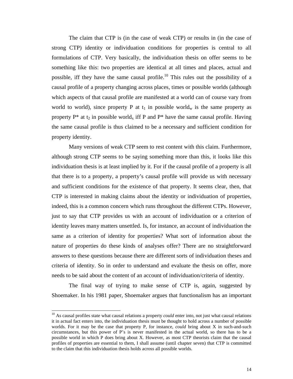The claim that CTP is (in the case of weak CTP) or results in (in the case of strong CTP) identity or individuation conditions for properties is central to all formulations of CTP. Very basically, the individuation thesis on offer seems to be something like this: two properties are identical at all times and places, actual and possible, iff they have the same causal profile.<sup>10</sup> This rules out the possibility of a causal profile of a property changing across places, times or possible worlds (although which aspects of that causal profile are manifested at a world can of course vary from world to world), since property P at  $t_1$  in possible world<sub>w</sub> is the same property as property  $P^*$  at t<sub>2</sub> in possible world<sub>x</sub> iff P and  $P^*$  have the same causal profile. Having the same causal profile is thus claimed to be a necessary and sufficient condition for property identity.

Many versions of weak CTP seem to rest content with this claim. Furthermore, although strong CTP seems to be saying something more than this, it looks like this individuation thesis is at least implied by it. For if the causal profile of a property is all that there is to a property, a property's causal profile will provide us with necessary and sufficient conditions for the existence of that property. It seems clear, then, that CTP is interested in making claims about the identity or individuation of properties, indeed, this is a common concern which runs throughout the different CTPs. However, just to say that CTP provides us with an account of individuation or a criterion of identity leaves many matters unsettled. Is, for instance, an account of individuation the same as a criterion of identity for properties? What sort of information about the nature of properties do these kinds of analyses offer? There are no straightforward answers to these questions because there are different sorts of individuation theses and criteria of identity. So in order to understand and evaluate the thesis on offer, more needs to be said about the content of an account of individuation/criteria of identity.

The final way of trying to make sense of CTP is, again, suggested by Shoemaker. In his 1981 paper, Shoemaker argues that functionalism has an important

<sup>&</sup>lt;sup>10</sup> As causal profiles state what causal relations a property *could* enter into, not just what causal relations it in actual fact enters into, the individuation thesis must be thought to hold across a number of possible worlds. For it may be the case that property P, for instance, *could* bring about X in such-and-such circumstances, but this power of P's is never manifested in the actual world, so there has to be a possible world in which P does bring about X. However, as most CTP theorists claim that the causal profiles of properties are essential to them, I shall assume (until chapter seven) that CTP is committed to the claim that this individuation thesis holds across all possible worlds.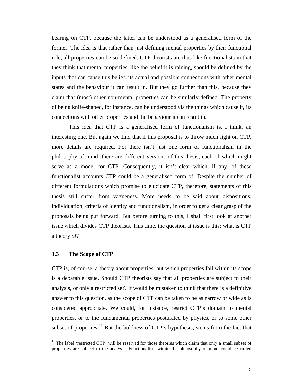bearing on CTP, because the latter can be understood as a generalised form of the former. The idea is that rather than just defining mental properties by their functional role, all properties can be so defined. CTP theorists are thus like functionalists in that they think that mental properties, like the belief it is raining, should be defined by the inputs that can cause this belief, its actual and possible connections with other mental states and the behaviour it can result in. But they go further than this, because they claim that (most) other non-mental properties can be similarly defined. The property of being knife-shaped, for instance, can be understood via the things which cause it, its connections with other properties and the behaviour it can result in.

This idea that CTP is a generalised form of functionalism is, I think, an interesting one. But again we find that if this proposal is to throw much light on CTP, more details are required. For there isn't just one form of functionalism in the philosophy of mind, there are different versions of this thesis, each of which might serve as a model for CTP. Consequently, it isn't clear which, if any, of these functionalist accounts CTP could be a generalised form of. Despite the number of different formulations which promise to elucidate CTP, therefore, statements of this thesis still suffer from vagueness. More needs to be said about dispositions, individuation, criteria of identity and functionalism, in order to get a clear grasp of the proposals being put forward. But before turning to this, I shall first look at another issue which divides CTP theorists. This time, the question at issue is this: what is CTP a theory *of*?

#### **1.3 The Scope of CTP**

 $\overline{a}$ 

CTP is, of course, a theory about properties, but which properties fall within its scope is a debatable issue. Should CTP theorists say that all properties are subject to their analysis, or only a restricted set? It would be mistaken to think that there is a definitive answer to this question, as the scope of CTP can be taken to be as narrow or wide as is considered appropriate. We could, for instance, restrict CTP's domain to mental properties, or to the fundamental properties postulated by physics, or to some other subset of properties.<sup>11</sup> But the boldness of CTP's hypothesis, stems from the fact that

 $11$  The label 'restricted CTP' will be reserved for those theories which claim that only a small subset of properties are subject to the analysis. Functionalists within the philosophy of mind could be called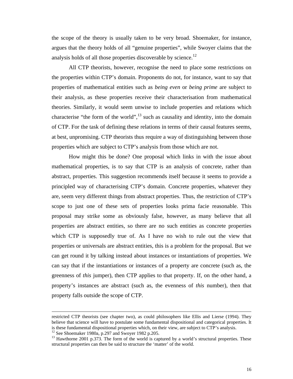the scope of the theory is usually taken to be very broad. Shoemaker, for instance, argues that the theory holds of all "genuine properties", while Swoyer claims that the analysis holds of all those properties discoverable by science.<sup>12</sup>

All CTP theorists, however, recognise the need to place some restrictions on the properties within CTP's domain. Proponents do not, for instance, want to say that properties of mathematical entities such as *being even* or *being prime* are subject to their analysis, as these properties receive their characterisation from mathematical theories. Similarly, it would seem unwise to include properties and relations which characterise "the form of the world", $^{13}$  such as causality and identity, into the domain of CTP. For the task of defining these relations in terms of their causal features seems, at best, unpromising. CTP theorists thus require a way of distinguishing between those properties which are subject to CTP's analysis from those which are not.

How might this be done? One proposal which links in with the issue about mathematical properties, is to say that CTP is an analysis of concrete, rather than abstract, properties. This suggestion recommends itself because it seems to provide a principled way of characterising CTP's domain. Concrete properties, whatever they are, seem very different things from abstract properties. Thus, the restriction of CTP's scope to just one of these sets of properties looks prima facie reasonable. This proposal may strike some as obviously false, however, as many believe that all properties are abstract entities, so there are no such entities as concrete properties which CTP is supposedly true of. As I have no wish to rule out the view that properties or universals are abstract entities, this is a problem for the proposal. But we can get round it by talking instead about instances or instantiations of properties. We can say that if the instantiations or instances of a property are concrete (such as, the greenness of *this* jumper), then CTP applies to that property. If, on the other hand, a property's instances are abstract (such as, the evenness of *this* number), then that property falls outside the scope of CTP.

restricted CTP theorists (see chapter two), as could philosophers like Ellis and Lierse (1994). They believe that science will have to postulate some fundamental dispositional and categorical properties. It is these fundamental dispositional properties which, on their view, are subject to CTP's analysis.

 $12$  See Shoemaker 1980a, p.297 and Swoyer 1982 p.205.

<sup>&</sup>lt;sup>13</sup> Hawthorne 2001 p.373. The form of the world is captured by a world's structural properties. These structural properties can then be said to structure the 'matter' of the world.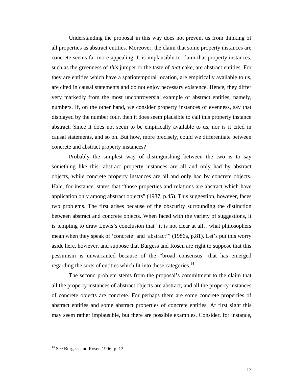Understanding the proposal in this way does not prevent us from thinking of all properties as abstract entities. Moreover, the claim that some property instances are concrete seems far more appealing. It is implausible to claim that property instances, such as the greenness of *this* jumper or the taste of *that* cake, are abstract entities. For they are entities which have a spatiotemporal location, are empirically available to us, are cited in causal statements and do not enjoy necessary existence. Hence, they differ very markedly from the most uncontroversial example of abstract entities, namely, numbers. If, on the other hand, we consider property instances of evenness, say that displayed by the number four, then it does seem plausible to call this property instance abstract. Since it does not seem to be empirically available to us, nor is it cited in causal statements, and so on. But how, more precisely, could we differentiate between concrete and abstract property instances?

Probably the simplest way of distinguishing between the two is to say something like this: abstract property instances are all and only had by abstract objects, while concrete property instances are all and only had by concrete objects. Hale, for instance, states that "those properties and relations are abstract which have application only among abstract objects" (1987, p.45). This suggestion, however, faces two problems. The first arises because of the obscurity surrounding the distinction between abstract and concrete objects. When faced with the variety of suggestions, it is tempting to draw Lewis's conclusion that "it is not clear at all…what philosophers mean when they speak of 'concrete' and 'abstract'" (1986a, p.81). Let's put this worry aside here, however, and suppose that Burgess and Rosen are right to suppose that this pessimism is unwarranted because of the "broad consensus" that has emerged regarding the sorts of entities which fit into these categories.<sup>14</sup>

The second problem stems from the proposal's commitment to the claim that all the property instances of abstract objects are abstract, and all the property instances of concrete objects are concrete. For perhaps there are some concrete properties of abstract entities and some abstract properties of concrete entities. At first sight this may seem rather implausible, but there are possible examples. Consider, for instance,

<sup>&</sup>lt;sup>14</sup> See Burgess and Rosen 1996, p. 13.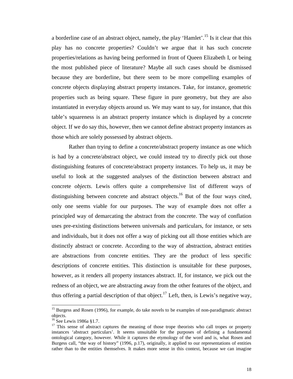a borderline case of an abstract object, namely, the play 'Hamlet'.15 Is it clear that this play has no concrete properties? Couldn't we argue that it has such concrete properties/relations as having being performed in front of Queen Elizabeth I, or being the most published piece of literature? Maybe all such cases should be dismissed because they are borderline, but there seem to be more compelling examples of concrete objects displaying abstract property instances. Take, for instance, geometric properties such as being square. These figure in pure geometry, but they are also instantiated in everyday objects around us. We may want to say, for instance, that this table's squareness is an abstract property instance which is displayed by a concrete object. If we do say this, however, then we cannot define abstract property instances as those which are solely possessed by abstract objects.

Rather than trying to define a concrete/abstract property instance as one which is had by a concrete/abstract object, we could instead try to directly pick out those distinguishing features of concrete/abstract property instances. To help us, it may be useful to look at the suggested analyses of the distinction between abstract and concrete *objects*. Lewis offers quite a comprehensive list of different ways of distinguishing between concrete and abstract objects.<sup>16</sup> But of the four ways cited, only one seems viable for our purposes. The way of example does not offer a principled way of demarcating the abstract from the concrete. The way of conflation uses pre-existing distinctions between universals and particulars, for instance, or sets and individuals, but it does not offer a way of picking out all those entities which are distinctly abstract or concrete. According to the way of abstraction, abstract entities are abstractions from concrete entities. They are the product of less specific descriptions of concrete entities. This distinction is unsuitable for these purposes, however, as it renders all property instances abstract. If, for instance, we pick out the redness of an object, we are abstracting away from the other features of the object, and thus offering a partial description of that object.<sup>17</sup> Left, then, is Lewis's negative way,

<sup>&</sup>lt;sup>15</sup> Burgess and Rosen (1996), for example, do take novels to be examples of non-paradigmatic abstract objects.

 $16$  See Lewis 1986a §1.7.

<sup>&</sup>lt;sup>17</sup> This sense of abstract captures the meaning of those trope theorists who call tropes or property instances 'abstract particulars'. It seems unsuitable for the purposes of defining a fundamental ontological category, however. While it captures the etymology of the word and is, what Rosen and Burgess call, "the way of history" (1996, p.17), originally, it applied to our representations of entities rather than to the entities themselves. It makes more sense in this context, because we can imagine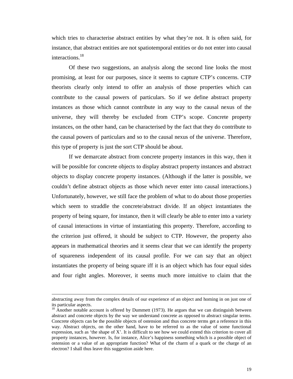which tries to characterise abstract entities by what they're not. It is often said, for instance, that abstract entities are not spatiotemporal entities or do not enter into causal interactions.<sup>18</sup>

Of these two suggestions, an analysis along the second line looks the most promising, at least for our purposes, since it seems to capture CTP's concerns. CTP theorists clearly only intend to offer an analysis of those properties which can contribute to the causal powers of particulars. So if we define abstract property instances as those which cannot contribute in any way to the causal nexus of the universe, they will thereby be excluded from CTP's scope. Concrete property instances, on the other hand, can be characterised by the fact that they do contribute to the causal powers of particulars and so to the causal nexus of the universe. Therefore, this type of property is just the sort CTP should be about.

If we demarcate abstract from concrete property instances in this way, then it will be possible for concrete objects to display abstract property instances and abstract objects to display concrete property instances. (Although if the latter is possible, we couldn't define abstract objects as those which never enter into causal interactions.) Unfortunately, however, we still face the problem of what to do about those properties which seem to straddle the concrete/abstract divide. If an object instantiates the property of being square, for instance, then it will clearly be able to enter into a variety of causal interactions in virtue of instantiating this property. Therefore, according to the criterion just offered, it should be subject to CTP. However, the property also appears in mathematical theories and it seems clear that we can identify the property of squareness independent of its causal profile. For we can say that an object instantiates the property of being square iff it is an object which has four equal sides and four right angles. Moreover, it seems much more intuitive to claim that the

abstracting away from the complex details of our experience of an object and homing in on just one of its particular aspects.

 $18$  Another notable account is offered by Dummett (1973). He argues that we can distinguish between abstract and concrete objects by the way we understand concrete as opposed to abstract singular terms. Concrete objects can be the possible objects of ostension and thus concrete terms get a reference in this way. Abstract objects, on the other hand, have to be referred to as the value of some functional expression, such as 'the shape of X'. It is difficult to see how we could extend this criterion to cover all property instances, however. Is, for instance, Alice's happiness something which is a possible object of ostension or a value of an appropriate function? What of the charm of a quark or the charge of an electron? I shall thus leave this suggestion aside here.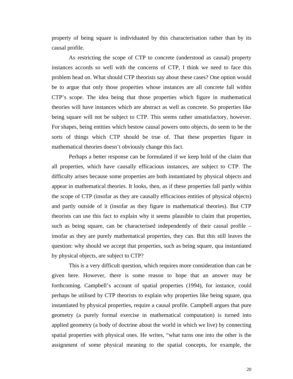property of being square is individuated by this characterisation rather than by its causal profile.

As restricting the scope of CTP to concrete (understood as causal) property instances accords so well with the concerns of CTP, I think we need to face this problem head on. What should CTP theorists say about these cases? One option would be to argue that only those properties whose instances are all concrete fall within CTP's scope. The idea being that those properties which figure in mathematical theories will have instances which are abstract as well as concrete. So properties like being square will not be subject to CTP. This seems rather unsatisfactory, however. For shapes, being entities which bestow causal powers onto objects, do seem to be the sorts of things which CTP should be true of. That these properties figure in mathematical theories doesn't obviously change this fact.

Perhaps a better response can be formulated if we keep hold of the claim that all properties, which have causally efficacious instances, are subject to CTP. The difficulty arises because some properties are both instantiated by physical objects and appear in mathematical theories. It looks, then, as if these properties fall partly within the scope of CTP (insofar as they are causally efficacious entities of physical objects) and partly outside of it (insofar as they figure in mathematical theories). But CTP theorists can use this fact to explain why it seems plausible to claim that properties, such as being square, can be characterised independently of their causal profile – insofar as they are purely mathematical properties, they can. But this still leaves the question: why should we accept that properties, such as being square, qua instantiated by physical objects, are subject to CTP?

This is a very difficult question, which requires more consideration than can be given here. However, there is some reason to hope that an answer may be forthcoming. Campbell's account of spatial properties (1994), for instance, could perhaps be utilised by CTP theorists to explain why properties like being square, qua instantiated by physical properties, require a causal profile. Campbell argues that pure geometry (a purely formal exercise in mathematical computation) is turned into applied geometry (a body of doctrine about the world in which we live) by connecting spatial properties with physical ones. He writes, "what turns one into the other is the assignment of some physical meaning to the spatial concepts, for example, the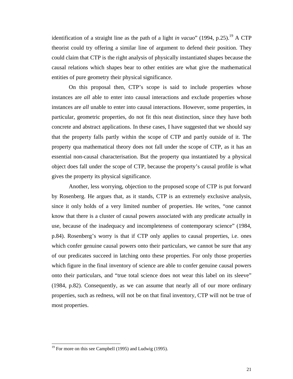identification of a straight line as the path of a light *in vacuo*" (1994, p.25).<sup>19</sup> A CTP theorist could try offering a similar line of argument to defend their position. They could claim that CTP is the right analysis of physically instantiated shapes because the causal relations which shapes bear to other entities are what give the mathematical entities of pure geometry their physical significance.

On this proposal then, CTP's scope is said to include properties whose instances are *all* able to enter into causal interactions and exclude properties whose instances are *all* unable to enter into causal interactions. However, some properties, in particular, geometric properties, do not fit this neat distinction, since they have both concrete and abstract applications. In these cases, I have suggested that we should say that the property falls partly within the scope of CTP and partly outside of it. The property qua mathematical theory does not fall under the scope of CTP, as it has an essential non-causal characterisation. But the property qua instantiated by a physical object does fall under the scope of CTP, because the property's causal profile is what gives the property its physical significance.

Another, less worrying, objection to the proposed scope of CTP is put forward by Rosenberg. He argues that, as it stands, CTP is an extremely exclusive analysis, since it only holds of a very limited number of properties. He writes, "one cannot know that there is a cluster of causal powers associated with any predicate actually in use, because of the inadequacy and incompleteness of contemporary science" (1984, p.84). Rosenberg's worry is that if CTP only applies to causal properties, i.e. ones which confer genuine causal powers onto their particulars, we cannot be sure that any of our predicates succeed in latching onto these properties. For only those properties which figure in the final inventory of science are able to confer genuine causal powers onto their particulars, and "true total science does not wear this label on its sleeve" (1984, p.82). Consequently, as we can assume that nearly all of our more ordinary properties, such as redness, will not be on that final inventory, CTP will not be true of most properties.

 $19$  For more on this see Campbell (1995) and Ludwig (1995).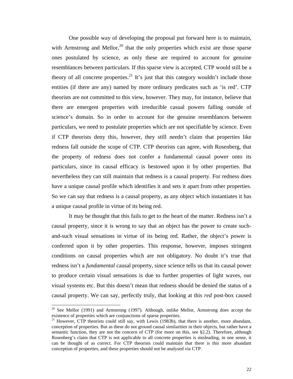One possible way of developing the proposal put forward here is to maintain, with Armstrong and Mellor, $^{20}$  that the only properties which exist are those sparse ones postulated by science, as only these are required to account for genuine resemblances between particulars. If this sparse view is accepted, CTP would still be a theory of all concrete properties.<sup>21</sup> It's just that this category wouldn't include those entities (if there are any) named by more ordinary predicates such as 'is red'. CTP theorists are not committed to this view, however. They may, for instance, believe that there are emergent properties with irreducible casual powers falling outside of science's domain. So in order to account for the genuine resemblances between particulars, we need to postulate properties which are not specifiable by science. Even if CTP theorists deny this, however, they still needn't claim that properties like redness fall outside the scope of CTP. CTP theorists can agree, with Rosenberg, that the property of redness does not confer a fundamental causal power onto its particulars, since its causal efficacy is bestowed upon it by other properties. But nevertheless they can still maintain that redness is a causal property. For redness does have a unique causal profile which identifies it and sets it apart from other properties. So we can say that redness is a causal property, as any object which instantiates it has a unique causal profile in virtue of its being red.

It may be thought that this fails to get to the heart of the matter. Redness isn't a causal property, since it is wrong to say that an object has the power to create suchand-such visual sensations in virtue of its being red. Rather, the object's power is conferred upon it by other properties. This response, however, imposes stringent conditions on causal properties which are not obligatory. No doubt it's true that redness isn't a *fundamental* causal property, since science tells us that its causal power to produce certain visual sensations is due to further properties of light waves, our visual systems etc. But this doesn't mean that redness should be denied the status of a causal property. We can say, perfectly truly, that looking at this *red* post-box caused

 $20$  See Mellor (1991) and Armstrong (1997). Although, unlike Mellor, Armstrong does accept the existence of properties which are conjunctions of sparse properties.

<sup>&</sup>lt;sup>21</sup> However, CTP theorists could still say, with Lewis (1983b), that there is another, more abundant, conception of properties. But as these do not ground causal similarities in their objects, but rather have a semantic function, they are not the concern of CTP (for more on this, see §2.2). Therefore, although Rosenberg's claim that CTP is not applicable to all concrete properties is misleading, in one sense, it can be thought of as correct. For CTP theorists could maintain that there is this more abundant conception of properties, and these properties should not be analysed via CTP.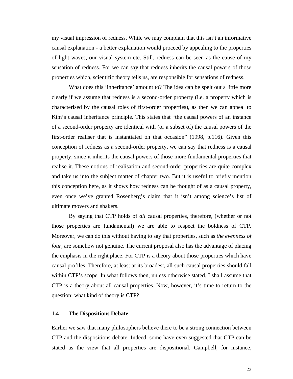my visual impression of redness. While we may complain that this isn't an informative causal explanation - a better explanation would proceed by appealing to the properties of light waves, our visual system etc. Still, redness can be seen as the cause of my sensation of redness. For we can say that redness inherits the causal powers of those properties which, scientific theory tells us, are responsible for sensations of redness.

What does this 'inheritance' amount to? The idea can be spelt out a little more clearly if we assume that redness is a second-order property (i.e. a property which is characterised by the causal roles of first-order properties), as then we can appeal to Kim's causal inheritance principle. This states that "the causal powers of an instance of a second-order property are identical with (or a subset of) the causal powers of the first-order realiser that is instantiated on that occasion" (1998, p.116). Given this conception of redness as a second-order property, we can say that redness is a causal property, since it inherits the causal powers of those more fundamental properties that realise it. These notions of realisation and second-order properties are quite complex and take us into the subject matter of chapter two. But it is useful to briefly mention this conception here, as it shows how redness can be thought of as a causal property, even once we've granted Rosenberg's claim that it isn't among science's list of ultimate movers and shakers.

By saying that CTP holds of *all* causal properties, therefore, (whether or not those properties are fundamental) we are able to respect the boldness of CTP. Moreover, we can do this without having to say that properties, such as *the evenness of four*, are somehow not genuine. The current proposal also has the advantage of placing the emphasis in the right place. For CTP is a theory about those properties which have causal profiles. Therefore, at least at its broadest, all such causal properties should fall within CTP's scope. In what follows then, unless otherwise stated, I shall assume that CTP is a theory about all causal properties. Now, however, it's time to return to the question: what kind of theory is CTP?

#### **1.4 The Dispositions Debate**

Earlier we saw that many philosophers believe there to be a strong connection between CTP and the dispositions debate. Indeed, some have even suggested that CTP can be stated as the view that all properties are dispositional. Campbell, for instance,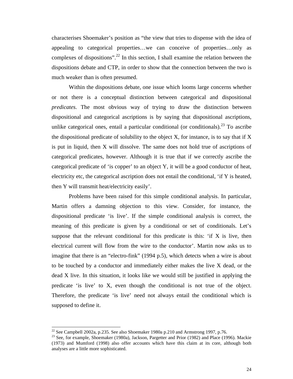characterises Shoemaker's position as "the view that tries to dispense with the idea of appealing to categorical properties…we can conceive of properties…only as complexes of dispositions".<sup>22</sup> In this section, I shall examine the relation between the dispositions debate and CTP, in order to show that the connection between the two is much weaker than is often presumed.

Within the dispositions debate, one issue which looms large concerns whether or not there is a conceptual distinction between categorical and dispositional *predicates*. The most obvious way of trying to draw the distinction between dispositional and categorical ascriptions is by saying that dispositional ascriptions, unlike categorical ones, entail a particular conditional (or conditionals).<sup>23</sup> To ascribe the dispositional predicate of solubility to the object  $X$ , for instance, is to say that if  $X$ is put in liquid, then X will dissolve. The same does not hold true of ascriptions of categorical predicates, however. Although it is true that if we correctly ascribe the categorical predicate of 'is copper' to an object Y, it will be a good conductor of heat, electricity etc, the categorical ascription does not entail the conditional, 'if Y is heated, then Y will transmit heat/electricity easily'.

Problems have been raised for this simple conditional analysis. In particular, Martin offers a damning objection to this view. Consider, for instance, the dispositional predicate 'is live'. If the simple conditional analysis is correct, the meaning of this predicate is given by a conditional or set of conditionals. Let's suppose that the relevant conditional for this predicate is this:  $if X$  is live, then electrical current will flow from the wire to the conductor'. Martin now asks us to imagine that there is an "electro-fink" (1994 p.5), which detects when a wire is about to be touched by a conductor and immediately either makes the live X dead, or the dead X live. In this situation, it looks like we would still be justified in applying the predicate 'is live' to X, even though the conditional is not true of the object. Therefore, the predicate 'is live' need not always entail the conditional which is supposed to define it.

<sup>&</sup>lt;sup>22</sup> See Campbell 2002a, p.235. See also Shoemaker 1980a p.210 and Armstrong 1997, p.76.

<sup>&</sup>lt;sup>23</sup> See, for example, Shoemaker (1980a), Jackson, Pargetter and Prior (1982) and Place (1996). Mackie (1973) and Mumford (1998) also offer accounts which have this claim at its core, although both analyses are a little more sophisticated.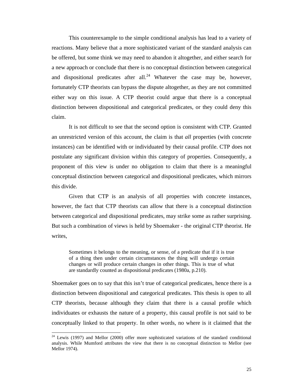This counterexample to the simple conditional analysis has lead to a variety of reactions. Many believe that a more sophisticated variant of the standard analysis can be offered, but some think we may need to abandon it altogether, and either search for a new approach or conclude that there is no conceptual distinction between categorical and dispositional predicates after all.<sup>24</sup> Whatever the case may be, however, fortunately CTP theorists can bypass the dispute altogether, as they are not committed either way on this issue. A CTP theorist could argue that there is a conceptual distinction between dispositional and categorical predicates, or they could deny this claim.

It is not difficult to see that the second option is consistent with CTP. Granted an unrestricted version of this account, the claim is that *all* properties (with concrete instances) can be identified with or individuated by their causal profile. CTP does not postulate any significant division within this category of properties. Consequently, a proponent of this view is under no obligation to claim that there is a meaningful conceptual distinction between categorical and dispositional predicates, which mirrors this divide.

Given that CTP is an analysis of all properties with concrete instances, however, the fact that CTP theorists can allow that there is a conceptual distinction between categorical and dispositional predicates, may strike some as rather surprising. But such a combination of views is held by Shoemaker - the original CTP theorist. He writes,

Sometimes it belongs to the meaning, or sense, of a predicate that if it is true of a thing then under certain circumstances the thing will undergo certain changes or will produce certain changes in other things. This is true of what are standardly counted as dispositional predicates (1980a, p.210).

Shoemaker goes on to say that this isn't true of categorical predicates, hence there is a distinction between dispositional and categorical predicates. This thesis is open to all CTP theorists, because although they claim that there is a causal profile which individuates or exhausts the nature of a property, this causal profile is not said to be conceptually linked to that property. In other words, no where is it claimed that the

 $24$  Lewis (1997) and Mellor (2000) offer more sophisticated variations of the standard conditional analysis. While Mumford attributes the view that there is no conceptual distinction to Mellor (see Mellor 1974).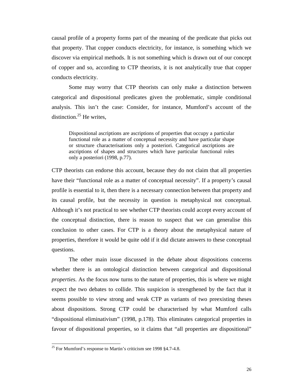causal profile of a property forms part of the meaning of the predicate that picks out that property. That copper conducts electricity, for instance, is something which we discover via empirical methods. It is not something which is drawn out of our concept of copper and so, according to CTP theorists, it is not analytically true that copper conducts electricity.

Some may worry that CTP theorists can only make a distinction between categorical and dispositional predicates given the problematic, simple conditional analysis. This isn't the case: Consider, for instance, Mumford's account of the distinction. $25$  He writes,

Dispositional ascriptions are ascriptions of properties that occupy a particular functional role as a matter of conceptual necessity and have particular shape or structure characterisations only a posteriori. Categorical ascriptions are ascriptions of shapes and structures which have particular functional roles only a posteriori (1998, p.77).

CTP theorists can endorse this account, because they do not claim that all properties have their "functional role as a matter of conceptual necessity". If a property's causal profile is essential to it, then there is a necessary connection between that property and its causal profile, but the necessity in question is metaphysical not conceptual. Although it's not practical to see whether CTP theorists could accept every account of the conceptual distinction, there is reason to suspect that we can generalise this conclusion to other cases. For CTP is a theory about the metaphysical nature of properties, therefore it would be quite odd if it did dictate answers to these conceptual questions.

The other main issue discussed in the debate about dispositions concerns whether there is an ontological distinction between categorical and dispositional *properties*. As the focus now turns to the nature of properties, this is where we might expect the two debates to collide. This suspicion is strengthened by the fact that it seems possible to view strong and weak CTP as variants of two preexisting theses about dispositions. Strong CTP could be characterised by what Mumford calls "dispositional eliminativism" (1998, p.178). This eliminates categorical properties in favour of dispositional properties, so it claims that "all properties are dispositional"

<sup>&</sup>lt;sup>25</sup> For Mumford's response to Martin's criticism see 1998  $§$ 4.7-4.8.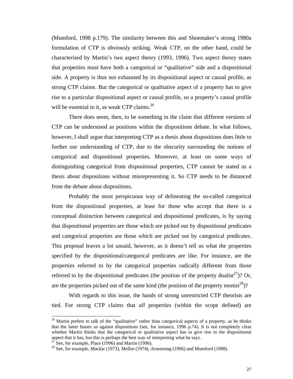(Mumford, 1998 p.179). The similarity between this and Shoemaker's strong 1980a formulation of CTP is obviously striking. Weak CTP, on the other hand, could be characterised by Martin's two aspect theory (1993, 1996). Two aspect theory states that properties must have both a categorical or "qualitative" side and a dispositional side. A property is thus not exhausted by its dispositional aspect or causal profile, as strong CTP claims. But the categorical or qualitative aspect of a property has to give rise to a particular dispositional aspect or causal profile, so a property's causal profile will be essential to it, as weak CTP claims.<sup>26</sup>

There does seem, then, to be something in the claim that different versions of CTP can be understood as positions within the dispositions debate. In what follows, however, I shall argue that interpreting CTP as a thesis about dispositions does little to further our understanding of CTP, due to the obscurity surrounding the notions of categorical and dispositional properties. Moreover, at least on some ways of distinguishing categorical from dispositional properties, CTP cannot be stated as a thesis about dispositions without misrepresenting it. So CTP needs to be distanced from the debate about dispositions.

Probably the most perspicuous way of delineating the so-called categorical from the dispositional properties, at least for those who accept that there is a conceptual distinction between categorical and dispositional predicates, is by saying that dispositional properties are those which are picked out by dispositional predicates and categorical properties are those which are picked out by categorical predicates. This proposal leaves a lot unsaid, however, as it doesn't tell us what the properties specified by the dispositional/categorical predicates are like. For instance, are the properties referred to by the categorical properties radically different from those referred to by the dispositional predicates (the position of the property dualist<sup>27</sup>)? Or, are the properties picked out of the same kind (the position of the property monist<sup>28</sup>)?

With regards to this issue, the hands of strong unrestricted CTP theorists are tied. For strong CTP claims that *all* properties (within the scope defined) are

l

 $26$  Martin prefers to talk of the "qualitative" rather than categorical aspects of a property, as he thinks that the latter biases us against dispositions (see, for instance, 1996 p.74). It is not completely clear whether Martin thinks that the categorical or qualitative aspect has to give rise to the dispositional aspect that it has, but this is perhaps the best way of interpreting what he says.

 $27$  See, for example, Place (1996) and Martin (1996).

 $^{28}$  See, for example, Mackie (1973), Mellor (1974), Armstrong (1996) and Mumford (1998).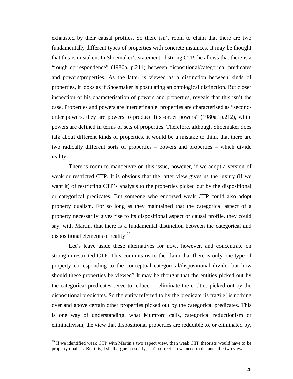exhausted by their causal profiles. So there isn't room to claim that there are two fundamentally different types of properties with concrete instances. It may be thought that this is mistaken. In Shoemaker's statement of strong CTP, he allows that there is a "rough correspondence" (1980a, p.211) between dispositional/categorical predicates and powers/properties. As the latter is viewed as a distinction between kinds of properties, it looks as if Shoemaker is postulating an ontological distinction. But closer inspection of his characterisation of powers and properties, reveals that this isn't the case. Properties and powers are interdefinable: properties are characterised as "secondorder powers, they are powers to produce first-order powers" (1980a, p.212), while powers are defined in terms of sets of properties. Therefore, although Shoemaker does talk about different kinds of properties, it would be a mistake to think that there are two radically different sorts of properties – powers and properties – which divide reality.

There is room to manoeuvre on this issue, however, if we adopt a version of weak or restricted CTP. It is obvious that the latter view gives us the luxury (if we want it) of restricting CTP's analysis to the properties picked out by the dispositional or categorical predicates. But someone who endorsed weak CTP could also adopt property dualism. For so long as they maintained that the categorical aspect of a property necessarily gives rise to its dispositional aspect or causal profile, they could say, with Martin, that there is a fundamental distinction between the categorical and dispositional elements of reality. $^{29}$ 

Let's leave aside these alternatives for now, however, and concentrate on strong unrestricted CTP. This commits us to the claim that there is only one type of property corresponding to the conceptual categorical/dispositional divide, but how should these properties be viewed? It may be thought that the entities picked out by the categorical predicates serve to reduce or eliminate the entities picked out by the dispositional predicates. So the entity referred to by the predicate 'is fragile' is nothing over and above certain other properties picked out by the categorical predicates. This is one way of understanding, what Mumford calls, categorical reductionism or eliminativism, the view that dispositional properties are reducible to, or eliminated by,

<sup>&</sup>lt;sup>29</sup> If we identified weak CTP with Martin's two aspect view, then weak CTP theorists would have to be property dualists. But this, I shall argue presently, isn't correct, so we need to distance the two views.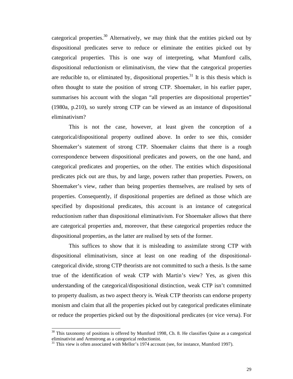categorical properties.<sup>30</sup> Alternatively, we may think that the entities picked out by dispositional predicates serve to reduce or eliminate the entities picked out by categorical properties. This is one way of interpreting, what Mumford calls, dispositional reductionism or eliminativism, the view that the categorical properties are reducible to, or eliminated by, dispositional properties.<sup>31</sup> It is this thesis which is often thought to state the position of strong CTP. Shoemaker, in his earlier paper, summarises his account with the slogan "all properties are dispositional properties" (1980a, p.210), so surely strong CTP can be viewed as an instance of dispositional eliminativism?

This is not the case, however, at least given the conception of a categorical/dispositional property outlined above. In order to see this, consider Shoemaker's statement of strong CTP. Shoemaker claims that there is a rough correspondence between dispositional predicates and powers, on the one hand, and categorical predicates and properties, on the other. The entities which dispositional predicates pick out are thus, by and large, powers rather than properties. Powers, on Shoemaker's view, rather than being properties themselves, are realised by sets of properties. Consequently, if dispositional properties are defined as those which are specified by dispositional predicates, this account is an instance of categorical reductionism rather than dispositional eliminativism. For Shoemaker allows that there are categorical properties and, moreover, that these categorical properties reduce the dispositional properties, as the latter are realised by sets of the former.

This suffices to show that it is misleading to assimilate strong CTP with dispositional eliminativism, since at least on one reading of the dispositionalcategorical divide, strong CTP theorists are not committed to such a thesis. Is the same true of the identification of weak CTP with Martin's view? Yes, as given this understanding of the categorical/dispositional distinction, weak CTP isn't committed to property dualism, as two aspect theory is. Weak CTP theorists can endorse property monism and claim that all the properties picked out by categorical predicates eliminate or reduce the properties picked out by the dispositional predicates (or vice versa). For

 $30$  This taxonomy of positions is offered by Mumford 1998, Ch. 8. He classifies Quine as a categorical eliminativist and Armstrong as a categorical reductionist.

 $31$  This view is often associated with Mellor's 1974 account (see, for instance, Mumford 1997).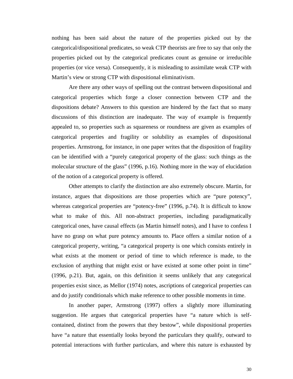nothing has been said about the nature of the properties picked out by the categorical/dispositional predicates, so weak CTP theorists are free to say that only the properties picked out by the categorical predicates count as genuine or irreducible properties (or vice versa). Consequently, it is misleading to assimilate weak CTP with Martin's view or strong CTP with dispositional eliminativism.

Are there any other ways of spelling out the contrast between dispositional and categorical properties which forge a closer connection between CTP and the dispositions debate? Answers to this question are hindered by the fact that so many discussions of this distinction are inadequate. The way of example is frequently appealed to, so properties such as squareness or roundness are given as examples of categorical properties and fragility or solubility as examples of dispositional properties. Armstrong, for instance, in one paper writes that the disposition of fragility can be identified with a "purely categorical property of the glass: such things as the molecular structure of the glass" (1996, p.16). Nothing more in the way of elucidation of the notion of a categorical property is offered.

Other attempts to clarify the distinction are also extremely obscure. Martin, for instance, argues that dispositions are those properties which are "pure potency", whereas categorical properties are "potency-free" (1996, p.74). It is difficult to know what to make of this. All non-abstract properties, including paradigmatically categorical ones, have causal effects (as Martin himself notes), and I have to confess I have no grasp on what pure potency amounts to. Place offers a similar notion of a categorical property, writing, "a categorical property is one which consists entirely in what exists at the moment or period of time to which reference is made, to the exclusion of anything that might exist or have existed at some other point in time" (1996, p.21). But, again, on this definition it seems unlikely that any categorical properties exist since, as Mellor (1974) notes, ascriptions of categorical properties can and do justify conditionals which make reference to other possible moments in time.

In another paper, Armstrong (1997) offers a slightly more illuminating suggestion. He argues that categorical properties have "a nature which is selfcontained, distinct from the powers that they bestow", while dispositional properties have "a nature that essentially looks beyond the particulars they qualify, outward to potential interactions with further particulars, and where this nature is exhausted by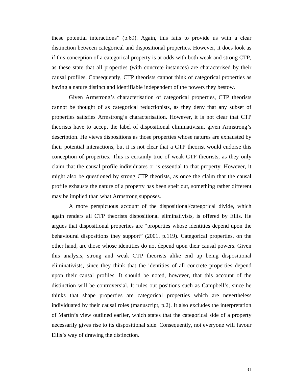these potential interactions" (p.69). Again, this fails to provide us with a clear distinction between categorical and dispositional properties. However, it does look as if this conception of a categorical property is at odds with both weak and strong CTP, as these state that all properties (with concrete instances) are characterised by their causal profiles. Consequently, CTP theorists cannot think of categorical properties as having a nature distinct and identifiable independent of the powers they bestow.

Given Armstrong's characterisation of categorical properties, CTP theorists cannot be thought of as categorical reductionists, as they deny that any subset of properties satisfies Armstrong's characterisation. However, it is not clear that CTP theorists have to accept the label of dispositional eliminativism, given Armstrong's description. He views dispositions as those properties whose natures are exhausted by their potential interactions, but it is not clear that a CTP theorist would endorse this conception of properties. This is certainly true of weak CTP theorists, as they only claim that the causal profile individuates or is essential to that property. However, it might also be questioned by strong CTP theorists, as once the claim that the causal profile exhausts the nature of a property has been spelt out, something rather different may be implied than what Armstrong supposes.

A more perspicuous account of the dispositional/categorical divide, which again renders all CTP theorists dispositional eliminativists, is offered by Ellis. He argues that dispositional properties are "properties whose identities depend upon the behavioural dispositions they support" (2001, p.119). Categorical properties, on the other hand, are those whose identities do not depend upon their causal powers. Given this analysis, strong and weak CTP theorists alike end up being dispositional eliminativists, since they think that the identities of all concrete properties depend upon their causal profiles. It should be noted, however, that this account of the distinction will be controversial. It rules out positions such as Campbell's, since he thinks that shape properties are categorical properties which are nevertheless individuated by their causal roles (manuscript, p.2). It also excludes the interpretation of Martin's view outlined earlier, which states that the categorical side of a property necessarily gives rise to its dispositional side. Consequently, not everyone will favour Ellis's way of drawing the distinction.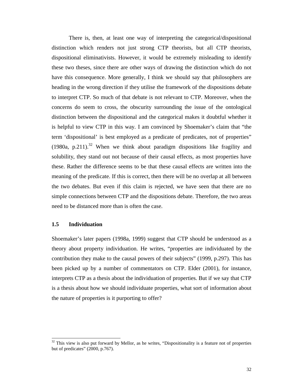There is, then, at least one way of interpreting the categorical/dispositional distinction which renders not just strong CTP theorists, but all CTP theorists, dispositional eliminativists. However, it would be extremely misleading to identify these two theses, since there are other ways of drawing the distinction which do not have this consequence. More generally, I think we should say that philosophers are heading in the wrong direction if they utilise the framework of the dispositions debate to interpret CTP. So much of that debate is not relevant to CTP. Moreover, when the concerns do seem to cross, the obscurity surrounding the issue of the ontological distinction between the dispositional and the categorical makes it doubtful whether it is helpful to view CTP in this way. I am convinced by Shoemaker's claim that "the term 'dispositional' is best employed as a predicate of predicates, not of properties" (1980a, p.211).<sup>32</sup> When we think about paradigm dispositions like fragility and solubility, they stand out not because of their causal effects, as most properties have these. Rather the difference seems to be that these causal effects are written into the meaning of the predicate. If this is correct, then there will be no overlap at all between the two debates. But even if this claim is rejected, we have seen that there are no simple connections between CTP and the dispositions debate. Therefore, the two areas need to be distanced more than is often the case.

#### **1.5 Individuation**

 $\overline{a}$ 

Shoemaker's later papers (1998a, 1999) suggest that CTP should be understood as a theory about property individuation. He writes, "properties are individuated by the contribution they make to the causal powers of their subjects" (1999, p.297). This has been picked up by a number of commentators on CTP. Elder (2001), for instance, interprets CTP as a thesis about the individuation of properties. But if we say that CTP is a thesis about how we should individuate properties, what sort of information about the nature of properties is it purporting to offer?

 $32$  This view is also put forward by Mellor, as he writes, "Dispositionality is a feature not of properties but of predicates" (2000, p.767).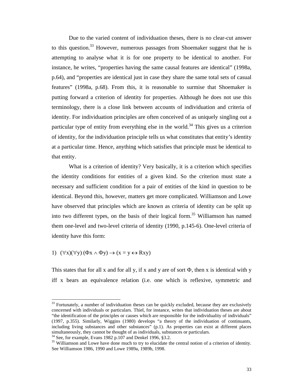Due to the varied content of individuation theses, there is no clear-cut answer to this question.<sup>33</sup> However, numerous passages from Shoemaker suggest that he is attempting to analyse what it is for one property to be identical to another. For instance, he writes, "properties having the same causal features are identical" (1998a, p.64), and "properties are identical just in case they share the same total sets of casual features" (1998a, p.68). From this, it is reasonable to surmise that Shoemaker is putting forward a criterion of identity for properties. Although he does not use this terminology, there is a close link between accounts of individuation and criteria of identity. For individuation principles are often conceived of as uniquely singling out a particular type of entity from everything else in the world.<sup>34</sup> This gives us a criterion of identity, for the individuation principle tells us what constitutes that entity's identity at a particular time. Hence, anything which satisfies that principle must be identical to that entity.

What is a criterion of identity? Very basically, it is a criterion which specifies the identity conditions for entities of a given kind. So the criterion must state a necessary and sufficient condition for a pair of entities of the kind in question to be identical. Beyond this, however, matters get more complicated. Williamson and Lowe have observed that principles which are known as criteria of identity can be split up into two different types, on the basis of their logical form.<sup>35</sup> Williamson has named them one-level and two-level criteria of identity (1990, p.145-6). One-level criteria of identity have this form:

#### 1)  $(\forall x)(\forall y)(\Phi x \wedge \Phi y) \rightarrow (x = y \leftrightarrow Rxy)$

 $\overline{\phantom{a}}$ 

This states that for all x and for all y, if x and y are of sort  $\Phi$ , then x is identical with y iff x bears an equivalence relation (i.e. one which is reflexive, symmetric and

 $33$  Fortunately, a number of individuation theses can be quickly excluded, because they are exclusively concerned with individuals or particulars. Thiel, for instance, writes that individuation theses are about "the identification of the principles or causes which are responsible for the individuality of individuals" (1997, p.355). Similarly, Wiggins (1980) develops "a theory of the individuation of continuants, including living substances and other substances" (p.1). As properties can exist at different places simultaneously, they cannot be thought of as individuals, substances or particulars.

 $34$  See, for example, Evans 1982 p.107 and Denkel 1996, §3.2.

<sup>&</sup>lt;sup>35</sup> Williamson and Lowe have done much to try to elucidate the central notion of a criterion of identity. See Williamson 1986, 1990 and Lowe 1989a, 1989b, 1998.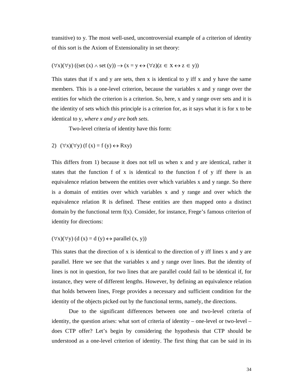transitive) to y. The most well-used, uncontroversial example of a criterion of identity of this sort is the Axiom of Extensionality in set theory:

#### $(\forall x)(\forall y)((set(x) \land set(y)) \rightarrow (x = y \leftrightarrow (\forall z)(z \in X \leftrightarrow z \in y))$

This states that if x and y are sets, then x is identical to y iff x and y have the same members. This is a one-level criterion, because the variables x and y range over the entities for which the criterion is a criterion. So, here, x and y range over sets and it is the identity of sets which this principle is a criterion for, as it says what it is for x to be identical to y, *where x and y are both sets*.

Two-level criteria of identity have this form:

#### 2)  $(\forall x)(\forall y)$  (f (x) = f (y)  $\leftrightarrow$  Rxy)

This differs from 1) because it does not tell us when x and y are identical, rather it states that the function f of x is identical to the function f of y iff there is an equivalence relation between the entities over which variables x and y range. So there is a domain of entities over which variables x and y range and over which the equivalence relation R is defined. These entities are then mapped onto a distinct domain by the functional term  $f(x)$ . Consider, for instance, Frege's famous criterion of identity for directions:

#### $(\forall x)(\forall y)$  (d (x) = d (y)  $\leftrightarrow$  parallel (x, y))

This states that the direction of x is identical to the direction of y iff lines x and y are parallel. Here we see that the variables x and y range over lines. But the identity of lines is not in question, for two lines that are parallel could fail to be identical if, for instance, they were of different lengths. However, by defining an equivalence relation that holds between lines, Frege provides a necessary and sufficient condition for the identity of the objects picked out by the functional terms, namely, the directions.

Due to the significant differences between one and two-level criteria of identity, the question arises: what sort of criteria of identity – one-level or two-level – does CTP offer? Let's begin by considering the hypothesis that CTP should be understood as a one-level criterion of identity. The first thing that can be said in its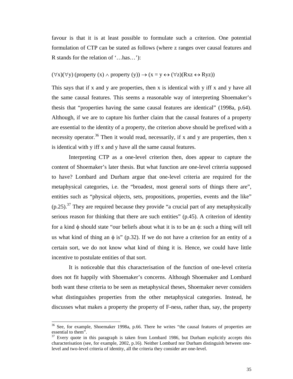favour is that it is at least possible to formulate such a criterion. One potential formulation of CTP can be stated as follows (where z ranges over causal features and R stands for the relation of '…has…'):

#### $(\forall x)(\forall y)$  (property  $(x) \land$  property  $(y)$ )  $\rightarrow$   $(x = y \leftrightarrow (\forall z)(Rxz \leftrightarrow Ryz))$

This says that if x and y are properties, then x is identical with y iff x and y have all the same causal features. This seems a reasonable way of interpreting Shoemaker's thesis that "properties having the same causal features are identical" (1998a, p.64). Although, if we are to capture his further claim that the causal features of a property are essential to the identity of a property, the criterion above should be prefixed with a necessity operator.<sup>36</sup> Then it would read, necessarily, if x and y are properties, then x is identical with y iff x and y have all the same causal features.

Interpreting CTP as a one-level criterion then, does appear to capture the content of Shoemaker's later thesis. But what function are one-level criteria supposed to have? Lombard and Durham argue that one-level criteria are required for the metaphysical categories, i.e. the "broadest, most general sorts of things there are", entities such as "physical objects, sets, propositions, properties, events and the like"  $(p.25)$ .<sup>37</sup> They are required because they provide "a crucial part of any metaphysically serious reason for thinking that there are such entities" (p.45). A criterion of identity for a kind  $\phi$  should state "our beliefs about what it is to be an  $\phi$ : such a thing will tell us what kind of thing an  $\phi$  is" (p.32). If we do not have a criterion for an entity of a certain sort, we do not know what kind of thing it is. Hence, we could have little incentive to postulate entities of that sort.

It is noticeable that this characterisation of the function of one-level criteria does not fit happily with Shoemaker's concerns. Although Shoemaker and Lombard both want these criteria to be seen as metaphysical theses, Shoemaker never considers what distinguishes properties from the other metaphysical categories. Instead, he discusses what makes a property the property of F-ness, rather than, say, the property

 $36$  See, for example, Shoemaker 1998a, p.66. There he writes "the causal features of properties are essential to them".

 $37$  Every quote in this paragraph is taken from Lombard 1986, but Durham explicitly accepts this characterisation (see, for example, 2002, p.16). Neither Lombard nor Durham distinguish between onelevel and two-level criteria of identity, all the criteria they consider are one-level.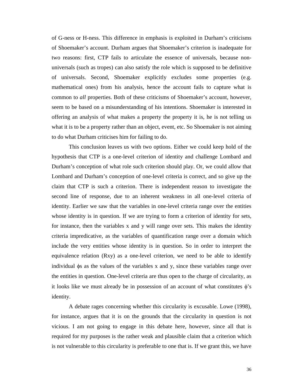of G-ness or H-ness. This difference in emphasis is exploited in Durham's criticisms of Shoemaker's account. Durham argues that Shoemaker's criterion is inadequate for two reasons: first, CTP fails to articulate the essence of universals, because nonuniversals (such as tropes) can also satisfy the role which is supposed to be definitive of universals. Second, Shoemaker explicitly excludes some properties (e.g. mathematical ones) from his analysis, hence the account fails to capture what is common to *all* properties. Both of these criticisms of Shoemaker's account, however, seem to be based on a misunderstanding of his intentions. Shoemaker is interested in offering an analysis of what makes a property the property it is, he is not telling us what it is to be a property rather than an object, event, etc. So Shoemaker is not aiming to do what Durham criticises him for failing to do.

This conclusion leaves us with two options. Either we could keep hold of the hypothesis that CTP is a one-level criterion of identity and challenge Lombard and Durham's conception of what role such criterion should play. Or, we could allow that Lombard and Durham's conception of one-level criteria is correct, and so give up the claim that CTP is such a criterion. There is independent reason to investigate the second line of response, due to an inherent weakness in all one-level criteria of identity. Earlier we saw that the variables in one-level criteria range over the entities whose identity is in question. If we are trying to form a criterion of identity for sets, for instance, then the variables x and y will range over sets. This makes the identity criteria impredicative, as the variables of quantification range over a domain which include the very entities whose identity is in question. So in order to interpret the equivalence relation (Rxy) as a one-level criterion, we need to be able to identify individual  $\phi$ s as the values of the variables x and y, since these variables range over the entities in question. One-level criteria are thus open to the charge of circularity, as it looks like we must already be in possession of an account of what constitutes  $\phi$ 's identity.

A debate rages concerning whether this circularity is excusable. Lowe (1998), for instance, argues that it is on the grounds that the circularity in question is not vicious. I am not going to engage in this debate here, however, since all that is required for my purposes is the rather weak and plausible claim that a criterion which is not vulnerable to this circularity is preferable to one that is. If we grant this, we have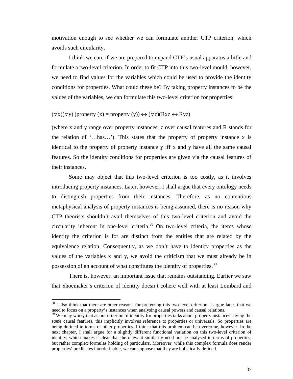motivation enough to see whether we can formulate another CTP criterion, which avoids such circularity.

I think we can, if we are prepared to expand CTP's usual apparatus a little and formulate a two-level criterion. In order to fit CTP into this two-level mould, however, we need to find values for the variables which could be used to provide the identity conditions for properties. What could these be? By taking property instances to be the values of the variables, we can formulate this two-level criterion for properties:

## $(\forall x)(\forall y)$  (property  $(x)$  = property  $(y)$ )  $\leftrightarrow$   $(\forall z)(Rxz \leftrightarrow Ryz)$

(where x and y range over property instances, z over causal features and R stands for the relation of '…has…'). This states that the property of property instance x is identical to the property of property instance y iff x and y have all the same causal features. So the identity conditions for properties are given via the causal features of their instances.

Some may object that this two-level criterion is too costly, as it involves introducing property instances. Later, however, I shall argue that every ontology needs to distinguish properties from their instances. Therefore, as no contentious metaphysical analysis of property instances is being assumed, there is no reason why CTP theorists shouldn't avail themselves of this two-level criterion and avoid the circularity inherent in one-level criteria.<sup>38</sup> On two-level criteria, the items whose identity the criterion is for are distinct from the entities that are related by the equivalence relation. Consequently, as we don't have to identify properties as the values of the variables x and y, we avoid the criticism that we must already be in possession of an account of what constitutes the identity of properties.<sup>39</sup>

There is, however, an important issue that remains outstanding. Earlier we saw that Shoemaker's criterion of identity doesn't cohere well with at least Lombard and

 $38$  I also think that there are other reasons for preferring this two-level criterion. I argue later, that we need to focus on a property's instances when analysing causal powers and causal relations.

 $39$  We may worry that as our criterion of identity for properties talks about property instances having the *same* causal features, this implicitly involves reference to properties or universals. So properties are being defined in terms of other properties. I think that this problem can be overcome, however. In the next chapter, I shall argue for a slightly different functional variation on this two-level criterion of identity, which makes it clear that the relevant similarity need not be analysed in terms of properties, but rather complex formulas holding of particulars. Moreover, while this complex formula does render properties' predicates interdefinable, we can suppose that they are holistically defined.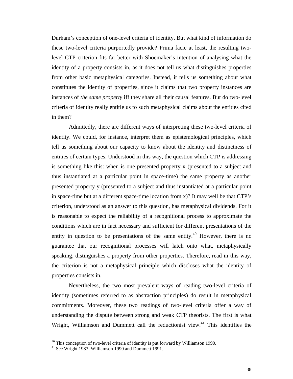Durham's conception of one-level criteria of identity. But what kind of information do these two-level criteria purportedly provide? Prima facie at least, the resulting twolevel CTP criterion fits far better with Shoemaker's intention of analysing what the identity of a property consists in, as it does not tell us what distinguishes properties from other basic metaphysical categories. Instead, it tells us something about what constitutes the identity of properties, since it claims that two property instances are instances of *the same property* iff they share all their causal features. But do two-level criteria of identity really entitle us to such metaphysical claims about the entities cited in them?

Admittedly, there are different ways of interpreting these two-level criteria of identity. We could, for instance, interpret them as epistemological principles, which tell us something about our capacity to know about the identity and distinctness of entities of certain types. Understood in this way, the question which CTP is addressing is something like this: when is one presented property x (presented to a subject and thus instantiated at a particular point in space-time) the same property as another presented property y (presented to a subject and thus instantiated at a particular point in space-time but at a different space-time location from x)? It may well be that CTP's criterion, understood as an answer to this question, has metaphysical dividends. For it is reasonable to expect the reliability of a recognitional process to approximate the conditions which are in fact necessary and sufficient for different presentations of the entity in question to be presentations of the same entity.<sup>40</sup> However, there is no guarantee that our recognitional processes will latch onto what, metaphysically speaking, distinguishes a property from other properties. Therefore, read in this way, the criterion is not a metaphysical principle which discloses what the identity of properties consists in.

Nevertheless, the two most prevalent ways of reading two-level criteria of identity (sometimes referred to as abstraction principles) do result in metaphysical commitments. Moreover, these two readings of two-level criteria offer a way of understanding the dispute between strong and weak CTP theorists. The first is what Wright, Williamson and Dummett call the reductionist view.<sup>41</sup> This identifies the

 $40$  This conception of two-level criteria of identity is put forward by Williamson 1990.

<sup>&</sup>lt;sup>41</sup> See Wright 1983, Williamson 1990 and Dummett 1991.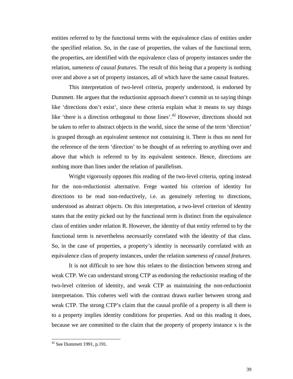entities referred to by the functional terms with the equivalence class of entities under the specified relation. So, in the case of properties, the values of the functional term, the properties, are identified with the equivalence class of property instances under the relation, *sameness of causal features*. The result of this being that a property is nothing over and above a set of property instances, all of which have the same causal features.

This interpretation of two-level criteria, properly understood, is endorsed by Dummett. He argues that the reductionist approach doesn't commit us to saying things like 'directions don't exist', since these criteria explain what it means to say things like 'there is a direction orthogonal to those lines'.<sup>42</sup> However, directions should not be taken to refer to abstract objects in the world, since the sense of the term 'direction' is grasped through an equivalent sentence not containing it. There is thus no need for the reference of the term 'direction' to be thought of as referring to anything over and above that which is referred to by its equivalent sentence. Hence, directions are nothing more than lines under the relation of parallelism.

Wright vigorously opposes this reading of the two-level criteria, opting instead for the non-reductionist alternative. Frege wanted his criterion of identity for directions to be read non-reductively, i.e. as genuinely referring to directions, understood as abstract objects. On this interpretation, a two-level criterion of identity states that the entity picked out by the functional term is distinct from the equivalence class of entities under relation R. However, the identity of that entity referred to by the functional term is nevertheless necessarily correlated with the identity of that class. So, in the case of properties, a property's identity is necessarily correlated with an equivalence class of property instances, under the relation *sameness of causal features*.

It is not difficult to see how this relates to the distinction between strong and weak CTP. We can understand strong CTP as endorsing the reductionist reading of the two-level criterion of identity, and weak CTP as maintaining the non-reductionist interpretation. This coheres well with the contrast drawn earlier between strong and weak CTP. The strong CTP's claim that the causal profile of a property is all there is to a property implies identity conditions for properties. And on this reading it does, because we are committed to the claim that the property of property instance x is the

l

 $42$  See Dummett 1991, p.191.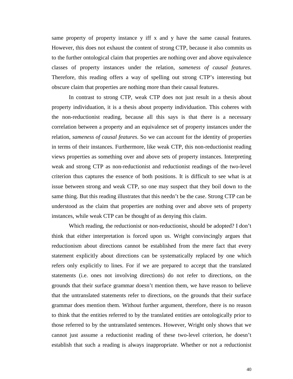same property of property instance y iff x and y have the same causal features. However, this does not exhaust the content of strong CTP, because it also commits us to the further ontological claim that properties are nothing over and above equivalence classes of property instances under the relation, *sameness of causal features*. Therefore, this reading offers a way of spelling out strong CTP's interesting but obscure claim that properties are nothing more than their causal features.

In contrast to strong CTP, weak CTP does not just result in a thesis about property individuation, it is a thesis about property individuation. This coheres with the non-reductionist reading, because all this says is that there is a necessary correlation between a property and an equivalence set of property instances under the relation, *sameness of causal features*. So we can account for the identity of properties in terms of their instances. Furthermore, like weak CTP, this non-reductionist reading views properties as something over and above sets of property instances. Interpreting weak and strong CTP as non-reductionist and reductionist readings of the two-level criterion thus captures the essence of both positions. It is difficult to see what is at issue between strong and weak CTP, so one may suspect that they boil down to the same thing. But this reading illustrates that this needn't be the case. Strong CTP can be understood as the claim that properties are nothing over and above sets of property instances, while weak CTP can be thought of as denying this claim.

Which reading, the reductionist or non-reductionist, should be adopted? I don't think that either interpretation is forced upon us. Wright convincingly argues that reductionism about directions cannot be established from the mere fact that every statement explicitly about directions can be systematically replaced by one which refers only explicitly to lines. For if we are prepared to accept that the translated statements (i.e. ones not involving directions) do not refer to directions, on the grounds that their surface grammar doesn't mention them, we have reason to believe that the untranslated statements refer to directions, on the grounds that their surface grammar does mention them. Without further argument, therefore, there is no reason to think that the entities referred to by the translated entities are ontologically prior to those referred to by the untranslated sentences. However, Wright only shows that we cannot just assume a reductionist reading of these two-level criterion, he doesn't establish that such a reading is always inappropriate. Whether or not a reductionist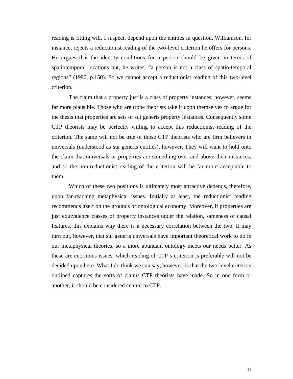reading is fitting will, I suspect, depend upon the entities in question. Williamson, for instance, rejects a reductionist reading of the two-level criterion he offers for persons. He argues that the identity conditions for a person should be given in terms of spatiotemporal locations but, he writes, "a person is not a class of spatio-temporal regions" (1990, p.150). So we cannot accept a reductionist reading of this two-level criterion.

The claim that a property just is a class of property instances, however, seems far more plausible. Those who are trope theorists take it upon themselves to argue for the thesis that properties are sets of sui generis property instances. Consequently some CTP theorists may be perfectly willing to accept this reductionist reading of the criterion. The same will not be true of those CTP theorists who are firm believers in universals (understood as sui generis entities), however. They will want to hold onto the claim that universals or properties are something over and above their instances, and so the non-reductionist reading of the criterion will be far more acceptable to them.

Which of these two positions is ultimately most attractive depends, therefore, upon far-reaching metaphysical issues. Initially at least, the reductionist reading recommends itself on the grounds of ontological economy. Moreover, if properties are just equivalence classes of property instances under the relation, sameness of causal features, this explains why there is a necessary correlation between the two. It may turn out, however, that sui generis universals have important theoretical work to do in our metaphysical theories, so a more abundant ontology meets our needs better. As these are enormous issues, which reading of CTP's criterion is preferable will not be decided upon here. What I do think we can say, however, is that the two-level criterion outlined captures the sorts of claims CTP theorists have made. So in one form or another, it should be considered central to CTP.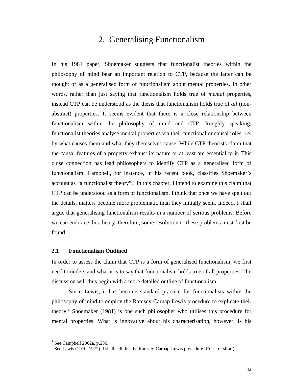# 2. Generalising Functionalism

In his 1981 paper, Shoemaker suggests that functionalist theories within the philosophy of mind bear an important relation to CTP, because the latter can be thought of as a generalised form of functionalism about mental properties. In other words, rather than just saying that functionalism holds true of *mental* properties, instead CTP can be understood as the thesis that functionalism holds true of *all* (nonabstract) properties. It seems evident that there is a close relationship between functionalism within the philosophy of mind and CTP. Roughly speaking, functionalist theories analyse mental properties via their functional or causal roles, i.e. by what causes them and what they themselves cause. While CTP theorists claim that the causal features of a property exhaust its nature or at least are essential to it. This close connection has lead philosophers to identify CTP as a generalised form of functionalism. Campbell, for instance, in his recent book, classifies Shoemaker's account as "a functionalist theory".<sup>1</sup> In this chapter, I intend to examine this claim that CTP can be understood as a form of functionalism. I think that once we have spelt out the details, matters become more problematic than they initially seem. Indeed, I shall argue that generalising functionalism results in a number of serious problems. Before we can embrace this theory, therefore, some resolution to these problems must first be found.

## **2.1 Functionalism Outlined**

In order to assess the claim that CTP is a form of generalised functionalism, we first need to understand what it is to say that functionalism holds true of all properties. The discussion will thus begin with a more detailed outline of functionalism.

Since Lewis, it has become standard practice for functionalists within the philosophy of mind to employ the Ramsey-Carnap-Lewis procedure to explicate their theory.<sup>2</sup> Shoemaker (1981) is one such philosopher who utilises this procedure for mental properties. What is innovative about his characterisation, however, is his

<sup>&</sup>lt;sup>1</sup> See Campbell 2002a, p.236.

<sup>&</sup>lt;sup>2</sup> See Lewis (1970, 1972). I shall call this the Ramsey-Carnap-Lewis procedure (RCL for short).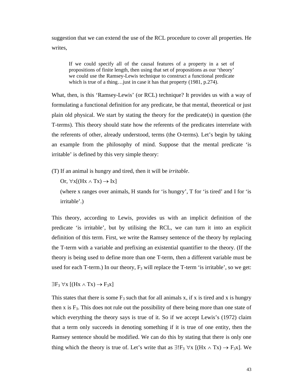suggestion that we can extend the use of the RCL procedure to cover all properties. He writes,

If we could specify all of the causal features of a property in a set of propositions of finite length, then using that set of propositions as our 'theory' we could use the Ramsey-Lewis technique to construct a functional predicate which is true of a thing…just in case it has that property (1981, p.274).

What, then, is this 'Ramsey-Lewis' (or RCL) technique? It provides us with a way of formulating a functional definition for any predicate, be that mental, theoretical or just plain old physical. We start by stating the theory for the predicate(s) in question (the T-terms). This theory should state how the referents of the predicates interrelate with the referents of other, already understood, terms (the O-terms). Let's begin by taking an example from the philosophy of mind. Suppose that the mental predicate 'is irritable' is defined by this very simple theory:

(T) If an animal is hungry and tired, then it will be *irritable*.

Or,  $\forall x[(Hx \land Tx) \rightarrow Ix]$ 

(where x ranges over animals, H stands for 'is hungry', T for 'is tired' and I for 'is irritable'.)

This theory, according to Lewis, provides us with an implicit definition of the predicate 'is irritable', but by utilising the RCL, we can turn it into an explicit definition of this term. First, we write the Ramsey sentence of the theory by replacing the T-term with a variable and prefixing an existential quantifier to the theory. (If the theory is being used to define more than one T-term, then a different variable must be used for each T-term.) In our theory,  $F_3$  will replace the T-term 'is irritable', so we get:

 $\exists F_3 \forall x [(Hx \wedge Tx) \rightarrow F_3x]$ 

This states that there is some  $F_3$  such that for all animals x, if x is tired and x is hungry then  $x$  is  $F_3$ . This does not rule out the possibility of there being more than one state of which everything the theory says is true of it. So if we accept Lewis's (1972) claim that a term only succeeds in denoting something if it is true of one entity, then the Ramsey sentence should be modified. We can do this by stating that there is only one thing which the theory is true of. Let's write that as  $\exists! F_3 \,\forall x \, [(Hx \land Tx) \rightarrow F_3x]$ . We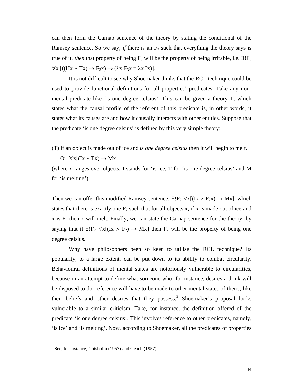can then form the Carnap sentence of the theory by stating the conditional of the Ramsey sentence. So we say, *if* there is an  $F_3$  such that everything the theory says is true of it, *then* that property of being  $F_3$  will be the property of being irritable, i.e.  $\exists! F_3$  $\forall x$  [((Hx  $\land$  Tx)  $\rightarrow$  F<sub>3</sub>x)  $\rightarrow$  ( $\lambda$ x F<sub>3</sub>x =  $\lambda$ x Ix)].

It is not difficult to see why Shoemaker thinks that the RCL technique could be used to provide functional definitions for all properties' predicates. Take any nonmental predicate like 'is one degree celsius'. This can be given a theory T, which states what the causal profile of the referent of this predicate is, in other words, it states what its causes are and how it causally interacts with other entities. Suppose that the predicate 'is one degree celsius' is defined by this very simple theory:

(T) If an object is made out of ice and *is one degree celsius* then it will begin to melt.

Or,  $\forall x[(\text{Ix} \wedge \text{Tx}) \rightarrow \text{Mx}]$ 

(where x ranges over objects, I stands for 'is ice, T for 'is one degree celsius' and M for 'is melting').

Then we can offer this modified Ramsey sentence:  $\exists!F_2 \,\forall x[(\text{Ix} \land F_2x) \rightarrow \text{Mx}]$ , which states that there is exactly one  $F_2$  such that for all objects x, if x is made out of ice and  $x$  is  $F_2$  then x will melt. Finally, we can state the Carnap sentence for the theory, by saying that if  $\exists! F_2 \forall x[(\text{Ix} \land F_2) \rightarrow \text{Mx}]$  then  $F_2$  will be the property of being one degree celsius.

Why have philosophers been so keen to utilise the RCL technique? Its popularity, to a large extent, can be put down to its ability to combat circularity. Behavioural definitions of mental states are notoriously vulnerable to circularities, because in an attempt to define what someone who, for instance, desires a drink will be disposed to do, reference will have to be made to other mental states of theirs, like their beliefs and other desires that they possess.<sup>3</sup> Shoemaker's proposal looks vulnerable to a similar criticism. Take, for instance, the definition offered of the predicate 'is one degree celsius'. This involves reference to other predicates, namely, 'is ice' and 'is melting'. Now, according to Shoemaker, all the predicates of properties

 $3$  See, for instance, Chisholm (1957) and Geach (1957).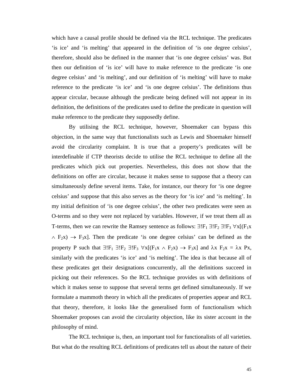which have a causal profile should be defined via the RCL technique. The predicates 'is ice' and 'is melting' that appeared in the definition of 'is one degree celsius', therefore, should also be defined in the manner that 'is one degree celsius' was. But then our definition of 'is ice' will have to make reference to the predicate 'is one degree celsius' and 'is melting', and our definition of 'is melting' will have to make reference to the predicate 'is ice' and 'is one degree celsius'. The definitions thus appear circular, because although the predicate being defined will not appear in its definition, the definitions of the predicates used to define the predicate in question will make reference to the predicate they supposedly define.

By utilising the RCL technique, however, Shoemaker can bypass this objection, in the same way that functionalists such as Lewis and Shoemaker himself avoid the circularity complaint. It is true that a property's predicates will be interdefinable if CTP theorists decide to utilise the RCL technique to define all the predicates which pick out properties. Nevertheless, this does not show that the definitions on offer are circular, because it makes sense to suppose that a theory can simultaneously define several items. Take, for instance, our theory for 'is one degree celsius' and suppose that this also serves as the theory for 'is ice' and 'is melting'. In my initial definition of 'is one degree celsius', the other two predicates were seen as O-terms and so they were not replaced by variables. However, if we treat them all as T-terms, then we can rewrite the Ramsey sentence as follows:  $\exists!F_1 \exists!F_2 \exists!F_3 \,\forall x[(F_1x$  $\land$  F<sub>2</sub>x)  $\rightarrow$  F<sub>3</sub>x]. Then the predicate 'is one degree celsius' can be defined as the property P such that  $\exists!F_1 \exists!F_2 \exists!F_3 \forall x[(F_1x \land F_2x) \rightarrow F_3x]$  and  $\lambda x F_2x = \lambda x Px$ , similarly with the predicates 'is ice' and 'is melting'. The idea is that because all of these predicates get their designations concurrently, all the definitions succeed in picking out their references. So the RCL technique provides us with definitions of which it makes sense to suppose that several terms get defined simultaneously. If we formulate a mammoth theory in which all the predicates of properties appear and RCL that theory, therefore, it looks like the generalised form of functionalism which Shoemaker proposes can avoid the circularity objection, like its sister account in the philosophy of mind.

The RCL technique is, then, an important tool for functionalists of all varieties. But what do the resulting RCL definitions of predicates tell us about the nature of their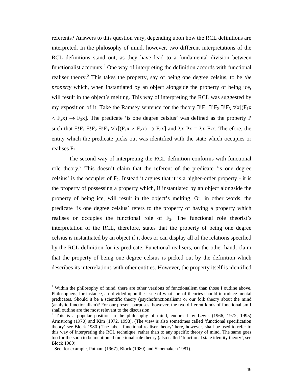referents? Answers to this question vary, depending upon how the RCL definitions are interpreted. In the philosophy of mind, however, two different interpretations of the RCL definitions stand out, as they have lead to a fundamental division between functionalist accounts. $4$  One way of interpreting the definition accords with functional realiser theory.<sup>5</sup> This takes the property, say of being one degree celsius, to be *the property* which, when instantiated by an object alongside the property of being ice, will result in the object's melting. This way of interpreting the RCL was suggested by my exposition of it. Take the Ramsey sentence for the theory  $\exists!F_1 \exists!F_2 \exists!F_3 \,\forall x[(F_1x$  $\land$  F<sub>2</sub>x)  $\rightarrow$  F<sub>3</sub>x]. The predicate 'is one degree celsius' was defined as the property P such that  $\exists! F_1 \exists! F_2 \exists! F_3 \forall x[(F_1x \land F_2x) \rightarrow F_3x]$  and  $\lambda x \; Px = \lambda x \; F_2x$ . Therefore, the entity which the predicate picks out was identified with the state which occupies or realises  $F_2$ .

The second way of interpreting the RCL definition conforms with functional role theory.<sup>6</sup> This doesn't claim that the referent of the predicate 'is one degree celsius' is the occupier of  $F_2$ . Instead it argues that it is a higher-order property - it is the property of possessing a property which, if instantiated by an object alongside the property of being ice, will result in the object's melting. Or, in other words, the predicate 'is one degree celsius' refers to the property of having a property which realises or occupies the functional role of  $F_2$ . The functional role theorist's interpretation of the RCL, therefore, states that the property of being one degree celsius is instantiated by an object if it does or can display all of the relations specified by the RCL definition for its predicate. Functional realisers, on the other hand, claim that the property of being one degree celsius is picked out by the definition which describes its interrelations with other entities. However, the property itself is identified

l

<sup>&</sup>lt;sup>4</sup> Within the philosophy of mind, there are other versions of functionalism than those I outline above. Philosophers, for instance, are divided upon the issue of what sort of theories should introduce mental predicates. Should it be a scientific theory (psychofunctionalism) or our folk theory about the mind (analytic functionalism)? For our present purposes, however, the two different kinds of functionalism I shall outline are the most relevant to the discussion.

<sup>&</sup>lt;sup>5</sup> This is a popular position in the philosophy of mind, endorsed by Lewis (1966, 1972, 1995) Armstrong (1970) and Kim (1972, 1998). (The view is also sometimes called 'functional specification theory' see Block 1980.) The label 'functional realiser theory' here, however, shall be used to refer to this way of interpreting the RCL technique, rather than to any specific theory of mind. The same goes too for the soon to be mentioned functional role theory (also called 'functional state identity theory', see Block 1980).

 $6$  See, for example, Putnam (1967), Block (1980) and Shoemaker (1981).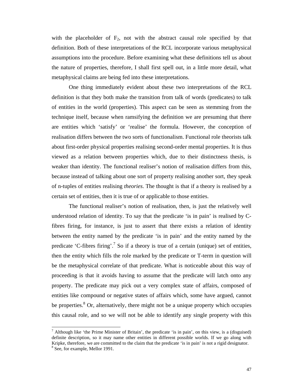with the placeholder of  $F_2$ , not with the abstract causal role specified by that definition. Both of these interpretations of the RCL incorporate various metaphysical assumptions into the procedure. Before examining what these definitions tell us about the nature of properties, therefore, I shall first spell out, in a little more detail, what metaphysical claims are being fed into these interpretations.

One thing immediately evident about these two interpretations of the RCL definition is that they both make the transition from talk of words (predicates) to talk of entities in the world (properties). This aspect can be seen as stemming from the technique itself, because when ramsifying the definition we are presuming that there are entities which 'satisfy' or 'realise' the formula. However, the conception of realisation differs between the two sorts of functionalism. Functional role theorists talk about first-order physical properties realising second-order mental properties. It is thus viewed as a relation between properties which, due to their distinctness thesis, is weaker than identity. The functional realiser's notion of realisation differs from this, because instead of talking about one sort of property realising another sort, they speak of n-tuples of entities realising *theories*. The thought is that if a theory is realised by a certain set of entities, then it is true of or applicable to those entities.

The functional realiser's notion of realisation, then, is just the relatively well understood relation of identity. To say that the predicate 'is in pain' is realised by Cfibres firing, for instance, is just to assert that there exists a relation of identity between the entity named by the predicate 'is in pain' and the entity named by the predicate 'C-fibres firing'.<sup>7</sup> So if a theory is true of a certain (unique) set of entities, then the entity which fills the role marked by the predicate or T-term in question will be the metaphysical correlate of that predicate. What is noticeable about this way of proceeding is that it avoids having to assume that the predicate will latch onto any property. The predicate may pick out a very complex state of affairs, composed of entities like compound or negative states of affairs which, some have argued, cannot be properties.<sup>8</sup> Or, alternatively, there might not be a unique property which occupies this causal role, and so we will not be able to identify any single property with this

<sup>&</sup>lt;sup>7</sup> Although like 'the Prime Minister of Britain', the predicate 'is in pain', on this view, is a (disguised) definite description, so it may name other entities in different possible worlds. If we go along with Kripke, therefore, we are committed to the claim that the predicate 'is in pain' is not a rigid designator. <sup>8</sup> See, for example, Mellor 1991.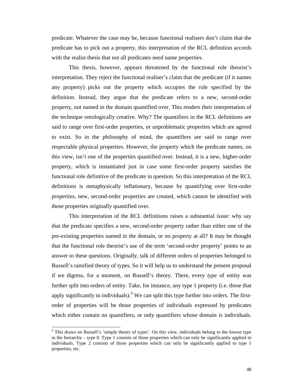predicate. Whatever the case may be, because functional realisers don't claim that the predicate has to pick out a property, this interpretation of the RCL definition accords with the realist thesis that not all predicates need name properties.

This thesis, however, appears threatened by the functional role theorist's interpretation. They reject the functional realiser's claim that the predicate (if it names any property) picks out the property which occupies the role specified by the definition. Instead, they argue that the predicate refers to a new, second-order property, not named in the domain quantified over. This renders their interpretation of the technique ontologically creative. Why? The quantifiers in the RCL definitions are said to range over first-order properties, or unproblematic properties which are agreed to exist. So in the philosophy of mind, the quantifiers are said to range over respectable physical properties. However, the property which the predicate names, on this view, isn't one of the properties quantified over. Instead, it is a new, higher-order property, which is instantiated just in case some first-order property satisfies the functional role definitive of the predicate in question. So this interpretation of the RCL definitions is metaphysically inflationary, because by quantifying over first-order properties, new, second-order properties are created, which cannot be identified with those properties originally quantified over.

This interpretation of the RCL definitions raises a substantial issue: why say that the predicate specifies a new, second-order property rather than either one of the pre-existing properties named in the domain, or no property at all? It may be thought that the functional role theorist's use of the term 'second-*order* property' points to an answer to these questions. Originally, talk of different orders of properties belonged to Russell's ramified theory of types. So it will help us to understand the present proposal if we digress, for a moment, on Russell's theory. There, every *type* of entity was further split into orders of entity. Take, for instance, any type 1 property (i.e. those that apply significantly to individuals). <sup>9</sup> We can split this type further into orders. The firstorder of properties will be those properties of individuals expressed by predicates which either contain no quantifiers, or only quantifiers whose domain is individuals.

<sup>&</sup>lt;sup>9</sup> This draws on Russell's 'simple theory of types'. On this view, individuals belong to the lowest type in the hierarchy – type 0. Type 1 consists of those properties which can only be significantly applied to individuals. Type 2 consists of those properties which can only be significantly applied to type 1 properties, etc.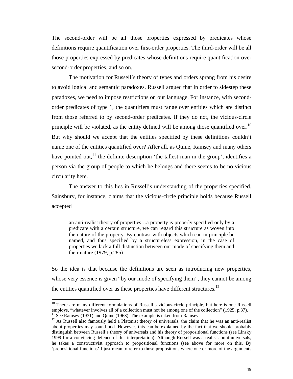The second-order will be all those properties expressed by predicates whose definitions require quantification over first-order properties. The third-order will be all those properties expressed by predicates whose definitions require quantification over second-order properties, and so on.

The motivation for Russell's theory of types and orders sprang from his desire to avoid logical and semantic paradoxes. Russell argued that in order to sidestep these paradoxes, we need to impose restrictions on our language. For instance, with secondorder predicates of type 1, the quantifiers must range over entities which are distinct from those referred to by second-order predicates. If they do not, the vicious-circle principle will be violated, as the entity defined will be among those quantified over.<sup>10</sup> But why should we accept that the entities specified by these definitions couldn't name one of the entities quantified over? After all, as Quine, Ramsey and many others have pointed out,<sup>11</sup> the definite description 'the tallest man in the group', identifies a person via the group of people to which he belongs and there seems to be no vicious circularity here.

The answer to this lies in Russell's understanding of the properties specified. Sainsbury, for instance, claims that the vicious-circle principle holds because Russell accepted

an anti-realist theory of properties…a property is properly specified only by a predicate with a certain structure, we can regard this structure as woven into the nature of the property. By contrast with objects which can in principle be named, and thus specified by a structureless expression, in the case of properties we lack a full distinction between our mode of specifying them and their nature (1979, p.285).

So the idea is that because the definitions are seen as introducing new properties, whose very essence is given "by our mode of specifying them", they cannot be among the entities quantified over as these properties have different structures.<sup>12</sup>

 $10$  There are many different formulations of Russell's vicious-circle principle, but here is one Russell employs, "whatever involves all of a collection must not be among one of the collection" (1925, p.37).  $11$  See Ramsey (1931) and Quine (1963). The example is taken from Ramsey.

<sup>&</sup>lt;sup>12</sup> As Russell also famously held a Platonist theory of universals, the claim that he was an anti-realist about properties may sound odd. However, this can be explained by the fact that we should probably distinguish between Russell's theory of universals and his theory of propositional functions (see Linsky 1999 for a convincing defence of this interpretation). Although Russell was a realist about universals, he takes a constructivist approach to propositional functions (see above for more on this. By 'propositional functions' I just mean to refer to those propositions where one or more of the arguments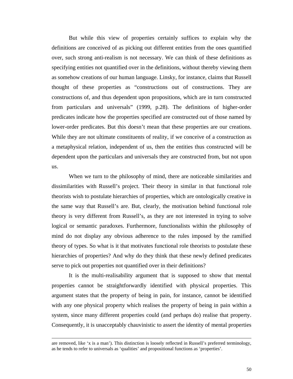But while this view of properties certainly suffices to explain why the definitions are conceived of as picking out different entities from the ones quantified over, such strong anti-realism is not necessary. We can think of these definitions as specifying entities not quantified over in the definitions, without thereby viewing them as somehow creations of our human language. Linsky, for instance, claims that Russell thought of these properties as "constructions out of constructions. They are constructions of, and thus dependent upon propositions, which are in turn constructed from particulars and universals" (1999, p.28). The definitions of higher-order predicates indicate how the properties specified are constructed out of those named by lower-order predicates. But this doesn't mean that these properties are our creations. While they are not ultimate constituents of reality, if we conceive of a construction as a metaphysical relation, independent of us, then the entities thus constructed will be dependent upon the particulars and universals they are constructed from, but not upon us.

When we turn to the philosophy of mind, there are noticeable similarities and dissimilarities with Russell's project. Their theory in similar in that functional role theorists wish to postulate hierarchies of properties, which are ontologically creative in the same way that Russell's are. But, clearly, the motivation behind functional role theory is very different from Russell's, as they are not interested in trying to solve logical or semantic paradoxes. Furthermore, functionalists within the philosophy of mind do not display any obvious adherence to the rules imposed by the ramified theory of types. So what is it that motivates functional role theorists to postulate these hierarchies of properties? And why do they think that these newly defined predicates serve to pick out properties not quantified over in their definitions?

It is the multi-realisability argument that is supposed to show that mental properties cannot be straightforwardly identified with physical properties. This argument states that the property of being in pain, for instance, cannot be identified with any one physical property which realises the property of being in pain within a system, since many different properties could (and perhaps do) realise that property. Consequently, it is unacceptably chauvinistic to assert the identity of mental properties

are removed, like 'x is a man'). This distinction is loosely reflected in Russell's preferred terminology, as he tends to refer to universals as 'qualities' and propositional functions as 'properties'.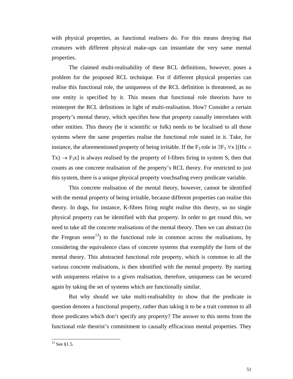with physical properties, as functional realisers do. For this means denying that creatures with different physical make-ups can instantiate the very same mental properties.

The claimed multi-realisability of these RCL definitions, however, poses a problem for the proposed RCL technique. For if different physical properties can realise this functional role, the uniqueness of the RCL definition is threatened, as no one entity is specified by it. This means that functional role theorists have to reinterpret the RCL definitions in light of multi-realisation. How? Consider a certain property's mental theory, which specifies how that property causally interrelates with other entities. This theory (be it scientific or folk) needs to be localised to all those systems where the same properties realise the functional role stated in it. Take, for instance, the aforementioned property of being irritable. If the F<sub>3</sub> role in  $\exists F_3 \,\forall x$  [(Hx  $\land$  $Tx) \rightarrow F_3x$  is always realised by the property of I-fibres firing in system S, then that counts as one concrete realisation of the property's RCL theory. For restricted to just this system, there is a unique physical property vouchsafing every predicate variable.

This concrete realisation of the mental theory, however, cannot be identified with the mental property of being irritable, because different properties can realise this theory. In dogs, for instance, K-fibres firing might realise this theory, so no single physical property can be identified with that property. In order to get round this, we need to take all the concrete realisations of the mental theory. Then we can abstract (in the Fregean sense<sup>13</sup>) to the functional role in common across the realisations, by considering the equivalence class of concrete systems that exemplify the form of the mental theory. This abstracted functional role property, which is common to all the various concrete realisations, is then identified with the mental property. By starting with uniqueness relative to a given realisation, therefore, uniqueness can be secured again by taking the set of systems which are functionally similar.

But why should we take multi-realisability to show that the predicate in question denotes a functional property, rather than taking it to be a trait common to all those predicates which don't specify any property? The answer to this stems from the functional role theorist's commitment to causally efficacious mental properties. They

l

 $^{13}$  See §1.5.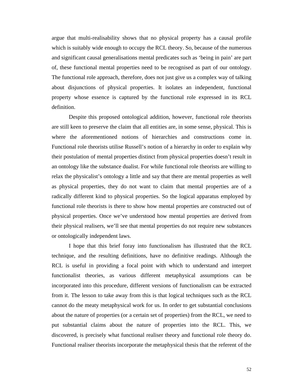argue that multi-realisability shows that no physical property has a causal profile which is suitably wide enough to occupy the RCL theory. So, because of the numerous and significant causal generalisations mental predicates such as 'being in pain' are part of, these functional mental properties need to be recognised as part of our ontology. The functional role approach, therefore, does not just give us a complex way of talking about disjunctions of physical properties. It isolates an independent, functional property whose essence is captured by the functional role expressed in its RCL definition.

Despite this proposed ontological addition, however, functional role theorists are still keen to preserve the claim that all entities are, in some sense, physical. This is where the aforementioned notions of hierarchies and constructions come in. Functional role theorists utilise Russell's notion of a hierarchy in order to explain why their postulation of mental properties distinct from physical properties doesn't result in an ontology like the substance dualist. For while functional role theorists are willing to relax the physicalist's ontology a little and say that there are mental properties as well as physical properties, they do not want to claim that mental properties are of a radically different kind to physical properties. So the logical apparatus employed by functional role theorists is there to show how mental properties are constructed out of physical properties. Once we've understood how mental properties are derived from their physical realisers, we'll see that mental properties do not require new substances or ontologically independent laws.

I hope that this brief foray into functionalism has illustrated that the RCL technique, and the resulting definitions, have no definitive readings. Although the RCL is useful in providing a focal point with which to understand and interpret functionalist theories, as various different metaphysical assumptions can be incorporated into this procedure, different versions of functionalism can be extracted from it. The lesson to take away from this is that logical techniques such as the RCL cannot do the meaty metaphysical work for us. In order to get substantial conclusions about the nature of properties (or a certain set of properties) from the RCL, we need to put substantial claims about the nature of properties into the RCL. This, we discovered, is precisely what functional realiser theory and functional role theory do. Functional realiser theorists incorporate the metaphysical thesis that the referent of the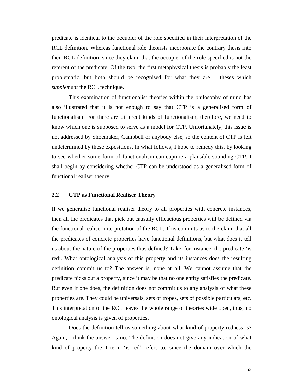predicate is identical to the occupier of the role specified in their interpretation of the RCL definition. Whereas functional role theorists incorporate the contrary thesis into their RCL definition, since they claim that the occupier of the role specified is not the referent of the predicate. Of the two, the first metaphysical thesis is probably the least problematic, but both should be recognised for what they are – theses which *supplement* the RCL technique.

This examination of functionalist theories within the philosophy of mind has also illustrated that it is not enough to say that CTP is a generalised form of functionalism. For there are different kinds of functionalism, therefore, we need to know which one is supposed to serve as a model for CTP. Unfortunately, this issue is not addressed by Shoemaker, Campbell or anybody else, so the content of CTP is left undetermined by these expositions. In what follows, I hope to remedy this, by looking to see whether some form of functionalism can capture a plausible-sounding CTP. I shall begin by considering whether CTP can be understood as a generalised form of functional realiser theory.

# **2.2 CTP as Functional Realiser Theory**

If we generalise functional realiser theory to all properties with concrete instances, then all the predicates that pick out causally efficacious properties will be defined via the functional realiser interpretation of the RCL. This commits us to the claim that all the predicates of concrete properties have functional definitions, but what does it tell us about the nature of the properties thus defined? Take, for instance, the predicate 'is red'. What ontological analysis of this property and its instances does the resulting definition commit us to? The answer is, none at all. We cannot assume that the predicate picks out a property, since it may be that no one entity satisfies the predicate. But even if one does, the definition does not commit us to any analysis of what these properties are. They could be universals, sets of tropes, sets of possible particulars, etc. This interpretation of the RCL leaves the whole range of theories wide open, thus, no ontological analysis is given of properties.

Does the definition tell us something about what kind of property redness is? Again, I think the answer is no. The definition does not give any indication of what kind of property the T-term 'is red' refers to, since the domain over which the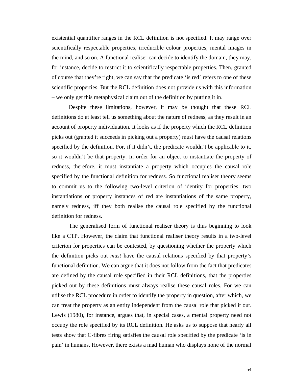existential quantifier ranges in the RCL definition is not specified. It may range over scientifically respectable properties, irreducible colour properties, mental images in the mind, and so on. A functional realiser can decide to identify the domain, they may, for instance, decide to restrict it to scientifically respectable properties. Then, granted of course that they're right, we can say that the predicate 'is red' refers to one of these scientific properties. But the RCL definition does not provide us with this information – we only get this metaphysical claim out of the definition by putting it in.

Despite these limitations, however, it may be thought that these RCL definitions do at least tell us something about the nature of redness, as they result in an account of property individuation. It looks as if the property which the RCL definition picks out (granted it succeeds in picking out a property) must have the causal relations specified by the definition. For, if it didn't, the predicate wouldn't be applicable to it, so it wouldn't be that property. In order for an object to instantiate the property of redness, therefore, it must instantiate a property which occupies the causal role specified by the functional definition for redness. So functional realiser theory seems to commit us to the following two-level criterion of identity for properties: two instantiations or property instances of red are instantiations of the same property, namely redness, iff they both realise the causal role specified by the functional definition for redness.

The generalised form of functional realiser theory is thus beginning to look like a CTP. However, the claim that functional realiser theory results in a two-level criterion for properties can be contested, by questioning whether the property which the definition picks out *must* have the causal relations specified by that property's functional definition. We can argue that it does not follow from the fact that predicates are defined by the causal role specified in their RCL definitions, that the properties picked out by these definitions must always realise these causal roles. For we can utilise the RCL procedure in order to identify the property in question, after which, we can treat the property as an entity independent from the causal role that picked it out. Lewis (1980), for instance, argues that, in special cases, a mental property need not occupy the role specified by its RCL definition. He asks us to suppose that nearly all tests show that C-fibres firing satisfies the causal role specified by the predicate 'is in pain' in humans. However, there exists a mad human who displays none of the normal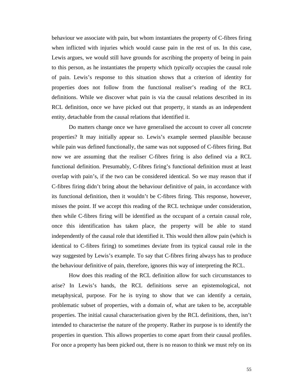behaviour we associate with pain, but whom instantiates the property of C-fibres firing when inflicted with injuries which would cause pain in the rest of us. In this case, Lewis argues, we would still have grounds for ascribing the property of being in pain to this person, as he instantiates the property which *typically* occupies the causal role of pain. Lewis's response to this situation shows that a criterion of identity for properties does not follow from the functional realiser's reading of the RCL definitions. While we discover what pain is via the causal relations described in its RCL definition, once we have picked out that property, it stands as an independent entity, detachable from the causal relations that identified it.

Do matters change once we have generalised the account to cover all concrete properties? It may initially appear so. Lewis's example seemed plausible because while pain was defined functionally, the same was not supposed of C-fibres firing. But now we are assuming that the realiser C-fibres firing is also defined via a RCL functional definition. Presumably, C-fibres firing's functional definition must at least overlap with pain's, if the two can be considered identical. So we may reason that if C-fibres firing didn't bring about the behaviour definitive of pain, in accordance with its functional definition, then it wouldn't be C-fibres firing. This response, however, misses the point. If we accept this reading of the RCL technique under consideration, then while C-fibres firing will be identified as the occupant of a certain causal role, once this identification has taken place, the property will be able to stand independently of the causal role that identified it. This would then allow pain (which is identical to C-fibres firing) to sometimes deviate from its typical causal role in the way suggested by Lewis's example. To say that C-fibres firing always has to produce the behaviour definitive of pain, therefore, ignores this way of interpreting the RCL.

How does this reading of the RCL definition allow for such circumstances to arise? In Lewis's hands, the RCL definitions serve an epistemological, not metaphysical, purpose. For he is trying to show that we can identify a certain, problematic subset of properties, with a domain of, what are taken to be, acceptable properties. The initial causal characterisation given by the RCL definitions, then, isn't intended to characterise the nature of the property. Rather its purpose is to identify the properties in question. This allows properties to come apart from their causal profiles. For once a property has been picked out, there is no reason to think we must rely on its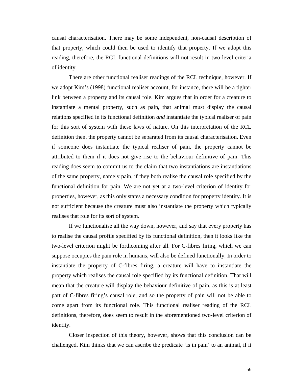causal characterisation. There may be some independent, non-causal description of that property, which could then be used to identify that property. If we adopt this reading, therefore, the RCL functional definitions will not result in two-level criteria of identity.

There are other functional realiser readings of the RCL technique, however. If we adopt Kim's (1998) functional realiser account, for instance, there will be a tighter link between a property and its causal role. Kim argues that in order for a creature to instantiate a mental property, such as pain, that animal must display the causal relations specified in its functional definition *and* instantiate the typical realiser of pain for this sort of system with these laws of nature. On this interpretation of the RCL definition then, the property cannot be separated from its causal characterisation. Even if someone does instantiate the typical realiser of pain, the property cannot be attributed to them if it does not give rise to the behaviour definitive of pain. This reading does seem to commit us to the claim that two instantiations are instantiations of the same property, namely pain, if they both realise the causal role specified by the functional definition for pain. We are not yet at a two-level criterion of identity for properties, however, as this only states a necessary condition for property identity. It is not sufficient because the creature must also instantiate the property which typically realises that role for its sort of system.

If we functionalise all the way down, however, and say that every property has to realise the causal profile specified by its functional definition, then it looks like the two-level criterion might be forthcoming after all. For C-fibres firing, which we can suppose occupies the pain role in humans, will also be defined functionally. In order to instantiate the property of C-fibres firing, a creature will have to instantiate the property which realises the causal role specified by its functional definition. That will mean that the creature will display the behaviour definitive of pain, as this is at least part of C-fibres firing's causal role, and so the property of pain will not be able to come apart from its functional role. This functional realiser reading of the RCL definitions, therefore, does seem to result in the aforementioned two-level criterion of identity.

Closer inspection of this theory, however, shows that this conclusion can be challenged. Kim thinks that we can ascribe the predicate 'is in pain' to an animal, if it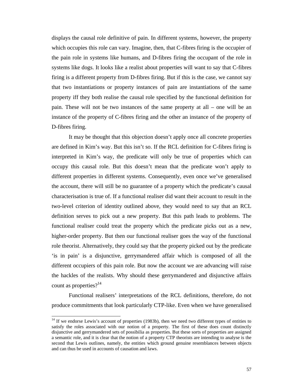displays the causal role definitive of pain. In different systems, however, the property which occupies this role can vary. Imagine, then, that C-fibres firing is the occupier of the pain role in systems like humans, and D-fibres firing the occupant of the role in systems like dogs. It looks like a realist about properties will want to say that C-fibres firing is a different property from D-fibres firing. But if this is the case, we cannot say that two instantiations or property instances of pain are instantiations of the same property iff they both realise the causal role specified by the functional definition for pain. These will not be two instances of the same property at all – one will be an instance of the property of C-fibres firing and the other an instance of the property of D-fibres firing.

It may be thought that this objection doesn't apply once all concrete properties are defined in Kim's way. But this isn't so. If the RCL definition for C-fibres firing is interpreted in Kim's way, the predicate will only be true of properties which can occupy this causal role. But this doesn't mean that the predicate won't apply to different properties in different systems. Consequently, even once we've generalised the account, there will still be no guarantee of a property which the predicate's causal characterisation is true of. If a functional realiser did want their account to result in the two-level criterion of identity outlined above, they would need to say that an RCL definition serves to pick out a new property. But this path leads to problems. The functional realiser could treat the property which the predicate picks out as a new, higher-order property. But then our functional realiser goes the way of the functional role theorist. Alternatively, they could say that the property picked out by the predicate 'is in pain' is a disjunctive, gerrymandered affair which is composed of all the different occupiers of this pain role. But now the account we are advancing will raise the hackles of the realists. Why should these gerrymandered and disjunctive affairs count as properties? $14$ 

Functional realisers' interpretations of the RCL definitions, therefore, do not produce commitments that look particularly CTP-like. Even when we have generalised

l

 $14$  If we endorse Lewis's account of properties (1983b), then we need two different types of entities to satisfy the roles associated with our notion of a property. The first of these does count distinctly disjunctive and gerrymandered sets of possibilia as properties. But these sorts of properties are assigned a semantic role, and it is clear that the notion of a property CTP theorists are intending to analyse is the second that Lewis outlines, namely, the entities which ground genuine resemblances between objects and can thus be used in accounts of causation and laws.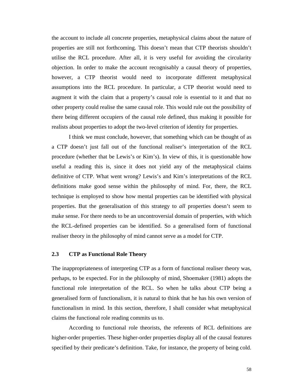the account to include all concrete properties, metaphysical claims about the nature of properties are still not forthcoming. This doesn't mean that CTP theorists shouldn't utilise the RCL procedure. After all, it is very useful for avoiding the circularity objection. In order to make the account recognisably a causal theory of properties, however, a CTP theorist would need to incorporate different metaphysical assumptions into the RCL procedure. In particular, a CTP theorist would need to augment it with the claim that a property's causal role is essential to it and that no other property could realise the same causal role. This would rule out the possibility of there being different occupiers of the causal role defined, thus making it possible for realists about properties to adopt the two-level criterion of identity for properties.

I think we must conclude, however, that something which can be thought of as a CTP doesn't just fall out of the functional realiser's interpretation of the RCL procedure (whether that be Lewis's or Kim's). In view of this, it is questionable how useful a reading this is, since it does not yield any of the metaphysical claims definitive of CTP. What went wrong? Lewis's and Kim's interpretations of the RCL definitions make good sense within the philosophy of mind. For, there, the RCL technique is employed to show how mental properties can be identified with physical properties. But the generalisation of this strategy to *all* properties doesn't seem to make sense. For there needs to be an uncontroversial domain of properties, with which the RCL-defined properties can be identified. So a generalised form of functional realiser theory in the philosophy of mind cannot serve as a model for CTP.

#### **2.3 CTP as Functional Role Theory**

The inappropriateness of interpreting CTP as a form of functional realiser theory was, perhaps, to be expected. For in the philosophy of mind, Shoemaker (1981) adopts the functional role interpretation of the RCL. So when he talks about CTP being a generalised form of functionalism, it is natural to think that he has his own version of functionalism in mind. In this section, therefore, I shall consider what metaphysical claims the functional role reading commits us to.

According to functional role theorists, the referents of RCL definitions are higher-order properties. These higher-order properties display all of the causal features specified by their predicate's definition. Take, for instance, the property of being cold.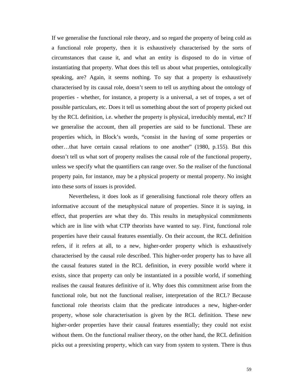If we generalise the functional role theory, and so regard the property of being cold as a functional role property, then it is exhaustively characterised by the sorts of circumstances that cause it, and what an entity is disposed to do in virtue of instantiating that property. What does this tell us about what properties, ontologically speaking, are? Again, it seems nothing. To say that a property is exhaustively characterised by its causal role, doesn't seem to tell us anything about the ontology of properties - whether, for instance, a property is a universal, a set of tropes, a set of possible particulars, etc. Does it tell us something about the sort of property picked out by the RCL definition, i.e. whether the property is physical, irreducibly mental, etc? If we generalise the account, then all properties are said to be functional. These are properties which, in Block's words, "consist in the having of some properties or other…that have certain causal relations to one another" (1980, p.155). But this doesn't tell us what sort of property realises the causal role of the functional property, unless we specify what the quantifiers can range over. So the realiser of the functional property pain, for instance, may be a physical property or mental property. No insight into these sorts of issues is provided.

Nevertheless, it does look as if generalising functional role theory offers an informative account of the metaphysical nature of properties. Since it is saying, in effect, that properties are what they do. This results in metaphysical commitments which are in line with what CTP theorists have wanted to say. First, functional role properties have their causal features essentially. On their account, the RCL definition refers, if it refers at all, to a new, higher-order property which is exhaustively characterised by the causal role described. This higher-order property has to have all the causal features stated in the RCL definition, in every possible world where it exists, since that property can only be instantiated in a possible world, if something realises the causal features definitive of it. Why does this commitment arise from the functional role, but not the functional realiser, interpretation of the RCL? Because functional role theorists claim that the predicate introduces a new, higher-order property, whose sole characterisation is given by the RCL definition. These new higher-order properties have their causal features essentially; they could not exist without them. On the functional realiser theory, on the other hand, the RCL definition picks out a preexisting property, which can vary from system to system. There is thus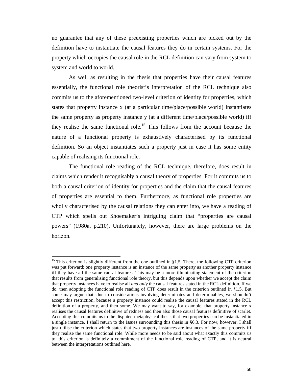no guarantee that any of these preexisting properties which are picked out by the definition have to instantiate the causal features they do in certain systems. For the property which occupies the causal role in the RCL definition can vary from system to system and world to world.

As well as resulting in the thesis that properties have their causal features essentially, the functional role theorist's interpretation of the RCL technique also commits us to the aforementioned two-level criterion of identity for properties, which states that property instance x (at a particular time/place/possible world) instantiates the same property as property instance y (at a different time/place/possible world) iff they realise the same functional role.<sup>15</sup> This follows from the account because the nature of a functional property is exhaustively characterised by its functional definition. So an object instantiates such a property just in case it has some entity capable of realising its functional role.

The functional role reading of the RCL technique, therefore, does result in claims which render it recognisably a causal theory of properties. For it commits us to both a causal criterion of identity for properties and the claim that the causal features of properties are essential to them. Furthermore, as functional role properties are wholly characterised by the causal relations they can enter into, we have a reading of CTP which spells out Shoemaker's intriguing claim that "properties are causal powers" (1980a, p.210). Unfortunately, however, there are large problems on the horizon.

<sup>&</sup>lt;sup>15</sup> This criterion is slightly different from the one outlined in §1.5. There, the following CTP criterion was put forward: one property instance is an instance of the same property as another property instance iff they have all the same causal features. This may be a more illuminating statement of the criterion that results from generalising functional role theory, but this depends upon whether we accept the claim that property instances have to realise all *and only* the causal features stated in the RCL definition. If we do, then adopting the functional role reading of CTP does result in the criterion outlined in §1.5. But some may argue that, due to considerations involving determinates and determinables, we shouldn't accept this restriction, because a property instance could realise the causal features stated in the RCL definition of a property, and then some. We may want to say, for example, that property instance x realises the causal features definitive of redness and then also those causal features definitive of scarlet. Accepting this commits us to the disputed metaphysical thesis that two properties can be instantiated in a single instance. I shall return to the issues surrounding this thesis in §6.3. For now, however, I shall just utilise the criterion which states that two property instances are instances of the same property iff they realise the same functional role. While more needs to be said about what exactly this commits us to, this criterion is definitely a commitment of the functional role reading of CTP, and it is neutral between the interpretations outlined here.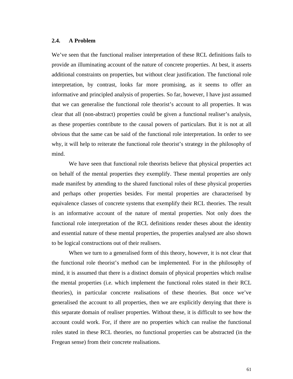### **2.4. A Problem**

We've seen that the functional realiser interpretation of these RCL definitions fails to provide an illuminating account of the nature of concrete properties. At best, it asserts additional constraints on properties, but without clear justification. The functional role interpretation, by contrast, looks far more promising, as it seems to offer an informative and principled analysis of properties. So far, however, I have just assumed that we can generalise the functional role theorist's account to all properties. It was clear that all (non-abstract) properties could be given a functional realiser's analysis, as these properties contribute to the causal powers of particulars. But it is not at all obvious that the same can be said of the functional role interpretation. In order to see why, it will help to reiterate the functional role theorist's strategy in the philosophy of mind.

We have seen that functional role theorists believe that physical properties act on behalf of the mental properties they exemplify. These mental properties are only made manifest by attending to the shared functional roles of these physical properties and perhaps other properties besides. For mental properties are characterised by equivalence classes of concrete systems that exemplify their RCL theories. The result is an informative account of the nature of mental properties. Not only does the functional role interpretation of the RCL definitions render theses about the identity and essential nature of these mental properties, the properties analysed are also shown to be logical constructions out of their realisers.

When we turn to a generalised form of this theory, however, it is not clear that the functional role theorist's method can be implemented. For in the philosophy of mind, it is assumed that there is a distinct domain of physical properties which realise the mental properties (i.e. which implement the functional roles stated in their RCL theories), in particular concrete realisations of these theories. But once we've generalised the account to all properties, then we are explicitly denying that there is this separate domain of realiser properties. Without these, it is difficult to see how the account could work. For, if there are no properties which can realise the functional roles stated in these RCL theories, no functional properties can be abstracted (in the Fregean sense) from their concrete realisations.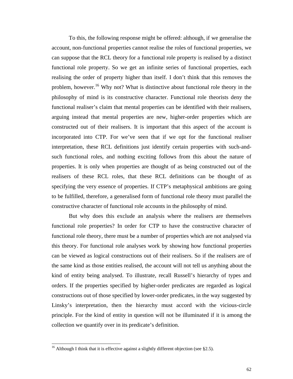To this, the following response might be offered: although, if we generalise the account, non-functional properties cannot realise the roles of functional properties, we can suppose that the RCL theory for a functional role property is realised by a distinct functional role property. So we get an infinite series of functional properties, each realising the order of property higher than itself. I don't think that this removes the problem, however.<sup>16</sup> Why not? What is distinctive about functional role theory in the philosophy of mind is its constructive character. Functional role theorists deny the functional realiser's claim that mental properties can be identified with their realisers, arguing instead that mental properties are new, higher-order properties which are constructed out of their realisers. It is important that this aspect of the account is incorporated into CTP. For we've seen that if we opt for the functional realiser interpretation, these RCL definitions just identify certain properties with such-andsuch functional roles, and nothing exciting follows from this about the nature of properties. It is only when properties are thought of as being constructed out of the realisers of these RCL roles, that these RCL definitions can be thought of as specifying the very essence of properties. If CTP's metaphysical ambitions are going to be fulfilled, therefore, a generalised form of functional role theory must parallel the constructive character of functional role accounts in the philosophy of mind.

But why does this exclude an analysis where the realisers are themselves functional role properties? In order for CTP to have the constructive character of functional role theory, there must be a number of properties which are not analysed via this theory. For functional role analyses work by showing how functional properties can be viewed as logical constructions out of their realisers. So if the realisers are of the same kind as those entities realised, the account will not tell us anything about the kind of entity being analysed. To illustrate, recall Russell's hierarchy of types and orders. If the properties specified by higher-order predicates are regarded as logical constructions out of those specified by lower-order predicates, in the way suggested by Linsky's interpretation, then the hierarchy must accord with the vicious-circle principle. For the kind of entity in question will not be illuminated if it is among the collection we quantify over in its predicate's definition.

<sup>&</sup>lt;sup>16</sup> Although I think that it is effective against a slightly different objection (see §2.5).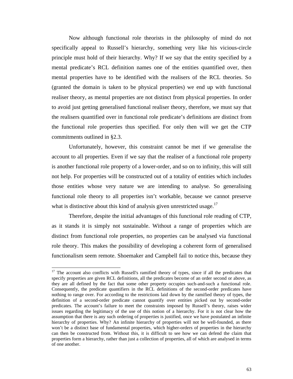Now although functional role theorists in the philosophy of mind do not specifically appeal to Russell's hierarchy, something very like his vicious-circle principle must hold of their hierarchy. Why? If we say that the entity specified by a mental predicate's RCL definition names one of the entities quantified over, then mental properties have to be identified with the realisers of the RCL theories. So (granted the domain is taken to be physical properties) we end up with functional realiser theory, as mental properties are not distinct from physical properties. In order to avoid just getting generalised functional realiser theory, therefore, we must say that the realisers quantified over in functional role predicate's definitions are distinct from the functional role properties thus specified. For only then will we get the CTP commitments outlined in §2.3.

Unfortunately, however, this constraint cannot be met if we generalise the account to all properties. Even if we say that the realiser of a functional role property is another functional role property of a lower-order, and so on to infinity, this will still not help. For properties will be constructed out of a totality of entities which includes those entities whose very nature we are intending to analyse. So generalising functional role theory to all properties isn't workable, because we cannot preserve what is distinctive about this kind of analysis given unrestricted usage.<sup>17</sup>

Therefore, despite the initial advantages of this functional role reading of CTP, as it stands it is simply not sustainable. Without a range of properties which are distinct from functional role properties, no properties can be analysed via functional role theory. This makes the possibility of developing a coherent form of generalised functionalism seem remote. Shoemaker and Campbell fail to notice this, because they

 $17$  The account also conflicts with Russell's ramified theory of types, since if all the predicates that specify properties are given RCL definitions, all the predicates become of an order second or above, as they are all defined by the fact that some other property occupies such-and-such a functional role. Consequently, the predicate quantifiers in the RCL definitions of the second-order predicates have nothing to range over. For according to the restrictions laid down by the ramified theory of types, the definition of a second-order predicate cannot quantify over entities picked out by second-order predicates. The account's failure to meet the constraints imposed by Russell's theory, raises wider issues regarding the legitimacy of the use of this notion of a hierarchy. For it is not clear how the assumption that there is any such ordering of properties is justified, once we have postulated an infinite hierarchy of properties. Why? An infinite hierarchy of properties will not be well-founded, as there won't be a distinct base of fundamental properties, which higher-orders of properties in the hierarchy can then be constructed from. Without this, it is difficult to see how we can defend the claim that properties form a hierarchy, rather than just a collection of properties, all of which are analysed in terms of one another.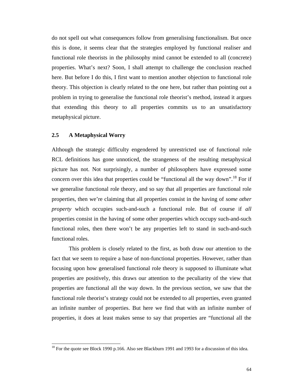do not spell out what consequences follow from generalising functionalism. But once this is done, it seems clear that the strategies employed by functional realiser and functional role theorists in the philosophy mind cannot be extended to all (concrete) properties. What's next? Soon, I shall attempt to challenge the conclusion reached here. But before I do this, I first want to mention another objection to functional role theory. This objection is clearly related to the one here, but rather than pointing out a problem in trying to generalise the functional role theorist's method, instead it argues that extending this theory to all properties commits us to an unsatisfactory metaphysical picture.

## **2.5 A Metaphysical Worry**

 $\overline{a}$ 

Although the strategic difficulty engendered by unrestricted use of functional role RCL definitions has gone unnoticed, the strangeness of the resulting metaphysical picture has not. Not surprisingly, a number of philosophers have expressed some concern over this idea that properties could be "functional all the way down".<sup>18</sup> For if we generalise functional role theory, and so say that all properties are functional role properties, then we're claiming that all properties consist in the having of *some other property* which occupies such-and-such a functional role. But of course if *all* properties consist in the having of some other properties which occupy such-and-such functional roles, then there won't be any properties left to stand in such-and-such functional roles.

This problem is closely related to the first, as both draw our attention to the fact that we seem to require a base of non-functional properties. However, rather than focusing upon how generalised functional role theory is supposed to illuminate what properties are positively, this draws our attention to the peculiarity of the view that properties are functional all the way down. In the previous section, we saw that the functional role theorist's strategy could not be extended to all properties, even granted an infinite number of properties. But here we find that with an infinite number of properties, it does at least makes sense to say that properties are "functional all the

<sup>&</sup>lt;sup>18</sup> For the quote see Block 1990 p.166. Also see Blackburn 1991 and 1993 for a discussion of this idea.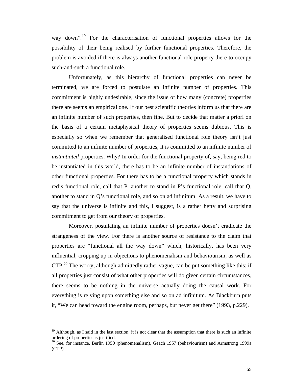way down".<sup>19</sup> For the characterisation of functional properties allows for the possibility of their being realised by further functional properties. Therefore, the problem is avoided if there is always another functional role property there to occupy such-and-such a functional role.

Unfortunately, as this hierarchy of functional properties can never be terminated, we are forced to postulate an infinite number of properties. This commitment is highly undesirable, since the issue of how many (concrete) properties there are seems an empirical one. If our best scientific theories inform us that there are an infinite number of such properties, then fine. But to decide that matter a priori on the basis of a certain metaphysical theory of properties seems dubious. This is especially so when we remember that generalised functional role theory isn't just committed to an infinite number of properties, it is committed to an infinite number of *instantiated* properties. Why? In order for the functional property of, say, being red to be instantiated in this world, there has to be an infinite number of instantiations of other functional properties. For there has to be a functional property which stands in red's functional role, call that P, another to stand in P's functional role, call that Q, another to stand in Q's functional role, and so on ad infinitum. As a result, we have to say that the universe is infinite and this, I suggest, is a rather hefty and surprising commitment to get from our theory of properties.

Moreover, postulating an infinite number of properties doesn't eradicate the strangeness of the view. For there is another source of resistance to the claim that properties are "functional all the way down" which, historically, has been very influential, cropping up in objections to phenomenalism and behaviourism, as well as  $CTP<sup>20</sup>$ . The worry, although admittedly rather vague, can be put something like this: if all properties just consist of what other properties will do given certain circumstances, there seems to be nothing in the universe actually doing the causal work. For everything is relying upon something else and so on ad infinitum. As Blackburn puts it, "We can head toward the engine room, perhaps, but never get there" (1993, p.229).

<sup>&</sup>lt;sup>19</sup> Although, as I said in the last section, it is not clear that the assumption that there is such an infinite ordering of properties is justified.

<sup>&</sup>lt;sup>20</sup> See, for instance, Berlin 1950 (phenomenalism), Geach 1957 (behaviourism) and Armstrong 1999a (CTP).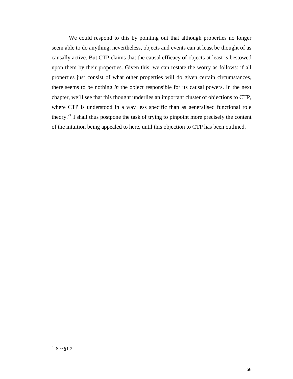We could respond to this by pointing out that although properties no longer seem able to do anything, nevertheless, objects and events can at least be thought of as causally active. But CTP claims that the causal efficacy of objects at least is bestowed upon them by their properties. Given this, we can restate the worry as follows: if all properties just consist of what other properties will do given certain circumstances, there seems to be nothing *in* the object responsible for its causal powers. In the next chapter, we'll see that this thought underlies an important cluster of objections to CTP, where CTP is understood in a way less specific than as generalised functional role theory.<sup>21</sup> I shall thus postpone the task of trying to pinpoint more precisely the content of the intuition being appealed to here, until this objection to CTP has been outlined.

 $\overline{\phantom{a}}$ 

 $^{21}$  See §1.2.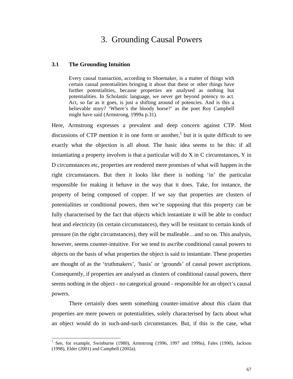# 3. Grounding Causal Powers

#### **3.1 The Grounding Intuition**

 $\overline{a}$ 

Every causal transaction, according to Shoemaker, is a matter of things with certain causal potentialities bringing it about that these or other things have further potentialities, because properties are analysed as nothing but potentialities. In Scholastic language, we never get beyond potency to act. Act, so far as it goes, is just a shifting around of potencies. And is this a believable story? 'Where's the bloody horse?' as the poet Roy Campbell might have said (Armstrong, 1999a p.31).

Here, Armstrong expresses a prevalent and deep concern against CTP. Most discussions of CTP mention it in one form or another,<sup>1</sup> but it is quite difficult to see exactly what the objection is all about. The basic idea seems to be this: if all instantiating a property involves is that a particular will do X in C circumstances, Y in D circumstances etc, properties are rendered mere promises of what will happen in the right circumstances. But then it looks like there is nothing 'in' the particular responsible for making it behave in the way that it does. Take, for instance, the property of being composed of copper. If we say that properties are clusters of potentialities or conditional powers, then we're supposing that this property can be fully characterised by the fact that objects which instantiate it will be able to conduct heat and electricity (in certain circumstances), they will be resistant to certain kinds of pressure (in the right circumstances), they will be malleable…and so on. This analysis, however, seems counter-intuitive. For we tend to ascribe conditional causal powers to objects on the basis of what properties the object is said to instantiate. These properties are thought of as the 'truthmakers', 'basis' or 'grounds' of causal power ascriptions. Consequently, if properties are analysed as clusters of conditional causal powers, there seems nothing *in* the object - no categorical ground - responsible for an object's causal powers.

There certainly does seem something counter-intuitive about this claim that properties are mere powers or potentialities, solely characterised by facts about what an object would do in such-and-such circumstances. But, if this is the case, what

<sup>&</sup>lt;sup>1</sup> See, for example, Swinburne (1980), Armstrong (1996, 1997 and 1999a), Fales (1990), Jackson (1998), Elder (2001) and Campbell (2002a).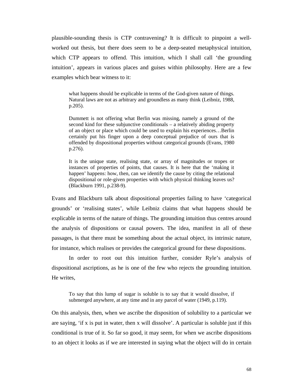plausible-sounding thesis is CTP contravening? It is difficult to pinpoint a wellworked out thesis, but there does seem to be a deep-seated metaphysical intuition, which CTP appears to offend. This intuition, which I shall call 'the grounding intuition', appears in various places and guises within philosophy. Here are a few examples which bear witness to it:

what happens should be explicable in terms of the God-given nature of things. Natural laws are not as arbitrary and groundless as many think (Leibniz, 1988, p.205).

Dummett is not offering what Berlin was missing, namely a ground of the second kind for these subjunctive conditionals – a relatively abiding property of an object or place which could be used to explain his experiences…Berlin certainly put his finger upon a deep conceptual prejudice of ours that is offended by dispositional properties without categorical grounds (Evans, 1980 p.276).

It is the unique state, realising state, or array of magnitudes or tropes or instances of properties of points, that causes. It is here that the 'making it happen' happens: how, then, can we identify the cause by citing the relational dispositional or role-given properties with which physical thinking leaves us? (Blackburn 1991, p.238-9).

Evans and Blackburn talk about dispositional properties failing to have 'categorical grounds' or 'realising states', while Leibniz claims that what happens should be explicable in terms of the nature of things. The grounding intuition thus centres around the analysis of dispositions or causal powers. The idea, manifest in all of these passages, is that there must be something about the actual object, its intrinsic nature, for instance, which realises or provides the categorical ground for these dispositions.

In order to root out this intuition further, consider Ryle's analysis of dispositional ascriptions, as he is one of the few who rejects the grounding intuition. He writes,

To say that this lump of sugar is soluble is to say that it would dissolve, if submerged anywhere, at any time and in any parcel of water (1949, p.119).

On this analysis, then, when we ascribe the disposition of solubility to a particular we are saying, 'if x is put in water, then x will dissolve'. A particular is soluble just if this conditional is true of it. So far so good, it may seem, for when we ascribe dispositions to an object it looks as if we are interested in saying what the object will do in certain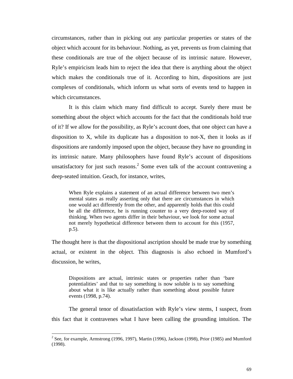circumstances, rather than in picking out any particular properties or states of the object which account for its behaviour. Nothing, as yet, prevents us from claiming that these conditionals are true of the object because of its intrinsic nature. However, Ryle's empiricism leads him to reject the idea that there is anything about the object which makes the conditionals true of it. According to him, dispositions are just complexes of conditionals, which inform us what sorts of events tend to happen in which circumstances.

It is this claim which many find difficult to accept. Surely there must be something about the object which accounts for the fact that the conditionals hold true of it? If we allow for the possibility, as Ryle's account does, that one object can have a disposition to X, while its duplicate has a disposition to not-X, then it looks as if dispositions are randomly imposed upon the object, because they have no grounding in its intrinsic nature. Many philosophers have found Ryle's account of dispositions unsatisfactory for just such reasons.<sup>2</sup> Some even talk of the account contravening a deep-seated intuition. Geach, for instance, writes,

When Ryle explains a statement of an actual difference between two men's mental states as really asserting only that there are circumstances in which one would act differently from the other, and apparently holds that this could be all the difference, he is running counter to a very deep-rooted way of thinking. When two agents differ in their behaviour, we look for some actual not merely hypothetical difference between them to account for this (1957, p.5).

The thought here is that the dispositional ascription should be made true by something actual, or existent in the object. This diagnosis is also echoed in Mumford's discussion, he writes,

Dispositions are actual, intrinsic states or properties rather than 'bare potentialities' and that to say something is now soluble is to say something about what it is like actually rather than something about possible future events (1998, p.74).

The general tenor of dissatisfaction with Ryle's view stems, I suspect, from this fact that it contravenes what I have been calling the grounding intuition. The

 $\overline{\phantom{a}}$ 

<sup>&</sup>lt;sup>2</sup> See, for example, Armstrong (1996, 1997), Martin (1996), Jackson (1998), Prior (1985) and Mumford (1998).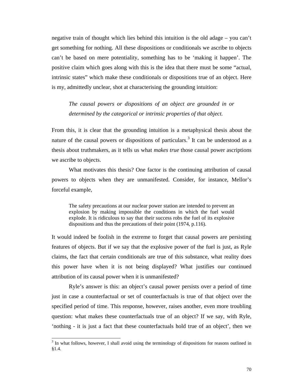negative train of thought which lies behind this intuition is the old adage – you can't get something for nothing. All these dispositions or conditionals we ascribe to objects can't be based on mere potentiality, something has to be 'making it happen'. The positive claim which goes along with this is the idea that there must be some "actual, intrinsic states" which make these conditionals or dispositions true of an object. Here is my, admittedly unclear, shot at characterising the grounding intuition:

*The causal powers or dispositions of an object are grounded in or determined by the categorical or intrinsic properties of that object.* 

From this, it is clear that the grounding intuition is a metaphysical thesis about the nature of the causal powers or dispositions of particulars.<sup>3</sup> It can be understood as a thesis about truthmakers, as it tells us what *makes true* those causal power ascriptions we ascribe to objects.

What motivates this thesis? One factor is the continuing attribution of causal powers to objects when they are unmanifested. Consider, for instance, Mellor's forceful example,

The safety precautions at our nuclear power station are intended to prevent an explosion by making impossible the conditions in which the fuel would explode. It is ridiculous to say that their success robs the fuel of its explosive dispositions and thus the precautions of their point (1974, p.116).

It would indeed be foolish in the extreme to forget that causal powers are persisting features of objects. But if we say that the explosive power of the fuel is just, as Ryle claims, the fact that certain conditionals are true of this substance, what reality does this power have when it is not being displayed? What justifies our continued attribution of its causal power when it is unmanifested?

Ryle's answer is this: an object's causal power persists over a period of time just in case a counterfactual or set of counterfactuals is true of that object over the specified period of time. This response, however, raises another, even more troubling question: what makes these counterfactuals true of an object? If we say, with Ryle, 'nothing - it is just a fact that these counterfactuals hold true of an object', then we

<sup>&</sup>lt;sup>3</sup> In what follows, however, I shall avoid using the terminology of dispositions for reasons outlined in §1.4.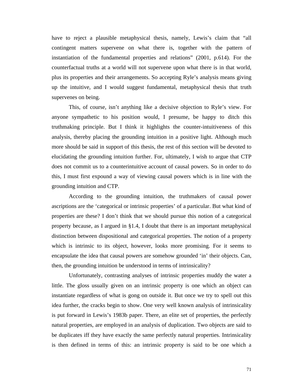have to reject a plausible metaphysical thesis, namely, Lewis's claim that "all contingent matters supervene on what there is, together with the pattern of instantiation of the fundamental properties and relations" (2001, p.614). For the counterfactual truths at a world will not supervene upon what there is in that world, plus its properties and their arrangements. So accepting Ryle's analysis means giving up the intuitive, and I would suggest fundamental, metaphysical thesis that truth supervenes on being.

This, of course, isn't anything like a decisive objection to Ryle's view. For anyone sympathetic to his position would, I presume, be happy to ditch this truthmaking principle. But I think it highlights the counter-intuitiveness of this analysis, thereby placing the grounding intuition in a positive light. Although much more should be said in support of this thesis, the rest of this section will be devoted to elucidating the grounding intuition further. For, ultimately, I wish to argue that CTP does not commit us to a counterintuitive account of causal powers. So in order to do this, I must first expound a way of viewing causal powers which is in line with the grounding intuition and CTP.

According to the grounding intuition, the truthmakers of causal power ascriptions are the 'categorical or intrinsic properties' of a particular. But what kind of properties are these? I don't think that we should pursue this notion of a categorical property because, as I argued in §1.4, I doubt that there is an important metaphysical distinction between dispositional and categorical properties. The notion of a property which is intrinsic to its object, however, looks more promising. For it seems to encapsulate the idea that causal powers are somehow grounded 'in' their objects. Can, then, the grounding intuition be understood in terms of intrinsicality?

Unfortunately, contrasting analyses of intrinsic properties muddy the water a little. The gloss usually given on an intrinsic property is one which an object can instantiate regardless of what is gong on outside it. But once we try to spell out this idea further, the cracks begin to show. One very well known analysis of intrinsicality is put forward in Lewis's 1983b paper. There, an elite set of properties, the perfectly natural properties, are employed in an analysis of duplication. Two objects are said to be duplicates iff they have exactly the same perfectly natural properties. Intrinsicality is then defined in terms of this: an intrinsic property is said to be one which a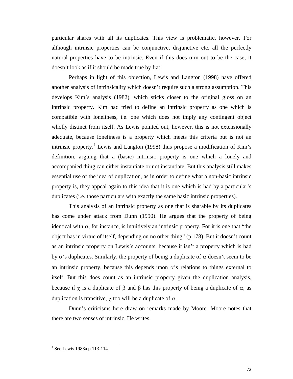particular shares with all its duplicates. This view is problematic, however. For although intrinsic properties can be conjunctive, disjunctive etc, all the perfectly natural properties have to be intrinsic. Even if this does turn out to be the case, it doesn't look as if it should be made true by fiat.

Perhaps in light of this objection, Lewis and Langton (1998) have offered another analysis of intrinsicality which doesn't require such a strong assumption. This develops Kim's analysis (1982), which sticks closer to the original gloss on an intrinsic property. Kim had tried to define an intrinsic property as one which is compatible with loneliness, i.e. one which does not imply any contingent object wholly distinct from itself. As Lewis pointed out, however, this is not extensionally adequate, because loneliness is a property which meets this criteria but is not an intrinsic property.<sup>4</sup> Lewis and Langton (1998) thus propose a modification of Kim's definition, arguing that a (basic) intrinsic property is one which a lonely and accompanied thing can either instantiate or not instantiate. But this analysis still makes essential use of the idea of duplication, as in order to define what a non-basic intrinsic property is, they appeal again to this idea that it is one which is had by a particular's duplicates (i.e. those particulars with exactly the same basic intrinsic properties).

This analysis of an intrinsic property as one that is sharable by its duplicates has come under attack from Dunn (1990). He argues that the property of being identical with  $\alpha$ , for instance, is intuitively an intrinsic property. For it is one that "the object has in virtue of itself, depending on no other thing" (p.178). But it doesn't count as an intrinsic property on Lewis's accounts, because it isn't a property which is had by  $\alpha$ 's duplicates. Similarly, the property of being a duplicate of  $\alpha$  doesn't seem to be an intrinsic property, because this depends upon  $\alpha$ 's relations to things external to itself. But this does count as an intrinsic property given the duplication analysis, because if  $\chi$  is a duplicate of  $\beta$  and  $\beta$  has this property of being a duplicate of  $\alpha$ , as duplication is transitive,  $\chi$  too will be a duplicate of  $\alpha$ .

Dunn's criticisms here draw on remarks made by Moore. Moore notes that there are two senses of intrinsic. He writes,

 $\overline{\phantom{a}}$ 

<sup>4</sup> See Lewis 1983a p.113-114.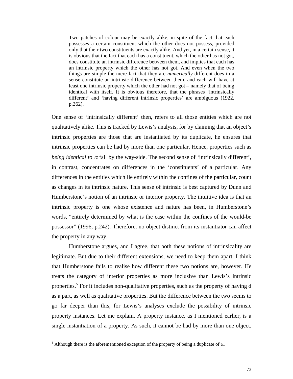Two patches of colour may be exactly alike, in spite of the fact that each possesses a certain constituent which the other does not possess, provided only that their two constituents are exactly alike. And yet, in a certain sense, it is obvious that the fact that each has a constituent, which the other has not got, does constitute an intrinsic difference between them, and implies that each has an intrinsic property which the other has not got. And even when the two things are simple the mere fact that they are *numerically* different does in a sense constitute an intrinsic difference between them, and each will have at least one intrinsic property which the other had not got – namely that of being identical with itself. It is obvious therefore, that the phrases 'intrinsically different' and 'having different intrinsic properties' are ambiguous (1922, p.262).

One sense of 'intrinsically different' then, refers to all those entities which are not qualitatively alike. This is tracked by Lewis's analysis, for by claiming that an object's intrinsic properties are those that are instantiated by its duplicate, he ensures that intrinsic properties can be had by more than one particular. Hence, properties such as *being identical to*  $\alpha$  *fall by the way-side. The second sense of 'intrinsically different',* in contrast, concentrates on differences in the 'constituents' of a particular. Any differences in the entities which lie entirely within the confines of the particular, count as changes in its intrinsic nature. This sense of intrinsic is best captured by Dunn and Humberstone's notion of an intrinsic or interior property. The intuitive idea is that an intrinsic property is one whose existence and nature has been, in Humberstone's words, "entirely determined by what is the case within the confines of the would-be possessor" (1996, p.242). Therefore, no object distinct from its instantiator can affect the property in any way.

Humberstone argues, and I agree, that both these notions of intrinsicality are legitimate. But due to their different extensions, we need to keep them apart. I think that Humberstone fails to realise how different these two notions are, however. He treats the category of interior properties as more inclusive than Lewis's intrinsic properties.<sup>5</sup> For it includes non-qualitative properties, such as the property of having d as a part, as well as qualitative properties. But the difference between the two seems to go far deeper than this, for Lewis's analyses exclude the possibility of intrinsic property instances. Let me explain. A property instance, as I mentioned earlier, is a single instantiation of a property. As such, it cannot be had by more than one object.

<sup>&</sup>lt;sup>5</sup> Although there is the aforementioned exception of the property of being a duplicate of  $\alpha$ .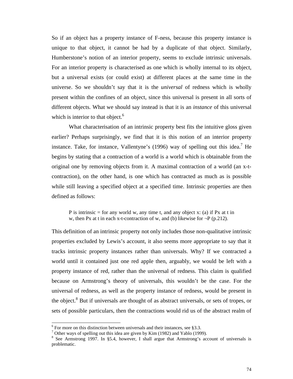So if an object has a property instance of F-ness, because this property instance is unique to that object, it cannot be had by a duplicate of that object. Similarly, Humberstone's notion of an interior property, seems to exclude intrinsic universals. For an interior property is characterised as one which is wholly internal to its object, but a universal exists (or could exist) at different places at the same time in the universe. So we shouldn't say that it is the *universal* of redness which is wholly present within the confines of an object, since this universal is present in all sorts of different objects. What we should say instead is that it is an *instance* of this universal which is interior to that object. $6$ 

What characterisation of an intrinsic property best fits the intuitive gloss given earlier? Perhaps surprisingly, we find that it is this notion of an interior property instance. Take, for instance, Vallentyne's (1996) way of spelling out this idea.<sup>7</sup> He begins by stating that a contraction of a world is a world which is obtainable from the original one by removing objects from it. A maximal contraction of a world (an x-tcontraction), on the other hand, is one which has contracted as much as is possible while still leaving a specified object at a specified time. Intrinsic properties are then defined as follows:

P is intrinsic  $=$  for any world w, any time t, and any object x: (a) if Px at t in w, then Px at t in each x-t-contraction of w, and (b) likewise for  $\neg P$  (p.212).

This definition of an intrinsic property not only includes those non-qualitative intrinsic properties excluded by Lewis's account, it also seems more appropriate to say that it tracks intrinsic property instances rather than universals. Why? If we contracted a world until it contained just one red apple then, arguably, we would be left with a property instance of red, rather than the universal of redness. This claim is qualified because on Armstrong's theory of universals, this wouldn't be the case. For the universal of redness, as well as the property instance of redness, would be present in the object.<sup>8</sup> But if universals are thought of as abstract universals, or sets of tropes, or sets of possible particulars, then the contractions would rid us of the abstract realm of

 $6$  For more on this distinction between universals and their instances, see §3.3.

<sup>&</sup>lt;sup>7</sup> Other ways of spelling out this idea are given by Kim (1982) and Yablo (1999).

<sup>&</sup>lt;sup>8</sup> See Armstrong 1997. In §5.4, however, I shall argue that Armstrong's account of universals is problematic.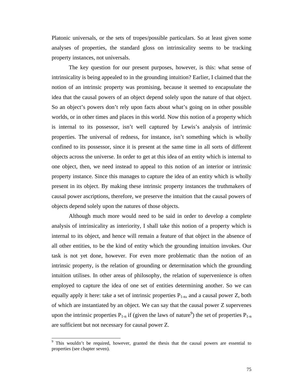Platonic universals, or the sets of tropes/possible particulars. So at least given some analyses of properties, the standard gloss on intrinsicality seems to be tracking property instances, not universals.

The key question for our present purposes, however, is this: what sense of intrinsicality is being appealed to in the grounding intuition? Earlier, I claimed that the notion of an intrinsic property was promising, because it seemed to encapsulate the idea that the causal powers of an object depend solely upon the nature of that object. So an object's powers don't rely upon facts about what's going on in other possible worlds, or in other times and places in this world. Now this notion of a property which is internal to its possessor, isn't well captured by Lewis's analysis of intrinsic properties. The universal of redness, for instance, isn't something which is wholly confined to its possessor, since it is present at the same time in all sorts of different objects across the universe. In order to get at this idea of an entity which is internal to one object, then, we need instead to appeal to this notion of an interior or intrinsic property instance. Since this manages to capture the idea of an entity which is wholly present in its object. By making these intrinsic property instances the truthmakers of causal power ascriptions, therefore, we preserve the intuition that the causal powers of objects depend solely upon the natures of those objects.

Although much more would need to be said in order to develop a complete analysis of intrinsicality as interiority, I shall take this notion of a property which is internal to its object, and hence will remain a feature of that object in the absence of all other entities, to be the kind of entity which the grounding intuition invokes. Our task is not yet done, however. For even more problematic than the notion of an intrinsic property, is the relation of grounding or determination which the grounding intuition utilises. In other areas of philosophy, the relation of supervenience is often employed to capture the idea of one set of entities determining another. So we can equally apply it here: take a set of intrinsic properties  $P_{1-n}$ , and a causal power Z, both of which are instantiated by an object. We can say that the causal power Z supervenes upon the intrinsic properties  $P_{1-n}$  if (given the laws of nature<sup>9</sup>) the set of properties  $P_{1-n}$ are sufficient but not necessary for causal power Z.

<sup>&</sup>lt;sup>9</sup> This wouldn't be required, however, granted the thesis that the causal powers are essential to properties (see chapter seven).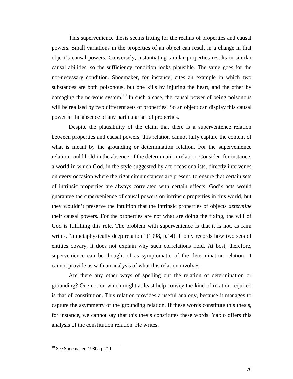This supervenience thesis seems fitting for the realms of properties and causal powers. Small variations in the properties of an object can result in a change in that object's causal powers. Conversely, instantiating similar properties results in similar causal abilities, so the sufficiency condition looks plausible. The same goes for the not-necessary condition. Shoemaker, for instance, cites an example in which two substances are both poisonous, but one kills by injuring the heart, and the other by damaging the nervous system.<sup>10</sup> In such a case, the causal power of being poisonous will be realised by two different sets of properties. So an object can display this causal power in the absence of any particular set of properties.

Despite the plausibility of the claim that there is a supervenience relation between properties and causal powers, this relation cannot fully capture the content of what is meant by the grounding or determination relation. For the supervenience relation could hold in the absence of the determination relation. Consider, for instance, a world in which God, in the style suggested by act occasionalists, directly intervenes on every occasion where the right circumstances are present, to ensure that certain sets of intrinsic properties are always correlated with certain effects. God's acts would guarantee the supervenience of causal powers on intrinsic properties in this world, but they wouldn't preserve the intuition that the intrinsic properties of objects *determine* their causal powers. For the properties are not what are doing the fixing, the will of God is fulfilling this role. The problem with supervenience is that it is not, as Kim writes, "a metaphysically deep relation" (1998, p.14). It only records how two sets of entities covary, it does not explain why such correlations hold. At best, therefore, supervenience can be thought of as symptomatic of the determination relation, it cannot provide us with an analysis of what this relation involves.

Are there any other ways of spelling out the relation of determination or grounding? One notion which might at least help convey the kind of relation required is that of constitution. This relation provides a useful analogy, because it manages to capture the asymmetry of the grounding relation. If these words constitute this thesis, for instance, we cannot say that this thesis constitutes these words. Yablo offers this analysis of the constitution relation. He writes,

<sup>10</sup> See Shoemaker, 1980a p.211.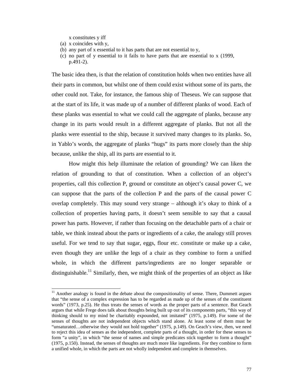x constitutes y iff

(a) x coincides with y,

 $\overline{a}$ 

- (b) any part of x essential to it has parts that are not essential to y,
- (c) no part of y essential to it fails to have parts that are essential to x (1999, p.491-2).

The basic idea then, is that the relation of constitution holds when two entities have all their parts in common, but whilst one of them could exist without some of its parts, the other could not. Take, for instance, the famous ship of Theseus. We can suppose that at the start of its life, it was made up of a number of different planks of wood. Each of these planks was essential to what we could call the aggregate of planks, because any change in its parts would result in a different aggregate of planks. But not all the planks were essential to the ship, because it survived many changes to its planks. So, in Yablo's words, the aggregate of planks "hugs" its parts more closely than the ship because, unlike the ship, all its parts are essential to it.

How might this help illuminate the relation of grounding? We can liken the relation of grounding to that of constitution. When a collection of an object's properties, call this collection P, ground or constitute an object's causal power C, we can suppose that the parts of the collection P and the parts of the causal power C overlap completely. This may sound very strange – although it's okay to think of a collection of properties having parts, it doesn't seem sensible to say that a causal power has parts. However, if rather than focusing on the detachable parts of a chair or table, we think instead about the parts or ingredients of a cake, the analogy still proves useful. For we tend to say that sugar, eggs, flour etc. constitute or make up a cake, even though they are unlike the legs of a chair as they combine to form a unified whole, in which the different parts/ingredients are no longer separable or distinguishable.<sup>11</sup> Similarly, then, we might think of the properties of an object as like

 $11$  Another analogy is found in the debate about the compositionality of sense. There, Dummett argues that "the sense of a complex expression has to be regarded as made up of the senses of the constituent words" (1973, p.25). He thus treats the senses of words as the proper parts of a sentence. But Geach argues that while Frege does talk about thoughts being built up out of its components parts, "this way of thinking should to my mind be charitably expounded, not imitated" (1975, p.149). For some of the senses of thoughts are not independent objects which stand alone. At least some of them must be "unsaturated…otherwise they would not hold together" (1975, p.149). On Geach's view, then, we need to reject this idea of senses as the independent, complete parts of a thought, in order for these senses to form "a unity", in which "the sense of names and simple predicates stick together to form a thought" (1975, p.150). Instead, the senses of thoughts are much more like ingredients. For they combine to form a unified whole, in which the parts are not wholly independent and complete in themselves.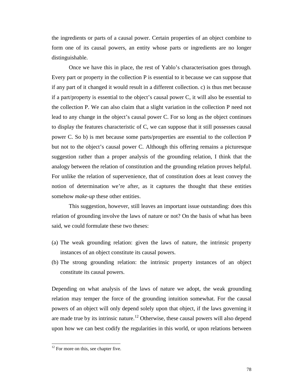the ingredients or parts of a causal power. Certain properties of an object combine to form one of its causal powers, an entity whose parts or ingredients are no longer distinguishable.

Once we have this in place, the rest of Yablo's characterisation goes through. Every part or property in the collection P is essential to it because we can suppose that if any part of it changed it would result in a different collection. c) is thus met because if a part/property is essential to the object's causal power C, it will also be essential to the collection P. We can also claim that a slight variation in the collection P need not lead to any change in the object's causal power C. For so long as the object continues to display the features characteristic of C, we can suppose that it still possesses causal power C. So b) is met because some parts/properties are essential to the collection P but not to the object's causal power C. Although this offering remains a picturesque suggestion rather than a proper analysis of the grounding relation, I think that the analogy between the relation of constitution and the grounding relation proves helpful. For unlike the relation of supervenience, that of constitution does at least convey the notion of determination we're after, as it captures the thought that these entities somehow *make-up* these other entities.

This suggestion, however, still leaves an important issue outstanding: does this relation of grounding involve the laws of nature or not? On the basis of what has been said, we could formulate these two theses:

- (a) The weak grounding relation: given the laws of nature, the intrinsic property instances of an object constitute its causal powers.
- (b) The strong grounding relation: the intrinsic property instances of an object constitute its causal powers.

Depending on what analysis of the laws of nature we adopt, the weak grounding relation may temper the force of the grounding intuition somewhat. For the causal powers of an object will only depend solely upon that object, if the laws governing it are made true by its intrinsic nature.<sup>12</sup> Otherwise, these causal powers will also depend upon how we can best codify the regularities in this world, or upon relations between

<sup>&</sup>lt;sup>12</sup> For more on this, see chapter five.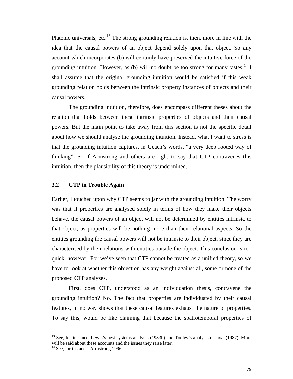Platonic universals, etc.<sup>13</sup> The strong grounding relation is, then, more in line with the idea that the causal powers of an object depend solely upon that object. So any account which incorporates (b) will certainly have preserved the intuitive force of the grounding intuition. However, as (b) will no doubt be too strong for many tastes,  $^{14}$  I shall assume that the original grounding intuition would be satisfied if this weak grounding relation holds between the intrinsic property instances of objects and their causal powers.

The grounding intuition, therefore, does encompass different theses about the relation that holds between these intrinsic properties of objects and their causal powers. But the main point to take away from this section is not the specific detail about how we should analyse the grounding intuition. Instead, what I want to stress is that the grounding intuition captures, in Geach's words, "a very deep rooted way of thinking". So if Armstrong and others are right to say that CTP contravenes this intuition, then the plausibility of this theory is undermined.

### **3.2 CTP in Trouble Again**

Earlier, I touched upon why CTP seems to jar with the grounding intuition. The worry was that if properties are analysed solely in terms of how they make their objects behave, the causal powers of an object will not be determined by entities intrinsic to that object, as properties will be nothing more than their relational aspects. So the entities grounding the causal powers will not be intrinsic to their object, since they are characterised by their relations with entities outside the object. This conclusion is too quick, however. For we've seen that CTP cannot be treated as a unified theory, so we have to look at whether this objection has any weight against all, some or none of the proposed CTP analyses.

First, does CTP, understood as an individuation thesis, contravene the grounding intuition? No. The fact that properties are individuated by their causal features, in no way shows that these causal features exhaust the nature of properties. To say this, would be like claiming that because the spatiotemporal properties of

<sup>&</sup>lt;sup>13</sup> See, for instance, Lewis's best systems analysis (1983b) and Tooley's analysis of laws (1987). More will be said about these accounts and the issues they raise later.

<sup>&</sup>lt;sup>14</sup> See, for instance, Armstrong 1996.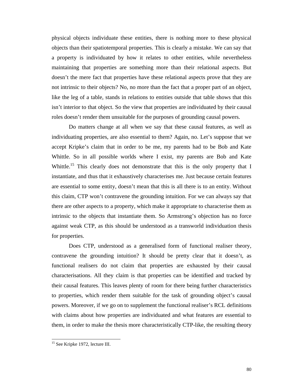physical objects individuate these entities, there is nothing more to these physical objects than their spatiotemporal properties. This is clearly a mistake. We can say that a property is individuated by how it relates to other entities, while nevertheless maintaining that properties are something more than their relational aspects. But doesn't the mere fact that properties have these relational aspects prove that they are not intrinsic to their objects? No, no more than the fact that a proper part of an object, like the leg of a table, stands in relations to entities outside that table shows that this isn't interior to that object. So the view that properties are individuated by their causal roles doesn't render them unsuitable for the purposes of grounding causal powers.

Do matters change at all when we say that these causal features, as well as individuating properties, are also essential to them? Again, no. Let's suppose that we accept Kripke's claim that in order to be me, my parents had to be Bob and Kate Whittle. So in all possible worlds where I exist, my parents are Bob and Kate Whittle.<sup>15</sup> This clearly does not demonstrate that this is the only property that I instantiate, and thus that it exhaustively characterises me. Just because certain features are essential to some entity, doesn't mean that this is all there is to an entity. Without this claim, CTP won't contravene the grounding intuition. For we can always say that there are other aspects to a property, which make it appropriate to characterise them as intrinsic to the objects that instantiate them. So Armstrong's objection has no force against weak CTP, as this should be understood as a transworld individuation thesis for properties.

Does CTP, understood as a generalised form of functional realiser theory, contravene the grounding intuition? It should be pretty clear that it doesn't, as functional realisers do not claim that properties are exhausted by their causal characterisations. All they claim is that properties can be identified and tracked by their causal features. This leaves plenty of room for there being further characteristics to properties, which render them suitable for the task of grounding object's causal powers. Moreover, if we go on to supplement the functional realiser's RCL definitions with claims about how properties are individuated and what features are essential to them, in order to make the thesis more characteristically CTP-like, the resulting theory

l

<sup>&</sup>lt;sup>15</sup> See Kripke 1972, lecture III.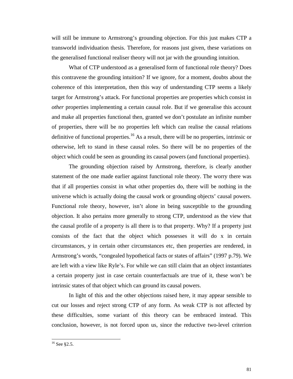will still be immune to Armstrong's grounding objection. For this just makes CTP a transworld individuation thesis. Therefore, for reasons just given, these variations on the generalised functional realiser theory will not jar with the grounding intuition.

What of CTP understood as a generalised form of functional role theory? Does this contravene the grounding intuition? If we ignore, for a moment, doubts about the coherence of this interpretation, then this way of understanding CTP seems a likely target for Armstrong's attack. For functional properties are properties which consist in *other* properties implementing a certain causal role. But if we generalise this account and make all properties functional then, granted we don't postulate an infinite number of properties, there will be no properties left which can realise the causal relations definitive of functional properties.<sup>16</sup> As a result, there will be no properties, intrinsic or otherwise, left to stand in these causal roles. So there will be no properties of the object which could be seen as grounding its causal powers (and functional properties).

The grounding objection raised by Armstrong, therefore, is clearly another statement of the one made earlier against functional role theory. The worry there was that if all properties consist in what other properties do, there will be nothing in the universe which is actually doing the causal work or grounding objects' causal powers. Functional role theory, however, isn't alone in being susceptible to the grounding objection. It also pertains more generally to strong CTP, understood as the view that the causal profile of a property is all there is to that property. Why? If a property just consists of the fact that the object which possesses it will do x in certain circumstances, y in certain other circumstances etc, then properties are rendered, in Armstrong's words, "congealed hypothetical facts or states of affairs" (1997 p.79). We are left with a view like Ryle's. For while we can still claim that an object instantiates a certain property just in case certain counterfactuals are true of it, these won't be intrinsic states of that object which can ground its causal powers.

In light of this and the other objections raised here, it may appear sensible to cut our losses and reject strong CTP of any form. As weak CTP is not affected by these difficulties, some variant of this theory can be embraced instead. This conclusion, however, is not forced upon us, since the reductive two-level criterion

l

 $16$  See §2.5.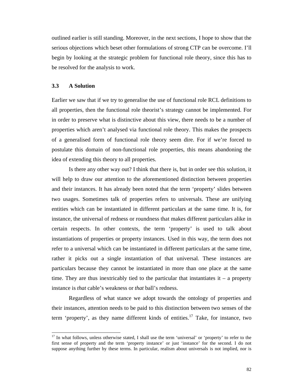outlined earlier is still standing. Moreover, in the next sections, I hope to show that the serious objections which beset other formulations of strong CTP can be overcome. I'll begin by looking at the strategic problem for functional role theory, since this has to be resolved for the analysis to work.

## **3.3 A Solution**

 $\overline{a}$ 

Earlier we saw that if we try to generalise the use of functional role RCL definitions to all properties, then the functional role theorist's strategy cannot be implemented. For in order to preserve what is distinctive about this view, there needs to be a number of properties which aren't analysed via functional role theory. This makes the prospects of a generalised form of functional role theory seem dire. For if we're forced to postulate this domain of non-functional role properties, this means abandoning the idea of extending this theory to all properties.

Is there any other way out? I think that there is, but in order see this solution, it will help to draw our attention to the aforementioned distinction between properties and their instances. It has already been noted that the term 'property' slides between two usages. Sometimes talk of properties refers to universals. These are unifying entities which can be instantiated in different particulars at the same time. It is, for instance, the universal of redness or roundness that makes different particulars alike in certain respects. In other contexts, the term 'property' is used to talk about instantiations of properties or property instances. Used in this way, the term does not refer to a universal which can be instantiated in different particulars at the same time, rather it picks out a single instantiation of that universal. These instances are particulars because they cannot be instantiated in more than one place at the same time. They are thus inextricably tied to the particular that instantiates it – a property instance is *that* cable's weakness or *that* ball's redness.

Regardless of what stance we adopt towards the ontology of properties and their instances, attention needs to be paid to this distinction between two senses of the term 'property', as they name different kinds of entities.<sup>17</sup> Take, for instance, two

 $17$  In what follows, unless otherwise stated, I shall use the term 'universal' or 'property' to refer to the first sense of property and the term 'property instance' or just 'instance' for the second. I do not suppose anything further by these terms. In particular, realism about universals is not implied, nor is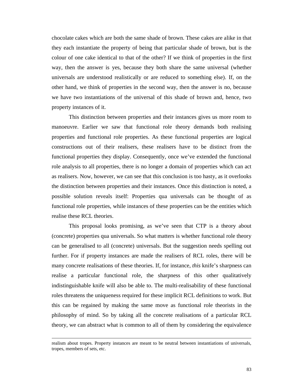chocolate cakes which are both the same shade of brown. These cakes are alike in that they each instantiate the property of being that particular shade of brown, but is the colour of one cake identical to that of the other? If we think of properties in the first way, then the answer is yes, because they both share the same universal (whether universals are understood realistically or are reduced to something else). If, on the other hand, we think of properties in the second way, then the answer is no, because we have two instantiations of the universal of this shade of brown and, hence, two property instances of it.

This distinction between properties and their instances gives us more room to manoeuvre. Earlier we saw that functional role theory demands both realising properties and functional role properties. As these functional properties are logical constructions out of their realisers, these realisers have to be distinct from the functional properties they display. Consequently, once we've extended the functional role analysis to all properties, there is no longer a domain of properties which can act as realisers. Now, however, we can see that this conclusion is too hasty, as it overlooks the distinction between properties and their instances. Once this distinction is noted, a possible solution reveals itself: Properties qua universals can be thought of as functional role properties, while instances of these properties can be the entities which realise these RCL theories.

This proposal looks promising, as we've seen that CTP is a theory about (concrete) properties qua universals. So what matters is whether functional role theory can be generalised to all (concrete) universals. But the suggestion needs spelling out further. For if property instances are made the realisers of RCL roles, there will be many concrete realisations of these theories. If, for instance, *this* knife's sharpness can realise a particular functional role, the sharpness of this other qualitatively indistinguishable knife will also be able to. The multi-realisability of these functional roles threatens the uniqueness required for these implicit RCL definitions to work. But this can be regained by making the same move as functional role theorists in the philosophy of mind. So by taking all the concrete realisations of a particular RCL theory, we can abstract what is common to all of them by considering the equivalence

realism about tropes. Property instances are meant to be neutral between instantiations of universals, tropes, members of sets, etc.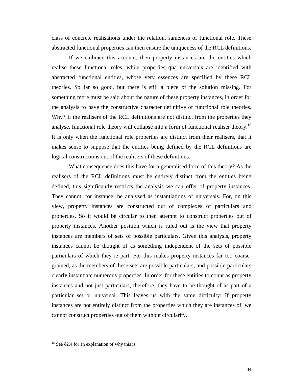class of concrete realisations under the relation, sameness of functional role. These abstracted functional properties can then ensure the uniqueness of the RCL definitions.

If we embrace this account, then property instances are the entities which realise these functional roles, while properties qua universals are identified with abstracted functional entities, whose very essences are specified by these RCL theories. So far so good, but there is still a piece of the solution missing. For something more must be said about the nature of these property instances, in order for the analysis to have the constructive character definitive of functional role theories. Why? If the realisers of the RCL definitions are not distinct from the properties they analyse, functional role theory will collapse into a form of functional realiser theory.<sup>18</sup> It is only when the functional role properties are distinct from their realisers, that it makes sense to suppose that the entities being defined by the RCL definitions are logical constructions out of the realisers of these definitions.

What consequence does this have for a generalised form of this theory? As the realisers of the RCL definitions must be entirely distinct from the entities being defined, this significantly restricts the analysis we can offer of property instances. They cannot, for instance, be analysed as instantiations of universals. For, on this view, property instances are constructed out of complexes of particulars and properties. So it would be circular to then attempt to construct properties out of property instances. Another position which is ruled out is the view that property instances are members of sets of possible particulars. Given this analysis, property instances cannot be thought of as something independent of the sets of possible particulars of which they're part. For this makes property instances far too coarsegrained, as the members of these sets are possible particulars, and possible particulars clearly instantiate numerous properties. In order for these entities to count as property instances and not just particulars, therefore, they have to be thought of as part of a particular set or universal. This leaves us with the same difficulty: If property instances are not entirely distinct from the properties which they are instances of, we cannot construct properties out of them without circularity.

l

 $18$  See §2.4 for an explanation of why this is.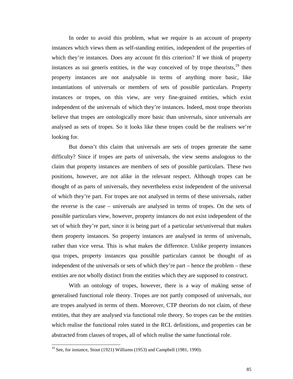In order to avoid this problem, what we require is an account of property instances which views them as self-standing entities, independent of the properties of which they're instances. Does any account fit this criterion? If we think of property instances as sui generis entities, in the way conceived of by trope theorists,  $19$  then property instances are not analysable in terms of anything more basic, like instantiations of universals or members of sets of possible particulars. Property instances or tropes, on this view, are very fine-grained entities, which exist independent of the universals of which they're instances. Indeed, most trope theorists believe that tropes are ontologically more basic than universals, since universals are analysed as sets of tropes. So it looks like these tropes could be the realisers we're looking for.

But doesn't this claim that universals are sets of tropes generate the same difficulty? Since if tropes are parts of universals, the view seems analogous to the claim that property instances are members of sets of possible particulars. These two positions, however, are not alike in the relevant respect. Although tropes can be thought of as parts of universals, they nevertheless exist independent of the universal of which they're part. For tropes are not analysed in terms of these universals, rather the reverse is the case – universals are analysed in terms of tropes. On the sets of possible particulars view, however, property instances do not exist independent of the set of which they're part, since it is being part of a particular set/universal that makes them property instances. So property instances are analysed in terms of universals, rather than vice versa. This is what makes the difference. Unlike property instances qua tropes, property instances qua possible particulars cannot be thought of as independent of the universals or sets of which they're part – hence the problem – these entities are not wholly distinct from the entities which they are supposed to construct.

With an ontology of tropes, however, there is a way of making sense of generalised functional role theory. Tropes are not partly composed of universals, nor are tropes analysed in terms of them. Moreover, CTP theorists do not claim, of these entities, that they are analysed via functional role theory. So tropes can be the entities which realise the functional roles stated in the RCL definitions, and properties can be abstracted from classes of tropes, all of which realise the same functional role.

 $19$  See, for instance, Stout (1921) Williams (1953) and Campbell (1981, 1990).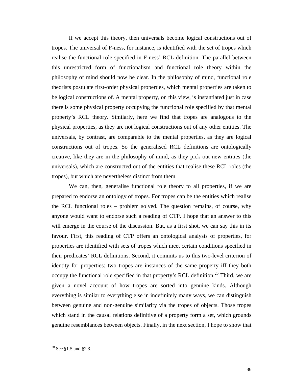If we accept this theory, then universals become logical constructions out of tropes. The universal of F-ness, for instance, is identified with the set of tropes which realise the functional role specified in F-ness' RCL definition. The parallel between this unrestricted form of functionalism and functional role theory within the philosophy of mind should now be clear. In the philosophy of mind, functional role theorists postulate first-order physical properties, which mental properties are taken to be logical constructions of. A mental property, on this view, is instantiated just in case there is some physical property occupying the functional role specified by that mental property's RCL theory. Similarly, here we find that tropes are analogous to the physical properties, as they are not logical constructions out of any other entities. The universals, by contrast, are comparable to the mental properties, as they are logical constructions out of tropes. So the generalised RCL definitions are ontologically creative, like they are in the philosophy of mind, as they pick out new entities (the universals), which are constructed out of the entities that realise these RCL roles (the tropes), but which are nevertheless distinct from them.

We can, then, generalise functional role theory to all properties, if we are prepared to endorse an ontology of tropes. For tropes can be the entities which realise the RCL functional roles – problem solved. The question remains, of course, why anyone would want to endorse such a reading of CTP. I hope that an answer to this will emerge in the course of the discussion. But, as a first shot, we can say this in its favour. First, this reading of CTP offers an ontological analysis of properties, for properties are identified with sets of tropes which meet certain conditions specified in their predicates' RCL definitions. Second, it commits us to this two-level criterion of identity for properties: two tropes are instances of the same property iff they both occupy the functional role specified in that property's RCL definition.<sup>20</sup> Third, we are given a novel account of how tropes are sorted into genuine kinds. Although everything is similar to everything else in indefinitely many ways, we can distinguish between genuine and non-genuine similarity via the tropes of objects. Those tropes which stand in the causal relations definitive of a property form a set, which grounds genuine resemblances between objects. Finally, in the next section, I hope to show that

 $20$  See §1.5 and §2.3.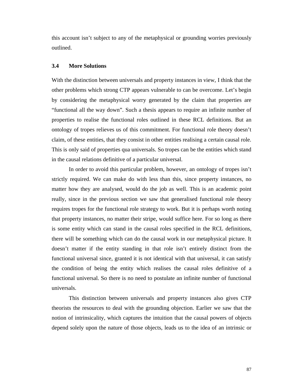this account isn't subject to any of the metaphysical or grounding worries previously outlined.

# **3.4 More Solutions**

With the distinction between universals and property instances in view, I think that the other problems which strong CTP appears vulnerable to can be overcome. Let's begin by considering the metaphysical worry generated by the claim that properties are "functional all the way down". Such a thesis appears to require an infinite number of properties to realise the functional roles outlined in these RCL definitions. But an ontology of tropes relieves us of this commitment. For functional role theory doesn't claim, of these entities, that they consist in other entities realising a certain causal role. This is only said of properties qua universals. So tropes can be the entities which stand in the causal relations definitive of a particular universal.

In order to avoid this particular problem, however, an ontology of tropes isn't strictly required. We can make do with less than this, since property instances, no matter how they are analysed, would do the job as well. This is an academic point really, since in the previous section we saw that generalised functional role theory requires tropes for the functional role strategy to work. But it is perhaps worth noting that property instances, no matter their stripe, would suffice here. For so long as there is some entity which can stand in the causal roles specified in the RCL definitions, there will be something which can do the causal work in our metaphysical picture. It doesn't matter if the entity standing in that role isn't entirely distinct from the functional universal since, granted it is not identical with that universal, it can satisfy the condition of being the entity which realises the causal roles definitive of a functional universal. So there is no need to postulate an infinite number of functional universals.

This distinction between universals and property instances also gives CTP theorists the resources to deal with the grounding objection. Earlier we saw that the notion of intrinsicality, which captures the intuition that the causal powers of objects depend solely upon the nature of those objects, leads us to the idea of an intrinsic or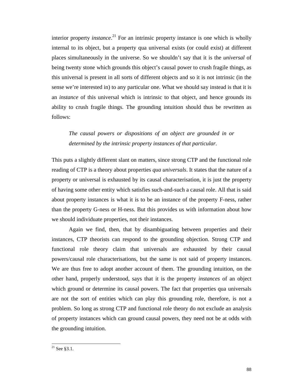interior property *instance*. 21 For an intrinsic property instance is one which is wholly internal to its object, but a property qua universal exists (or could exist) at different places simultaneously in the universe. So we shouldn't say that it is the *universal* of being twenty stone which grounds this object's causal power to crush fragile things, as this universal is present in all sorts of different objects and so it is not intrinsic (in the sense we're interested in) to any particular one. What we should say instead is that it is an *instance* of this universal which is intrinsic to that object, and hence grounds its ability to crush fragile things. The grounding intuition should thus be rewritten as follows:

*The causal powers or dispositions of an object are grounded in or determined by the intrinsic property instances of that particular.* 

This puts a slightly different slant on matters, since strong CTP and the functional role reading of CTP is a theory about properties *qua universals*. It states that the nature of a property or universal is exhausted by its causal characterisation, it is just the property of having some other entity which satisfies such-and-such a causal role. All that is said about property instances is what it is to be an instance of the property F-ness, rather than the property G-ness or H-ness. But this provides us with information about how we should individuate properties, not their instances.

Again we find, then, that by disambiguating between properties and their instances, CTP theorists can respond to the grounding objection. Strong CTP and functional role theory claim that universals are exhausted by their causal powers/causal role characterisations, but the same is not said of property instances. We are thus free to adopt another account of them. The grounding intuition, on the other hand, properly understood, says that it is the property *instances* of an object which ground or determine its causal powers. The fact that properties qua universals are not the sort of entities which can play this grounding role, therefore, is not a problem. So long as strong CTP and functional role theory do not exclude an analysis of property instances which can ground causal powers, they need not be at odds with the grounding intuition.

 $^{21}$  See §3.1.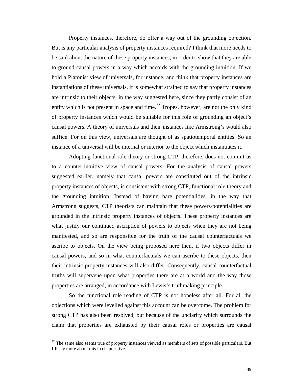Property instances, therefore, do offer a way out of the grounding objection. But is any particular analysis of property instances required? I think that more needs to be said about the nature of these property instances, in order to show that they are able to ground causal powers in a way which accords with the grounding intuition. If we hold a Platonist view of universals, for instance, and think that property instances are instantiations of these universals, it is somewhat strained to say that property instances are intrinsic to their objects, in the way suggested here, since they partly consist of an entity which is not present in space and time.<sup>22</sup> Tropes, however, are not the only kind of property instances which would be suitable for this role of grounding an object's causal powers. A theory of universals and their instances like Armstrong's would also suffice. For on this view, universals are thought of as spatiotemporal entities. So an instance of a universal will be internal or interior to the object which instantiates it.

Adopting functional role theory or strong CTP, therefore, does not commit us to a counter-intuitive view of causal powers. For the analysis of causal powers suggested earlier, namely that causal powers are constituted out of the intrinsic property instances of objects, is consistent with strong CTP, functional role theory and the grounding intuition. Instead of having bare potentialities, in the way that Armstrong suggests, CTP theorists can maintain that these powers/potentialities are grounded in the intrinsic property instances of objects. These property instances are what justify our continued ascription of powers to objects when they are not being manifested, and so are responsible for the truth of the causal counterfactuals we ascribe to objects. On the view being proposed here then, if two objects differ in causal powers, and so in what counterfactuals we can ascribe to these objects, then their intrinsic property instances will also differ. Consequently, causal counterfactual truths will supervene upon what properties there are at a world and the way those properties are arranged, in accordance with Lewis's truthmaking principle.

So the functional role reading of CTP is not hopeless after all. For all the objections which were levelled against this account can be overcome. The problem for strong CTP has also been resolved, but because of the unclarity which surrounds the claim that properties are exhausted by their causal roles or properties are causal

 $22$  The same also seems true of property instances viewed as members of sets of possible particulars. But I'll say more about this in chapter five.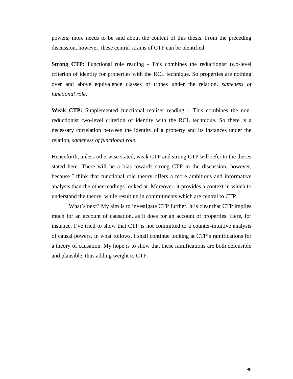powers, more needs to be said about the content of this thesis. From the preceding discussion, however, these central strains of CTP can be identified:

**Strong CTP:** Functional role reading - This combines the reductionist two-level criterion of identity for properties with the RCL technique. So properties are nothing over and above equivalence classes of tropes under the relation, *sameness of functional role*.

**Weak CTP:** Supplemented functional realiser reading **–** This combines the nonreductionist two-level criterion of identity with the RCL technique. So there is a necessary correlation between the identity of a property and its instances under the relation, *sameness of functional role*.

Henceforth, unless otherwise stated, weak CTP and strong CTP will refer to the theses stated here. There will be a bias towards strong CTP in the discussion, however, because I think that functional role theory offers a more ambitious and informative analysis than the other readings looked at. Moreover, it provides a context in which to understand the theory, while resulting in commitments which are central to CTP.

What's next? My aim is to investigate CTP further. It is clear that CTP implies much for an account of causation, as it does for an account of properties. Here, for instance, I've tried to show that CTP is not committed to a counter-intuitive analysis of causal powers. In what follows, I shall continue looking at CTP's ramifications for a theory of causation. My hope is to show that these ramifications are both defensible and plausible, thus adding weight to CTP.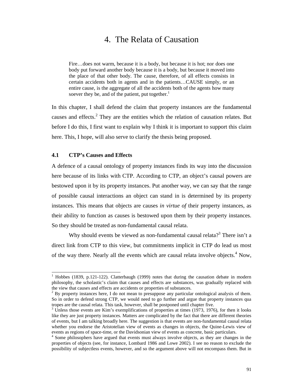# 4. The Relata of Causation

Fire…does not warm, because it is a body, but because it is hot; nor does one body put forward another body because it is a body, but because it moved into the place of that other body. The cause, therefore, of all effects consists in certain accidents both in agents and in the patients…CAUSE simply, or an entire cause, is the aggregate of all the accidents both of the agents how many soever they be, and of the patient, put together. $<sup>1</sup>$ </sup>

In this chapter, I shall defend the claim that property instances are the fundamental causes and effects.<sup>2</sup> They are the entities which the relation of causation relates. But before I do this, I first want to explain why I think it is important to support this claim here. This, I hope, will also serve to clarify the thesis being proposed.

### **4.1 CTP's Causes and Effects**

 $\overline{a}$ 

A defence of a causal ontology of property instances finds its way into the discussion here because of its links with CTP. According to CTP, an object's causal powers are bestowed upon it by its property instances. Put another way, we can say that the range of possible causal interactions an object can stand in is determined by its property instances. This means that objects are causes *in virtue of* their property instances, as their ability to function as causes is bestowed upon them by their property instances. So they should be treated as non-fundamental causal relata.

Why should events be viewed as non-fundamental causal relata?<sup>3</sup> There isn't a direct link from CTP to this view, but commitments implicit in CTP do lead us most of the way there. Nearly all the events which are causal relata involve objects.<sup>4</sup> Now,

<sup>1</sup> Hobbes (1839, p.121-122). Clatterbaugh (1999) notes that during the causation debate in modern philosophy, the scholastic's claim that causes and effects are substances, was gradually replaced with the view that causes and effects are accidents or properties of substances.

 $2^2$  By property instances here, I do not mean to presuppose any particular ontological analysis of them. So in order to defend strong CTP, we would need to go further and argue that property instances qua tropes are the causal relata. This task, however, shall be postponed until chapter five.

 $3 \text{ Unless those events are Kim's exemplifications of properties at times } (1973, 1976)$ , for then it looks like they are just property instances. Matters are complicated by the fact that there are different theories of events, but I am talking broadly here. The suggestion is that events are non-fundamental causal relata whether you endorse the Aristotelian view of events as changes in objects, the Quine-Lewis view of events as regions of space-time, or the Davidsonian view of events as concrete, basic particulars.

<sup>&</sup>lt;sup>4</sup> Some philosophers have argued that events must always involve objects, as they are changes in the properties of objects (see, for instance, Lombard 1986 and Lowe 2002). I see no reason to exclude the possibility of subjectless events, however, and so the argument above will not encompass them. But in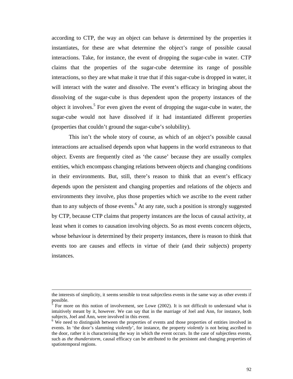according to CTP, the way an object can behave is determined by the properties it instantiates, for these are what determine the object's range of possible causal interactions. Take, for instance, the event of dropping the sugar-cube in water. CTP claims that the properties of the sugar-cube determine its range of possible interactions, so they are what make it true that if this sugar-cube is dropped in water, it will interact with the water and dissolve. The event's efficacy in bringing about the dissolving of the sugar-cube is thus dependent upon the property instances of the object it involves.<sup>5</sup> For even given the event of dropping the sugar-cube in water, the sugar-cube would not have dissolved if it had instantiated different properties (properties that couldn't ground the sugar-cube's solubility).

This isn't the whole story of course, as which of an object's possible causal interactions are actualised depends upon what happens in the world extraneous to that object. Events are frequently cited as 'the cause' because they are usually complex entities, which encompass changing relations between objects and changing conditions in their environments. But, still, there's reason to think that an event's efficacy depends upon the persistent and changing properties and relations of the objects and environments they involve, plus those properties which we ascribe to the event rather than to any subjects of those events.<sup>6</sup> At any rate, such a position is strongly suggested by CTP, because CTP claims that property instances are the locus of causal activity, at least when it comes to causation involving objects. So as most events concern objects, whose behaviour is determined by their property instances, there is reason to think that events too are causes and effects in virtue of their (and their subjects) property instances.

the interests of simplicity, it seems sensible to treat subjectless events in the same way as other events if possible.<br>
<sup>5</sup> For me.

For more on this notion of involvement, see Lowe (2002). It is not difficult to understand what is intuitively meant by it, however. We can say that in the marriage of Joel and Ann, for instance, both subjects, Joel and Ann, were involved in this event.

<sup>&</sup>lt;sup>6</sup> We need to distinguish between the properties of events and those properties of entities involved in events. In 'the door's slamming *violently*', for instance, the property *violently* is not being ascribed to the door, rather it is characterising the way in which the event occurs. In the case of subjectless events, such as *the thunderstorm*, causal efficacy can be attributed to the persistent and changing properties of spatiotemporal regions.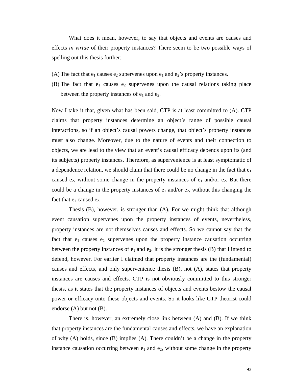What does it mean, however, to say that objects and events are causes and effects *in virtue* of their property instances? There seem to be two possible ways of spelling out this thesis further:

- (A) The fact that  $e_1$  causes  $e_2$  supervenes upon  $e_1$  and  $e_2$ 's property instances.
- (B) The fact that  $e_1$  causes  $e_2$  supervenes upon the causal relations taking place between the property instances of  $e_1$  and  $e_2$ .

Now I take it that, given what has been said, CTP is at least committed to (A). CTP claims that property instances determine an object's range of possible causal interactions, so if an object's causal powers change, that object's property instances must also change. Moreover, due to the nature of events and their connection to objects, we are lead to the view that an event's causal efficacy depends upon its (and its subjects) property instances. Therefore, as supervenience is at least symptomatic of a dependence relation, we should claim that there could be no change in the fact that  $e_1$ caused  $e_2$ , without some change in the property instances of  $e_1$  and/or  $e_2$ . But there could be a change in the property instances of  $e_1$  and/or  $e_2$ , without this changing the fact that  $e_1$  caused  $e_2$ .

Thesis (B), however, is stronger than (A). For we might think that although event causation supervenes upon the property instances of events, nevertheless, property instances are not themselves causes and effects. So we cannot say that the fact that  $e_1$  causes  $e_2$  supervenes upon the property instance causation occurring between the property instances of  $e_1$  and  $e_2$ . It is the stronger thesis (B) that I intend to defend, however. For earlier I claimed that property instances are the (fundamental) causes and effects, and only supervenience thesis (B), not (A), states that property instances are causes and effects. CTP is not obviously committed to this stronger thesis, as it states that the property instances of objects and events bestow the causal power or efficacy onto these objects and events. So it looks like CTP theorist could endorse (A) but not (B).

There is, however, an extremely close link between (A) and (B). If we think that property instances are the fundamental causes and effects, we have an explanation of why (A) holds, since (B) implies (A). There couldn't be a change in the property instance causation occurring between  $e_1$  and  $e_2$ , without some change in the property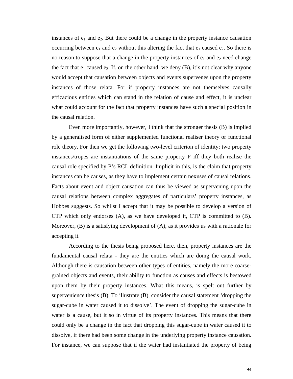instances of  $e_1$  and  $e_2$ . But there could be a change in the property instance causation occurring between  $e_1$  and  $e_2$  without this altering the fact that  $e_1$  caused  $e_2$ . So there is no reason to suppose that a change in the property instances of  $e_1$  and  $e_2$  need change the fact that  $e_1$  caused  $e_2$ . If, on the other hand, we deny (B), it's not clear why anyone would accept that causation between objects and events supervenes upon the property instances of those relata. For if property instances are not themselves causally efficacious entities which can stand in the relation of cause and effect, it is unclear what could account for the fact that property instances have such a special position in the causal relation.

Even more importantly, however, I think that the stronger thesis (B) is implied by a generalised form of either supplemented functional realiser theory or functional role theory. For then we get the following two-level criterion of identity: two property instances/tropes are instantiations of the same property P iff they both realise the causal role specified by P's RCL definition. Implicit in this, is the claim that property instances can be causes, as they have to implement certain nexuses of causal relations. Facts about event and object causation can thus be viewed as supervening upon the causal relations between complex aggregates of particulars' property instances, as Hobbes suggests. So whilst I accept that it may be possible to develop a version of CTP which only endorses (A), as we have developed it, CTP is committed to (B). Moreover, (B) is a satisfying development of (A), as it provides us with a rationale for accepting it.

According to the thesis being proposed here, then, property instances are the fundamental causal relata - they are the entities which are doing the causal work. Although there is causation between other types of entities, namely the more coarsegrained objects and events, their ability to function as causes and effects is bestowed upon them by their property instances. What this means, is spelt out further by supervenience thesis (B). To illustrate (B), consider the causal statement 'dropping the sugar-cube in water caused it to dissolve'. The event of dropping the sugar-cube in water is a cause, but it so in virtue of its property instances. This means that there could only be a change in the fact that dropping this sugar-cube in water caused it to dissolve, if there had been some change in the underlying property instance causation. For instance, we can suppose that if the water had instantiated the property of being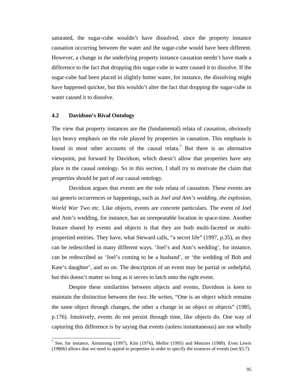saturated, the sugar-cube wouldn't have dissolved, since the property instance causation occurring between the water and the sugar-cube would have been different. However, a change in the underlying property instance causation needn't have made a difference to the fact that dropping this sugar-cube in water caused it to dissolve. If the sugar-cube had been placed in slightly hotter water, for instance, the dissolving might have happened quicker, but this wouldn't alter the fact that dropping the sugar-cube in water caused it to dissolve.

### **4.2 Davidson's Rival Ontology**

 $\overline{a}$ 

The view that property instances are the (fundamental) relata of causation, obviously lays heavy emphasis on the role played by properties in causation. This emphasis is found in most other accounts of the causal relata.<sup>7</sup> But there is an alternative viewpoint, put forward by Davidson, which doesn't allow that properties have any place in the causal ontology. So in this section, I shall try to motivate the claim that properties should be part of our causal ontology.

Davidson argues that events are the sole relata of causation. These events are sui generis occurrences or happenings, such as *Joel and Ann's wedding*, *the explosion*, *World War Two* etc. Like objects, events are concrete particulars. The event of Joel and Ann's wedding, for instance, has an unrepeatable location in space-time. Another feature shared by events and objects is that they are both multi-faceted or multipropertied entities. They have, what Steward calls, "a secret life" (1997, p.35), as they can be redescribed in many different ways. 'Joel's and Ann's wedding', for instance, can be redescribed as 'Joel's coming to be a husband', or 'the wedding of Bob and Kate's daughter', and so on. The description of an event may be partial or unhelpful, but this doesn't matter so long as it serves to latch onto the right event.

Despite these similarities between objects and events, Davidson is keen to maintain the distinction between the two. He writes, "One is an object which remains the same object through changes, the other a change in an object or objects" (1985, p.176). Intuitively, events do not persist through time, like objects do. One way of capturing this difference is by saying that events (unless instantaneous) are not wholly

<sup>&</sup>lt;sup>7</sup> See, for instance, Armstrong (1997), Kim (1976), Mellor (1995) and Menzies (1989). Even Lewis (1986b) allows that we need to appeal to properties in order to specify the essences of events (see §5.7).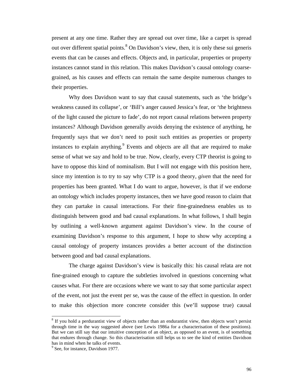present at any one time. Rather they are spread out over time, like a carpet is spread out over different spatial points.<sup>8</sup> On Davidson's view, then, it is only these sui generis events that can be causes and effects. Objects and, in particular, properties or property instances cannot stand in this relation. This makes Davidson's causal ontology coarsegrained, as his causes and effects can remain the same despite numerous changes to their properties.

Why does Davidson want to say that causal statements, such as 'the bridge's weakness caused its collapse', or 'Bill's anger caused Jessica's fear, or 'the brightness of the light caused the picture to fade', do not report causal relations between property instances? Although Davidson generally avoids denying the existence of anything, he frequently says that we don't need to posit such entities as properties or property instances to explain anything. $9$  Events and objects are all that are required to make sense of what we say and hold to be true. Now, clearly, every CTP theorist is going to have to oppose this kind of nominalism. But I will not engage with this position here, since my intention is to try to say why CTP is a good theory, *given* that the need for properties has been granted. What I do want to argue, however, is that if we endorse an ontology which includes property instances, then we have good reason to claim that they can partake in causal interactions. For their fine-grainedness enables us to distinguish between good and bad causal explanations. In what follows, I shall begin by outlining a well-known argument against Davidson's view. In the course of examining Davidson's response to this argument, I hope to show why accepting a causal ontology of property instances provides a better account of the distinction between good and bad causal explanations.

The charge against Davidson's view is basically this: his causal relata are not fine-grained enough to capture the subtleties involved in questions concerning what causes what. For there are occasions where we want to say that some particular aspect of the event, not just the event per se, was the cause of the effect in question. In order to make this objection more concrete consider this (we'll suppose true) causal

l

 $8$  If you hold a perdurantist view of objects rather than an endurantist view, then objects won't persist through time in the way suggested above (see Lewis 1986a for a characterisation of these positions). But we can still say that our intuitive conception of an object, as opposed to an event, is of something that endures through change. So this characterisation still helps us to see the kind of entities Davidson has in mind when he talks of events.

<sup>&</sup>lt;sup>9</sup> See, for instance, Davidson 1977.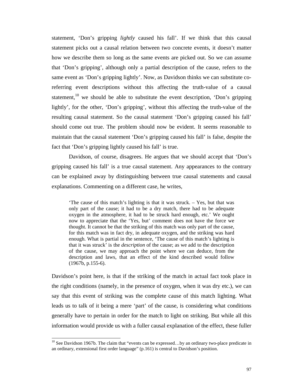statement, 'Don's gripping *lightly* caused his fall'. If we think that this causal statement picks out a causal relation between two concrete events, it doesn't matter how we describe them so long as the same events are picked out. So we can assume that 'Don's gripping', although only a partial description of the cause, refers to the same event as 'Don's gripping lightly'. Now, as Davidson thinks we can substitute coreferring event descriptions without this affecting the truth-value of a causal statement,<sup>10</sup> we should be able to substitute the event description, 'Don's gripping lightly', for the other, 'Don's gripping', without this affecting the truth-value of the resulting causal statement. So the causal statement 'Don's gripping caused his fall' should come out true. The problem should now be evident. It seems reasonable to maintain that the causal statement 'Don's gripping caused his fall' is false, despite the fact that 'Don's gripping lightly caused his fall' is true.

Davidson, of course, disagrees. He argues that we should accept that 'Don's gripping caused his fall' is a true causal statement. Any appearances to the contrary can be explained away by distinguishing between true causal statements and causal explanations. Commenting on a different case, he writes,

'The cause of this match's lighting is that it was struck. – Yes, but that was only part of the cause; it had to be a dry match, there had to be adequate oxygen in the atmosphere, it had to be struck hard enough, etc.' We ought now to appreciate that the 'Yes, but' comment does not have the force we thought. It cannot be that the striking of this match was only part of the cause, for this match was in fact dry, in adequate oxygen, and the striking was hard enough. What is partial in the sentence, 'The cause of this match's lighting is that it was struck' is the *description* of the cause; as we add to the description of the cause, we may approach the point where we can deduce, from the description and laws, that an effect of the kind described would follow (1967b, p.155-6).

Davidson's point here, is that if the striking of the match in actual fact took place in the right conditions (namely, in the presence of oxygen, when it was dry etc.), we can say that this event of striking was the complete cause of this match lighting. What leads us to talk of it being a mere 'part' of the cause, is considering what conditions generally have to pertain in order for the match to light on striking. But while all this information would provide us with a fuller causal explanation of the effect, these fuller

 $10$  See Davidson 1967b. The claim that "events can be expressed...by an ordinary two-place predicate in an ordinary, extensional first order language" (p.161) is central to Davidson's position.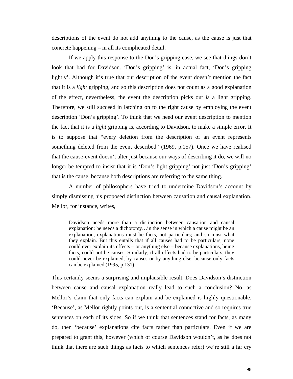descriptions of the event do not add anything to the cause, as the cause is just that concrete happening – in all its complicated detail.

If we apply this response to the Don's gripping case, we see that things don't look that bad for Davidson. 'Don's gripping' is, in actual fact, 'Don's gripping lightly'. Although it's true that our description of the event doesn't mention the fact that it is a *light* gripping, and so this description does not count as a good explanation of the effect, nevertheless, the event the description picks out *is* a light gripping. Therefore, we still succeed in latching on to the right cause by employing the event description 'Don's gripping'. To think that we need our event description to mention the fact that it is a *light* gripping is, according to Davidson, to make a simple error. It is to suppose that "every deletion from the description of an event represents something deleted from the event described" (1969, p.157). Once we have realised that the cause-event doesn't alter just because our ways of describing it do, we will no longer be tempted to insist that it is 'Don's light gripping' not just 'Don's gripping' that is the cause, because both descriptions are referring to the same thing.

A number of philosophers have tried to undermine Davidson's account by simply dismissing his proposed distinction between causation and causal explanation. Mellor, for instance, writes,

Davidson needs more than a distinction between causation and causal explanation: he needs a dichotomy…in the sense in which a cause might be an explanation, explanations must be facts, not particulars; and so must what they explain. But this entails that if all causes had to be particulars, none could ever explain its effects – or anything else – because explanations, being facts, could not be causes. Similarly, if all effects had to be particulars, they could never be explained, by causes or by anything else, because only facts can be explained (1995, p.131).

This certainly seems a surprising and implausible result. Does Davidson's distinction between cause and causal explanation really lead to such a conclusion? No, as Mellor's claim that only facts can explain and be explained is highly questionable. 'Because', as Mellor rightly points out, is a sentential connective and so requires true sentences on each of its sides. So if we think that sentences stand for facts, as many do, then 'because' explanations cite facts rather than particulars. Even if we are prepared to grant this, however (which of course Davidson wouldn't, as he does not think that there are such things as facts to which sentences refer) we're still a far cry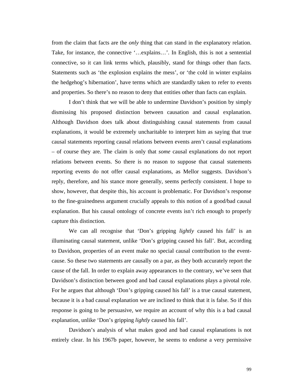from the claim that facts are the *only* thing that can stand in the explanatory relation. Take, for instance, the connective '…explains…'. In English, this is not a sentential connective, so it can link terms which, plausibly, stand for things other than facts. Statements such as 'the explosion explains the mess', or 'the cold in winter explains the hedgehog's hibernation', have terms which are standardly taken to refer to events and properties. So there's no reason to deny that entities other than facts can explain.

I don't think that we will be able to undermine Davidson's position by simply dismissing his proposed distinction between causation and causal explanation. Although Davidson does talk about distinguishing causal statements from causal explanations, it would be extremely uncharitable to interpret him as saying that true causal statements reporting causal relations between events aren't causal explanations – of course they are. The claim is only that *some* causal explanations do not report relations between events. So there is no reason to suppose that causal statements reporting events do not offer causal explanations, as Mellor suggests. Davidson's reply, therefore, and his stance more generally, seems perfectly consistent. I hope to show, however, that despite this, his account is problematic. For Davidson's response to the fine-grainedness argument crucially appeals to this notion of a good/bad causal explanation. But his causal ontology of concrete events isn't rich enough to properly capture this distinction.

We can all recognise that 'Don's gripping *lightly* caused his fall' is an illuminating causal statement, unlike 'Don's gripping caused his fall'. But, according to Davidson, properties of an event make no special causal contribution to the eventcause. So these two statements are causally on a par, as they both accurately report the cause of the fall. In order to explain away appearances to the contrary, we've seen that Davidson's distinction between good and bad causal explanations plays a pivotal role. For he argues that although 'Don's gripping caused his fall' is a true causal statement, because it is a bad causal explanation we are inclined to think that it is false. So if this response is going to be persuasive, we require an account of why this is a bad causal explanation, unlike 'Don's gripping *lightly* caused his fall'.

Davidson's analysis of what makes good and bad causal explanations is not entirely clear. In his 1967b paper, however, he seems to endorse a very permissive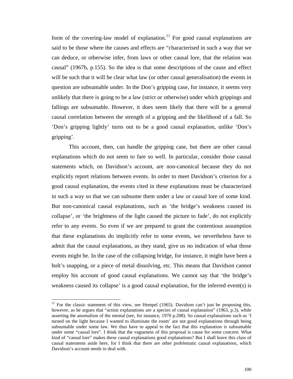form of the covering-law model of explanation.<sup>11</sup> For good causal explanations are said to be those where the causes and effects are "characterised in such a way that we can deduce, or otherwise infer, from laws or other causal lore, that the relation was causal" (1967b, p.155). So the idea is that some descriptions of the cause and effect will be such that it will be clear what law (or other causal generalisation) the events in question are subsumable under. In the Don's gripping case, for instance, it seems very unlikely that there is going to be a law (strict or otherwise) under which grippings and fallings are subsumable. However, it does seem likely that there will be a general causal correlation between the strength of a gripping and the likelihood of a fall. So 'Don's gripping lightly' turns out to be a good causal explanation, unlike 'Don's gripping'.

This account, then, can handle the gripping case, but there are other causal explanations which do not seem to fare so well. In particular, consider those causal statements which, on Davidson's account, are non-canonical because they do not explicitly report relations between events. In order to meet Davidson's criterion for a good causal explanation, the events cited in these explanations must be characterised in such a way so that we can subsume them under a law or causal lore of some kind. But non-canonical causal explanations, such as 'the bridge's weakness caused its collapse', or 'the brightness of the light caused the picture to fade', do not explicitly refer to any events. So even if we are prepared to grant the contentious assumption that these explanations do implicitly refer to some events, we nevertheless have to admit that the causal explanations, as they stand, give us no indication of what those events might be. In the case of the collapsing bridge, for instance, it might have been a bolt's snapping, or a piece of metal dissolving, etc. This means that Davidson cannot employ his account of good causal explanations. We cannot say that 'the bridge's weakness caused its collapse' is a good causal explanation, for the inferred event(s) is

 $\overline{\phantom{a}}$ 

<sup>&</sup>lt;sup>11</sup> For the classic statement of this view, see Hempel (1965). Davidson can't just be proposing this, however, as he argues that "action explanations are a species of causal explanation" (1963, p.3), while asserting the anomalism of the mental (see, for instance, 1970 p.208). So causal explanations such as 'I turned on the light because I wanted to illuminate the room' are not good explanations through being subsumable under some law. We thus have to appeal to the fact that this explanation is subsumable under some "causal lore". I think that the vagueness of this proposal is cause for some concern. What kind of "causal lore" makes these causal explanations good explanations? But I shall leave this class of causal statements aside here, for I think that there are other problematic causal explanations, which Davidson's account needs to deal with.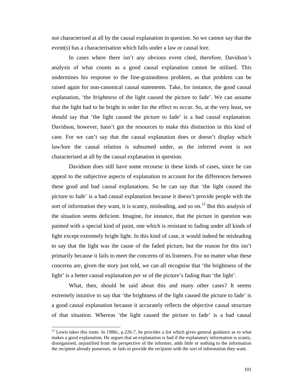not characterised at all by the causal explanation in question. So we cannot say that the event(s) has a characterisation which falls under a law or causal lore.

In cases where there isn't any obvious event cited, therefore, Davidson's analysis of what counts as a good causal explanation cannot be utilised. This undermines his response to the fine-grainedness problem, as that problem can be raised again for non-canonical causal statements. Take, for instance, the good causal explanation, 'the *brightness* of the light caused the picture to fade'. We can assume that the light had to be bright in order for the effect to occur. So, at the very least, we should say that 'the light caused the picture to fade' is a bad causal explanation. Davidson, however, hasn't got the resources to make this distinction in this kind of case. For we can't say that the causal explanation does or doesn't display which law/lore the causal relation is subsumed under, as the inferred event is not characterised at all by the causal explanation in question.

Davidson does still have some recourse in these kinds of cases, since he can appeal to the subjective aspects of explanation to account for the differences between these good and bad causal explanations. So he can say that 'the light caused the picture to fade' is a bad causal explanation because it doesn't provide people with the sort of information they want, it is scanty, misleading, and so on.<sup>12</sup> But this analysis of the situation seems deficient. Imagine, for instance, that the picture in question was painted with a special kind of paint, one which is resistant to fading under all kinds of light except extremely bright light. In this kind of case, it would indeed be misleading to say that the light was the cause of the faded picture, but the reason for this isn't primarily because it fails to meet the concerns of its listeners. For no matter what these concerns are, given the story just told, we can all recognise that 'the brightness of the light' is a better causal explanation *per se* of the picture's fading than 'the light'.

What, then, should be said about this and many other cases? It seems extremely intuitive to say that 'the brightness of the light caused the picture to fade' is a good causal explanation because it accurately reflects the objective causal structure of that situation. Whereas 'the light caused the picture to fade' is a bad causal

 $\overline{\phantom{a}}$ 

 $12$  Lewis takes this route. In 1986c, p.226-7, he provides a list which gives general guidance as to what makes a good explanation. He argues that an explanation is bad if the explanatory information is scanty, disorganised, unjustified from the perspective of the informer, adds little or nothing to the information the recipient already possesses, or fails to provide the recipient with the sort of information they want.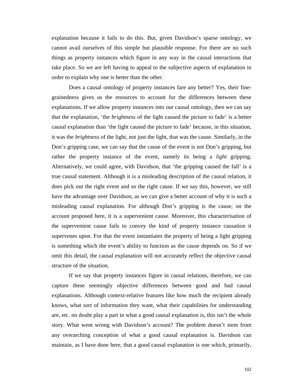explanation because it fails to do this. But, given Davidson's sparse ontology, we cannot avail ourselves of this simple but plausible response. For there are no such things as property instances which figure in any way in the causal interactions that take place. So we are left having to appeal to the subjective aspects of explanation in order to explain why one is better than the other.

Does a causal ontology of property instances fare any better? Yes, their finegrainedness gives us the resources to account for the differences between these explanations. If we allow property instances into our causal ontology, then we can say that the explanation, 'the *brightness* of the light caused the picture to fade' is a better causal explanation than 'the light caused the picture to fade' because, in this situation, it was the *brightness* of the light, not just the light, that was the cause. Similarly, in the Don's gripping case, we can say that the cause of the event is not Don's gripping, but rather the property instance of the event, namely its being a *light* gripping. Alternatively, we could agree, with Davidson, that 'the gripping caused the fall' is a true causal statement. Although it is a misleading description of the causal relation, it does pick out the right event and so the right cause. If we say this, however, we still have the advantage over Davidson, as we can give a better account of why it is such a misleading causal explanation. For although Don's gripping is the cause, on the account proposed here, it is a supervenient cause. Moreover, this characterisation of the supervenient cause fails to convey the kind of property instance causation it supervenes upon. For that the event instantiates the property of being a light gripping is something which the event's ability to function as the cause depends on. So if we omit this detail, the causal explanation will not accurately reflect the objective causal structure of the situation.

If we say that property instances figure in causal relations, therefore, we can capture these seemingly objective differences between good and bad causal explanations. Although context-relative features like how much the recipient already knows, what sort of information they want, what their capabilities for understanding are, etc. no doubt play a part in what a good causal explanation is, this isn't the whole story. What went wrong with Davidson's account? The problem doesn't stem from any overarching conception of what a good causal explanation is. Davidson can maintain, as I have done here, that a good causal explanation is one which, primarily,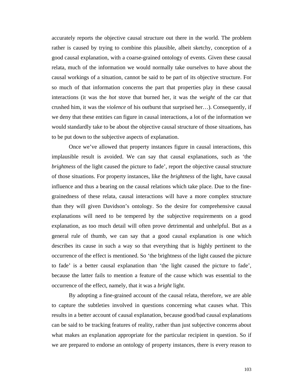accurately reports the objective causal structure out there in the world. The problem rather is caused by trying to combine this plausible, albeit sketchy, conception of a good causal explanation, with a coarse-grained ontology of events. Given these causal relata, much of the information we would normally take ourselves to have about the causal workings of a situation, cannot be said to be part of its objective structure. For so much of that information concerns the part that properties play in these causal interactions (it was the *hot* stove that burned her, it was the *weight* of the car that crushed him, it was the *violence* of his outburst that surprised her…). Consequently, if we deny that these entities can figure in causal interactions, a lot of the information we would standardly take to be about the objective causal structure of those situations, has to be put down to the subjective aspects of explanation.

Once we've allowed that property instances figure in causal interactions, this implausible result is avoided. We can say that causal explanations, such as 'the *brightness* of the light caused the picture to fade', report the objective causal structure of those situations. For property instances, like the *brightness* of the light, have causal influence and thus a bearing on the causal relations which take place. Due to the finegrainedness of these relata, causal interactions will have a more complex structure than they will given Davidson's ontology. So the desire for comprehensive causal explanations will need to be tempered by the subjective requirements on a good explanation, as too much detail will often prove detrimental and unhelpful. But as a general rule of thumb, we can say that a good causal explanation is one which describes its cause in such a way so that everything that is highly pertinent to the occurrence of the effect is mentioned. So 'the brightness of the light caused the picture to fade' is a better causal explanation than 'the light caused the picture to fade', because the latter fails to mention a feature of the cause which was essential to the occurrence of the effect, namely, that it was a *bright* light.

By adopting a fine-grained account of the causal relata, therefore, we are able to capture the subtleties involved in questions concerning what causes what. This results in a better account of causal explanation, because good/bad causal explanations can be said to be tracking features of reality, rather than just subjective concerns about what makes an explanation appropriate for the particular recipient in question. So if we are prepared to endorse an ontology of property instances, there is every reason to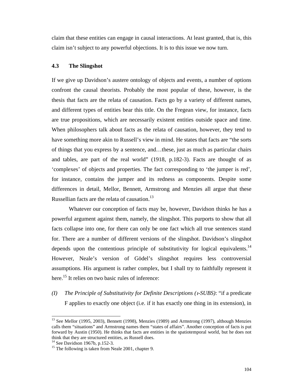claim that these entities can engage in causal interactions. At least granted, that is, this claim isn't subject to any powerful objections. It is to this issue we now turn.

## **4.3 The Slingshot**

If we give up Davidson's austere ontology of objects and events, a number of options confront the causal theorists. Probably the most popular of these, however, is the thesis that facts are the relata of causation. Facts go by a variety of different names, and different types of entities bear this title. On the Fregean view, for instance, facts are true propositions, which are necessarily existent entities outside space and time. When philosophers talk about facts as the relata of causation, however, they tend to have something more akin to Russell's view in mind. He states that facts are "the sorts of things that you express by a sentence, and…these, just as much as particular chairs and tables, are part of the real world" (1918, p.182-3). Facts are thought of as 'complexes' of objects and properties. The fact corresponding to 'the jumper is red', for instance, contains the jumper and its redness as components. Despite some differences in detail, Mellor, Bennett, Armstrong and Menzies all argue that these Russellian facts are the relata of causation.<sup>13</sup>

Whatever our conception of facts may be, however, Davidson thinks he has a powerful argument against them, namely, the slingshot. This purports to show that all facts collapse into one, for there can only be one fact which all true sentences stand for. There are a number of different versions of the slingshot. Davidson's slingshot depends upon the contentious principle of substitutivity for logical equivalents.<sup>14</sup> However, Neale's version of Gödel's slingshot requires less controversial assumptions. His argument is rather complex, but I shall try to faithfully represent it here.<sup>15</sup> It relies on two basic rules of inference:

*(I) The Principle of Substitutivity for Definite Descriptions (-SUBS)*: "if a predicate F applies to exactly one object (i.e. if it has exactly one thing in its extension), in

l

<sup>&</sup>lt;sup>13</sup> See Mellor (1995, 2003), Bennett (1998), Menzies (1989) and Armstrong (1997), although Menzies calls them "situations" and Armstrong names them "states of affairs". Another conception of facts is put forward by Austin (1950). He thinks that facts are entities in the spatiotemporal world, but he does not think that they are structured entities, as Russell does.

<sup>&</sup>lt;sup>14</sup> See Davidson 1967b, p.152-3.

<sup>&</sup>lt;sup>15</sup> The following is taken from Neale 2001, chapter 9.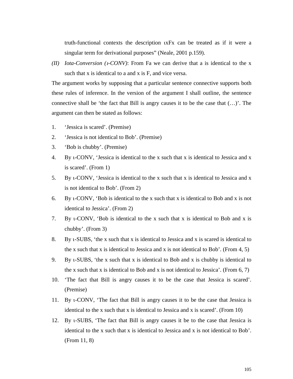truth-functional contexts the description xFx can be treated as if it were a singular term for derivational purposes" (Neale, 2001 p.159).

*(II) Iota-Conversion (-CONV)*: From Fa we can derive that a is identical to the x such that x is identical to a and x is F, and vice versa.

The argument works by supposing that a particular sentence connective supports both these rules of inference. In the version of the argument I shall outline, the sentence connective shall be 'the fact that Bill is angry causes it to be the case that (…)'. The argument can then be stated as follows:

- 1. 'Jessica is scared'. (Premise)
- 2. 'Jessica is not identical to Bob'. (Premise)
- 3. 'Bob is chubby'. (Premise)
- 4. By t-CONV, 'Jessica is identical to the x such that x is identical to Jessica and x is scared'. (From 1)
- 5. By  $\iota$ -CONV, 'Jessica is identical to the x such that x is identical to Jessica and x is not identical to Bob'. (From 2)
- 6. By  $\iota$ -CONV, 'Bob is identical to the x such that x is identical to Bob and x is not identical to Jessica'. (From 2)
- 7. By -CONV, 'Bob is identical to the x such that x is identical to Bob and x is chubby'. (From 3)
- 8. By t-SUBS, 'the x such that x is identical to Jessica and x is scared is identical to the x such that x is identical to Jessica and x is not identical to Bob'. (From 4, 5)
- 9. By  $t$ -SUBS, 'the x such that x is identical to Bob and x is chubby is identical to the x such that x is identical to Bob and x is not identical to Jessica'. (From  $6, 7$ )
- 10. 'The fact that Bill is angry causes it to be the case that Jessica is scared'. (Premise)
- 11. By -CONV, 'The fact that Bill is angry causes it to be the case that Jessica is identical to the x such that x is identical to Jessica and x is scared'. (From 10)
- 12. By -SUBS, 'The fact that Bill is angry causes it be to the case that Jessica is identical to the x such that x is identical to Jessica and x is not identical to Bob'. (From 11, 8)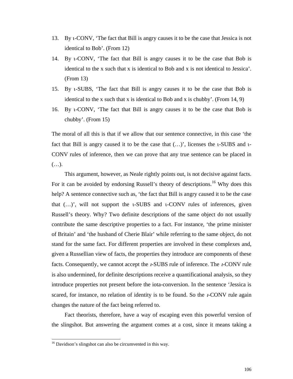- 13. By -CONV, 'The fact that Bill is angry causes it to be the case that Jessica is not identical to Bob'. (From 12)
- 14. By -CONV, 'The fact that Bill is angry causes it to be the case that Bob is identical to the x such that x is identical to Bob and x is not identical to Jessica'. (From 13)
- 15. By -SUBS, 'The fact that Bill is angry causes it to be the case that Bob is identical to the x such that x is identical to Bob and x is chubby'. (From 14, 9)
- 16. By -CONV, 'The fact that Bill is angry causes it to be the case that Bob is chubby'. (From 15)

The moral of all this is that if we allow that our sentence connective, in this case 'the fact that Bill is angry caused it to be the case that  $(...)'$ , licenses the  $i$ -SUBS and  $i$ -CONV rules of inference, then we can prove that any true sentence can be placed in (…).

This argument, however, as Neale rightly points out, is not decisive against facts. For it can be avoided by endorsing Russell's theory of descriptions.<sup>16</sup> Why does this help? A sentence connective such as, 'the fact that Bill is angry caused it to be the case that  $(...)'$ , will not support the  $t$ -SUBS and  $t$ -CONV rules of inferences, given Russell's theory. Why? Two definite descriptions of the same object do not usually contribute the same descriptive properties to a fact. For instance, 'the prime minister of Britain' and 'the husband of Cherie Blair' while referring to the same object, do not stand for the same fact. For different properties are involved in these complexes and, given a Russellian view of facts, the properties they introduce are components of these facts. Consequently, we cannot accept the *-*SUBS rule of inference. The *-*CONV rule is also undermined, for definite descriptions receive a quantificational analysis, so they introduce properties not present before the iota-conversion. In the sentence 'Jessica is scared, for instance, no relation of identity is to be found. So the *t*-CONV rule again changes the nature of the fact being referred to.

Fact theorists, therefore, have a way of escaping even this powerful version of the slingshot. But answering the argument comes at a cost, since it means taking a

l

<sup>&</sup>lt;sup>16</sup> Davidson's slingshot can also be circumvented in this way.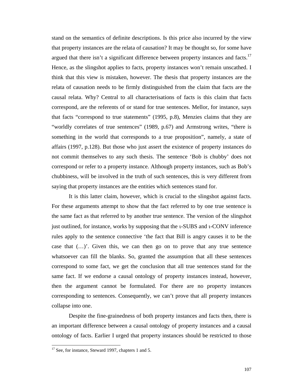stand on the semantics of definite descriptions. Is this price also incurred by the view that property instances are the relata of causation? It may be thought so, for some have argued that there isn't a significant difference between property instances and facts.<sup>17</sup> Hence, as the slingshot applies to facts, property instances won't remain unscathed. I think that this view is mistaken, however. The thesis that property instances are the relata of causation needs to be firmly distinguished from the claim that facts are the causal relata. Why? Central to all characterisations of facts is this claim that facts correspond, are the referents of or stand for true sentences. Mellor, for instance, says that facts "correspond to true statements" (1995, p.8), Menzies claims that they are "worldly correlates of true sentences" (1989, p.67) and Armstrong writes, "there is something in the world that corresponds to a true proposition", namely, a state of affairs (1997, p.128). But those who just assert the existence of property instances do not commit themselves to any such thesis. The sentence 'Bob is chubby' does not correspond or refer to a property instance. Although property instances, such as Bob's chubbiness, will be involved in the truth of such sentences, this is very different from saying that property instances are the entities which sentences stand for.

It is this latter claim, however, which is crucial to the slingshot against facts. For these arguments attempt to show that the fact referred to by one true sentence is the same fact as that referred to by another true sentence. The version of the slingshot just outlined, for instance, works by supposing that the *u*-SUBS and *u*-CONV inference rules apply to the sentence connective 'the fact that Bill is angry causes it to be the case that (…)'. Given this, we can then go on to prove that any true sentence whatsoever can fill the blanks. So, granted the assumption that all these sentences correspond to some fact, we get the conclusion that all true sentences stand for the same fact. If we endorse a causal ontology of property instances instead, however, then the argument cannot be formulated. For there are no property instances corresponding to sentences. Consequently, we can't prove that all property instances collapse into one.

Despite the fine-grainedness of both property instances and facts then, there is an important difference between a causal ontology of property instances and a causal ontology of facts. Earlier I urged that property instances should be restricted to those

 $17$  See, for instance, Steward 1997, chapters 1 and 5.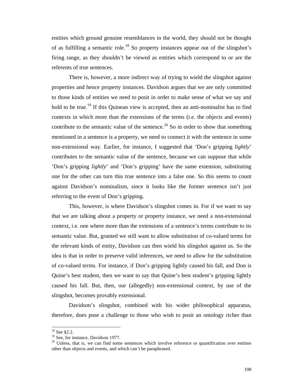entities which ground genuine resemblances in the world, they should not be thought of as fulfilling a semantic role.<sup>18</sup> So property instances appear out of the slingshot's firing range, as they shouldn't be viewed as entities which correspond to or are the referents of true sentences.

There is, however, a more indirect way of trying to wield the slingshot against properties and hence property instances. Davidson argues that we are only committed to those kinds of entities we need to posit in order to make sense of what we say and hold to be true.<sup>19</sup> If this Quinean view is accepted, then an anti-nominalist has to find contexts in which more than the extensions of the terms (i.e. the objects and events) contribute to the semantic value of the sentence.<sup>20</sup> So in order to show that something mentioned in a sentence is a property, we need to connect it with the sentence in some non-extensional way. Earlier, for instance, I suggested that 'Don's gripping *lightly*' contributes to the semantic value of the sentence, because we can suppose that while 'Don's gripping *lightly*' and 'Don's gripping' have the same extension, substituting one for the other can turn this true sentence into a false one. So this seems to count against Davidson's nominalism, since it looks like the former sentence isn't just referring to the event of Don's gripping.

This, however, is where Davidson's slingshot comes in. For if we want to say that we are talking about a property or property instance, we need a non-extensional context, i.e. one where more than the extensions of a sentence's terms contribute to its semantic value. But, granted we still want to allow substitution of co-valued terms for the relevant kinds of entity, Davidson can then wield his slingshot against us. So the idea is that in order to preserve valid inferences, we need to allow for the substitution of co-valued terms. For instance, if Don's gripping lightly caused his fall, and Don is Quine's best student, then we want to say that Quine's best student's gripping lightly caused his fall. But, then, our (allegedly) non-extensional context, by use of the slingshot, becomes provably extensional.

Davidson's slingshot, combined with his wider philosophical apparatus, therefore, does pose a challenge to those who wish to posit an ontology richer than

 $\overline{\phantom{a}}$ 

 $18$  See §2.2.

 $19$  See, for instance, Davidson 1977.

 $20$  Unless, that is, we can find some sentences which involve reference or quantification over entities other than objects and events, and which can't be paraphrased.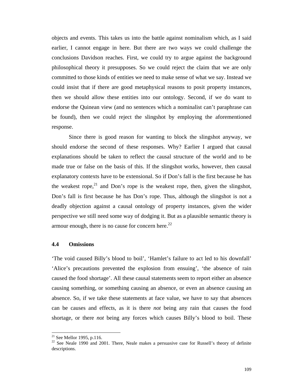objects and events. This takes us into the battle against nominalism which, as I said earlier, I cannot engage in here. But there are two ways we could challenge the conclusions Davidson reaches. First, we could try to argue against the background philosophical theory it presupposes. So we could reject the claim that we are only committed to those kinds of entities we need to make sense of what we say. Instead we could insist that if there are good metaphysical reasons to posit property instances, then we should allow these entities into our ontology. Second, if we do want to endorse the Quinean view (and no sentences which a nominalist can't paraphrase can be found), then we could reject the slingshot by employing the aforementioned response.

Since there is good reason for wanting to block the slingshot anyway, we should endorse the second of these responses. Why? Earlier I argued that causal explanations should be taken to reflect the causal structure of the world and to be made true or false on the basis of this. If the slingshot works, however, then causal explanatory contexts have to be extensional. So if Don's fall is the first because he has the weakest rope,<sup>21</sup> and Don's rope is the weakest rope, then, given the slingshot, Don's fall is first because he has Don's rope. Thus, although the slingshot is not a deadly objection against a causal ontology of property instances, given the wider perspective we still need some way of dodging it. But as a plausible semantic theory is armour enough, there is no cause for concern here. $^{22}$ 

### **4.4 Omissions**

'The void caused Billy's blood to boil', 'Hamlet's failure to act led to his downfall' 'Alice's precautions prevented the explosion from ensuing', 'the absence of rain caused the food shortage'. All these causal statements seem to report either an absence causing something, or something causing an absence, or even an absence causing an absence. So, if we take these statements at face value, we have to say that absences can be causes and effects, as it is there *not* being any rain that causes the food shortage, or there *not* being any forces which causes Billy's blood to boil. These

 $^{21}$  See Mellor 1995, p.116.

 $22$  See Neale 1990 and 2001. There, Neale makes a persuasive case for Russell's theory of definite descriptions.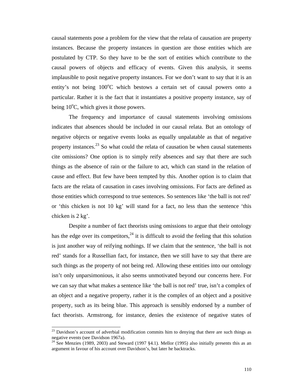causal statements pose a problem for the view that the relata of causation are property instances. Because the property instances in question are those entities which are postulated by CTP. So they have to be the sort of entities which contribute to the causal powers of objects and efficacy of events. Given this analysis, it seems implausible to posit negative property instances. For we don't want to say that it is an entity's not being  $100^{\circ}$ C which bestows a certain set of causal powers onto a particular. Rather it is the fact that it instantiates a positive property instance, say of being  $10^{\circ}$ C, which gives it those powers.

The frequency and importance of causal statements involving omissions indicates that absences should be included in our causal relata. But an ontology of negative objects or negative events looks as equally unpalatable as that of negative property instances.<sup>23</sup> So what could the relata of causation be when causal statements cite omissions? One option is to simply reify absences and say that there are such things as the absence of rain or the failure to act, which can stand in the relation of cause and effect. But few have been tempted by this. Another option is to claim that facts are the relata of causation in cases involving omissions. For facts are defined as those entities which correspond to true sentences. So sentences like 'the ball is not red' or 'this chicken is not 10 kg' will stand for a fact, no less than the sentence 'this chicken is 2 kg'.

Despite a number of fact theorists using omissions to argue that their ontology has the edge over its competitors,  $^{24}$  it is difficult to avoid the feeling that this solution is just another way of reifying nothings. If we claim that the sentence, 'the ball is not red' stands for a Russellian fact, for instance, then we still have to say that there are such things as the property of not being red. Allowing these entities into our ontology isn't only unparsimonious, it also seems unmotivated beyond our concerns here. For we can say that what makes a sentence like 'the ball is not red' true, isn't a complex of an object and a negative property, rather it is the complex of an object and a positive property, such as its being blue. This approach is sensibly endorsed by a number of fact theorists. Armstrong, for instance, denies the existence of negative states of

 $^{23}$  Davidson's account of adverbial modification commits him to denying that there are such things as negative events (see Davidson 1967a).

<sup>&</sup>lt;sup>24</sup> See Menzies (1989, 2003) and Steward (1997 §4.1). Mellor (1995) also initially presents this as an argument in favour of his account over Davidson's, but later he backtracks.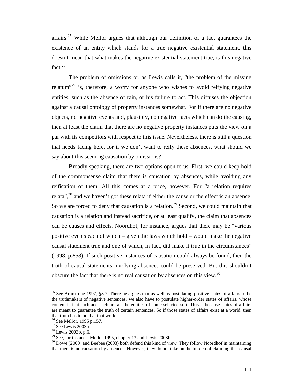affairs.25 While Mellor argues that although our definition of a fact guarantees the existence of an entity which stands for a true negative existential statement, this doesn't mean that what makes the negative existential statement true, is this negative fact.<sup>26</sup>

The problem of omissions or, as Lewis calls it, "the problem of the missing relatum<sup>"27</sup> is, therefore, a worry for anyone who wishes to avoid reifying negative entities, such as the absence of rain, or his failure to act. This diffuses the objection against a causal ontology of property instances somewhat. For if there are no negative objects, no negative events and, plausibly, no negative facts which can do the causing, then at least the claim that there are no negative property instances puts the view on a par with its competitors with respect to this issue. Nevertheless, there is still a question that needs facing here, for if we don't want to reify these absences, what should we say about this seeming causation by omissions?

Broadly speaking, there are two options open to us. First, we could keep hold of the commonsense claim that there is causation by absences, while avoiding any reification of them. All this comes at a price, however. For "a relation requires relata",  $28$  and we haven't got these relata if either the cause or the effect is an absence. So we are forced to deny that causation is a relation.<sup>29</sup> Second, we could maintain that causation is a relation and instead sacrifice, or at least qualify, the claim that absences can be causes and effects. Noordhof, for instance, argues that there may be "various positive events each of which – given the laws which hold – would make the negative causal statement true and one of which, in fact, did make it true in the circumstances" (1998, p.858). If such positive instances of causation could always be found, then the truth of causal statements involving absences could be preserved. But this shouldn't obscure the fact that there is no real causation by absences on this view.<sup>30</sup>

<sup>&</sup>lt;sup>25</sup> See Armstrong 1997, §8.7. There he argues that as well as postulating positive states of affairs to be the truthmakers of negative sentences, we also have to postulate higher-order states of affairs, whose content is that such-and-such are all the entities of some selected sort. This is because states of affairs are meant to guarantee the truth of certain sentences. So if those states of affairs exist at a world, then that truth has to hold at that world.

<sup>&</sup>lt;sup>26</sup> See Mellor, 1995 p.157.

 $27$  See Lewis 2003b.

<sup>28</sup> Lewis 2003b, p.6.

 $29$  See, for instance, Mellor 1995, chapter 13 and Lewis 2003b.

 $30$  Dowe (2000) and Beebee (2003) both defend this kind of view. They follow Noordhof in maintaining that there is no causation by absences. However, they do not take on the burden of claiming that causal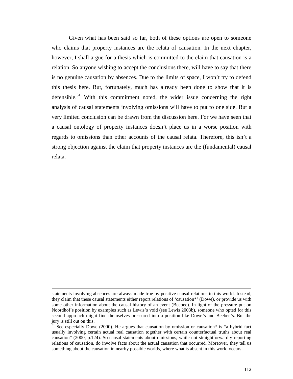Given what has been said so far, both of these options are open to someone who claims that property instances are the relata of causation. In the next chapter, however, I shall argue for a thesis which is committed to the claim that causation is a relation. So anyone wishing to accept the conclusions there, will have to say that there is no genuine causation by absences. Due to the limits of space, I won't try to defend this thesis here. But, fortunately, much has already been done to show that it is defensible. $31$  With this commitment noted, the wider issue concerning the right analysis of causal statements involving omissions will have to put to one side. But a very limited conclusion can be drawn from the discussion here. For we have seen that a causal ontology of property instances doesn't place us in a worse position with regards to omissions than other accounts of the causal relata. Therefore, this isn't a strong objection against the claim that property instances are the (fundamental) causal relata.

statements involving absences are always made true by positive causal relations in this world. Instead, they claim that these causal statements either report relations of 'causation\*' (Dowe), or provide us with some other information about the causal history of an event (Beebee). In light of the pressure put on Noordhof's position by examples such as Lewis's void (see Lewis 2003b), someone who opted for this second approach might find themselves pressured into a position like Dowe's and Beebee's. But the jury is still out on this.

 $31$  See especially Dowe (2000). He argues that causation by omission or causation\* is "a hybrid fact usually involving certain actual real causation together with certain counterfactual truths about real causation" (2000, p.124). So causal statements about omissions, while not straightforwardly reporting relations of causation, do involve facts about the actual causation that occurred. Moreover, they tell us something about the causation in nearby possible worlds, where what is absent in this world occurs.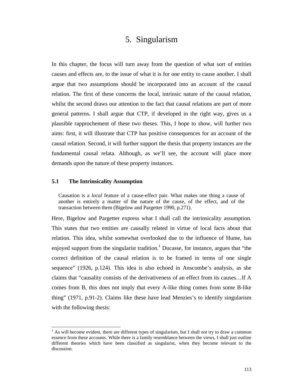# 5. Singularism

In this chapter, the focus will turn away from the question of what sort of entities causes and effects are, to the issue of what it is for one entity to cause another. I shall argue that two assumptions should be incorporated into an account of the causal relation. The first of these concerns the local, intrinsic nature of the causal relation, whilst the second draws our attention to the fact that causal relations are part of more general patterns. I shall argue that CTP, if developed in the right way, gives us a plausible rapprochement of these two theses. This, I hope to show, will further two aims: first, it will illustrate that CTP has positive consequences for an account of the causal relation. Second, it will further support the thesis that property instances are the fundamental causal relata. Although, as we'll see, the account will place more demands upon the nature of these property instances.

# **5.1 The Intrinsicality Assumption**

 $\overline{a}$ 

Causation is a *local* feature of a cause-effect pair. What makes one thing a cause of another is entirely a matter of the nature of the cause, of the effect, and of the transaction between them (Bigelow and Pargetter 1990, p.271).

Here, Bigelow and Pargetter express what I shall call the intrinsicality assumption. This states that two entities are causally related in virtue of local facts about that relation. This idea, whilst somewhat overlooked due to the influence of Hume, has enjoyed support from the singularist tradition.<sup>1</sup> Ducasse, for instance, argues that "the correct definition of the causal relation is to be framed in terms of one single sequence" (1926, p.124). This idea is also echoed in Anscombe's analysis, as she claims that "causality consists of the derivativeness of an effect from its causes…If A comes from B, this does not imply that every A-like thing comes from some B-like thing" (1971, p.91-2). Claims like these have lead Menzies's to identify singularism with the following thesis:

 $<sup>1</sup>$  As will become evident, there are different types of singularism, but I shall not try to draw a common</sup> essence from these accounts. While there is a family resemblance between the views, I shall just outline different theories which have been classified as singularist, when they become relevant to the discussion.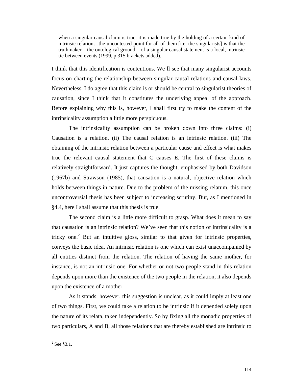when a singular causal claim is true, it is made true by the holding of a certain kind of intrinsic relation…the uncontested point for all of them [i.e. the singularists] is that the truthmaker – the ontological ground – of a singular causal statement is a local, intrinsic tie between events (1999, p.315 brackets added).

I think that this identification is contentious. We'll see that many singularist accounts focus on charting the relationship between singular causal relations and causal laws. Nevertheless, I do agree that this claim is or should be central to singularist theories of causation, since I think that it constitutes the underlying appeal of the approach. Before explaining why this is, however, I shall first try to make the content of the intrinsicality assumption a little more perspicuous.

The intrinsicality assumption can be broken down into three claims: (i) Causation is a relation. (ii) The causal relation is an intrinsic relation. (iii) The obtaining of the intrinsic relation between a particular cause and effect is what makes true the relevant causal statement that C causes E. The first of these claims is relatively straightforward. It just captures the thought, emphasised by both Davidson (1967b) and Strawson (1985), that causation is a natural, objective relation which holds between things in nature. Due to the problem of the missing relatum, this once uncontroversial thesis has been subject to increasing scrutiny. But, as I mentioned in §4.4, here I shall assume that this thesis is true.

The second claim is a little more difficult to grasp. What does it mean to say that causation is an intrinsic relation? We've seen that this notion of intrinsicality is a tricky one.<sup>2</sup> But an intuitive gloss, similar to that given for intrinsic properties, conveys the basic idea. An intrinsic relation is one which can exist unaccompanied by all entities distinct from the relation. The relation of having the same mother, for instance, is not an intrinsic one. For whether or not two people stand in this relation depends upon more than the existence of the two people in the relation, it also depends upon the existence of a mother.

As it stands, however, this suggestion is unclear, as it could imply at least one of two things. First, we could take a relation to be intrinsic if it depended solely upon the nature of its relata, taken independently. So by fixing all the monadic properties of two particulars, A and B, all those relations that are thereby established are intrinsic to

l

 $2$  See §3.1.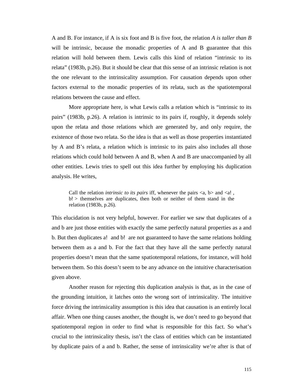A and B. For instance, if A is six foot and B is five foot, the relation *A is taller than B* will be intrinsic, because the monadic properties of A and B guarantee that this relation will hold between them. Lewis calls this kind of relation "intrinsic to its relata" (1983b, p.26). But it should be clear that this sense of an intrinsic relation is not the one relevant to the intrinsicality assumption. For causation depends upon other factors external to the monadic properties of its relata, such as the spatiotemporal relations between the cause and effect.

More appropriate here, is what Lewis calls a relation which is "intrinsic to its pairs" (1983b, p.26). A relation is intrinsic to its pairs if, roughly, it depends solely upon the relata and those relations which are generated by, and only require, the existence of those two relata. So the idea is that as well as those properties instantiated by A and B's relata, a relation which is intrinsic to its pairs also includes all those relations which could hold between A and B, when A and B are unaccompanied by all other entities. Lewis tries to spell out this idea further by employing his duplication analysis. He writes,

Call the relation *intrinsic to its pairs* iff, whenever the pairs  $\langle a, b \rangle$  and  $\langle a \rangle$ , b! > themselves are duplicates, then both or neither of them stand in the relation (1983b, p.26).

This elucidation is not very helpful, however. For earlier we saw that duplicates of a and b are just those entities with exactly the same perfectly natural properties as a and b. But then duplicates a! and b! are not guaranteed to have the same relations holding between them as a and b. For the fact that they have all the same perfectly natural properties doesn't mean that the same spatiotemporal relations, for instance, will hold between them. So this doesn't seem to be any advance on the intuitive characterisation given above.

Another reason for rejecting this duplication analysis is that, as in the case of the grounding intuition, it latches onto the wrong sort of intrinsicality. The intuitive force driving the intrinsicality assumption is this idea that causation is an entirely local affair. When one thing causes another, the thought is, we don't need to go beyond that spatiotemporal region in order to find what is responsible for this fact. So what's crucial to the intrinsicality thesis, isn't the class of entities which can be instantiated by duplicate pairs of a and b. Rather, the sense of intrinsicality we're after is that of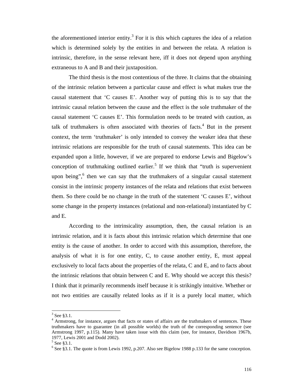the aforementioned interior entity.<sup>3</sup> For it is this which captures the idea of a relation which is determined solely by the entities in and between the relata. A relation is intrinsic, therefore, in the sense relevant here, iff it does not depend upon anything extraneous to A and B and their juxtaposition.

The third thesis is the most contentious of the three. It claims that the obtaining of the intrinsic relation between a particular cause and effect is what makes true the causal statement that 'C causes E'. Another way of putting this is to say that the intrinsic causal relation between the cause and the effect is the sole truthmaker of the causal statement 'C causes E'. This formulation needs to be treated with caution, as talk of truthmakers is often associated with theories of facts. $4$  But in the present context, the term 'truthmaker' is only intended to convey the weaker idea that these intrinsic relations are responsible for the truth of causal statements. This idea can be expanded upon a little, however, if we are prepared to endorse Lewis and Bigelow's conception of truthmaking outlined earlier.<sup>5</sup> If we think that "truth is supervenient upon being",  $6$  then we can say that the truthmakers of a singular causal statement consist in the intrinsic property instances of the relata and relations that exist between them. So there could be no change in the truth of the statement 'C causes E', without some change in the property instances (relational and non-relational) instantiated by C and E.

According to the intrinsicality assumption, then, the causal relation is an intrinsic relation, and it is facts about this intrinsic relation which determine that one entity is the cause of another. In order to accord with this assumption, therefore, the analysis of what it is for one entity, C, to cause another entity, E, must appeal exclusively to local facts about the properties of the relata, C and E, and to facts about the intrinsic relations that obtain between C and E. Why should we accept this thesis? I think that it primarily recommends itself because it is strikingly intuitive. Whether or not two entities are causally related looks as if it is a purely local matter, which

 $3$  See §3.1.

<sup>&</sup>lt;sup>4</sup> Armstrong, for instance, argues that facts or states of affairs are the truthmakers of sentences. These truthmakers have to guarantee (in all possible worlds) the truth of the corresponding sentence (see Armstrong 1997, p.115). Many have taken issue with this claim (see, for instance, Davidson 1967b, 1977, Lewis 2001 and Dodd 2002).

<sup>5</sup> See §3.1.

 $6$  See §3.1. The quote is from Lewis 1992, p.207. Also see Bigelow 1988 p.133 for the same conception.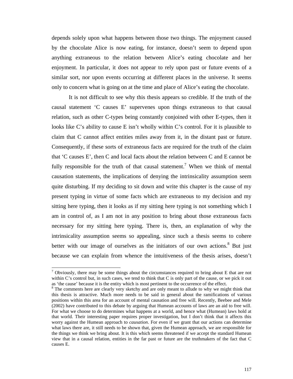depends solely upon what happens between those two things. The enjoyment caused by the chocolate Alice is now eating, for instance, doesn't seem to depend upon anything extraneous to the relation between Alice's eating chocolate and her enjoyment. In particular, it does not appear to rely upon past or future events of a similar sort, nor upon events occurring at different places in the universe. It seems only to concern what is going on at the time and place of Alice's eating the chocolate.

It is not difficult to see why this thesis appears so credible. If the truth of the causal statement 'C causes E' supervenes upon things extraneous to that causal relation, such as other C-types being constantly conjoined with other E-types, then it looks like C's ability to cause E isn't wholly within C's control. For it is plausible to claim that C cannot affect entities miles away from it, in the distant past or future. Consequently, if these sorts of extraneous facts are required for the truth of the claim that 'C causes E', then C and local facts about the relation between C and E cannot be fully responsible for the truth of that causal statement.<sup>7</sup> When we think of mental causation statements, the implications of denying the intrinsicality assumption seem quite disturbing. If my deciding to sit down and write this chapter is the cause of my present typing in virtue of some facts which are extraneous to my decision and my sitting here typing, then it looks as if my sitting here typing is not something which I am in control of, as I am not in any position to bring about those extraneous facts necessary for my sitting here typing. There is, then, an explanation of why the intrinsicality assumption seems so appealing, since such a thesis seems to cohere better with our image of ourselves as the initiators of our own actions.<sup>8</sup> But just because we can explain from whence the intuitiveness of the thesis arises, doesn't

 $<sup>7</sup>$  Obviously, there may be some things about the circumstances required to bring about E that are not</sup> within C's control but, in such cases, we tend to think that C is only part of the cause, or we pick it out as 'the cause' because it is the entity which is most pertinent to the occurrence of the effect.

<sup>&</sup>lt;sup>8</sup> The comments here are clearly very sketchy and are only meant to allude to why we might think that this thesis is attractive. Much more needs to be said in general about the ramifications of various positions within this area for an account of mental causation and free will. Recently, Beebee and Mele (2002) have contributed to this debate by arguing that Humean accounts of laws are an aid to free will. For what we choose to do determines what happens at a world, and hence what (Humean) laws hold at that world. Their interesting paper requires proper investigation, but I don't think that it affects this worry against the Humean approach to *causation*. For even if we grant that our actions can determine what laws there are, it still needs to be shown that, given the Humean approach, we are responsible for the things we think we bring about. It is this which seems threatened if we accept the standard Humean view that in a causal relation, entities in the far past or future are the truthmakers of the fact that C causes E.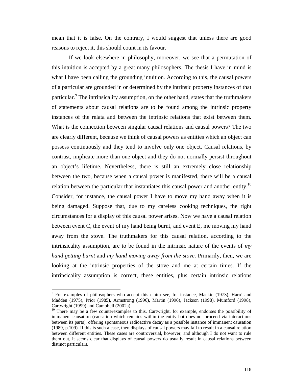mean that it is false. On the contrary, I would suggest that unless there are good reasons to reject it, this should count in its favour.

If we look elsewhere in philosophy, moreover, we see that a permutation of this intuition is accepted by a great many philosophers. The thesis I have in mind is what I have been calling the grounding intuition. According to this, the causal powers of a particular are grounded in or determined by the intrinsic property instances of that particular.<sup>9</sup> The intrinsicality assumption, on the other hand, states that the truthmakers of statements about causal relations are to be found among the intrinsic property instances of the relata and between the intrinsic relations that exist between them. What is the connection between singular causal relations and causal powers? The two are clearly different, because we think of causal powers as entities which an object can possess continuously and they tend to involve only one object. Causal relations, by contrast, implicate more than one object and they do not normally persist throughout an object's lifetime. Nevertheless, there is still an extremely close relationship between the two, because when a causal power is manifested, there will be a causal relation between the particular that instantiates this causal power and another entity.<sup>10</sup> Consider, for instance, the causal power I have to move my hand away when it is being damaged. Suppose that, due to my careless cooking techniques, the right circumstances for a display of this causal power arises. Now we have a causal relation between event C, the event of my hand being burnt, and event E, me moving my hand away from the stove. The truthmakers for this causal relation, according to the intrinsicality assumption, are to be found in the intrinsic nature of the events of *my hand getting burnt* and *my hand moving away from the stove*. Primarily, then, we are looking at the intrinsic properties of the stove and me at certain times. If the intrinsicality assumption is correct, these entities, plus certain intrinsic relations

<sup>&</sup>lt;sup>9</sup> For examples of philosophers who accept this claim see, for instance, Mackie (1973), Harré and Madden (1975), Prior (1985), Armstrong (1996), Martin (1996), Jackson (1998), Mumford (1998), Cartwright (1999) and Campbell (2002a).

 $10$  There may be a few counterexamples to this. Cartwright, for example, endorses the possibility of immanent causation (causation which remains within the entity but does not proceed via interactions between its parts), offering spontaneous radioactive decay as a possible instance of immanent causation (1989, p.109). If this is such a case, then displays of causal powers may fail to result in a causal relation between different entities. These cases are controversial, however, and although I do not want to rule them out, it seems clear that displays of causal powers do usually result in causal relations between distinct particulars.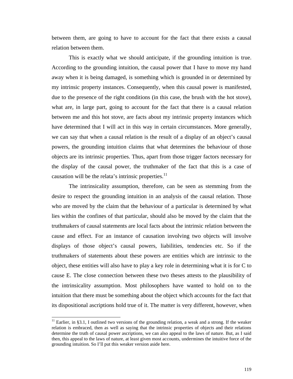between them, are going to have to account for the fact that there exists a causal relation between them.

This is exactly what we should anticipate, if the grounding intuition is true. According to the grounding intuition, the causal power that I have to move my hand away when it is being damaged, is something which is grounded in or determined by my intrinsic property instances. Consequently, when this causal power is manifested, due to the presence of the right conditions (in this case, the brush with the hot stove), what are, in large part, going to account for the fact that there is a causal relation between me and this hot stove, are facts about my intrinsic property instances which have determined that I will act in this way in certain circumstances. More generally, we can say that when a causal relation is the result of a display of an object's causal powers, the grounding intuition claims that what determines the behaviour of those objects are its intrinsic properties. Thus, apart from those trigger factors necessary for the display of the causal power, the truthmaker of the fact that this is a case of causation will be the relata's intrinsic properties. $11$ 

The intrinsicality assumption, therefore, can be seen as stemming from the desire to respect the grounding intuition in an analysis of the causal relation. Those who are moved by the claim that the behaviour of a particular is determined by what lies within the confines of that particular, should also be moved by the claim that the truthmakers of causal statements are local facts about the intrinsic relation between the cause and effect. For an instance of causation involving two objects will involve displays of those object's causal powers, liabilities, tendencies etc. So if the truthmakers of statements about these powers are entities which are intrinsic to the object, these entities will also have to play a key role in determining what it is for C to cause E. The close connection between these two theses attests to the plausibility of the intrinsicality assumption. Most philosophers have wanted to hold on to the intuition that there must be something about the object which accounts for the fact that its dispositional ascriptions hold true of it. The matter is very different, however, when

l

 $11$  Earlier, in §3.1, I outlined two versions of the grounding relation, a weak and a strong. If the weaker relation is embraced, then as well as saying that the intrinsic properties of objects and their relations determine the truth of causal power ascriptions, we can also appeal to the laws of nature. But, as I said then, this appeal to the laws of nature, at least given most accounts, undermines the intuitive force of the grounding intuition. So I'll put this weaker version aside here.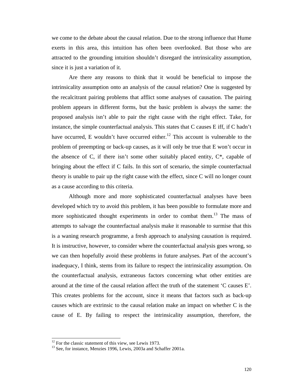we come to the debate about the causal relation. Due to the strong influence that Hume exerts in this area, this intuition has often been overlooked. But those who are attracted to the grounding intuition shouldn't disregard the intrinsicality assumption, since it is just a variation of it.

Are there any reasons to think that it would be beneficial to impose the intrinsicality assumption onto an analysis of the causal relation? One is suggested by the recalcitrant pairing problems that afflict some analyses of causation. The pairing problem appears in different forms, but the basic problem is always the same: the proposed analysis isn't able to pair the right cause with the right effect. Take, for instance, the simple counterfactual analysis. This states that C causes E iff, if C hadn't have occurred, E wouldn't have occurred either.<sup>12</sup> This account is vulnerable to the problem of preempting or back-up causes, as it will only be true that E won't occur in the absence of C, if there isn't some other suitably placed entity,  $C^*$ , capable of bringing about the effect if C fails. In this sort of scenario, the simple counterfactual theory is unable to pair up the right cause with the effect, since C will no longer count as a cause according to this criteria.

Although more and more sophisticated counterfactual analyses have been developed which try to avoid this problem, it has been possible to formulate more and more sophisticated thought experiments in order to combat them.<sup>13</sup> The mass of attempts to salvage the counterfactual analysis make it reasonable to surmise that this is a waning research programme, a fresh approach to analysing causation is required. It is instructive, however, to consider where the counterfactual analysis goes wrong, so we can then hopefully avoid these problems in future analyses. Part of the account's inadequacy, I think, stems from its failure to respect the intrinsicality assumption. On the counterfactual analysis, extraneous factors concerning what other entities are around at the time of the causal relation affect the truth of the statement 'C causes E'. This creates problems for the account, since it means that factors such as back-up causes which are extrinsic to the causal relation make an impact on whether C is the cause of E. By failing to respect the intrinsicality assumption, therefore, the

 $12$  For the classic statement of this view, see Lewis 1973.

<sup>&</sup>lt;sup>13</sup> See, for instance, Menzies 1996, Lewis, 2003a and Schaffer 2001a.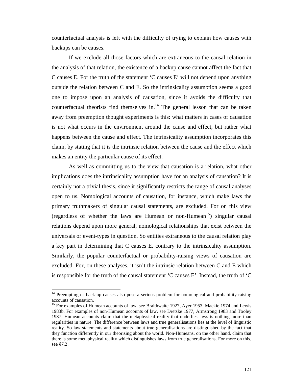counterfactual analysis is left with the difficulty of trying to explain how causes with backups can be causes.

If we exclude all those factors which are extraneous to the causal relation in the analysis of that relation, the existence of a backup cause cannot affect the fact that C causes E. For the truth of the statement 'C causes E' will not depend upon anything outside the relation between C and E. So the intrinsicality assumption seems a good one to impose upon an analysis of causation, since it avoids the difficulty that counterfactual theorists find themselves in. $14$  The general lesson that can be taken away from preemption thought experiments is this: what matters in cases of causation is not what occurs in the environment around the cause and effect, but rather what happens between the cause and effect. The intrinsicality assumption incorporates this claim, by stating that it is the intrinsic relation between the cause and the effect which makes an entity the particular cause of its effect.

As well as committing us to the view that causation is a relation, what other implications does the intrinsicality assumption have for an analysis of causation? It is certainly not a trivial thesis, since it significantly restricts the range of causal analyses open to us. Nomological accounts of causation, for instance, which make laws the primary truthmakers of singular causal statements, are excluded. For on this view (regardless of whether the laws are Humean or non-Humean<sup>15</sup>) singular causal relations depend upon more general, nomological relationships that exist between the universals or event-types in question. So entities extraneous to the causal relation play a key part in determining that C causes E, contrary to the intrinsicality assumption. Similarly, the popular counterfactual or probability-raising views of causation are excluded. For, on these analyses, it isn't the intrinsic relation between C and E which is responsible for the truth of the causal statement 'C causes E'. Instead, the truth of 'C

<sup>&</sup>lt;sup>14</sup> Preempting or back-up causes also pose a serious problem for nomological and probability-raising accounts of causation.

<sup>&</sup>lt;sup>15</sup> For examples of Humean accounts of law, see Braithwaite 1927, Ayer 1953, Mackie 1974 and Lewis 1983b. For examples of non-Humean accounts of law, see Dretske 1977, Armstrong 1983 and Tooley 1987. Humean accounts claim that the metaphysical reality that underlies laws is nothing more than regularities in nature. The difference between laws and true generalisations lies at the level of linguistic reality. So law statements and statements about true generalisations are distinguished by the fact that they function differently in our theorising about the world. Non-Humeans, on the other hand, claim that there is some metaphysical reality which distinguishes laws from true generalisations. For more on this, see §7.2.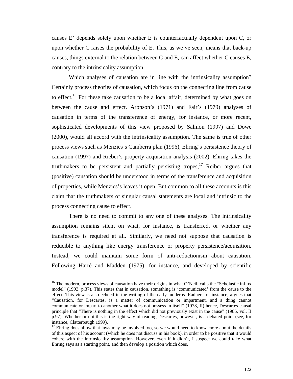causes E' depends solely upon whether E is counterfactually dependent upon C, or upon whether C raises the probability of E. This, as we've seen, means that back-up causes, things external to the relation between C and E, can affect whether C causes E, contrary to the intrinsicality assumption.

Which analyses of causation are in line with the intrinsicality assumption? Certainly process theories of causation, which focus on the connecting line from cause to effect.<sup>16</sup> For these take causation to be a local affair, determined by what goes on between the cause and effect. Aronson's (1971) and Fair's (1979) analyses of causation in terms of the transference of energy, for instance, or more recent, sophisticated developments of this view proposed by Salmon (1997) and Dowe (2000), would all accord with the intrinsicality assumption. The same is true of other process views such as Menzies's Camberra plan (1996), Ehring's persistence theory of causation (1997) and Rieber's property acquisition analysis (2002). Ehring takes the truthmakers to be persistent and partially persisting tropes,  $17$  Reiber argues that (positive) causation should be understood in terms of the transference and acquisition of properties, while Menzies's leaves it open. But common to all these accounts is this claim that the truthmakers of singular causal statements are local and intrinsic to the process connecting cause to effect.

There is no need to commit to any one of these analyses. The intrinsicality assumption remains silent on what, for instance, is transferred, or whether any transference is required at all. Similarly, we need not suppose that causation is reducible to anything like energy transference or property persistence/acquisition. Instead, we could maintain some form of anti-reductionism about causation. Following Harré and Madden (1975), for instance, and developed by scientific

 $16$  The modern, process views of causation have their origins in what O'Neill calls the "Scholastic influx" model" (1993, p.37). This states that in causation, something is 'communicated' from the cause to the effect. This view is also echoed in the writing of the early moderns. Radner, for instance, argues that "Causation, for Descartes, is a matter of communication or impartment, and a thing cannot communicate or impart to another what it does not possess in itself" (1978, II) hence, Descartes causal principle that "There is nothing in the effect which did not previously exist in the cause" (1985, vol. II p.97). Whether or not this is the right way of reading Descartes, however, is a debated point (see, for instance, Clatterbaugh 1999).

 $17$  Ehring does allow that laws may be involved too, so we would need to know more about the details of this aspect of his account (which he does not discuss in his book), in order to be positive that it would cohere with the intrinsicality assumption. However, even if it didn't, I suspect we could take what Ehring says as a starting point, and then develop a position which does.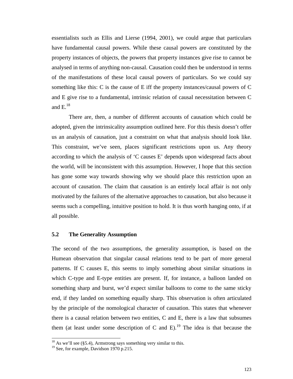essentialists such as Ellis and Lierse (1994, 2001), we could argue that particulars have fundamental causal powers. While these causal powers are constituted by the property instances of objects, the powers that property instances give rise to cannot be analysed in terms of anything non-causal. Causation could then be understood in terms of the manifestations of these local causal powers of particulars. So we could say something like this: C is the cause of E iff the property instances/causal powers of C and E give rise to a fundamental, intrinsic relation of causal necessitation between C and  $\mathrm{E.}^{18}$ 

There are, then, a number of different accounts of causation which could be adopted, given the intrinsicality assumption outlined here. For this thesis doesn't offer us an analysis of causation, just a constraint on what that analysis should look like. This constraint, we've seen, places significant restrictions upon us. Any theory according to which the analysis of 'C causes E' depends upon widespread facts about the world, will be inconsistent with this assumption. However, I hope that this section has gone some way towards showing why we should place this restriction upon an account of causation. The claim that causation is an entirely local affair is not only motivated by the failures of the alternative approaches to causation, but also because it seems such a compelling, intuitive position to hold. It is thus worth hanging onto, if at all possible.

## **5.2 The Generality Assumption**

The second of the two assumptions, the generality assumption, is based on the Humean observation that singular causal relations tend to be part of more general patterns. If C causes E, this seems to imply something about similar situations in which C-type and E-type entities are present. If, for instance, a balloon landed on something sharp and burst, we'd expect similar balloons to come to the same sticky end, if they landed on something equally sharp. This observation is often articulated by the principle of the nomological character of causation. This states that whenever there is a causal relation between two entities, C and E, there is a law that subsumes them (at least under some description of C and E).<sup>19</sup> The idea is that because the

 $^{18}$  As we'll see (§5.4), Armstrong says something very similar to this.

<sup>&</sup>lt;sup>19</sup> See, for example, Davidson 1970 p.215.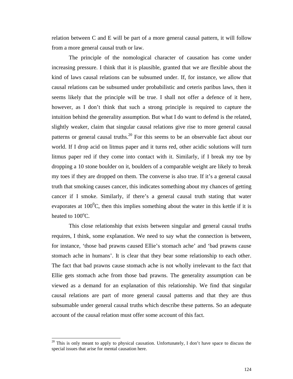relation between C and E will be part of a more general causal pattern, it will follow from a more general causal truth or law.

The principle of the nomological character of causation has come under increasing pressure. I think that it is plausible, granted that we are flexible about the kind of laws causal relations can be subsumed under. If, for instance, we allow that causal relations can be subsumed under probabilistic and ceteris paribus laws, then it seems likely that the principle will be true. I shall not offer a defence of it here, however, as I don't think that such a strong principle is required to capture the intuition behind the generality assumption. But what I do want to defend is the related, slightly weaker, claim that singular causal relations give rise to more general causal patterns or general causal truths.<sup>20</sup> For this seems to be an observable fact about our world. If I drop acid on litmus paper and it turns red, other acidic solutions will turn litmus paper red if they come into contact with it. Similarly, if I break my toe by dropping a 10 stone boulder on it, boulders of a comparable weight are likely to break my toes if they are dropped on them. The converse is also true. If it's a general causal truth that smoking causes cancer, this indicates something about my chances of getting cancer if I smoke. Similarly, if there's a general causal truth stating that water evaporates at  $100^{\circ}$ C, then this implies something about the water in this kettle if it is heated to  $100^{\circ}$ C.

This close relationship that exists between singular and general causal truths requires, I think, some explanation. We need to say what the connection is between, for instance, 'those bad prawns caused Ellie's stomach ache' and 'bad prawns cause stomach ache in humans'. It is clear that they bear some relationship to each other. The fact that bad prawns cause stomach ache is not wholly irrelevant to the fact that Ellie gets stomach ache from those bad prawns. The generality assumption can be viewed as a demand for an explanation of this relationship. We find that singular causal relations are part of more general causal patterns and that they are thus subsumable under general causal truths which describe these patterns. So an adequate account of the causal relation must offer some account of this fact.

<sup>&</sup>lt;sup>20</sup> This is only meant to apply to physical causation. Unfortunately, I don't have space to discuss the special issues that arise for mental causation here.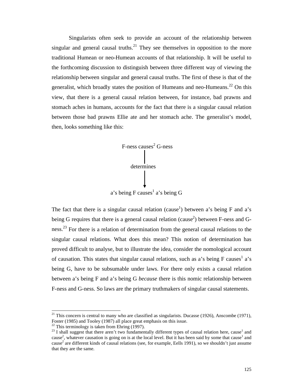Singularists often seek to provide an account of the relationship between singular and general causal truths.<sup>21</sup> They see themselves in opposition to the more traditional Humean or neo-Humean accounts of that relationship. It will be useful to the forthcoming discussion to distinguish between three different way of viewing the relationship between singular and general causal truths. The first of these is that of the generalist, which broadly states the position of Humeans and neo-Humeans.<sup>22</sup> On this view, that there is a general causal relation between, for instance, bad prawns and stomach aches in humans, accounts for the fact that there is a singular causal relation between those bad prawns Ellie ate and her stomach ache. The generalist's model, then, looks something like this:



The fact that there is a singular causal relation (cause<sup>1</sup>) between a's being F and a's being G requires that there is a general causal relation (cause<sup>2</sup>) between F-ness and Gness.<sup>23</sup> For there is a relation of determination from the general causal relations to the singular causal relations. What does this mean? This notion of determination has proved difficult to analyse, but to illustrate the idea, consider the nomological account of causation. This states that singular causal relations, such as a's being F causes<sup>1</sup> a's being G, have to be subsumable under laws. For there only exists a causal relation between a's being F and a's being G *because* there is this nomic relationship between F-ness and G-ness. So laws are the primary truthmakers of singular causal statements.

<sup>&</sup>lt;sup>21</sup> This concern is central to many who are classified as singularists. Ducasse (1926), Anscombe (1971), Foster (1985) and Tooley (1987) all place great emphasis on this issue.

<sup>&</sup>lt;sup>22</sup> This terminology is taken from Ehring (1997).

 $^{23}$  I shall suggest that there aren't two fundamentally different types of causal relation here, cause<sup>1</sup> and cause<sup>2</sup>, whatever causation is going on is at the local level. But it has been said by some that cause<sup>1</sup> and cause<sup>2</sup> are different kinds of causal relations (see, for example, Eells 1991), so we shouldn't just assume that they are the same.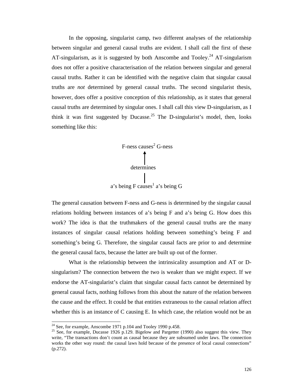In the opposing, singularist camp, two different analyses of the relationship between singular and general causal truths are evident. I shall call the first of these AT-singularism, as it is suggested by both Anscombe and Tooley.<sup>24</sup> AT-singularism does not offer a positive characterisation of the relation between singular and general causal truths. Rather it can be identified with the negative claim that singular causal truths are *not* determined by general causal truths. The second singularist thesis, however, does offer a positive conception of this relationship, as it states that general causal truths are determined by singular ones. I shall call this view D-singularism, as I think it was first suggested by Ducasse.<sup>25</sup> The D-singularist's model, then, looks something like this:



The general causation between F-ness and G-ness is determined by the singular causal relations holding between instances of a's being F and a's being G. How does this work? The idea is that the truthmakers of the general causal truths are the many instances of singular causal relations holding between something's being F and something's being G. Therefore, the singular causal facts are prior to and determine the general causal facts, because the latter are built up out of the former.

What is the relationship between the intrinsicality assumption and AT or Dsingularism? The connection between the two is weaker than we might expect. If we endorse the AT-singularist's claim that singular causal facts cannot be determined by general causal facts, nothing follows from this about the nature of the relation between the cause and the effect. It could be that entities extraneous to the causal relation affect whether this is an instance of C causing E. In which case, the relation would not be an

 $24$  See, for example, Anscombe 1971 p.104 and Tooley 1990 p.458.

<sup>&</sup>lt;sup>25</sup> See, for example, Ducasse 1926 p.129. Bigelow and Pargetter (1990) also suggest this view. They write, "The transactions don't count as causal because they are subsumed under laws. The connection works the other way round: the causal laws hold because of the presence of local causal connections"  $(p.272)$ .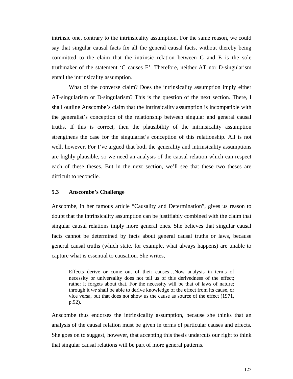intrinsic one, contrary to the intrinsicality assumption. For the same reason, we could say that singular causal facts fix all the general causal facts, without thereby being committed to the claim that the intrinsic relation between C and E is the sole truthmaker of the statement 'C causes E'. Therefore, neither AT nor D-singularism entail the intrinsicality assumption.

What of the converse claim? Does the intrinsicality assumption imply either AT-singularism or D-singularism? This is the question of the next section. There, I shall outline Anscombe's claim that the intrinsicality assumption is incompatible with the generalist's conception of the relationship between singular and general causal truths. If this is correct, then the plausibility of the intrinsicality assumption strengthens the case for the singularist's conception of this relationship. All is not well, however. For I've argued that both the generality and intrinsicality assumptions are highly plausible, so we need an analysis of the causal relation which can respect each of these theses. But in the next section, we'll see that these two theses are difficult to reconcile.

#### **5.3 Anscombe's Challenge**

Anscombe, in her famous article "Causality and Determination", gives us reason to doubt that the intrinsicality assumption can be justifiably combined with the claim that singular causal relations imply more general ones. She believes that singular causal facts cannot be determined by facts about general causal truths or laws, because general causal truths (which state, for example, what always happens) are unable to capture what is essential to causation. She writes,

Effects derive or come out of their causes…Now analysis in terms of necessity or universality does not tell us of this derivedness of the effect; rather it forgets about that. For the necessity will be that of laws of nature; through it *we* shall be able to derive knowledge of the effect from its cause, or vice versa, but that does not show us the cause as source of the effect (1971, p.92).

Anscombe thus endorses the intrinsicality assumption, because she thinks that an analysis of the causal relation must be given in terms of particular causes and effects. She goes on to suggest, however, that accepting this thesis undercuts our right to think that singular causal relations will be part of more general patterns.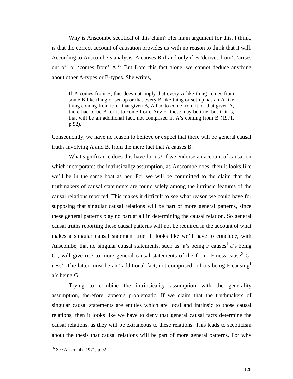Why is Anscombe sceptical of this claim? Her main argument for this, I think, is that the correct account of causation provides us with no reason to think that it will. According to Anscombe's analysis, A causes B if and only if B 'derives from', 'arises out of' or 'comes from'  $A<sup>26</sup>$  But from this fact alone, we cannot deduce anything about other A-types or B-types. She writes,

If A comes from B, this does not imply that every A-like thing comes from some B-like thing or set-up or that every B-like thing or set-up has an A-like thing coming from it; or that given B, A had to come from it, or that given A, there had to be B for it to come from. Any of these may be true, but if it is, that will be an additional fact, not comprised in A's coming from B (1971, p.92).

Consequently, we have no reason to believe or expect that there will be general causal truths involving A and B, from the mere fact that A causes B.

What significance does this have for us? If we endorse an account of causation which incorporates the intrinsicality assumption, as Anscombe does, then it looks like we'll be in the same boat as her. For we will be committed to the claim that the truthmakers of causal statements are found solely among the intrinsic features of the causal relations reported. This makes it difficult to see what reason we could have for supposing that singular causal relations will be part of more general patterns, since these general patterns play no part at all in determining the causal relation. So general causal truths reporting these causal patterns will not be required in the account of what makes a singular causal statement true. It looks like we'll have to conclude, with Anscombe, that no singular causal statements, such as 'a's being  $F$  causes<sup>1</sup> a's being G', will give rise to more general causal statements of the form 'F-ness cause<sup>2</sup> Gness'. The latter must be an "additional fact, not comprised" of a's being  $F$  causing<sup>1</sup> a's being G.

Trying to combine the intrinsicality assumption with the generality assumption, therefore, appears problematic. If we claim that the truthmakers of singular causal statements are entities which are local and intrinsic to those causal relations, then it looks like we have to deny that general causal facts determine the causal relations, as they will be extraneous to these relations. This leads to scepticism about the thesis that causal relations will be part of more general patterns. For why

 $26$  See Anscombe 1971, p.92.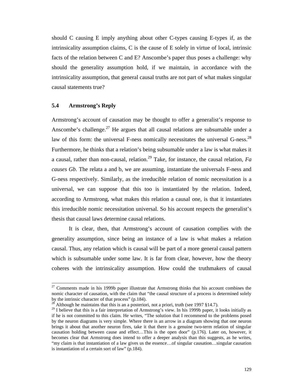should C causing E imply anything about other C-types causing E-types if, as the intrinsicality assumption claims, C is the cause of E solely in virtue of local, intrinsic facts of the relation between C and E? Anscombe's paper thus poses a challenge: why should the generality assumption hold, if we maintain, in accordance with the intrinsicality assumption, that general causal truths are not part of what makes singular causal statements true?

# **5.4 Armstrong's Reply**

l

Armstrong's account of causation may be thought to offer a generalist's response to Anscombe's challenge.<sup>27</sup> He argues that all causal relations are subsumable under a law of this form: the universal F-ness nomically necessitates the universal G-ness.<sup>28</sup> Furthermore, he thinks that a relation's being subsumable under a law is what makes it a causal, rather than non-causal, relation.<sup>29</sup> Take, for instance, the causal relation,  $Fa$ *causes Gb*. The relata a and b, we are assuming, instantiate the universals F-ness and G-ness respectively. Similarly, as the irreducible relation of nomic necessitation is a universal, we can suppose that this too is instantiated by the relation. Indeed, according to Armstrong, what makes this relation a causal one, is that it instantiates this irreducible nomic necessitation universal. So his account respects the generalist's thesis that causal laws determine causal relations.

It is clear, then, that Armstrong's account of causation complies with the generality assumption, since being an instance of a law is what makes a relation causal. Thus, any relation which is causal will be part of a more general causal pattern which is subsumable under some law. It is far from clear, however, how the theory coheres with the intrinsicality assumption. How could the truthmakers of causal

 $27$  Comments made in his 1999b paper illustrate that Armstrong thinks that his account combines the nomic character of causation, with the claim that "the causal structure of a process is determined solely by the intrinsic character of that process" (p.184).

Although he maintains that this is an a posteriori, not a priori, truth (see 1997 §14.7).

<sup>&</sup>lt;sup>29</sup> I believe that this is a fair interpretation of Armstrong's view. In his 1999b paper, it looks initially as if he is not committed to this claim. He writes, "The solution that I recommend to the problems posed by the neuron diagrams is very simple. Where there is an arrow in a diagram showing that one neuron brings it about that another neuron fires, take it that there is a genuine two-term relation of singular causation holding between cause and effect…This is the open door" (p.176). Later on, however, it becomes clear that Armstrong does intend to offer a deeper analysis than this suggests, as he writes, "my claim is that instantiation of a law gives us the essence…of singular causation…singular causation is instantiation of a certain sort of law" (p.184).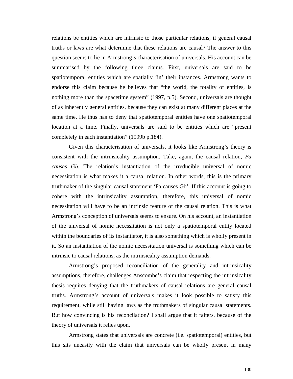relations be entities which are intrinsic to those particular relations, if general causal truths or laws are what determine that these relations are causal? The answer to this question seems to lie in Armstrong's characterisation of universals. His account can be summarised by the following three claims. First, universals are said to be spatiotemporal entities which are spatially 'in' their instances. Armstrong wants to endorse this claim because he believes that "the world, the totality of entities, is nothing more than the spacetime system" (1997, p.5). Second, universals are thought of as inherently general entities, because they can exist at many different places at the same time. He thus has to deny that spatiotemporal entities have one spatiotemporal location at a time. Finally, universals are said to be entities which are "present completely in each instantiation" (1999b p.184).

Given this characterisation of universals, it looks like Armstrong's theory is consistent with the intrinsicality assumption. Take, again, the causal relation, *Fa causes Gb*. The relation's instantiation of the irreducible universal of nomic necessitation is what makes it a causal relation. In other words, this is the primary truthmaker of the singular causal statement 'Fa causes Gb'. If this account is going to cohere with the intrinsicality assumption, therefore, this universal of nomic necessitation will have to be an intrinsic feature of the causal relation. This is what Armstrong's conception of universals seems to ensure. On his account, an instantiation of the universal of nomic necessitation is not only a spatiotemporal entity located within the boundaries of its instantiator, it is also something which is wholly present in it. So an instantiation of the nomic necessitation universal is something which can be intrinsic to causal relations, as the intrinsicality assumption demands.

Armstrong's proposed reconciliation of the generality and intrinsicality assumptions, therefore, challenges Anscombe's claim that respecting the intrinsicality thesis requires denying that the truthmakers of causal relations are general causal truths. Armstrong's account of universals makes it look possible to satisfy this requirement, while still having laws as the truthmakers of singular causal statements. But how convincing is his reconcilation? I shall argue that it falters, because of the theory of universals it relies upon.

Armstrong states that universals are concrete (i.e. spatiotemporal) entities, but this sits uneasily with the claim that universals can be wholly present in many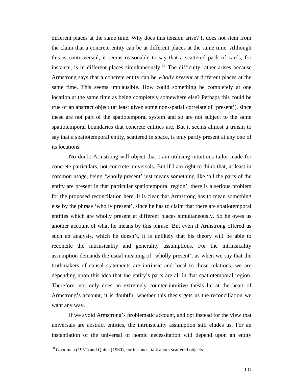different places at the same time. Why does this tension arise? It does not stem from the claim that a concrete entity can be at different places at the same time. Although this is controversial, it seems reasonable to say that a scattered pack of cards, for instance, is in different places simultaneously.<sup>30</sup> The difficulty rather arises because Armstrong says that a concrete entity can be *wholly present* at different places at the same time. This seems implausible. How could something be completely at one location at the same time as being completely somewhere else? Perhaps this could be true of an abstract object (at least given some non-spatial correlate of 'present'), since these are not part of the spatiotemporal system and so are not subject to the same spatiotemporal boundaries that concrete entities are. But it seems almost a truism to say that a spatiotemporal entity, scattered in space, is only partly present at any one of its locations.

No doubt Armstrong will object that I am utilising intuitions tailor made for concrete particulars, not concrete universals. But if I am right to think that, at least in common usage, being 'wholly present' just means something like 'all the parts of the entity are present in that particular spatiotemporal region', there is a serious problem for the proposed reconcilation here. It is clear that Armstrong has to mean something else by the phrase 'wholly present', since he has to claim that there are spatiotemporal entities which are wholly present at different places simultaneously. So he owes us another account of what he means by this phrase. But even if Armstrong offered us such an analysis, which he doesn't, it is unlikely that his theory will be able to reconcile the intrinsicality and generality assumptions. For the intrinsicality assumption demands the usual meaning of 'wholly present', as when we say that the truthmakers of causal statements are intrinsic and local to those relations, we are depending upon this idea that the entity's parts are all in that spatiotemporal region. Therefore, not only does an extremely counter-intuitive thesis lie at the heart of Armstrong's account, it is doubtful whether this thesis gets us the reconciliation we want any way.

If we avoid Armstrong's problematic account, and opt instead for the view that universals are abstract entities, the intrinsicality assumption still eludes us. For an instantiation of the universal of nomic necessitation will depend upon an entity

 $\overline{\phantom{a}}$ 

 $30$  Goodman (1951) and Quine (1960), for instance, talk about scattered objects.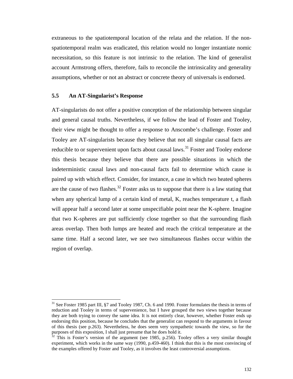extraneous to the spatiotemporal location of the relata and the relation. If the nonspatiotemporal realm was eradicated, this relation would no longer instantiate nomic necessitation, so this feature is not intrinsic to the relation. The kind of generalist account Armstrong offers, therefore, fails to reconcile the intrinsicality and generality assumptions, whether or not an abstract or concrete theory of universals is endorsed.

# **5.5 An AT-Singularist's Response**

 $\overline{\phantom{a}}$ 

AT-singularists do not offer a positive conception of the relationship between singular and general causal truths. Nevertheless, if we follow the lead of Foster and Tooley, their view might be thought to offer a response to Anscombe's challenge. Foster and Tooley are AT-singularists because they believe that not all singular causal facts are reducible to or supervenient upon facts about causal laws.<sup>31</sup> Foster and Tooley endorse this thesis because they believe that there are possible situations in which the indeterministic causal laws and non-causal facts fail to determine which cause is paired up with which effect. Consider, for instance, a case in which two heated spheres are the cause of two flashes.<sup>32</sup> Foster asks us to suppose that there is a law stating that when any spherical lump of a certain kind of metal, K, reaches temperature t, a flash will appear half a second later at some unspecifiable point near the K-sphere. Imagine that two K-spheres are put sufficiently close together so that the surrounding flash areas overlap. Then both lumps are heated and reach the critical temperature at the same time. Half a second later, we see two simultaneous flashes occur within the region of overlap.

 $31$  See Foster 1985 part III,  $\S7$  and Tooley 1987, Ch. 6 and 1990. Foster formulates the thesis in terms of reduction and Tooley in terms of supervenience, but I have grouped the two views together because they are both trying to convey the same idea. It is not entirely clear, however, whether Foster ends up endorsing this position, because he concludes that the generalist can respond to the arguments in favour of this thesis (see p.263). Nevertheless, he does seem very sympathetic towards the view, so for the purposes of this exposition, I shall just presume that he does hold it.

 $32$  This is Foster's version of the argument (see 1985, p.256). Tooley offers a very similar thought experiment, which works in the same way (1990, p.459-460). I think that this is the most convincing of the examples offered by Foster and Tooley, as it involves the least controversial assumptions.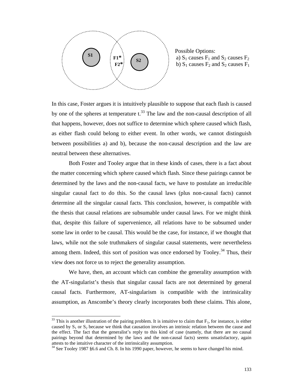

 Possible Options: **F1\***  $\left\{ \begin{array}{c} \bullet \\ \bullet \end{array} \right\}$   $\qquad \qquad$  a)  $S_1$  causes  $F_1$  and  $S_2$  causes  $F_2$ **F2\***  $\begin{bmatrix} 62 \\ 1 \end{bmatrix}$  i b) S<sub>1</sub> causes F<sub>2</sub> and S<sub>2</sub> causes F<sub>1</sub>

In this case, Foster argues it is intuitively plausible to suppose that each flash is caused by one of the spheres at temperature  $t^{33}$ . The law and the non-causal description of all that happens, however, does not suffice to determine which sphere caused which flash, as either flash could belong to either event. In other words, we cannot distinguish between possibilities a) and b), because the non-causal description and the law are neutral between these alternatives.

Both Foster and Tooley argue that in these kinds of cases, there is a fact about the matter concerning which sphere caused which flash. Since these pairings cannot be determined by the laws and the non-causal facts, we have to postulate an irreducible singular causal fact to do this. So the causal laws (plus non-causal facts) cannot determine all the singular causal facts. This conclusion, however, is compatible with the thesis that causal relations are subsumable under causal laws. For we might think that, despite this failure of supervenience, all relations have to be subsumed under some law in order to be causal. This would be the case, for instance, if we thought that laws, while not the sole truthmakers of singular causal statements, were nevertheless among them. Indeed, this sort of position was once endorsed by Tooley.<sup>34</sup> Thus, their view does not force us to reject the generality assumption.

We have, then, an account which can combine the generality assumption with the AT-singularist's thesis that singular causal facts are not determined by general causal facts. Furthermore, AT-singularism is compatible with the intrinsicality assumption, as Anscombe's theory clearly incorporates both these claims. This alone,

l

 $33$  This is another illustration of the pairing problem. It is intuitive to claim that  $F_1$ , for instance, is either caused by  $S_1$  or  $S_2$  because we think that causation involves an intrinsic relation between the cause and the effect. The fact that the generalist's reply to this kind of case (namely, that there are no causal pairings beyond that determined by the laws and the non-causal facts) seems unsatisfactory, again attests to the intuitive character of the intrinsicality assumption.

<sup>34</sup> See Tooley 1987 §6.6 and Ch. 8. In his 1990 paper, however, he seems to have changed his mind.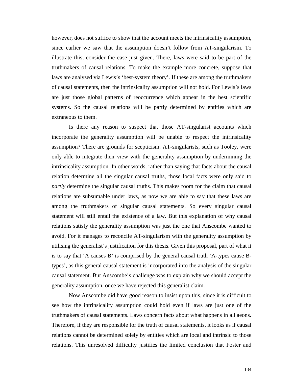however, does not suffice to show that the account meets the intrinsicality assumption, since earlier we saw that the assumption doesn't follow from AT-singularism. To illustrate this, consider the case just given. There, laws were said to be part of the truthmakers of causal relations. To make the example more concrete, suppose that laws are analysed via Lewis's 'best-system theory'. If these are among the truthmakers of causal statements, then the intrinsicality assumption will not hold. For Lewis's laws are just those global patterns of reoccurrence which appear in the best scientific systems. So the causal relations will be partly determined by entities which are extraneous to them.

Is there any reason to suspect that those AT-singularist accounts which incorporate the generality assumption will be unable to respect the intrinsicality assumption? There are grounds for scepticism. AT-singularists, such as Tooley, were only able to integrate their view with the generality assumption by undermining the intrinsicality assumption. In other words, rather than saying that facts about the causal relation determine all the singular causal truths, those local facts were only said to *partly* determine the singular causal truths. This makes room for the claim that causal relations are subsumable under laws, as now we are able to say that these laws are among the truthmakers of singular causal statements. So every singular causal statement will still entail the existence of a law. But this explanation of why causal relations satisfy the generality assumption was just the one that Anscombe wanted to avoid. For it manages to reconcile AT-singularism with the generality assumption by utilising the generalist's justification for this thesis. Given this proposal, part of what it is to say that 'A causes B' is comprised by the general causal truth 'A-types cause Btypes', as this general causal statement is incorporated into the analysis of the singular causal statement. But Anscombe's challenge was to explain why we should accept the generality assumption, once we have rejected this generalist claim.

Now Anscombe did have good reason to insist upon this, since it is difficult to see how the intrinsicality assumption could hold even if laws are just one of the truthmakers of causal statements. Laws concern facts about what happens in all aeons. Therefore, if they are responsible for the truth of causal statements, it looks as if causal relations cannot be determined solely by entities which are local and intrinsic to those relations. This unresolved difficulty justifies the limited conclusion that Foster and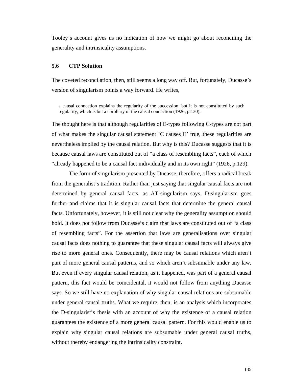Tooley's account gives us no indication of how we might go about reconciling the generality and intrinsicality assumptions.

## **5.6 CTP Solution**

The coveted reconcilation, then, still seems a long way off. But, fortunately, Ducasse's version of singularism points a way forward. He writes,

a causal connection explains the regularity of the succession, but it is not constituted by such regularity, which is but a corollary of the causal connection (1926, p.130).

The thought here is that although regularities of E-types following C-types are not part of what makes the singular causal statement 'C causes E' true, these regularities are nevertheless implied by the causal relation. But why is this? Ducasse suggests that it is because causal laws are constituted out of "a class of resembling facts", each of which "already happened to be a causal fact individually and in its own right" (1926, p.129).

The form of singularism presented by Ducasse, therefore, offers a radical break from the generalist's tradition. Rather than just saying that singular causal facts are not determined by general causal facts, as AT-singularism says, D-singularism goes further and claims that it is singular causal facts that determine the general causal facts. Unfortunately, however, it is still not clear why the generality assumption should hold. It does not follow from Ducasse's claim that laws are constituted out of "a class of resembling facts". For the assertion that laws are generalisations over singular causal facts does nothing to guarantee that these singular causal facts will always give rise to more general ones. Consequently, there may be causal relations which aren't part of more general causal patterns, and so which aren't subsumable under any law. But even if every singular causal relation, as it happened, was part of a general causal pattern, this fact would be coincidental, it would not follow from anything Ducasse says. So we still have no explanation of why singular causal relations are subsumable under general causal truths. What we require, then, is an analysis which incorporates the D-singularist's thesis with an account of why the existence of a causal relation guarantees the existence of a more general causal pattern. For this would enable us to explain why singular causal relations are subsumable under general causal truths, without thereby endangering the intrinsicality constraint.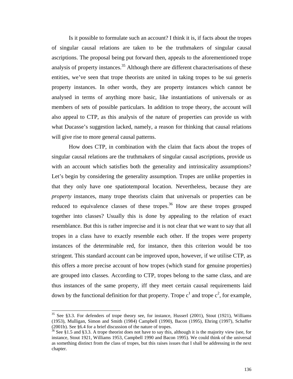Is it possible to formulate such an account? I think it is, if facts about the tropes of singular causal relations are taken to be the truthmakers of singular causal ascriptions. The proposal being put forward then, appeals to the aforementioned trope analysis of property instances.<sup>35</sup> Although there are different characterisations of these entities, we've seen that trope theorists are united in taking tropes to be sui generis property instances. In other words, they are property instances which cannot be analysed in terms of anything more basic, like instantiations of universals or as members of sets of possible particulars. In addition to trope theory, the account will also appeal to CTP, as this analysis of the nature of properties can provide us with what Ducasse's suggestion lacked, namely, a reason for thinking that causal relations will give rise to more general causal patterns.

How does CTP, in combination with the claim that facts about the tropes of singular causal relations are the truthmakers of singular causal ascriptions, provide us with an account which satisfies both the generality and intrinsicality assumptions? Let's begin by considering the generality assumption. Tropes are unlike properties in that they only have one spatiotemporal location. Nevertheless, because they are *property* instances, many trope theorists claim that universals or properties can be reduced to equivalence classes of these tropes.<sup>36</sup> How are these tropes grouped together into classes? Usually this is done by appealing to the relation of exact resemblance. But this is rather imprecise and it is not clear that we want to say that all tropes in a class have to exactly resemble each other. If the tropes were property instances of the determinable red, for instance, then this criterion would be too stringent. This standard account can be improved upon, however, if we utilise CTP, as this offers a more precise account of how tropes (which stand for genuine properties) are grouped into classes. According to CTP, tropes belong to the same class, and are thus instances of the same property, iff they meet certain causal requirements laid down by the functional definition for that property. Trope  $c^1$  and trope  $c^2$ , for example,

 $\overline{\phantom{a}}$ 

 $35$  See §3.3. For defenders of trope theory see, for instance, Husserl (2001), Stout (1921), Williams (1953), Mulligan, Simon and Smith (1984) Campbell (1990), Bacon (1995), Ehring (1997), Schaffer (2001b). See §6.4 for a brief discussion of the nature of tropes.

 $36$  See §1.5 and §3.3. A trope theorist does not have to say this, although it is the majority view (see, for instance, Stout 1921, Williams 1953, Campbell 1990 and Bacon 1995). We could think of the universal as something distinct from the class of tropes, but this raises issues that I shall be addressing in the next chapter.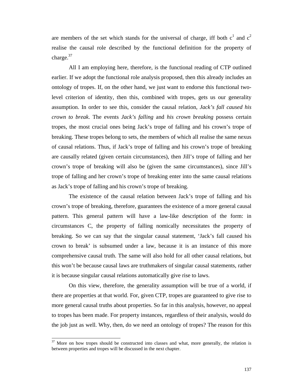are members of the set which stands for the universal of charge, iff both  $c^1$  and  $c^2$ realise the causal role described by the functional definition for the property of charge.<sup>37</sup>

All I am employing here, therefore, is the functional reading of CTP outlined earlier. If we adopt the functional role analysis proposed, then this already includes an ontology of tropes. If, on the other hand, we just want to endorse this functional twolevel criterion of identity, then this, combined with tropes, gets us our generality assumption. In order to see this, consider the causal relation, *Jack's fall caused his crown to break*. The events *Jack's falling* and *his crown breaking* possess certain tropes, the most crucial ones being Jack's trope of falling and his crown's trope of breaking. These tropes belong to sets, the members of which all realise the same nexus of causal relations. Thus, if Jack's trope of falling and his crown's trope of breaking are causally related (given certain circumstances), then Jill's trope of falling and her crown's trope of breaking will also be (given the same circumstances), since Jill's trope of falling and her crown's trope of breaking enter into the same causal relations as Jack's trope of falling and his crown's trope of breaking.

The existence of the causal relation between Jack's trope of falling and his crown's trope of breaking, therefore, guarantees the existence of a more general causal pattern. This general pattern will have a law-like description of the form: in circumstances C, the property of falling nomically necessitates the property of breaking. So we can say that the singular causal statement, 'Jack's fall caused his crown to break' is subsumed under a law, because it is an instance of this more comprehensive causal truth. The same will also hold for all other causal relations, but this won't be because causal laws are truthmakers of singular causal statements, rather it is because singular causal relations automatically give rise to laws.

On this view, therefore, the generality assumption will be true of a world, if there are properties at that world. For, given CTP, tropes are guaranteed to give rise to more general causal truths about properties. So far in this analysis, however, no appeal to tropes has been made. For property instances, regardless of their analysis, would do the job just as well. Why, then, do we need an ontology of tropes? The reason for this

 $37$  More on how tropes should be constructed into classes and what, more generally, the relation is between properties and tropes will be discussed in the next chapter.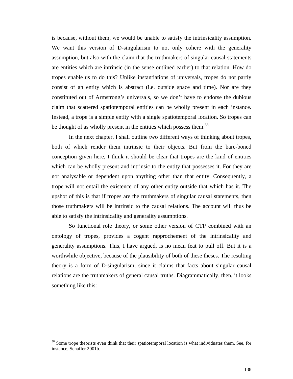is because, without them, we would be unable to satisfy the intrinsicality assumption. We want this version of D-singularism to not only cohere with the generality assumption, but also with the claim that the truthmakers of singular causal statements are entities which are intrinsic (in the sense outlined earlier) to that relation. How do tropes enable us to do this? Unlike instantiations of universals, tropes do not partly consist of an entity which is abstract (i.e. outside space and time). Nor are they constituted out of Armstrong's universals, so we don't have to endorse the dubious claim that scattered spatiotemporal entities can be wholly present in each instance. Instead, a trope is a simple entity with a single spatiotemporal location. So tropes can be thought of as wholly present in the entities which possess them.<sup>38</sup>

In the next chapter, I shall outline two different ways of thinking about tropes, both of which render them intrinsic to their objects. But from the bare-boned conception given here, I think it should be clear that tropes are the kind of entities which can be wholly present and intrinsic to the entity that possesses it. For they are not analysable or dependent upon anything other than that entity. Consequently, a trope will not entail the existence of any other entity outside that which has it. The upshot of this is that if tropes are the truthmakers of singular causal statements, then those truthmakers will be intrinsic to the causal relations. The account will thus be able to satisfy the intrinsicality and generality assumptions.

So functional role theory, or some other version of CTP combined with an ontology of tropes, provides a cogent rapprochement of the intrinsicality and generality assumptions. This, I have argued, is no mean feat to pull off. But it is a worthwhile objective, because of the plausibility of both of these theses. The resulting theory is a form of D-singularism, since it claims that facts about singular causal relations are the truthmakers of general causal truths. Diagrammatically, then, it looks something like this:

 $38$  Some trope theorists even think that their spatiotemporal location is what individuates them. See, for instance, Schaffer 2001b.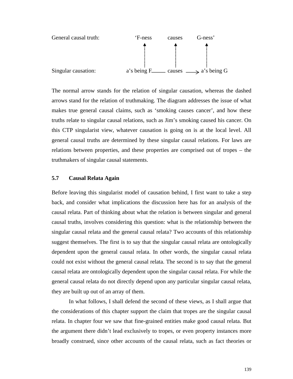

The normal arrow stands for the relation of singular causation, whereas the dashed arrows stand for the relation of truthmaking. The diagram addresses the issue of what makes true general causal claims, such as 'smoking causes cancer', and how these truths relate to singular causal relations, such as Jim's smoking caused his cancer. On this CTP singularist view, whatever causation is going on is at the local level. All general causal truths are determined by these singular causal relations. For laws are relations between properties, and these properties are comprised out of tropes – the truthmakers of singular causal statements.

#### **5.7 Causal Relata Again**

Before leaving this singularist model of causation behind, I first want to take a step back, and consider what implications the discussion here has for an analysis of the causal relata. Part of thinking about what the relation is between singular and general causal truths, involves considering this question: what is the relationship between the singular causal relata and the general causal relata? Two accounts of this relationship suggest themselves. The first is to say that the singular causal relata are ontologically dependent upon the general causal relata. In other words, the singular causal relata could not exist without the general causal relata. The second is to say that the general causal relata are ontologically dependent upon the singular causal relata. For while the general causal relata do not directly depend upon any particular singular causal relata, they are built up out of an array of them.

In what follows, I shall defend the second of these views, as I shall argue that the considerations of this chapter support the claim that tropes are the singular causal relata. In chapter four we saw that fine-grained entities make good causal relata. But the argument there didn't lead exclusively to tropes, or even property instances more broadly construed, since other accounts of the causal relata, such as fact theories or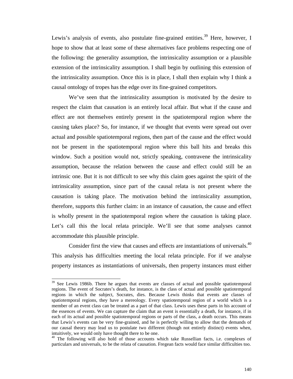Lewis's analysis of events, also postulate fine-grained entities.<sup>39</sup> Here, however, I hope to show that at least some of these alternatives face problems respecting one of the following: the generality assumption, the intrinsicality assumption or a plausible extension of the intrinsicality assumption. I shall begin by outlining this extension of the intrinsicality assumption. Once this is in place, I shall then explain why I think a causal ontology of tropes has the edge over its fine-grained competitors.

We've seen that the intrinsicality assumption is motivated by the desire to respect the claim that causation is an entirely local affair. But what if the cause and effect are not themselves entirely present in the spatiotemporal region where the causing takes place? So, for instance, if we thought that events were spread out over actual and possible spatiotemporal regions, then part of the cause and the effect would not be present in the spatiotemporal region where this ball hits and breaks this window. Such a position would not, strictly speaking, contravene the intrinsicality assumption, because the relation between the cause and effect could still be an intrinsic one. But it is not difficult to see why this claim goes against the spirit of the intrinsicality assumption, since part of the causal relata is not present where the causation is taking place. The motivation behind the intrinsicality assumption, therefore, supports this further claim: in an instance of causation, the cause and effect is wholly present in the spatiotemporal region where the causation is taking place. Let's call this the local relata principle. We'll see that some analyses cannot accommodate this plausible principle.

Consider first the view that causes and effects are instantiations of universals.<sup>40</sup> This analysis has difficulties meeting the local relata principle. For if we analyse property instances as instantiations of universals, then property instances must either

 $\overline{\phantom{a}}$ 

<sup>&</sup>lt;sup>39</sup> See Lewis 1986b. There he argues that events are classes of actual and possible spatiotemporal regions. The event of Socrates's death, for instance, is the class of actual and possible spatiotemporal regions in which the subject, Socrates, dies. Because Lewis thinks that events are classes of spatiotemporal regions, they have a mereology. Every spatiotemporal region of a world which is a member of an event class can be treated as a part of that class. Lewis uses these parts in his account of the essences of events. We can capture the claim that an event is essentially a death, for instance, if in each of its actual and possible spatiotemporal regions or parts of the class, a death occurs. This means that Lewis's events can be very fine-grained, and he is perfectly willing to allow that the demands of our causal theory may lead us to postulate two different (though not entirely distinct) events when, intuitively, we would only have thought there to be one.

<sup>&</sup>lt;sup>40</sup> The following will also hold of those accounts which take Russellian facts, i.e. complexes of particulars and universals, to be the relata of causation. Fregean facts would face similar difficulties too.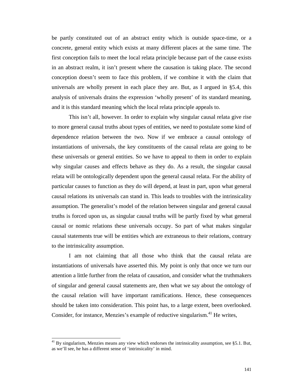be partly constituted out of an abstract entity which is outside space-time, or a concrete, general entity which exists at many different places at the same time. The first conception fails to meet the local relata principle because part of the cause exists in an abstract realm, it isn't present where the causation is taking place. The second conception doesn't seem to face this problem, if we combine it with the claim that universals are wholly present in each place they are. But, as I argued in §5.4, this analysis of universals drains the expression 'wholly present' of its standard meaning, and it is this standard meaning which the local relata principle appeals to.

This isn't all, however. In order to explain why singular causal relata give rise to more general causal truths about types of entities, we need to postulate some kind of dependence relation between the two. Now if we embrace a causal ontology of instantiations of universals, the key constituents of the causal relata are going to be these universals or general entities. So we have to appeal to them in order to explain why singular causes and effects behave as they do. As a result, the singular causal relata will be ontologically dependent upon the general causal relata. For the ability of particular causes to function as they do will depend, at least in part, upon what general causal relations its universals can stand in. This leads to troubles with the intrinsicality assumption. The generalist's model of the relation between singular and general causal truths is forced upon us, as singular causal truths will be partly fixed by what general causal or nomic relations these universals occupy. So part of what makes singular causal statements true will be entities which are extraneous to their relations, contrary to the intrinsicality assumption.

I am not claiming that all those who think that the causal relata are instantiations of universals have asserted this. My point is only that once we turn our attention a little further from the relata of causation, and consider what the truthmakers of singular and general causal statements are, then what we say about the ontology of the causal relation will have important ramifications. Hence, these consequences should be taken into consideration. This point has, to a large extent, been overlooked. Consider, for instance, Menzies's example of reductive singularism.<sup>41</sup> He writes,

<sup>41</sup> By singularism, Menzies means any view which endorses the intrinsicality assumption, see §5.1. But, as we'll see, he has a different sense of 'intrinsicality' in mind.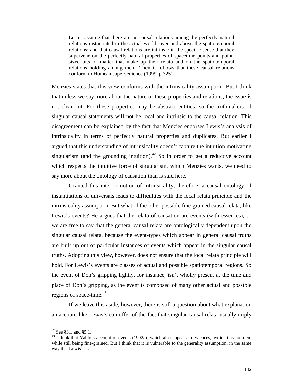Let us assume that there are no causal relations among the perfectly natural relations instantiated in the actual world, over and above the spatiotemporal relations; and that causal relations are intrinsic in the specific sense that they supervene on the perfectly natural properties of spacetime points and pointsized bits of matter that make up their relata and on the spatiotemporal relations holding among them. Then it follows that these causal relations conform to Humean supervenience (1999, p.325).

Menzies states that this view conforms with the intrinsicality assumption. But I think that unless we say more about the nature of these properties and relations, the issue is not clear cut. For these properties may be abstract entities, so the truthmakers of singular causal statements will not be local and intrinsic to the causal relation. This disagreement can be explained by the fact that Menzies endorses Lewis's analysis of intrinsicality in terms of perfectly natural properties and duplicates. But earlier I argued that this understanding of intrinsicality doesn't capture the intuition motivating singularism (and the grounding intuition).<sup>42</sup> So in order to get a reductive account which respects the intuitive force of singularism, which Menzies wants, we need to say more about the ontology of causation than is said here.

Granted this interior notion of intrinsicality, therefore, a causal ontology of instantiations of universals leads to difficulties with the local relata principle and the intrinsicality assumption. But what of the other possible fine-grained causal relata, like Lewis's events? He argues that the relata of causation are events (with essences), so we are free to say that the general causal relata are ontologically dependent upon the singular causal relata, because the event-types which appear in general causal truths are built up out of particular instances of events which appear in the singular causal truths. Adopting this view, however, does not ensure that the local relata principle will hold. For Lewis's events are classes of actual and possible spatiotemporal regions. So the event of Don's gripping lightly, for instance, isn't wholly present at the time and place of Don's gripping, as the event is composed of many other actual and possible regions of space-time. $43$ 

If we leave this aside, however, there is still a question about what explanation an account like Lewis's can offer of the fact that singular causal relata usually imply

 $\overline{\phantom{a}}$ 

 $42$  See §3.1 and §5.1.

<sup>&</sup>lt;sup>43</sup> I think that Yablo's account of events (1992a), which also appeals to essences, avoids this problem while still being fine-grained. But I think that it is vulnerable to the generality assumption, in the same way that Lewis's is.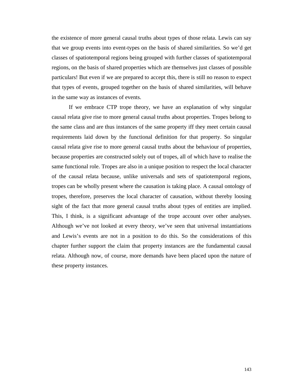the existence of more general causal truths about types of those relata. Lewis can say that we group events into event-types on the basis of shared similarities. So we'd get classes of spatiotemporal regions being grouped with further classes of spatiotemporal regions, on the basis of shared properties which are themselves just classes of possible particulars! But even if we are prepared to accept this, there is still no reason to expect that types of events, grouped together on the basis of shared similarities, will behave in the same way as instances of events.

If we embrace CTP trope theory, we have an explanation of why singular causal relata give rise to more general causal truths about properties. Tropes belong to the same class and are thus instances of the same property iff they meet certain causal requirements laid down by the functional definition for that property. So singular causal relata give rise to more general causal truths about the behaviour of properties, because properties are constructed solely out of tropes, all of which have to realise the same functional role. Tropes are also in a unique position to respect the local character of the causal relata because, unlike universals and sets of spatiotemporal regions, tropes can be wholly present where the causation is taking place. A causal ontology of tropes, therefore, preserves the local character of causation, without thereby loosing sight of the fact that more general causal truths about types of entities are implied. This, I think, is a significant advantage of the trope account over other analyses. Although we've not looked at every theory, we've seen that universal instantiations and Lewis's events are not in a position to do this. So the considerations of this chapter further support the claim that property instances are the fundamental causal relata. Although now, of course, more demands have been placed upon the nature of these property instances.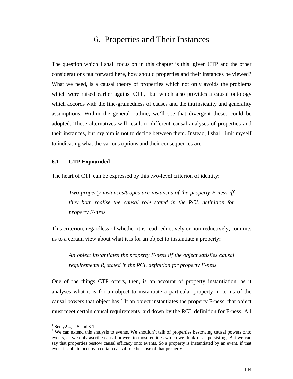# 6. Properties and Their Instances

The question which I shall focus on in this chapter is this: given CTP and the other considerations put forward here, how should properties and their instances be viewed? What we need, is a causal theory of properties which not only avoids the problems which were raised earlier against  $CTP$ , but which also provides a causal ontology which accords with the fine-grainedness of causes and the intrinsicality and generality assumptions. Within the general outline, we'll see that divergent theses could be adopted. These alternatives will result in different causal analyses of properties and their instances, but my aim is not to decide between them. Instead, I shall limit myself to indicating what the various options and their consequences are.

### **6.1 CTP Expounded**

The heart of CTP can be expressed by this two-level criterion of identity:

*Two property instances/tropes are instances of the property F-ness iff they both realise the causal role stated in the RCL definition for property F-ness.*

This criterion, regardless of whether it is read reductively or non-reductively, commits us to a certain view about what it is for an object to instantiate a property:

*An object instantiates the property F-ness iff the object satisfies causal requirements R, stated in the RCL definition for property F-ness.*

One of the things CTP offers, then, is an account of property instantiation, as it analyses what it is for an object to instantiate a particular property in terms of the causal powers that object has.<sup>2</sup> If an object instantiates the property F-ness, that object must meet certain causal requirements laid down by the RCL definition for F-ness. All

<sup>&</sup>lt;sup>1</sup> See §2.4, 2.5 and 3.1.

 $2$  We can extend this analysis to events. We shouldn't talk of properties bestowing causal powers onto events, as we only ascribe causal powers to those entities which we think of as persisting. But we can say that properties bestow causal efficacy onto events. So a property is instantiated by an event, if that event is able to occupy a certain causal role because of that property.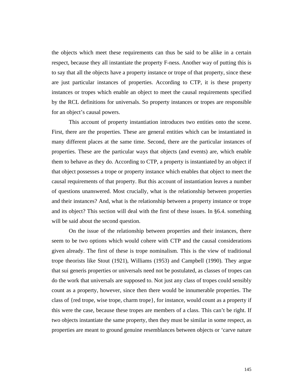the objects which meet these requirements can thus be said to be alike in a certain respect, because they all instantiate the property F-ness. Another way of putting this is to say that all the objects have a property instance or trope of that property, since these are just particular instances of properties. According to CTP, it is these property instances or tropes which enable an object to meet the causal requirements specified by the RCL definitions for universals. So property instances or tropes are responsible for an object's causal powers.

This account of property instantiation introduces two entities onto the scene. First, there are the properties. These are general entities which can be instantiated in many different places at the same time. Second, there are the particular instances of properties. These are the particular ways that objects (and events) are, which enable them to behave as they do. According to CTP, a property is instantiated by an object if that object possesses a trope or property instance which enables that object to meet the causal requirements of that property. But this account of instantiation leaves a number of questions unanswered. Most crucially, what is the relationship between properties and their instances? And, what is the relationship between a property instance or trope and its object? This section will deal with the first of these issues. In §6.4. something will be said about the second question.

On the issue of the relationship between properties and their instances, there seem to be two options which would cohere with CTP and the causal considerations given already. The first of these is trope nominalism. This is the view of traditional trope theorists like Stout (1921), Williams (1953) and Campbell (1990). They argue that sui generis properties or universals need not be postulated, as classes of tropes can do the work that universals are supposed to. Not just any class of tropes could sensibly count as a property, however, since then there would be innumerable properties. The class of {red trope, wise trope, charm trope}, for instance, would count as a property if this were the case, because these tropes are members of a class. This can't be right. If two objects instantiate the same property, then they must be similar in some respect, as properties are meant to ground genuine resemblances between objects or 'carve nature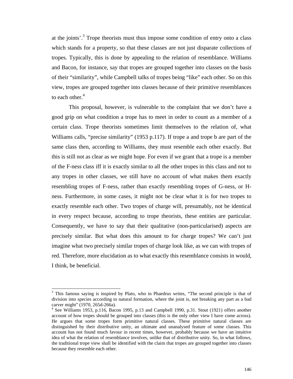at the joints'.<sup>3</sup> Trope theorists must thus impose some condition of entry onto a class which stands for a property, so that these classes are not just disparate collections of tropes. Typically, this is done by appealing to the relation of resemblance. Williams and Bacon, for instance, say that tropes are grouped together into classes on the basis of their "similarity", while Campbell talks of tropes being "like" each other. So on this view, tropes are grouped together into classes because of their primitive resemblances to each other. $4$ 

This proposal, however, is vulnerable to the complaint that we don't have a good grip on what condition a trope has to meet in order to count as a member of a certain class. Trope theorists sometimes limit themselves to the relation of, what Williams calls, "precise similarity" (1953 p.117). If trope a and trope b are part of the same class then, according to Williams, they must resemble each other exactly. But this is still not as clear as we might hope. For even if we grant that a trope is a member of the F-ness class iff it is exactly similar to all the other tropes in this class and not to any tropes in other classes, we still have no account of what makes them exactly resembling tropes of F-ness, rather than exactly resembling tropes of G-ness, or Hness. Furthermore, in some cases, it might not be clear what it is for two tropes to exactly resemble each other. Two tropes of charge will, presumably, not be identical in every respect because, according to trope theorists, these entities are particular. Consequently, we have to say that their qualitative (non-particularised) aspects are precisely similar. But what does this amount to for charge tropes? We can't just imagine what two precisely similar tropes of charge look like, as we can with tropes of red. Therefore, more elucidation as to what exactly this resemblance consists in would, I think, be beneficial.

<sup>&</sup>lt;sup>3</sup> This famous saying is inspired by Plato, who in Phaedrus writes, "The second principle is that of division into species according to natural formation, where the joint is, not breaking any part as a bad carver might" (1970, 265d-266a).

<sup>&</sup>lt;sup>4</sup> See Williams 1953, p.116, Bacon 1995, p.13 and Campbell 1990, p.31. Stout (1921) offers another account of how tropes should be grouped into classes (this is the only other view I have come across). He argues that some tropes form primitive natural classes. These primitive natural classes are distinguished by their distributive unity, an ultimate and unanalysed feature of some classes. This account has not found much favour in recent times, however, probably because we have an intuitive idea of what the relation of resemblance involves, unlike that of distributive unity. So, in what follows, the traditional trope view shall be identified with the claim that tropes are grouped together into classes because they resemble each other.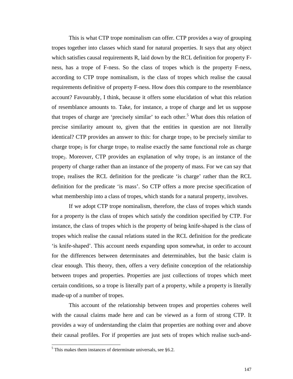This is what CTP trope nominalism can offer. CTP provides a way of grouping tropes together into classes which stand for natural properties. It says that any object which satisfies causal requirements R, laid down by the RCL definition for property Fness, has a trope of F-ness. So the class of tropes which is the property F-ness, according to CTP trope nominalism, is the class of tropes which realise the causal requirements definitive of property F-ness. How does this compare to the resemblance account? Favourably, I think, because it offers some elucidation of what this relation of resemblance amounts to. Take, for instance, a trope of charge and let us suppose that tropes of charge are 'precisely similar' to each other.<sup>5</sup> What does this relation of precise similarity amount to, given that the entities in question are not literally identical? CTP provides an answer to this: for charge trope<sub>1</sub> to be precisely similar to charge trope<sub>2</sub> is for charge trope<sub>1</sub> to realise exactly the same functional role as charge trope<sub>2</sub>. Moreover, CTP provides an explanation of why trope<sub>1</sub> is an instance of the property of charge rather than an instance of the property of mass. For we can say that trope<sub>1</sub> realises the RCL definition for the predicate 'is charge' rather than the RCL definition for the predicate 'is mass'. So CTP offers a more precise specification of what membership into a class of tropes, which stands for a natural property, involves.

If we adopt CTP trope nominalism, therefore, the class of tropes which stands for a property is the class of tropes which satisfy the condition specified by CTP. For instance, the class of tropes which is the property of being knife-shaped is the class of tropes which realise the causal relations stated in the RCL definition for the predicate 'is knife-shaped'. This account needs expanding upon somewhat, in order to account for the differences between determinates and determinables, but the basic claim is clear enough. This theory, then, offers a very definite conception of the relationship between tropes and properties. Properties are just collections of tropes which meet certain conditions, so a trope is literally part of a property, while a property is literally made-up of a number of tropes.

This account of the relationship between tropes and properties coheres well with the causal claims made here and can be viewed as a form of strong CTP. It provides a way of understanding the claim that properties are nothing over and above their causal profiles. For if properties are just sets of tropes which realise such-and-

 $5$  This makes them instances of determinate universals, see §6.2.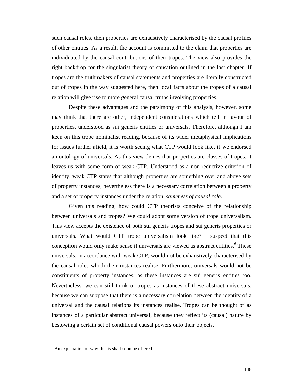such causal roles, then properties are exhaustively characterised by the causal profiles of other entities. As a result, the account is committed to the claim that properties are individuated by the causal contributions of their tropes. The view also provides the right backdrop for the singularist theory of causation outlined in the last chapter. If tropes are the truthmakers of causal statements and properties are literally constructed out of tropes in the way suggested here, then local facts about the tropes of a causal relation will give rise to more general causal truths involving properties.

Despite these advantages and the parsimony of this analysis, however, some may think that there are other, independent considerations which tell in favour of properties, understood as sui generis entities or universals. Therefore, although I am keen on this trope nominalist reading, because of its wider metaphysical implications for issues further afield, it is worth seeing what CTP would look like, if we endorsed an ontology of universals. As this view denies that properties are classes of tropes, it leaves us with some form of weak CTP. Understood as a non-reductive criterion of identity, weak CTP states that although properties are something over and above sets of property instances, nevertheless there is a necessary correlation between a property and a set of property instances under the relation, *sameness of causal role*.

Given this reading, how could CTP theorists conceive of the relationship between universals and tropes? We could adopt some version of trope universalism. This view accepts the existence of both sui generis tropes and sui generis properties or universals. What would CTP trope universalism look like? I suspect that this conception would only make sense if universals are viewed as abstract entities.<sup>6</sup> These universals, in accordance with weak CTP, would not be exhaustively characterised by the causal roles which their instances realise. Furthermore, universals would not be constituents of property instances, as these instances are sui generis entities too. Nevertheless, we can still think of tropes as instances of these abstract universals, because we can suppose that there is a necessary correlation between the identity of a universal and the causal relations its instances realise. Tropes can be thought of as instances of a particular abstract universal, because they reflect its (causal) nature by bestowing a certain set of conditional causal powers onto their objects.

 $6$  An explanation of why this is shall soon be offered.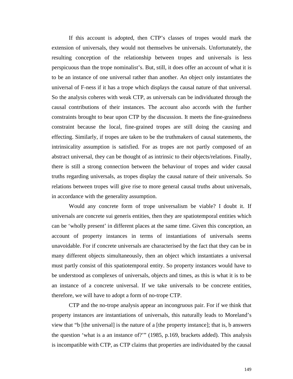If this account is adopted, then CTP's classes of tropes would mark the extension of universals, they would not themselves be universals. Unfortunately, the resulting conception of the relationship between tropes and universals is less perspicuous than the trope nominalist's. But, still, it does offer an account of what it is to be an instance of one universal rather than another. An object only instantiates the universal of F-ness if it has a trope which displays the causal nature of that universal. So the analysis coheres with weak CTP, as universals can be individuated through the causal contributions of their instances. The account also accords with the further constraints brought to bear upon CTP by the discussion. It meets the fine-grainedness constraint because the local, fine-grained tropes are still doing the causing and effecting. Similarly, if tropes are taken to be the truthmakers of causal statements, the intrinsicality assumption is satisfied. For as tropes are not partly composed of an abstract universal, they can be thought of as intrinsic to their objects/relations. Finally, there is still a strong connection between the behaviour of tropes and wider causal truths regarding universals, as tropes display the causal nature of their universals. So relations between tropes will give rise to more general causal truths about universals, in accordance with the generality assumption.

Would any concrete form of trope universalism be viable? I doubt it. If universals are concrete sui generis entities, then they are spatiotemporal entities which can be 'wholly present' in different places at the same time. Given this conception, an account of property instances in terms of instantiations of universals seems unavoidable. For if concrete universals are characterised by the fact that they can be in many different objects simultaneously, then an object which instantiates a universal must partly consist of this spatiotemporal entity. So property instances would have to be understood as complexes of universals, objects and times, as this is what it is to be an instance of a concrete universal. If we take universals to be concrete entities, therefore, we will have to adopt a form of no-trope CTP.

CTP and the no-trope analysis appear an incongruous pair. For if we think that property instances are instantiations of universals, this naturally leads to Moreland's view that "b [the universal] is the nature of a [the property instance]; that is, b answers the question 'what is a an instance of?'" (1985, p.169, brackets added). This analysis is incompatible with CTP, as CTP claims that properties are individuated by the causal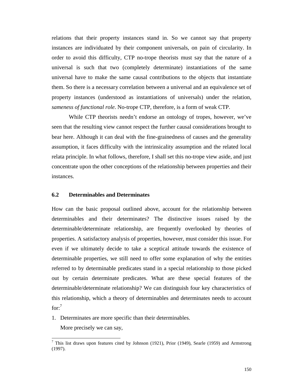relations that their property instances stand in. So we cannot say that property instances are individuated by their component universals, on pain of circularity. In order to avoid this difficulty, CTP no-trope theorists must say that the nature of a universal is such that two (completely determinate) instantiations of the same universal have to make the same causal contributions to the objects that instantiate them. So there is a necessary correlation between a universal and an equivalence set of property instances (understood as instantiations of universals) under the relation*, sameness of functional role*. No-trope CTP, therefore, is a form of weak CTP.

While CTP theorists needn't endorse an ontology of tropes, however, we've seen that the resulting view cannot respect the further causal considerations brought to bear here. Although it can deal with the fine-grainedness of causes and the generality assumption, it faces difficulty with the intrinsicality assumption and the related local relata principle. In what follows, therefore, I shall set this no-trope view aside, and just concentrate upon the other conceptions of the relationship between properties and their instances.

## **6.2 Determinables and Determinates**

How can the basic proposal outlined above, account for the relationship between determinables and their determinates? The distinctive issues raised by the determinable/determinate relationship, are frequently overlooked by theories of properties. A satisfactory analysis of properties, however, must consider this issue. For even if we ultimately decide to take a sceptical attitude towards the existence of determinable properties, we still need to offer some explanation of why the entities referred to by determinable predicates stand in a special relationship to those picked out by certain determinate predicates. What are these special features of the determinable/determinate relationship? We can distinguish four key characteristics of this relationship, which a theory of determinables and determinates needs to account  $for: <sup>7</sup>$ 

1. Determinates are more specific than their determinables.

More precisely we can say,

<sup>&</sup>lt;sup>7</sup> This list draws upon features cited by Johnson (1921), Prior (1949), Searle (1959) and Armstrong (1997).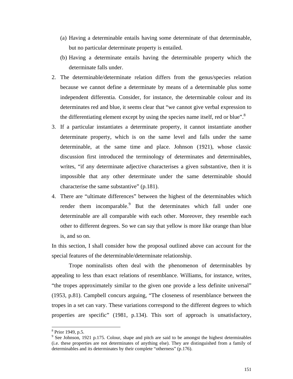- (a) Having a determinable entails having some determinate of that determinable, but no particular determinate property is entailed.
- (b) Having a determinate entails having the determinable property which the determinate falls under.
- 2. The determinable/determinate relation differs from the genus/species relation because we cannot define a determinate by means of a determinable plus some independent differentia. Consider, for instance, the determinable colour and its determinates red and blue, it seems clear that "we cannot give verbal expression to the differentiating element except by using the species name itself, red or blue".<sup>8</sup>
- 3. If a particular instantiates a determinate property, it cannot instantiate another determinate property, which is on the same level and falls under the same determinable, at the same time and place. Johnson (1921), whose classic discussion first introduced the terminology of determinates and determinables, writes, "if any determinate adjective characterises a given substantive, then it is impossible that any other determinate under the same determinable should characterise the same substantive" (p.181).
- 4. There are "ultimate differences" between the highest of the determinables which render them incomparable.<sup>9</sup> But the determinates which fall under one determinable are all comparable with each other. Moreover, they resemble each other to different degrees. So we can say that yellow is more like orange than blue is, and so on.

In this section, I shall consider how the proposal outlined above can account for the special features of the determinable/determinate relationship.

Trope nominalists often deal with the phenomenon of determinables by appealing to less than exact relations of resemblance. Williams, for instance, writes, "the tropes approximately similar to the given one provide a less definite universal" (1953, p.81). Campbell concurs arguing, "The closeness of resemblance between the tropes in a set can vary. These variations correspond to the different degrees to which properties are specific" (1981, p.134). This sort of approach is unsatisfactory,

<sup>8</sup> Prior 1949, p.5.

 $9^9$  See Johnson, 1921 p.175. Colour, shape and pitch are said to be amongst the highest determinables (i.e. these properties are not determinates of anything else). They are distinguished from a family of determinables and its determinates by their complete "otherness" (p.176).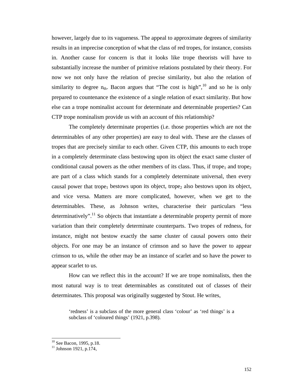however, largely due to its vagueness. The appeal to approximate degrees of similarity results in an imprecise conception of what the class of red tropes, for instance, consists in. Another cause for concern is that it looks like trope theorists will have to substantially increase the number of primitive relations postulated by their theory. For now we not only have the relation of precise similarity, but also the relation of similarity to degree  $n_{th}$ . Bacon argues that "The cost is high", <sup>10</sup> and so he is only prepared to countenance the existence of a single relation of exact similarity. But how else can a trope nominalist account for determinate and determinable properties? Can CTP trope nominalism provide us with an account of this relationship?

The completely determinate properties (i.e. those properties which are not the determinables of any other properties) are easy to deal with. These are the classes of tropes that are precisely similar to each other. Given CTP, this amounts to each trope in a completely determinate class bestowing upon its object the exact same cluster of conditional causal powers as the other members of its class. Thus, if trope<sub>1</sub> and trope<sub>2</sub> are part of a class which stands for a completely determinate universal, then every causal power that trope<sub>1</sub> bestows upon its object, trope<sub>2</sub> also bestows upon its object, and vice versa. Matters are more complicated, however, when we get to the determinables. These, as Johnson writes, characterise their particulars "less determinatively".<sup>11</sup> So objects that instantiate a determinable property permit of more variation than their completely determinate counterparts. Two tropes of redness, for instance, might not bestow exactly the same cluster of causal powers onto their objects. For one may be an instance of crimson and so have the power to appear crimson to us, while the other may be an instance of scarlet and so have the power to appear scarlet to us.

How can we reflect this in the account? If we are trope nominalists, then the most natural way is to treat determinables as constituted out of classes of their determinates. This proposal was originally suggested by Stout. He writes,

'redness' is a subclass of the more general class 'colour' as 'red things' is a subclass of 'coloured things' (1921, p.398).

<sup>&</sup>lt;sup>10</sup> See Bacon, 1995, p.18.

 $11$  Johnson 1921, p.174,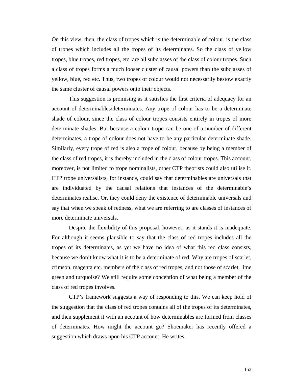On this view, then, the class of tropes which is the determinable of colour, is the class of tropes which includes all the tropes of its determinates. So the class of yellow tropes, blue tropes, red tropes, etc. are all subclasses of the class of colour tropes. Such a class of tropes forms a much looser cluster of causal powers than the subclasses of yellow, blue, red etc. Thus, two tropes of colour would not necessarily bestow exactly the same cluster of causal powers onto their objects.

This suggestion is promising as it satisfies the first criteria of adequacy for an account of determinables/determinates. Any trope of colour has to be a determinate shade of colour, since the class of colour tropes consists entirely in tropes of more determinate shades. But because a colour trope can be one of a number of different determinates, a trope of colour does not have to be any particular determinate shade. Similarly, every trope of red is also a trope of colour, because by being a member of the class of red tropes, it is thereby included in the class of colour tropes. This account, moreover, is not limited to trope nominalists, other CTP theorists could also utilise it. CTP trope universalists, for instance, could say that determinables are universals that are individuated by the causal relations that instances of the determinable's determinates realise. Or, they could deny the existence of determinable universals and say that when we speak of redness, what we are referring to are classes of instances of more determinate universals.

Despite the flexibility of this proposal, however, as it stands it is inadequate. For although it seems plausible to say that the class of red tropes includes all the tropes of its determinates, as yet we have no idea of what this red class consists, because we don't know what it is to be a determinate of red. Why are tropes of scarlet, crimson, magenta etc. members of the class of red tropes, and not those of scarlet, lime green and turquoise? We still require some conception of what being a member of the class of red tropes involves.

CTP's framework suggests a way of responding to this. We can keep hold of the suggestion that the class of red tropes contains all of the tropes of its determinates, and then supplement it with an account of how determinables are formed from classes of determinates. How might the account go? Shoemaker has recently offered a suggestion which draws upon his CTP account. He writes,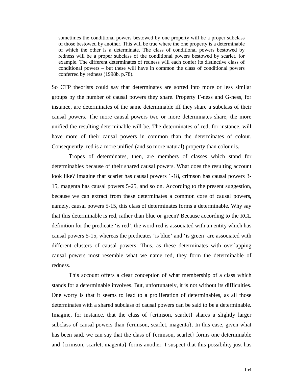sometimes the conditional powers bestowed by one property will be a proper subclass of those bestowed by another. This will be true where the one property is a determinable of which the other is a determinate. The class of conditional powers bestowed by redness will be a proper subclass of the conditional powers bestowed by scarlet, for example. The different determinates of redness will each confer its distinctive class of conditional powers – but these will have in common the class of conditional powers conferred by redness (1998b, p.78).

So CTP theorists could say that determinates are sorted into more or less similar groups by the number of causal powers they share. Property F-ness and G-ness, for instance, are determinates of the same determinable iff they share a subclass of their causal powers. The more causal powers two or more determinates share, the more unified the resulting determinable will be. The determinates of red, for instance, will have more of their causal powers in common than the determinates of colour. Consequently, red is a more unified (and so more natural) property than colour is.

Tropes of determinates, then, are members of classes which stand for determinables because of their shared causal powers. What does the resulting account look like? Imagine that scarlet has causal powers 1-18, crimson has causal powers 3- 15, magenta has causal powers 5-25, and so on. According to the present suggestion, because we can extract from these determinates a common core of causal powers, namely, causal powers 5-15, this class of determinates forms a determinable. Why say that this determinable is red, rather than blue or green? Because according to the RCL definition for the predicate 'is red', the word red is associated with an entity which has causal powers 5-15, whereas the predicates 'is blue' and 'is green' are associated with different clusters of causal powers. Thus, as these determinates with overlapping causal powers most resemble what we name red, they form the determinable of redness.

This account offers a clear conception of what membership of a class which stands for a determinable involves. But, unfortunately, it is not without its difficulties. One worry is that it seems to lead to a proliferation of determinables, as all those determinates with a shared subclass of causal powers can be said to be a determinable. Imagine, for instance, that the class of {crimson, scarlet} shares a slightly larger subclass of causal powers than {crimson, scarlet, magenta}. In this case, given what has been said, we can say that the class of {crimson, scarlet} forms one determinable and {crimson, scarlet, magenta} forms another. I suspect that this possibility just has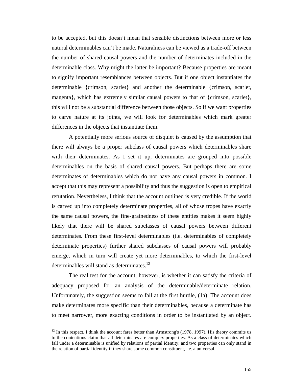to be accepted, but this doesn't mean that sensible distinctions between more or less natural determinables can't be made. Naturalness can be viewed as a trade-off between the number of shared causal powers and the number of determinates included in the determinable class. Why might the latter be important? Because properties are meant to signify important resemblances between objects. But if one object instantiates the determinable {crimson, scarlet} and another the determinable {crimson, scarlet, magenta}, which has extremely similar causal powers to that of {crimson, scarlet}, this will not be a substantial difference between those objects. So if we want properties to carve nature at its joints, we will look for determinables which mark greater differences in the objects that instantiate them.

A potentially more serious source of disquiet is caused by the assumption that there will always be a proper subclass of causal powers which determinables share with their determinates. As I set it up, determinates are grouped into possible determinables on the basis of shared causal powers. But perhaps there are some determinates of determinables which do not have any causal powers in common. I accept that this may represent a possibility and thus the suggestion is open to empirical refutation. Nevertheless, I think that the account outlined is very credible. If the world is carved up into completely determinate properties, all of whose tropes have exactly the same causal powers, the fine-grainedness of these entities makes it seem highly likely that there will be shared subclasses of causal powers between different determinates. From these first-level determinables (i.e. determinables of completely determinate properties) further shared subclasses of causal powers will probably emerge, which in turn will create yet more determinables, to which the first-level determinables will stand as determinates.<sup>12</sup>

The real test for the account, however, is whether it can satisfy the criteria of adequacy proposed for an analysis of the determinable/determinate relation. Unfortunately, the suggestion seems to fall at the first hurdle, (1a). The account does make determinates more specific than their determinables, because a determinate has to meet narrower, more exacting conditions in order to be instantiated by an object.

 $12$  In this respect, I think the account fares better than Armstrong's (1978, 1997). His theory commits us to the contentious claim that all determinates are complex properties. As a class of determinates which fall under a determinable is unified by relations of partial identity, and two properties can only stand in the relation of partial identity if they share some common constituent, i.e. a universal.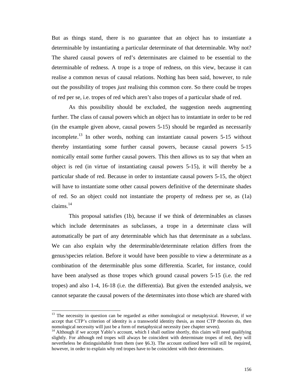But as things stand, there is no guarantee that an object has to instantiate a determinable by instantiating a particular determinate of that determinable. Why not? The shared causal powers of red's determinates are claimed to be essential to the determinable of redness. A trope is a trope of redness, on this view, because it can realise a common nexus of causal relations. Nothing has been said, however, to rule out the possibility of tropes *just* realising this common core. So there could be tropes of red per se, i.e. tropes of red which aren't also tropes of a particular shade of red.

As this possibility should be excluded, the suggestion needs augmenting further. The class of causal powers which an object has to instantiate in order to be red (in the example given above, causal powers 5-15) should be regarded as necessarily incomplete.<sup>13</sup> In other words, nothing can instantiate causal powers  $5\n-15$  without thereby instantiating some further causal powers, because causal powers 5-15 nomically entail some further causal powers. This then allows us to say that when an object is red (in virtue of instantiating causal powers 5-15), it will thereby be a particular shade of red. Because in order to instantiate causal powers 5-15, the object will have to instantiate some other causal powers definitive of the determinate shades of red. So an object could not instantiate the property of redness per se, as (1a) claims. $^{14}$ 

This proposal satisfies (1b), because if we think of determinables as classes which include determinates as subclasses, a trope in a determinate class will automatically be part of any determinable which has that determinate as a subclass. We can also explain why the determinable/determinate relation differs from the genus/species relation. Before it would have been possible to view a determinate as a combination of the determinable plus some differentia. Scarlet, for instance, could have been analysed as those tropes which ground causal powers 5-15 (i.e. the red tropes) and also 1-4, 16-18 (i.e. the differentia). But given the extended analysis, we cannot separate the causal powers of the determinates into those which are shared with

 $<sup>13</sup>$  The necessity in question can be regarded as either nomological or metaphysical. However, if we</sup> accept that CTP's criterion of identity is a transworld identity thesis, as most CTP theorists do, then nomological necessity will just be a form of metaphysical necessity (see chapter seven).

<sup>&</sup>lt;sup>14</sup> Although if we accept Yablo's account, which I shall outline shortly, this claim will need qualifying slightly. For although red tropes will always be coincident with determinate tropes of red, they will nevertheless be distinguishable from them (see §6.3). The account outlined here will still be required, however, in order to explain why red tropes have to be coincident with their determinates.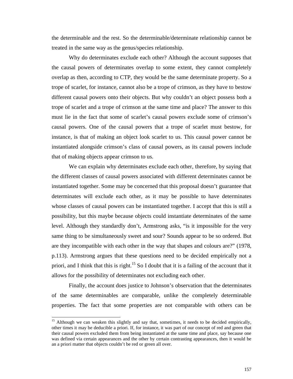the determinable and the rest. So the determinable/determinate relationship cannot be treated in the same way as the genus/species relationship.

Why do determinates exclude each other? Although the account supposes that the causal powers of determinates overlap to some extent, they cannot completely overlap as then, according to CTP, they would be the same determinate property. So a trope of scarlet, for instance, cannot also be a trope of crimson, as they have to bestow different causal powers onto their objects. But why couldn't an object possess both a trope of scarlet and a trope of crimson at the same time and place? The answer to this must lie in the fact that some of scarlet's causal powers exclude some of crimson's causal powers. One of the causal powers that a trope of scarlet must bestow, for instance, is that of making an object look scarlet to us. This causal power cannot be instantiated alongside crimson's class of causal powers, as its causal powers include that of making objects appear crimson to us.

We can explain why determinates exclude each other, therefore, by saying that the different classes of causal powers associated with different determinates cannot be instantiated together. Some may be concerned that this proposal doesn't guarantee that determinates will exclude each other, as it may be possible to have determinates whose classes of causal powers can be instantiated together. I accept that this is still a possibility, but this maybe because objects could instantiate determinates of the same level. Although they standardly don't, Armstrong asks, "is it impossible for the very same thing to be simultaneously sweet and sour? Sounds appear to be so ordered. But are they incompatible with each other in the way that shapes and colours are?" (1978, p.113). Armstrong argues that these questions need to be decided empirically not a priori, and I think that this is right.<sup>15</sup> So I doubt that it is a failing of the account that it allows for the possibility of determinates not excluding each other.

Finally, the account does justice to Johnson's observation that the determinates of the same determinables are comparable, unlike the completely determinable properties. The fact that some properties are not comparable with others can be

l

<sup>&</sup>lt;sup>15</sup> Although we can weaken this slightly and say that, sometimes, it needs to be decided empirically, other times it may be deducible a priori. If, for instance, it was part of our concept of red and green that their causal powers excluded them from being instantiated at the same time and place, say because one was defined via certain appearances and the other by certain contrasting appearances, then it would be an a priori matter that objects couldn't be red or green all over.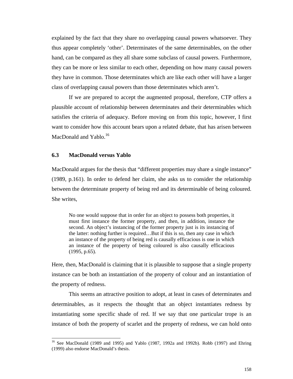explained by the fact that they share no overlapping causal powers whatsoever. They thus appear completely 'other'. Determinates of the same determinables, on the other hand, can be compared as they all share some subclass of causal powers. Furthermore, they can be more or less similar to each other, depending on how many causal powers they have in common. Those determinates which are like each other will have a larger class of overlapping causal powers than those determinates which aren't.

If we are prepared to accept the augmented proposal, therefore, CTP offers a plausible account of relationship between determinates and their determinables which satisfies the criteria of adequacy. Before moving on from this topic, however, I first want to consider how this account bears upon a related debate, that has arisen between MacDonald and Yablo.<sup>16</sup>

### **6.3 MacDonald versus Yablo**

 $\overline{a}$ 

MacDonald argues for the thesis that "different properties may share a single instance" (1989, p.161). In order to defend her claim, she asks us to consider the relationship between the determinate property of being red and its determinable of being coloured. She writes,

No one would suppose that in order for an object to possess both properties, it must first instance the former property, and then, in addition, instance the second. An object's instancing of the former property just is its instancing of the latter: nothing further is required…But if this is so, then any case in which an instance of the property of being red is causally efficacious is one in which an instance of the property of being coloured is also causally efficacious (1995, p.65).

Here, then, MacDonald is claiming that it is plausible to suppose that a single property instance can be both an instantiation of the property of colour and an instantiation of the property of redness.

This seems an attractive position to adopt, at least in cases of determinates and determinables, as it respects the thought that an object instantiates redness by instantiating some specific shade of red. If we say that one particular trope is an instance of both the property of scarlet and the property of redness, we can hold onto

<sup>&</sup>lt;sup>16</sup> See MacDonald (1989 and 1995) and Yablo (1987, 1992a and 1992b). Robb (1997) and Ehring (1999) also endorse MacDonald's thesis.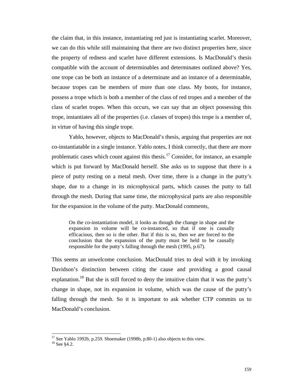the claim that, in this instance, instantiating red just is instantiating scarlet. Moreover, we can do this while still maintaining that there are two distinct properties here, since the property of redness and scarlet have different extensions. Is MacDonald's thesis compatible with the account of determinables and determinates outlined above? Yes, one trope can be both an instance of a determinate and an instance of a determinable, because tropes can be members of more than one class. My boots, for instance, possess a trope which is both a member of the class of red tropes and a member of the class of scarlet tropes. When this occurs, we can say that an object possessing this trope, instantiates all of the properties (i.e. classes of tropes) this trope is a member of, in virtue of having this single trope.

Yablo, however, objects to MacDonald's thesis, arguing that properties are not co-instantiatable in a single instance. Yablo notes, I think correctly, that there are more problematic cases which count against this thesis.<sup>17</sup> Consider, for instance, an example which is put forward by MacDonald herself. She asks us to suppose that there is a piece of putty resting on a metal mesh. Over time, there is a change in the putty's shape, due to a change in its microphysical parts, which causes the putty to fall through the mesh. During that same time, the microphysical parts are also responsible for the expansion in the volume of the putty. MacDonald comments,

On the co-instantiation model, it looks as though the change in shape and the expansion in volume will be co-instanced, so that if one is causally efficacious, then so is the other. But if this is so, then we are forced to the conclusion that the expansion of the putty must be held to be causally responsible for the putty's falling through the mesh (1995, p.67).

This seems an unwelcome conclusion. MacDonald tries to deal with it by invoking Davidson's distinction between citing the cause and providing a good causal explanation.<sup>18</sup> But she is still forced to deny the intuitive claim that it was the putty's change in shape, not its expansion in volume, which was the cause of the putty's falling through the mesh. So it is important to ask whether CTP commits us to MacDonald's conclusion.

 $17$  See Yablo 1992b, p.259. Shoemaker (1998b, p.80-1) also objects to this view.

<sup>18</sup> See §4.2.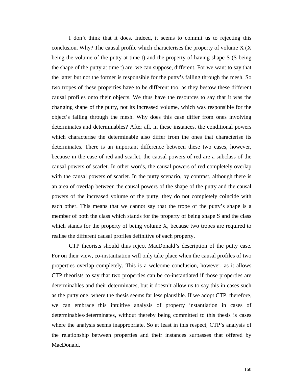I don't think that it does. Indeed, it seems to commit us to rejecting this conclusion. Why? The causal profile which characterises the property of volume  $X(X)$ being the volume of the putty at time t) and the property of having shape S (S being the shape of the putty at time t) are, we can suppose, different. For we want to say that the latter but not the former is responsible for the putty's falling through the mesh. So two tropes of these properties have to be different too, as they bestow these different causal profiles onto their objects. We thus have the resources to say that it was the changing shape of the putty, not its increased volume, which was responsible for the object's falling through the mesh. Why does this case differ from ones involving determinates and determinables? After all, in these instances, the conditional powers which characterise the determinable also differ from the ones that characterise its determinates. There is an important difference between these two cases, however, because in the case of red and scarlet, the causal powers of red are a subclass of the causal powers of scarlet. In other words, the causal powers of red completely overlap with the causal powers of scarlet. In the putty scenario, by contrast, although there is an area of overlap between the causal powers of the shape of the putty and the causal powers of the increased volume of the putty, they do not completely coincide with each other. This means that we cannot say that the trope of the putty's shape is a member of both the class which stands for the property of being shape S and the class which stands for the property of being volume X, because two tropes are required to realise the different causal profiles definitive of each property.

CTP theorists should thus reject MacDonald's description of the putty case. For on their view, co-instantiation will only take place when the causal profiles of two properties overlap completely. This is a welcome conclusion, however, as it allows CTP theorists to say that two properties can be co-instantiated if those properties are determinables and their determinates, but it doesn't allow us to say this in cases such as the putty one, where the thesis seems far less plausible. If we adopt CTP, therefore, we can embrace this intuitive analysis of property instantiation in cases of determinables/determinates, without thereby being committed to this thesis is cases where the analysis seems inappropriate. So at least in this respect, CTP's analysis of the relationship between properties and their instances surpasses that offered by MacDonald.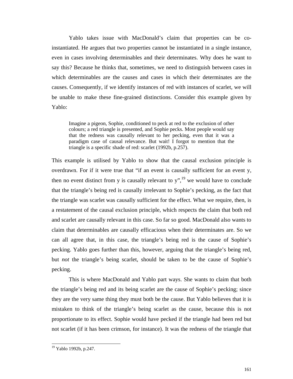Yablo takes issue with MacDonald's claim that properties can be coinstantiated. He argues that two properties cannot be instantiated in a single instance, even in cases involving determinables and their determinates. Why does he want to say this? Because he thinks that, sometimes, we need to distinguish between cases in which determinables are the causes and cases in which their determinates are the causes. Consequently, if we identify instances of red with instances of scarlet, we will be unable to make these fine-grained distinctions. Consider this example given by Yablo:

Imagine a pigeon, Sophie, conditioned to peck at red to the exclusion of other colours; a red triangle is presented, and Sophie pecks. Most people would say that the redness was causally relevant to her pecking, even that it was a paradigm case of causal relevance. But wait! I forgot to mention that the triangle is a specific shade of red: scarlet (1992b, p.257).

This example is utilised by Yablo to show that the causal exclusion principle is overdrawn. For if it were true that "if an event is causally sufficient for an event y, then no event distinct from y is causally relevant to  $y''$ ,<sup>19</sup> we would have to conclude that the triangle's being red is causally irrelevant to Sophie's pecking, as the fact that the triangle was scarlet was causally sufficient for the effect. What we require, then, is a restatement of the causal exclusion principle, which respects the claim that both red and scarlet are causally relevant in this case. So far so good. MacDonald also wants to claim that determinables are causally efficacious when their determinates are. So we can all agree that, in this case, the triangle's being red is the cause of Sophie's pecking. Yablo goes further than this, however, arguing that the triangle's being red, but *not* the triangle's being scarlet, should be taken to be the cause of Sophie's pecking.

This is where MacDonald and Yablo part ways. She wants to claim that both the triangle's being red and its being scarlet are the cause of Sophie's pecking; since they are the very same thing they must both be the cause. But Yablo believes that it is mistaken to think of the triangle's being scarlet as the cause, because this is not proportionate to its effect. Sophie would have pecked if the triangle had been red but not scarlet (if it has been crimson, for instance). It was the redness of the triangle that

<sup>19</sup> Yablo 1992b, p.247.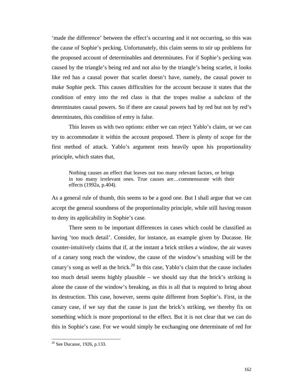'made the difference' between the effect's occurring and it not occurring, so this was the cause of Sophie's pecking. Unfortunately, this claim seems to stir up problems for the proposed account of determinables and determinates. For if Sophie's pecking was caused by the triangle's being red and not also by the triangle's being scarlet, it looks like red has a causal power that scarlet doesn't have, namely, the causal power to make Sophie peck. This causes difficulties for the account because it states that the condition of entry into the red class is that the tropes realise a *subclass* of the determinates causal powers. So if there are causal powers had by red but not by red's determinates, this condition of entry is false.

This leaves us with two options: either we can reject Yablo's claim, or we can try to accommodate it within the account proposed. There is plenty of scope for the first method of attack. Yablo's argument rests heavily upon his proportionality principle, which states that,

Nothing causes an effect that leaves out too many relevant factors, or brings in too many irrelevant ones. True causes are…commensurate with their effects (1992a, p.404).

As a general rule of thumb, this seems to be a good one. But I shall argue that we can accept the general soundness of the proportionality principle, while still having reason to deny its applicability in Sophie's case.

There seem to be important differences in cases which could be classified as having 'too much detail'. Consider, for instance, an example given by Ducasse. He counter-intuitively claims that if, at the instant a brick strikes a window, the air waves of a canary song reach the window, the cause of the window's smashing will be the canary's song as well as the brick.<sup>20</sup> In this case, Yablo's claim that the cause includes too much detail seems highly plausible – we should say that the brick's striking is alone the cause of the window's breaking, as this is all that is required to bring about its destruction. This case, however, seems quite different from Sophie's. First, in the canary case, if we say that the cause is just the brick's striking, we thereby fix on something which is more proportional to the effect. But it is not clear that we can do this in Sophie's case. For we would simply be exchanging one determinate of red for

l

 $20$  See Ducasse, 1926, p.133.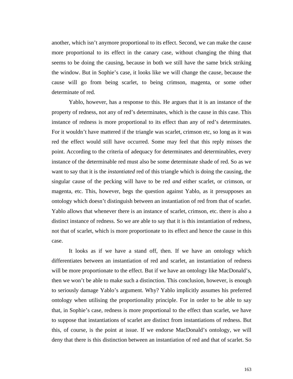another, which isn't anymore proportional to its effect. Second, we can make the cause more proportional to its effect in the canary case, without changing the thing that seems to be doing the causing, because in both we still have the same brick striking the window. But in Sophie's case, it looks like we will change the cause, because the cause will go from being scarlet, to being crimson, magenta, or some other determinate of red.

Yablo, however, has a response to this. He argues that it is an instance of the property of redness, not any of red's determinates, which is the cause in this case. This instance of redness is more proportional to its effect than any of red's determinates. For it wouldn't have mattered if the triangle was scarlet, crimson etc, so long as it was red the effect would still have occurred. Some may feel that this reply misses the point. According to the criteria of adequacy for determinates and determinables, every instance of the determinable red must also be some determinate shade of red. So as we want to say that it is the *instantiated* red of this triangle which is doing the causing, the singular cause of the pecking will have to be red *and* either scarlet, or crimson, or magenta, etc. This, however, begs the question against Yablo, as it presupposes an ontology which doesn't distinguish between an instantiation of red from that of scarlet. Yablo allows that whenever there is an instance of scarlet, crimson, etc. there is also a distinct instance of redness. So we are able to say that it is this instantiation of redness, not that of scarlet, which is more proportionate to its effect and hence the cause in this case.

It looks as if we have a stand off, then. If we have an ontology which differentiates between an instantiation of red and scarlet, an instantiation of redness will be more proportionate to the effect. But if we have an ontology like MacDonald's, then we won't be able to make such a distinction. This conclusion, however, is enough to seriously damage Yablo's argument. Why? Yablo implicitly assumes his preferred ontology when utilising the proportionality principle. For in order to be able to say that, in Sophie's case, redness is more proportional to the effect than scarlet, we have to suppose that instantiations of scarlet are distinct from instantiations of redness. But this, of course, is the point at issue. If we endorse MacDonald's ontology, we will deny that there is this distinction between an instantiation of red and that of scarlet. So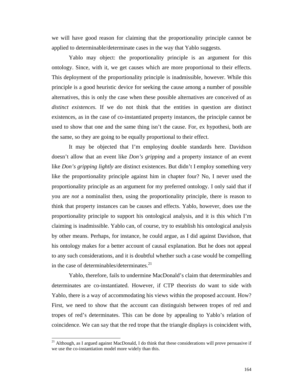we will have good reason for claiming that the proportionality principle cannot be applied to determinable/determinate cases in the way that Yablo suggests.

Yablo may object: the proportionality principle is an argument for this ontology. Since, with it, we get causes which are more proportional to their effects. This deployment of the proportionality principle is inadmissible, however. While this principle is a good heuristic device for seeking the cause among a number of possible alternatives, this is only the case when these possible alternatives are conceived of as *distinct existences*. If we do not think that the entities in question are distinct existences, as in the case of co-instantiated property instances, the principle cannot be used to show that one and the same thing isn't the cause. For, ex hypothesi, both are the same, so they are going to be equally proportional to their effect.

It may be objected that I'm employing double standards here. Davidson doesn't allow that an event like *Don's gripping* and a property instance of an event like *Don's gripping lightly* are distinct existences. But didn't I employ something very like the proportionality principle against him in chapter four? No, I never used the proportionality principle as an argument for my preferred ontology. I only said that if you are *not* a nominalist then, using the proportionality principle, there is reason to think that property instances can be causes and effects. Yablo, however, does use the proportionality principle to support his ontological analysis, and it is this which I'm claiming is inadmissible. Yablo can, of course, try to establish his ontological analysis by other means. Perhaps, for instance, he could argue, as I did against Davidson, that his ontology makes for a better account of causal explanation. But he does not appeal to any such considerations, and it is doubtful whether such a case would be compelling in the case of determinables/determinates. $^{21}$ 

Yablo, therefore, fails to undermine MacDonald's claim that determinables and determinates are co-instantiated. However, if CTP theorists do want to side with Yablo, there is a way of accommodating his views within the proposed account. How? First, we need to show that the account can distinguish between tropes of red and tropes of red's determinates. This can be done by appealing to Yablo's relation of coincidence. We can say that the red trope that the triangle displays is coincident with,

 $21$  Although, as I argued against MacDonald, I do think that these considerations will prove persuasive if we use the co-instantiation model more widely than this.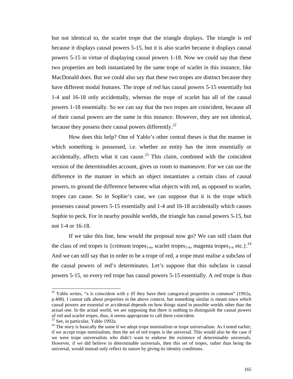but not identical to, the scarlet trope that the triangle displays. The triangle is red because it displays causal powers 5-15, but it is also scarlet because it displays causal powers 5-15 in virtue of displaying causal powers 1-18. Now we could say that these two properties are both instantiated by the same trope of scarlet in this instance, like MacDonald does. But we could also say that these two tropes are distinct because they have different modal features. The trope of red has causal powers 5-15 essentially but 1-4 and 16-18 only accidentally, whereas the trope of scarlet has all of the causal powers 1-18 essentially. So we can say that the two tropes are coincident, because all of their causal powers are the same in this instance. However, they are not identical, because they possess their causal powers differently.<sup>22</sup>

How does this help? One of Yablo's other central theses is that the manner in which something is possessed, i.e. whether an entity has the item essentially or accidentally, affects what it can cause.<sup>23</sup> This claim, combined with the coincident version of the determinables account, gives us room to manoeuvre. For we can use the difference in the manner in which an object instantiates a certain class of causal powers, to ground the difference between what objects with red, as opposed to scarlet, tropes can cause. So in Sophie's case, we can suppose that it is the trope which possesses causal powers 5-15 essentially and 1-4 and 16-18 accidentally which causes Sophie to peck. For in nearby possible worlds, the triangle has causal powers 5-15, but not 1-4 or 16-18.

If we take this line, how would the proposal now go? We can still claim that the class of red tropes is {crimson tropes<sub>1-n</sub>, scarlet tropes<sub>1-n</sub>, magenta tropes<sub>1-n</sub> etc.}.<sup>24</sup> And we can still say that in order to be a trope of red, a trope must realise a subclass of the causal powers of red's determinates. Let's suppose that this subclass is causal powers 5-15, so every red trope has causal powers 5-15 essentially. A red trope is thus

 $22$  Yablo writes, "x is coincident with y iff they have their categorical properties in common" (1992a, p.408). I cannot talk about properties in the above context, but something similar is meant since which causal powers are essential or accidental depends on how things stand in possible worlds other than the actual one. In the actual world, we are supposing that there is nothing to distinguish the causal powers of red and scarlet tropes, thus, it seems appropriate to call them coincident.

 $23$  See, in particular, Yablo 1992a.

<sup>&</sup>lt;sup>24</sup> The story is basically the same if we adopt trope nominalism or trope universalism. As I noted earlier, if we accept trope nominalism, then the set of red tropes is the universal. This would also be the case if we were trope universalists who didn't want to endorse the existence of determinable universals. However, if we did believe in determinable universals, then this set of tropes, rather than being the universal, would instead only reflect its nature by giving its identity conditions.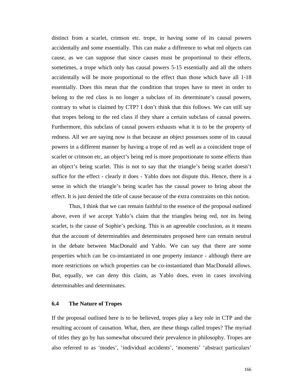distinct from a scarlet, crimson etc. trope, in having some of its causal powers accidentally and some essentially. This can make a difference to what red objects can cause, as we can suppose that since causes must be proportional to their effects, sometimes, a trope which only has causal powers 5-15 essentially and all the others accidentally will be more proportional to the effect than those which have all 1-18 essentially. Does this mean that the condition that tropes have to meet in order to belong to the red class is no longer a subclass of its determinate's causal powers, contrary to what is claimed by CTP? I don't think that this follows. We can still say that tropes belong to the red class if they share a certain subclass of causal powers. Furthermore, this subclass of causal powers exhausts what it is to be the property of redness. All we are saying now is that because an object possesses some of its causal powers in a different manner by having a trope of red as well as a coincident trope of scarlet or crimson etc, an object's being red is more proportionate to some effects than an object's being scarlet. This is not to say that the triangle's being scarlet doesn't suffice for the effect - clearly it does - Yablo does not dispute this. Hence, there is a sense in which the triangle's being scarlet has the causal power to bring about the effect. It is just denied the title of cause because of the extra constraints on this notion.

Thus, I think that we can remain faithful to the essence of the proposal outlined above, even if we accept Yablo's claim that the triangles being red, not its being scarlet, is the cause of Sophie's pecking. This is an agreeable conclusion, as it means that the account of determinables and determinates proposed here can remain neutral in the debate between MacDonald and Yablo. We can say that there are some properties which can be co-instantiated in one property instance - although there are more restrictions on which properties can be co-instantiated than MacDonald allows. But, equally, we can deny this claim, as Yablo does, even in cases involving determinables and determinates.

### **6.4 The Nature of Tropes**

If the proposal outlined here is to be believed, tropes play a key role in CTP and the resulting account of causation. What, then, are these things called tropes? The myriad of titles they go by has somewhat obscured their prevalence in philosophy. Tropes are also referred to as 'modes', 'individual accidents', 'moments' 'abstract particulars'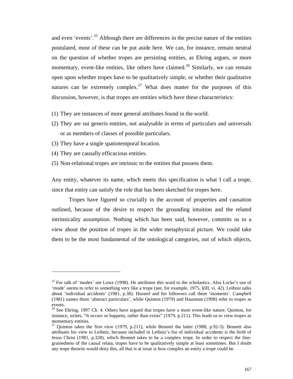and even 'events'.<sup>25</sup> Although there are differences in the precise nature of the entities postulated, most of these can be put aside here. We can, for instance, remain neutral on the question of whether tropes are persisting entities, as Ehring argues, or more momentary, event-like entities, like others have claimed.<sup>26</sup> Similarly, we can remain open upon whether tropes have to be qualitatively simple, or whether their qualitative natures can be extremely complex.<sup>27</sup> What does matter for the purposes of this discussion, however, is that tropes are entities which have these characteristics:

- (1) They are instances of more general attributes found in the world.
- (2) They are sui generis entities, not analysable in terms of particulars and universals or as members of classes of possible particulars.
- (3) They have a single spatiotemporal location.
- (4) They are causally efficacious entities.

 $\overline{a}$ 

(5) Non-relational tropes are intrinsic to the entities that possess them.

Any entity, whatever its name, which meets this specification is what I call a trope, since that entity can satisfy the role that has been sketched for tropes here.

Tropes have figured so crucially in the account of properties and causation outlined, because of the desire to respect the grounding intuition and the related intrinsicality assumption. Nothing which has been said, however, commits us to a view about the position of tropes in the wider metaphysical picture. We could take them to be the most fundamental of the ontological categories, out of which objects,

 $25$  For talk of 'modes' see Lowe (1998). He attributes this word to the scholastics. Also Locke's use of 'mode' seems to refer to something very like a trope (see, for example, 1975, §III, vi. 42). Leibniz talks about 'individual accidents' (1981, p.38). Husserl and his followers call them 'moments'. Campbell (1981) names them 'abstract particulars', while Quinton (1979) and Hausman (1998) refer to tropes as events.

<sup>&</sup>lt;sup>26</sup> See Ehring, 1997 Ch. 4. Others have argued that tropes have a more event-like nature. Quinton, for instance, writes, "It occurs or happens, rather than exists" (1979, p.211). This leads us to view tropes as momentary entities.

<sup>&</sup>lt;sup>27</sup> Quinton takes the first view (1979, p.211), while Bennett the latter (1988, p.92-3). Bennett also attributes his view to Leibniz, because included in Leibniz's list of individual accidents is the birth of Jesus Christ (1981, p.328), which Bennett takes to be a complex trope. In order to respect the finegrainedness of the causal relata, tropes have to be qualitatively simple at least sometimes. But I doubt any trope theorist would deny this, all that is at issue is how complex an entity a trope could be.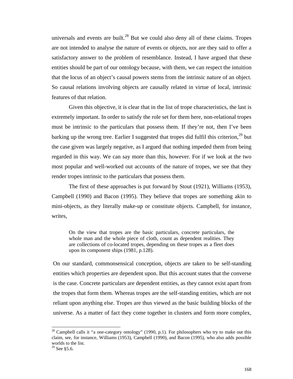universals and events are built.<sup>28</sup> But we could also deny all of these claims. Tropes are not intended to analyse the nature of events or objects, nor are they said to offer a satisfactory answer to the problem of resemblance. Instead, I have argued that these entities should be part of our ontology because, with them, we can respect the intuition that the locus of an object's causal powers stems from the intrinsic nature of an object. So causal relations involving objects are causally related in virtue of local, intrinsic features of that relation.

Given this objective, it is clear that in the list of trope characteristics, the last is extremely important. In order to satisfy the role set for them here, non-relational tropes must be intrinsic to the particulars that possess them. If they're not, then I've been barking up the wrong tree. Earlier I suggested that tropes did fulfil this criterion,  $^{29}$  but the case given was largely negative, as I argued that nothing impeded them from being regarded in this way. We can say more than this, however. For if we look at the two most popular and well-worked out accounts of the nature of tropes, we see that they render tropes intrinsic to the particulars that possess them.

The first of these approaches is put forward by Stout (1921), Williams (1953), Campbell (1990) and Bacon (1995). They believe that tropes are something akin to mini-objects, as they literally make-up or constitute objects. Campbell, for instance, writes,

On the view that tropes are the basic particulars, concrete particulars, the whole man and the whole piece of cloth, count as dependent realities. They are collections of co-located tropes, depending on these tropes as a fleet does upon its component ships (1981, p.128).

On our standard, commonsensical conception, objects are taken to be self-standing entities which properties are dependent upon. But this account states that the converse is the case. Concrete particulars are dependent entities, as they cannot exist apart from the tropes that form them. Whereas tropes are the self-standing entities, which are not reliant upon anything else. Tropes are thus viewed as the basic building blocks of the universe. As a matter of fact they come together in clusters and form more complex,

 $^{28}$  Campbell calls it "a one-category ontology" (1990, p.1). For philosophers who try to make out this claim, see, for instance, Williams (1953), Campbell (1990), and Bacon (1995), who also adds possible worlds to the list.

 $29$  See §5.6.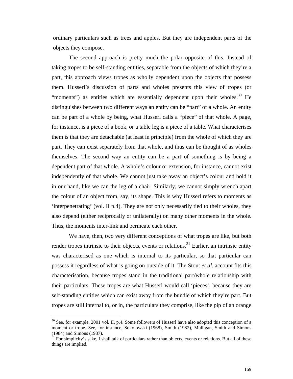ordinary particulars such as trees and apples. But they are independent parts of the objects they compose.

The second approach is pretty much the polar opposite of this. Instead of taking tropes to be self-standing entities, separable from the objects of which they're a part, this approach views tropes as wholly dependent upon the objects that possess them. Husserl's discussion of parts and wholes presents this view of tropes (or "moments") as entities which are essentially dependent upon their wholes. $30$  He distinguishes between two different ways an entity can be "part" of a whole. An entity can be part of a whole by being, what Husserl calls a "piece" of that whole. A page, for instance, is a piece of a book, or a table leg is a piece of a table. What characterises them is that they are detachable (at least in principle) from the whole of which they are part. They can exist separately from that whole, and thus can be thought of as wholes themselves. The second way an entity can be a part of something is by being a dependent part of that whole. A whole's colour or extension, for instance, cannot exist independently of that whole. We cannot just take away an object's colour and hold it in our hand, like we can the leg of a chair. Similarly, we cannot simply wrench apart the colour of an object from, say, its shape. This is why Husserl refers to moments as 'interpenetrating' (vol. II p.4). They are not only necessarily tied to their wholes, they also depend (either reciprocally or unilaterally) on many other moments in the whole. Thus, the moments inter-link and permeate each other.

We have, then, two very different conceptions of what tropes are like, but both render tropes intrinsic to their objects, events or relations.<sup>31</sup> Earlier, an intrinsic entity was characterised as one which is internal to its particular, so that particular can possess it regardless of what is going on outside of it. The Stout *et al.* account fits this characterisation, because tropes stand in the traditional part/whole relationship with their particulars. These tropes are what Husserl would call 'pieces', because they are self-standing entities which can exist away from the bundle of which they're part. But tropes are still internal to, or in, the particulars they comprise, like the pip of an orange

l

 $30$  See, for example, 2001 vol. II, p.4. Some followers of Husserl have also adopted this conception of a moment or trope. See, for instance, Sokolowski (1968), Smith (1982), Mulligan, Smith and Simons (1984) and Simons (1987).

 $31$  For simplicity's sake, I shall talk of particulars rather than objects, events or relations. But all of these things are implied.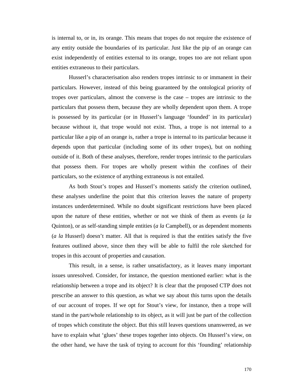is internal to, or in, its orange. This means that tropes do not require the existence of any entity outside the boundaries of its particular. Just like the pip of an orange can exist independently of entities external to its orange, tropes too are not reliant upon entities extraneous to their particulars.

Husserl's characterisation also renders tropes intrinsic to or immanent in their particulars. However, instead of this being guaranteed by the ontological priority of tropes over particulars, almost the converse is the case – tropes are intrinsic to the particulars that possess them, because they are wholly dependent upon them. A trope is possessed by its particular (or in Husserl's language 'founded' in its particular) because without it, that trope would not exist. Thus, a trope is not internal to a particular like a pip of an orange is, rather a trope is internal to its particular because it depends upon that particular (including some of its other tropes), but on nothing outside of it. Both of these analyses, therefore, render tropes intrinsic to the particulars that possess them. For tropes are wholly present within the confines of their particulars, so the existence of anything extraneous is not entailed.

As both Stout's tropes and Husserl's moments satisfy the criterion outlined, these analyses underline the point that this criterion leaves the nature of property instances underdetermined. While no doubt significant restrictions have been placed upon the nature of these entities, whether or not we think of them as events (*a la* Quinton), or as self-standing simple entities (*a la* Campbell), or as dependent moments (*a la* Husserl) doesn't matter. All that is required is that the entities satisfy the five features outlined above, since then they will be able to fulfil the role sketched for tropes in this account of properties and causation.

This result, in a sense, is rather unsatisfactory, as it leaves many important issues unresolved. Consider, for instance, the question mentioned earlier: what is the relationship between a trope and its object? It is clear that the proposed CTP does not prescribe an answer to this question, as what we say about this turns upon the details of our account of tropes. If we opt for Stout's view, for instance, then a trope will stand in the part/whole relationship to its object, as it will just be part of the collection of tropes which constitute the object. But this still leaves questions unanswered, as we have to explain what 'glues' these tropes together into objects. On Husserl's view, on the other hand, we have the task of trying to account for this 'founding' relationship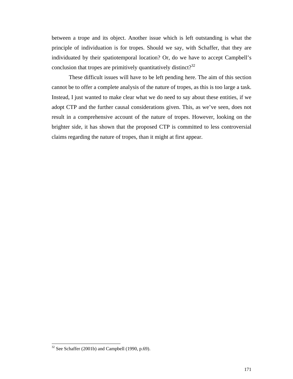between a trope and its object. Another issue which is left outstanding is what the principle of individuation is for tropes. Should we say, with Schaffer, that they are individuated by their spatiotemporal location? Or, do we have to accept Campbell's conclusion that tropes are primitively quantitatively distinct?<sup>32</sup>

These difficult issues will have to be left pending here. The aim of this section cannot be to offer a complete analysis of the nature of tropes, as this is too large a task. Instead, I just wanted to make clear what we do need to say about these entities, if we adopt CTP and the further causal considerations given. This, as we've seen, does not result in a comprehensive account of the nature of tropes. However, looking on the brighter side, it has shown that the proposed CTP is committed to less controversial claims regarding the nature of tropes, than it might at first appear.

 $32$  See Schaffer (2001b) and Campbell (1990, p.69).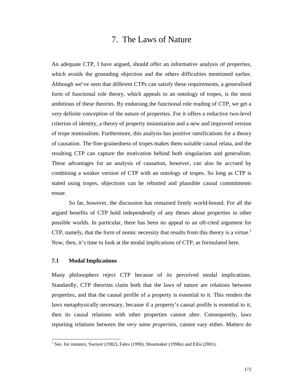# 7. The Laws of Nature

An adequate CTP, I have argued, should offer an informative analysis of properties, which avoids the grounding objection and the others difficulties mentioned earlier. Although we've seen that different CTPs can satisfy these requirements, a generalised form of functional role theory, which appeals to an ontology of tropes, is the most ambitious of these theories. By endorsing the functional role reading of CTP, we get a very definite conception of the nature of properties. For it offers a reductive two-level criterion of identity, a theory of property instantiation and a new and improved version of trope nominalism. Furthermore, this analysis has positive ramifications for a theory of causation. The fine-grainedness of tropes makes them suitable causal relata, and the resulting CTP can capture the motivation behind both singularism and generalism. These advantages for an analysis of causation, however, can also be accrued by combining a weaker version of CTP with an ontology of tropes. So long as CTP is stated using tropes, objections can be rebutted and plausible causal commitments ensue.

So far, however, the discussion has remained firmly world-bound. For all the argued benefits of CTP hold independently of any theses about properties in other possible worlds. In particular, there has been no appeal to an oft-cited argument for CTP, namely, that the form of nomic necessity that results from this theory is a virtue.<sup>1</sup> Now, then, it's time to look at the modal implications of CTP, as formulated here.

## **7.1 Modal Implications**

l

Many philosophers reject CTP because of its perceived modal implications. Standardly, CTP theorists claim both that the laws of nature are relations between properties, and that the causal profile of a property is essential to it. This renders the laws metaphysically necessary, because if a property's causal profile is essential to it, then its causal relations with other properties cannot alter. Consequently, laws reporting relations between the *very same properties*, cannot vary either. Matters do

<sup>&</sup>lt;sup>1</sup> See, for instance, Swoyer (1982), Fales (1990), Shoemaker (1998a) and Ellis (2001).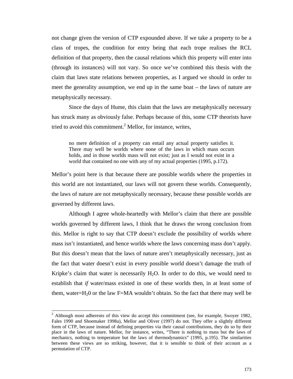not change given the version of CTP expounded above. If we take a property to be a class of tropes, the condition for entry being that each trope realises the RCL definition of that property, then the causal relations which this property will enter into (through its instances) will not vary. So once we've combined this thesis with the claim that laws state relations between properties, as I argued we should in order to meet the generality assumption, we end up in the same boat – the laws of nature are metaphysically necessary.

Since the days of Hume, this claim that the laws are metaphysically necessary has struck many as obviously false. Perhaps because of this, some CTP theorists have tried to avoid this commitment. $^2$  Mellor, for instance, writes,

no mere definition of a property can entail any actual property satisfies it. There may well be worlds where none of the laws in which mass occurs holds, and in those worlds mass will not exist; just as I would not exist in a world that contained no one with any of my actual properties (1995, p.172).

Mellor's point here is that because there are possible worlds where the properties in this world are not instantiated, our laws will not govern these worlds. Consequently, the laws of nature are not metaphysically necessary, because these possible worlds are governed by different laws.

Although I agree whole-heartedly with Mellor's claim that there are possible worlds governed by different laws, I think that he draws the wrong conclusion from this. Mellor is right to say that CTP doesn't exclude the possibility of worlds where mass isn't instantiated, and hence worlds where the laws concerning mass don't apply. But this doesn't mean that the laws of nature aren't metaphysically necessary, just as the fact that water doesn't exist in every possible world doesn't damage the truth of Kripke's claim that water is necessarily  $H_2O$ . In order to do this, we would need to establish that *if* water/mass existed in one of these worlds then, in at least some of them, water= $H_2$ 0 or the law F=MA wouldn't obtain. So the fact that there may well be

 $2$  Although most adherents of this view do accept this commitment (see, for example, Swoyer 1982, Fales 1990 and Shoemaker 1998a), Mellor and Oliver (1997) do not. They offer a slightly different form of CTP, because instead of defining properties via their causal contributions, they do so by their place in the laws of nature. Mellor, for instance, writes, "There is nothing to mass but the laws of mechanics, nothing to temperature but the laws of thermodynamics" (1995, p.195). The similarities between these views are so striking, however, that it is sensible to think of their account as a permutation of CTP.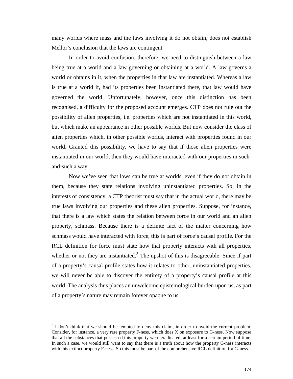many worlds where mass and the laws involving it do not obtain, does not establish Mellor's conclusion that the laws are contingent.

In order to avoid confusion, therefore, we need to distinguish between a law being true at a world and a law governing or obtaining at a world. A law governs a world or obtains in it, when the properties in that law are instantiated. Whereas a law is true at a world if, had its properties been instantiated there, that law would have governed the world. Unfortunately, however, once this distinction has been recognised, a difficulty for the proposed account emerges. CTP does not rule out the possibility of alien properties, i.e. properties which are not instantiated in this world, but which make an appearance in other possible worlds. But now consider the class of alien properties which, in other possible worlds, interact with properties found in our world. Granted this possibility, we have to say that if those alien properties were instantiated in our world, then they would have interacted with our properties in suchand-such a way.

Now we've seen that laws can be true at worlds, even if they do not obtain in them, because they state relations involving uninstantiated properties. So, in the interests of consistency, a CTP theorist must say that in the actual world, there may be true laws involving our properties and these alien properties. Suppose, for instance, that there is a law which states the relation between force in our world and an alien property, schmass. Because there is a definite fact of the matter concerning how schmass would have interacted with force, this is part of force's causal profile. For the RCL definition for force must state how that property interacts with all properties, whether or not they are instantiated.<sup>3</sup> The upshot of this is disagreeable. Since if part of a property's causal profile states how it relates to other, uninstantiated properties, we will never be able to discover the entirety of a property's causal profile at this world. The analysis thus places an unwelcome epistemological burden upon us, as part of a property's nature may remain forever opaque to us.

<sup>&</sup>lt;sup>3</sup> I don't think that we should be tempted to deny this claim, in order to avoid the current problem. Consider, for instance, a very rare property F-ness, which does X on exposure to G-ness. Now suppose that all the substances that possessed this property were eradicated, at least for a certain period of time. In such a case, we would still want to say that there is a truth about how the property G-ness interacts with this extinct property F-ness. So this must be part of the comprehensive RCL definition for G-ness.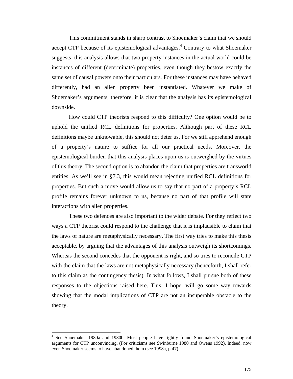This commitment stands in sharp contrast to Shoemaker's claim that we should accept CTP because of its epistemological advantages. $4$  Contrary to what Shoemaker suggests, this analysis allows that two property instances in the actual world could be instances of different (determinate) properties, even though they bestow exactly the same set of causal powers onto their particulars. For these instances may have behaved differently, had an alien property been instantiated. Whatever we make of Shoemaker's arguments, therefore, it is clear that the analysis has its epistemological downside.

How could CTP theorists respond to this difficulty? One option would be to uphold the unified RCL definitions for properties. Although part of these RCL definitions maybe unknowable, this should not deter us. For we still apprehend enough of a property's nature to suffice for all our practical needs. Moreover, the epistemological burden that this analysis places upon us is outweighed by the virtues of this theory. The second option is to abandon the claim that properties are transworld entities. As we'll see in §7.3, this would mean rejecting unified RCL definitions for properties. But such a move would allow us to say that no part of a property's RCL profile remains forever unknown to us, because no part of that profile will state interactions with alien properties.

These two defences are also important to the wider debate. For they reflect two ways a CTP theorist could respond to the challenge that it is implausible to claim that the laws of nature are metaphysically necessary. The first way tries to make this thesis acceptable, by arguing that the advantages of this analysis outweigh its shortcomings. Whereas the second concedes that the opponent is right, and so tries to reconcile CTP with the claim that the laws are not metaphysically necessary (henceforth, I shall refer to this claim as the contingency thesis). In what follows, I shall pursue both of these responses to the objections raised here. This, I hope, will go some way towards showing that the modal implications of CTP are not an insuperable obstacle to the theory.

<sup>&</sup>lt;sup>4</sup> See Shoemaker 1980a and 1980b. Most people have rightly found Shoemaker's epistemological arguments for CTP unconvincing. (For criticisms see Swinburne 1980 and Owens 1992). Indeed, now even Shoemaker seems to have abandoned them (see 1998a, p.47).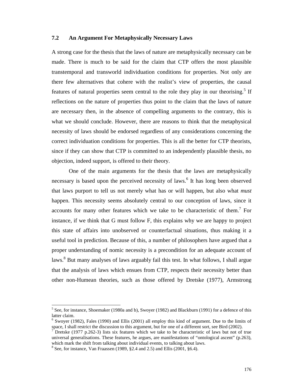### **7.2 An Argument For Metaphysically Necessary Laws**

A strong case for the thesis that the laws of nature are metaphysically necessary can be made. There is much to be said for the claim that CTP offers the most plausible transtemporal and transworld individuation conditions for properties. Not only are there few alternatives that cohere with the realist's view of properties, the causal features of natural properties seem central to the role they play in our theorising.<sup>5</sup> If reflections on the nature of properties thus point to the claim that the laws of nature are necessary then, in the absence of compelling arguments to the contrary, this is what we should conclude. However, there are reasons to think that the metaphysical necessity of laws should be endorsed regardless of any considerations concerning the correct individuation conditions for properties. This is all the better for CTP theorists, since if they can show that CTP is committed to an independently plausible thesis, no objection, indeed support, is offered to their theory.

One of the main arguments for the thesis that the laws are metaphysically necessary is based upon the perceived necessity of laws.<sup>6</sup> It has long been observed that laws purport to tell us not merely what has or will happen, but also what *must* happen. This necessity seems absolutely central to our conception of laws, since it accounts for many other features which we take to be characteristic of them.<sup>7</sup> For instance, if we think that G must follow F, this explains why we are happy to project this state of affairs into unobserved or counterfactual situations, thus making it a useful tool in prediction. Because of this, a number of philosophers have argued that a proper understanding of nomic necessity is a precondition for an adequate account of laws.<sup>8</sup> But many analyses of laws arguably fail this test. In what follows, I shall argue that the analysis of laws which ensues from CTP, respects their necessity better than other non-Humean theories, such as those offered by Dretske (1977), Armstrong

 $<sup>5</sup>$  See, for instance, Shoemaker (1980a and b), Swoyer (1982) and Blackburn (1991) for a defence of this</sup> latter claim.

<sup>&</sup>lt;sup>6</sup> Swoyer (1982), Fales (1990) and Ellis (2001) all employ this kind of argument. Due to the limits of space, I shall restrict the discussion to this argument, but for one of a different sort, see Bird (2002).

<sup>&</sup>lt;sup>7</sup> Dretske (1977 p.262-3) lists six features which we take to be characteristic of laws but not of true universal generalisations. These features, he argues, are manifestations of "ontological ascent" (p.263), which mark the shift from talking about individual events, to talking about laws.

 $8$  See, for instance, Van Fraassen (1989, §2.4 and 2.5) and Ellis (2001, §6.4).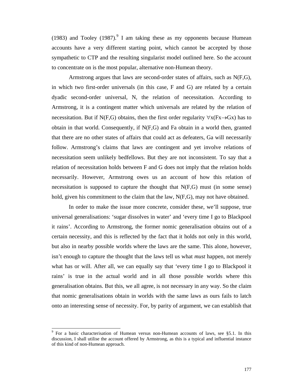(1983) and Tooley (1987). I am taking these as my opponents because Humean accounts have a very different starting point, which cannot be accepted by those sympathetic to CTP and the resulting singularist model outlined here. So the account to concentrate on is the most popular, alternative non-Humean theory.

Armstrong argues that laws are second-order states of affairs, such as N(F,G), in which two first-order universals (in this case, F and G) are related by a certain dyadic second-order universal, N, the relation of necessitation. According to Armstrong, it is a contingent matter which universals are related by the relation of necessitation. But if N(F,G) obtains, then the first order regularity  $\forall x(Fx \rightarrow Gx)$  has to obtain in that world. Consequently, if N(F,G) and Fa obtain in a world then, granted that there are no other states of affairs that could act as defeaters, Ga will necessarily follow. Armstrong's claims that laws are contingent and yet involve relations of necessitation seem unlikely bedfellows. But they are not inconsistent. To say that a relation of necessitation holds between F and G does not imply that the relation holds necessarily. However, Armstrong owes us an account of how this relation of necessitation is supposed to capture the thought that N(F,G) must (in some sense) hold, given his commitment to the claim that the law, N(F,G), may not have obtained.

In order to make the issue more concrete, consider these, we'll suppose, true universal generalisations: 'sugar dissolves in water' and 'every time I go to Blackpool it rains'. According to Armstrong, the former nomic generalisation obtains out of a certain necessity, and this is reflected by the fact that it holds not only in this world, but also in nearby possible worlds where the laws are the same. This alone, however, isn't enough to capture the thought that the laws tell us what *must* happen, not merely what has or will. After all, we can equally say that 'every time I go to Blackpool it rains' is true in the actual world and in all those possible worlds where this generalisation obtains. But this, we all agree, is not necessary in any way. So the claim that nomic generalisations obtain in worlds with the same laws as ours fails to latch onto an interesting sense of necessity. For, by parity of argument, we can establish that

<sup>&</sup>lt;sup>9</sup> For a basic characterisation of Humean versus non-Humean accounts of laws, see §5.1. In this discussion, I shall utilise the account offered by Armstrong, as this is a typical and influential instance of this kind of non-Humean approach.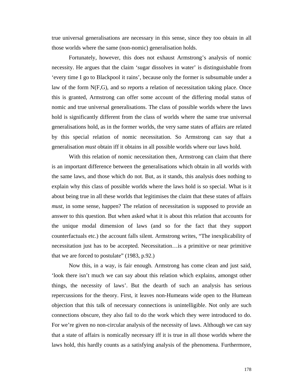true universal generalisations are necessary in this sense, since they too obtain in all those worlds where the same (non-nomic) generalisation holds.

Fortunately, however, this does not exhaust Armstrong's analysis of nomic necessity. He argues that the claim 'sugar dissolves in water' is distinguishable from 'every time I go to Blackpool it rains', because only the former is subsumable under a law of the form  $N(F,G)$ , and so reports a relation of necessitation taking place. Once this is granted, Armstrong can offer some account of the differing modal status of nomic and true universal generalisations. The class of possible worlds where the laws hold is significantly different from the class of worlds where the same true universal generalisations hold, as in the former worlds, the very same states of affairs are related by this special relation of nomic necessitation. So Armstrong can say that a generalisation *must* obtain iff it obtains in all possible worlds where our laws hold.

With this relation of nomic necessitation then, Armstrong can claim that there is an important difference between the generalisations which obtain in all worlds with the same laws, and those which do not. But, as it stands, this analysis does nothing to explain why this class of possible worlds where the laws hold is so special. What is it about being true in all these worlds that legitimises the claim that these states of affairs *must*, in some sense, happen? The relation of necessitation is supposed to provide an answer to this question. But when asked what it is about this relation that accounts for the unique modal dimension of laws (and so for the fact that they support counterfactuals etc.) the account falls silent. Armstrong writes, "The inexplicability of necessitation just has to be accepted. Necessitation…is a primitive or near primitive that we are forced to postulate" (1983, p.92.)

Now this, in a way, is fair enough. Armstrong has come clean and just said, 'look there isn't much we can say about this relation which explains, amongst other things, the necessity of laws'. But the dearth of such an analysis has serious repercussions for the theory. First, it leaves non-Humeans wide open to the Humean objection that this talk of necessary connections is unintelligible. Not only are such connections obscure, they also fail to do the work which they were introduced to do. For we're given no non-circular analysis of the necessity of laws. Although we can say that a state of affairs is nomically necessary iff it is true in all those worlds where the laws hold, this hardly counts as a satisfying analysis of the phenomena. Furthermore,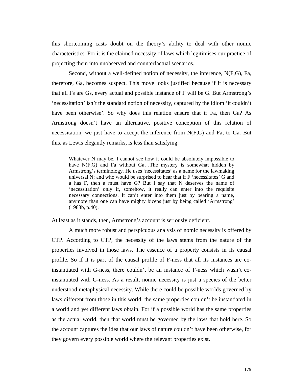this shortcoming casts doubt on the theory's ability to deal with other nomic characteristics. For it is the claimed necessity of laws which legitimises our practice of projecting them into unobserved and counterfactual scenarios.

Second, without a well-defined notion of necessity, the inference, N(F,G), Fa, therefore, Ga, becomes suspect. This move looks justified because if it is necessary that all Fs are Gs, every actual and possible instance of F will be G. But Armstrong's 'necessitation' isn't the standard notion of necessity, captured by the idiom 'it couldn't have been otherwise'. So why does this relation ensure that if Fa, then Ga? As Armstrong doesn't have an alternative, positive conception of this relation of necessitation, we just have to accept the inference from N(F,G) and Fa, to Ga. But this, as Lewis elegantly remarks, is less than satisfying:

Whatever N may be, I cannot see how it could be absolutely impossible to have N(F,G) and Fa without Ga...The mystery is somewhat hidden by Armstrong's terminology. He uses 'necessitates' as a name for the lawmaking universal N; and who would be surprised to hear that if F 'necessitates' G and a has F, then a must have G? But I say that N deserves the name of 'necessitation' only if, somehow, it really can enter into the requisite necessary connections. It can't enter into them just by bearing a name, anymore than one can have mighty biceps just by being called 'Armstrong' (1983b, p.40).

At least as it stands, then, Armstrong's account is seriously deficient.

A much more robust and perspicuous analysis of nomic necessity is offered by CTP. According to CTP, the necessity of the laws stems from the nature of the properties involved in those laws. The essence of a property consists in its causal profile. So if it is part of the causal profile of F-ness that all its instances are coinstantiated with G-ness, there couldn't be an instance of F-ness which wasn't coinstantiated with G-ness. As a result, nomic necessity is just a species of the better understood metaphysical necessity. While there could be possible worlds governed by laws different from those in this world, the same properties couldn't be instantiated in a world and yet different laws obtain. For if a possible world has the same properties as the actual world, then that world must be governed by the laws that hold here. So the account captures the idea that our laws of nature couldn't have been otherwise, for they govern every possible world where the relevant properties exist.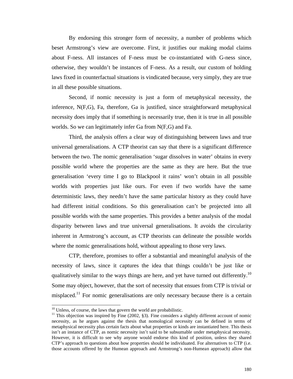By endorsing this stronger form of necessity, a number of problems which beset Armstrong's view are overcome. First, it justifies our making modal claims about F-ness. All instances of F-ness must be co-instantiated with G-ness since, otherwise, they wouldn't be instances of F-ness. As a result, our custom of holding laws fixed in counterfactual situations is vindicated because, very simply, they are true in all these possible situations.

Second, if nomic necessity is just a form of metaphysical necessity, the inference, N(F,G), Fa, therefore, Ga is justified, since straightforward metaphysical necessity does imply that if something is necessarily true, then it is true in all possible worlds. So we can legitimately infer Ga from N(F,G) and Fa.

Third, the analysis offers a clear way of distinguishing between laws and true universal generalisations. A CTP theorist can say that there is a significant difference between the two. The nomic generalisation 'sugar dissolves in water' obtains in every possible world where the properties are the same as they are here. But the true generalisation 'every time I go to Blackpool it rains' won't obtain in all possible worlds with properties just like ours. For even if two worlds have the same deterministic laws, they needn't have the same particular history as they could have had different initial conditions. So this generalisation can't be projected into all possible worlds with the same properties. This provides a better analysis of the modal disparity between laws and true universal generalisations. It avoids the circularity inherent in Armstrong's account, as CTP theorists can delineate the possible worlds where the nomic generalisations hold, without appealing to those very laws.

CTP, therefore, promises to offer a substantial and meaningful analysis of the necessity of laws, since it captures the idea that things couldn't be just like or qualitatively similar to the ways things are here, and yet have turned out differently.<sup>10</sup> Some may object, however, that the sort of necessity that ensues from CTP is trivial or misplaced.<sup>11</sup> For nomic generalisations are only necessary because there is a certain

 $10$  Unless, of course, the laws that govern the world are probabilistic.

<sup>&</sup>lt;sup>11</sup> This objection was inspired by Fine (2002, §3). Fine considers a slightly different account of nomic necessity, as he argues against the thesis that nomological necessity can be defined in terms of metaphysical necessity plus certain facts about what properties or kinds are instantiated here. This thesis isn't an instance of CTP, as nomic necessity isn't said to be subsumable under metaphysical necessity. However, it is difficult to see why anyone would endorse this kind of position, unless they shared CTP's approach to questions about how properties should be individuated. For alternatives to CTP (i.e. those accounts offered by the Humean approach and Armstrong's non-Humean approach) allow that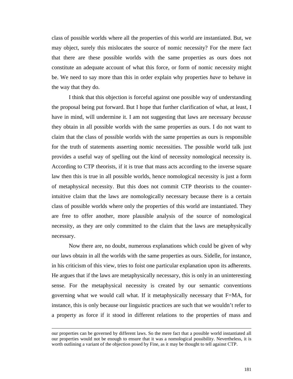class of possible worlds where all the properties of this world are instantiated. But, we may object, surely this mislocates the source of nomic necessity? For the mere fact that there are these possible worlds with the same properties as ours does not constitute an adequate account of what this force, or form of nomic necessity might be. We need to say more than this in order explain why properties *have* to behave in the way that they do.

I think that this objection is forceful against one possible way of understanding the proposal being put forward. But I hope that further clarification of what, at least, I have in mind, will undermine it. I am not suggesting that laws are necessary *because* they obtain in all possible worlds with the same properties as ours. I do not want to claim that the class of possible worlds with the same properties as ours is responsible for the truth of statements asserting nomic necessities. The possible world talk just provides a useful way of spelling out the kind of necessity nomological necessity is. According to CTP theorists, if it is true that mass acts according to the inverse square law then this is true in all possible worlds, hence nomological necessity is just a form of metaphysical necessity. But this does not commit CTP theorists to the counterintuitive claim that the laws are nomologically necessary because there is a certain class of possible worlds where only the properties of this world are instantiated. They are free to offer another, more plausible analysis of the source of nomological necessity, as they are only committed to the claim that the laws are metaphysically necessary.

Now there are, no doubt, numerous explanations which could be given of why our laws obtain in all the worlds with the same properties as ours. Sidelle, for instance, in his criticism of this view, tries to foist one particular explanation upon its adherents. He argues that if the laws are metaphysically necessary, this is only in an uninteresting sense. For the metaphysical necessity is created by our semantic conventions governing what we would call what. If it metaphysically necessary that F=MA, for instance, this is only because our linguistic practices are such that we wouldn't refer to a property as force if it stood in different relations to the properties of mass and

 $\overline{\phantom{a}}$ 

our properties can be governed by different laws. So the mere fact that a possible world instantiated all our properties would not be enough to ensure that it was a nomological possibility. Nevertheless, it is worth outlining a variant of the objection posed by Fine, as it may be thought to tell against CTP.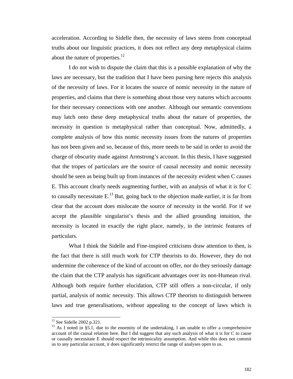acceleration. According to Sidelle then, the necessity of laws stems from conceptual truths about our linguistic practices, it does not reflect any deep metaphysical claims about the nature of properties. $12$ 

I do not wish to dispute the claim that this is a possible explanation of why the laws are necessary, but the tradition that I have been pursing here rejects this analysis of the necessity of laws. For it locates the source of nomic necessity in the nature of properties, and claims that there is something about those very natures which accounts for their necessary connections with one another. Although our semantic conventions may latch onto these deep metaphysical truths about the nature of properties, the necessity in question is metaphysical rather than conceptual. Now, admittedly, a complete analysis of how this nomic necessity issues from the natures of properties has not been given and so, because of this, more needs to be said in order to avoid the charge of obscurity made against Armstrong's account. In this thesis, I have suggested that the tropes of particulars are the source of causal necessity and nomic necessity should be seen as being built up from instances of the necessity evident when C causes E. This account clearly needs augmenting further, with an analysis of what it is for C to causally necessitate  $E^{13}$  But, going back to the objection made earlier, it is far from clear that the account does mislocate the source of necessity in the world. For if we accept the plausible singularist's thesis and the allied grounding intuition, the necessity is located in exactly the right place, namely, in the intrinsic features of particulars.

What I think the Sidelle and Fine-inspired criticisms draw attention to then, is the fact that there is still much work for CTP theorists to do. However, they do not undermine the coherence of the kind of account on offer, nor do they seriously damage the claim that the CTP analysis has significant advantages over its non-Humean rival. Although both require further elucidation, CTP still offers a non-circular, if only partial, analysis of nomic necessity. This allows CTP theorists to distinguish between laws and true generalisations, without appealing to the concept of laws which is

l

 $12$  See Sidelle 2002 p.321.

 $13$  As I noted in §5.1, due to the enormity of the undertaking, I am unable to offer a comprehensive account of the causal relation here. But I did suggest that any such analysis of what it is for C to cause or causally necessitate E should respect the intrinsicality assumption. And while this does not commit us to any particular account, it does significantly restrict the range of analyses open to us.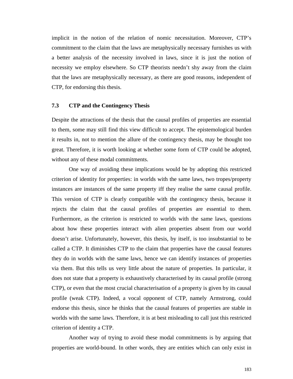implicit in the notion of the relation of nomic necessitation. Moreover, CTP's commitment to the claim that the laws are metaphysically necessary furnishes us with a better analysis of the necessity involved in laws, since it is just the notion of necessity we employ elsewhere. So CTP theorists needn't shy away from the claim that the laws are metaphysically necessary, as there are good reasons, independent of CTP, for endorsing this thesis.

## **7.3 CTP and the Contingency Thesis**

Despite the attractions of the thesis that the causal profiles of properties are essential to them, some may still find this view difficult to accept. The epistemological burden it results in, not to mention the allure of the contingency thesis, may be thought too great. Therefore, it is worth looking at whether some form of CTP could be adopted, without any of these modal commitments.

One way of avoiding these implications would be by adopting this restricted criterion of identity for properties: in worlds with the same laws, two tropes/property instances are instances of the same property iff they realise the same causal profile. This version of CTP is clearly compatible with the contingency thesis, because it rejects the claim that the causal profiles of properties are essential to them. Furthermore, as the criterion is restricted to worlds with the same laws, questions about how these properties interact with alien properties absent from our world doesn't arise. Unfortunately, however, this thesis, by itself, is too insubstantial to be called a CTP. It diminishes CTP to the claim that properties have the causal features they do in worlds with the same laws, hence we can identify instances of properties via them. But this tells us very little about the nature of properties. In particular, it does not state that a property is exhaustively characterised by its causal profile (strong CTP), or even that the most crucial characterisation of a property is given by its causal profile (weak CTP). Indeed, a vocal opponent of CTP, namely Armstrong, could endorse this thesis, since he thinks that the causal features of properties are stable in worlds with the same laws. Therefore, it is at best misleading to call just this restricted criterion of identity a CTP.

Another way of trying to avoid these modal commitments is by arguing that properties are world-bound. In other words, they are entities which can only exist in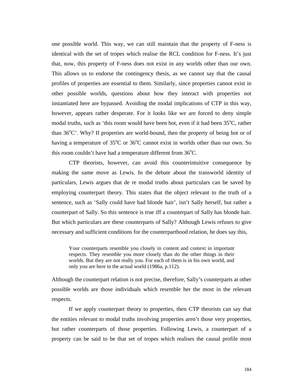one possible world. This way, we can still maintain that the property of F-ness is identical with the set of tropes which realise the RCL condition for F-ness. It's just that, now, this property of F-ness does not exist in any worlds other than our own. This allows us to endorse the contingency thesis, as we cannot say that the causal profiles of properties are essential to them. Similarly, since properties cannot exist in other possible worlds, questions about how they interact with properties not instantiated here are bypassed. Avoiding the modal implications of CTP in this way, however, appears rather desperate. For it looks like we are forced to deny simple modal truths, such as 'this room would have been hot, even if it had been  $35^{\circ}$ C, rather than  $36^{\circ}$ C'. Why? If properties are world-bound, then the property of being hot or of having a temperature of  $35^{\circ}$ C or  $36^{\circ}$ C cannot exist in worlds other than our own. So this room couldn't have had a temperature different from  $36^{\circ}$ C.

CTP theorists, however, can avoid this counterintuitive consequence by making the same move as Lewis. In the debate about the transworld identity of particulars, Lewis argues that de re modal truths about particulars can be saved by employing counterpart theory. This states that the object relevant to the truth of a sentence, such as 'Sally could have had blonde hair', isn't Sally herself, but rather a counterpart of Sally. So this sentence is true iff a counterpart of Sally has blonde hair. But which particulars are these counterparts of Sally? Although Lewis refuses to give necessary and sufficient conditions for the counterparthood relation, he does say this,

Your counterparts resemble you closely in content and context in important respects. They resemble you more closely than do the other things in their worlds. But they are not really you. For each of them is in his own world, and only you are here in the actual world (1986a, p.112).

Although the counterpart relation is not precise, therefore, Sally's counterparts at other possible worlds are those individuals which resemble her the most in the relevant respects.

If we apply counterpart theory to properties, then CTP theorists can say that the entities relevant to modal truths involving properties aren't those very properties, but rather counterparts of those properties. Following Lewis, a counterpart of a property can be said to be that set of tropes which realises the causal profile most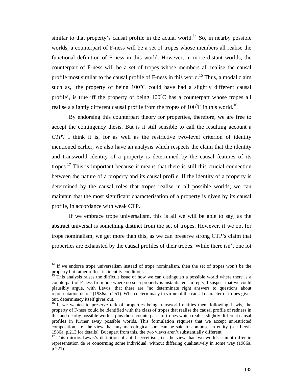similar to that property's causal profile in the actual world.<sup>14</sup> So, in nearby possible worlds, a counterpart of F-ness will be a set of tropes whose members all realise the functional definition of F-ness in this world. However, in more distant worlds, the counterpart of F-ness will be a set of tropes whose members all realise the causal profile most similar to the causal profile of  $F$ -ness in this world.<sup>15</sup> Thus, a modal claim such as, 'the property of being  $100^{\circ}$ C could have had a slightly different causal profile', is true iff the property of being  $100^{\circ}$ C has a counterpart whose tropes all realise a slightly different causal profile from the tropes of  $100^{\circ}$ C in this world.<sup>16</sup>

By endorsing this counterpart theory for properties, therefore, we are free to accept the contingency thesis. But is it still sensible to call the resulting account a *CTP*? I think it is, for as well as the restrictive two-level criterion of identity mentioned earlier, we also have an analysis which respects the claim that the identity and transworld identity of a property is determined by the causal features of its tropes.<sup>17</sup> This is important because it means that there is still this crucial connection between the nature of a property and its causal profile. If the identity of a property is determined by the causal roles that tropes realise in all possible worlds, we can maintain that the most significant characterisation of a property is given by its causal profile, in accordance with weak CTP.

If we embrace trope universalism, this is all we will be able to say, as the abstract universal is something distinct from the set of tropes. However, if we opt for trope nominalism, we get more than this, as we can preserve strong CTP's claim that properties are exhausted by the causal profiles of their tropes. While there isn't one lot

 $\overline{\phantom{a}}$ 

 $14$  If we endorse trope universalism instead of trope nominalism, then the set of tropes won't be the property but rather reflect its identity conditions.

<sup>&</sup>lt;sup>15</sup> This analysis raises the difficult issue of how we can distinguish a possible world where there is a counterpart of F-ness from one where no such property is instantiated. In reply, I suspect that we could plausibly argue, with Lewis, that there are "no determinate right answers to questions about representation de re" (1986a, p.251). When determinacy in virtue of the causal character of tropes gives out, determinacy itself gives out.

<sup>&</sup>lt;sup>16</sup> If we wanted to preserve talk of properties being transworld entities then, following Lewis, the property of F-ness could be identified with the class of tropes that realise the causal profile of redness in this and nearby possible worlds, plus those counterparts of tropes which realise slightly different causal profiles in further away possible worlds. This formulation requires that we accept unrestricted composition, i.e. the view that any mereological sum can be said to compose an entity (see Lewis 1986a, p.213 for details). But apart from this, the two views aren't substantially different.

<sup>&</sup>lt;sup>17</sup> This mirrors Lewis's definition of anti-haecceitism, i.e. the view that two worlds cannot differ in representation de re concerning some individual, without differing qualitatively in some way (1986a, p.221).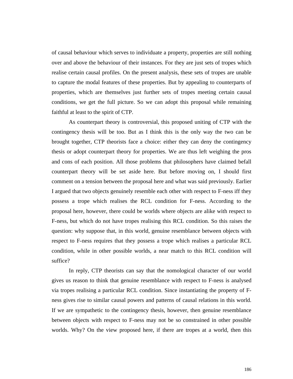of causal behaviour which serves to individuate a property, properties are still nothing over and above the behaviour of their instances. For they are just sets of tropes which realise certain causal profiles. On the present analysis, these sets of tropes are unable to capture the modal features of these properties. But by appealing to counterparts of properties, which are themselves just further sets of tropes meeting certain causal conditions, we get the full picture. So we can adopt this proposal while remaining faithful at least to the spirit of CTP.

As counterpart theory is controversial, this proposed uniting of CTP with the contingency thesis will be too. But as I think this is the only way the two can be brought together, CTP theorists face a choice: either they can deny the contingency thesis or adopt counterpart theory for properties. We are thus left weighing the pros and cons of each position. All those problems that philosophers have claimed befall counterpart theory will be set aside here. But before moving on, I should first comment on a tension between the proposal here and what was said previously. Earlier I argued that two objects genuinely resemble each other with respect to F-ness iff they possess a trope which realises the RCL condition for F-ness. According to the proposal here, however, there could be worlds where objects are alike with respect to F-ness, but which do not have tropes realising this RCL condition. So this raises the question: why suppose that, in this world, genuine resemblance between objects with respect to F-ness requires that they possess a trope which realises a particular RCL condition, while in other possible worlds, a near match to this RCL condition will suffice?

In reply, CTP theorists can say that the nomological character of our world gives us reason to think that genuine resemblance with respect to F-ness is analysed via tropes realising a particular RCL condition. Since instantiating the property of Fness gives rise to similar causal powers and patterns of causal relations in this world. If we are sympathetic to the contingency thesis, however, then genuine resemblance between objects with respect to F-ness may not be so constrained in other possible worlds. Why? On the view proposed here, if there are tropes at a world, then this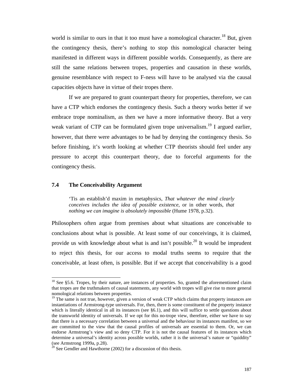world is similar to ours in that it too must have a nomological character.<sup>18</sup> But, given the contingency thesis, there's nothing to stop this nomological character being manifested in different ways in different possible worlds. Consequently, as there are still the same relations between tropes, properties and causation in these worlds, genuine resemblance with respect to F-ness will have to be analysed via the causal capacities objects have in virtue of their tropes there.

If we are prepared to grant counterpart theory for properties, therefore, we can have a CTP which endorses the contingency thesis. Such a theory works better if we embrace trope nominalism, as then we have a more informative theory. But a very weak variant of CTP can be formulated given trope universalism.<sup>19</sup> I argued earlier, however, that there were advantages to be had by denying the contingency thesis. So before finishing, it's worth looking at whether CTP theorists should feel under any pressure to accept this counterpart theory, due to forceful arguments for the contingency thesis.

## **7.4 The Conceivability Argument**

 $\overline{\phantom{a}}$ 

'Tis an establish'd maxim in metaphysics, *That whatever the mind clearly conceives includes the idea of possible existence*, or in other words, *that nothing we can imagine is absolutely impossible* (Hume 1978, p.32).

Philosophers often argue from premises about what situations are conceivable to conclusions about what is possible. At least some of our conceivings, it is claimed, provide us with knowledge about what is and isn't possible.<sup>20</sup> It would be imprudent to reject this thesis, for our access to modal truths seems to require that the conceivable, at least often, is possible. But if we accept that conceivability is a good

 $18$  See §5.6. Tropes, by their nature, are instances of properties. So, granted the aforementioned claim that tropes are the truthmakers of causal statements, any world with tropes will give rise to more general nomological relations between properties.

 $19$  The same is not true, however, given a version of weak CTP which claims that property instances are instantiations of Armstrong-type universals. For, then, there is some constituent of the property instance which is literally identical in all its instances (see §6.1), and this will suffice to settle questions about the transworld identity of universals. If we opt for this no-trope view, therefore, either we have to say that there is a necessary correlation between a universal and the behaviour its instances manifest, so we are committed to the view that the causal profiles of universals are essential to them. Or, we can endorse Armstrong's view and so deny CTP. For it is not the causal features of its instances which determine a universal's identity across possible worlds, rather it is the universal's nature or "quiddity" (see Armstrong 1999a, p.28).

 $20$  See Gendler and Hawthorne (2002) for a discussion of this thesis.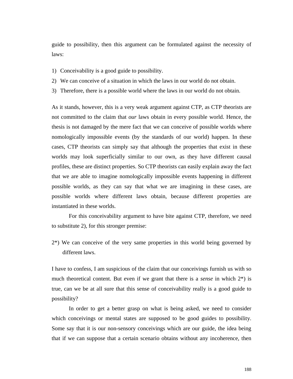guide to possibility, then this argument can be formulated against the necessity of laws:

- 1) Conceivability is a good guide to possibility.
- 2) We can conceive of a situation in which the laws in our world do not obtain.
- 3) Therefore, there is a possible world where the laws in our world do not obtain.

As it stands, however, this is a very weak argument against CTP, as CTP theorists are not committed to the claim that *our* laws obtain in every possible world. Hence, the thesis is not damaged by the mere fact that we can conceive of possible worlds where nomologically impossible events (by the standards of our world) happen. In these cases, CTP theorists can simply say that although the properties that exist in these worlds may look superficially similar to our own, as they have different causal profiles, these are distinct properties. So CTP theorists can easily explain away the fact that we are able to imagine nomologically impossible events happening in different possible worlds, as they can say that what we are imagining in these cases, are possible worlds where different laws obtain, because different properties are instantiated in these worlds.

For this conceivability argument to have bite against CTP, therefore, we need to substitute 2), for this stronger premise:

2\*) We can conceive of the very same properties in this world being governed by different laws.

I have to confess, I am suspicious of the claim that our conceivings furnish us with so much theoretical content. But even if we grant that there is a *sense* in which 2\*) is true, can we be at all sure that this sense of conceivability really is a good guide to possibility?

In order to get a better grasp on what is being asked, we need to consider which conceivings or mental states are supposed to be good guides to possibility. Some say that it is our non-sensory conceivings which are our guide, the idea being that if we can suppose that a certain scenario obtains without any incoherence, then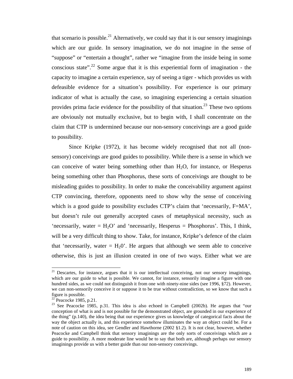that scenario is possible.<sup>21</sup> Alternatively, we could say that it is our sensory imaginings which are our guide. In sensory imagination, we do not imagine in the sense of "suppose" or "entertain a thought", rather we "imagine from the inside being in some conscious state".<sup>22</sup> Some argue that it is this experiential form of imagination - the capacity to imagine a certain experience, say of seeing a tiger - which provides us with defeasible evidence for a situation's possibility. For experience is our primary indicator of what is actually the case, so imagining experiencing a certain situation provides prima facie evidence for the possibility of that situation.<sup>23</sup> These two options are obviously not mutually exclusive, but to begin with, I shall concentrate on the claim that CTP is undermined because our non-sensory conceivings are a good guide to possibility.

Since Kripke (1972), it has become widely recognised that not all (nonsensory) conceivings are good guides to possibility. While there is a sense in which we can conceive of water being something other than  $H_2O$ , for instance, or Hesperus being something other than Phosphorus, these sorts of conceivings are thought to be misleading guides to possibility. In order to make the conceivability argument against CTP convincing, therefore, opponents need to show why the sense of conceiving which is a good guide to possibility excludes CTP's claim that 'necessarily, F=MA', but doesn't rule out generally accepted cases of metaphysical necessity, such as 'necessarily, water =  $H_2O'$  and 'necessarily, Hesperus = Phosphorus'. This, I think, will be a very difficult thing to show. Take, for instance, Kripke's defence of the claim that 'necessarily, water  $= H<sub>2</sub>0$ '. He argues that although we seem able to conceive otherwise, this is just an illusion created in one of two ways. Either what we are

 $\overline{\phantom{a}}$ 

 $21$  Descartes, for instance, argues that it is our intellectual conceiving, not our sensory imaginings, which are our guide to what is possible. We cannot, for instance, sensorily imagine a figure with one hundred sides, as we could not distinguish it from one with ninety-nine sides (see 1996, §72). However, we can non-sensorily conceive it or suppose it to be true without contradiction, so we know that such a figure is possible.

 $22$  Peacocke 1985, p.21.

<sup>&</sup>lt;sup>23</sup> See Peacocke 1985, p.31. This idea is also echoed in Campbell (2002b). He argues that "our conception of what is and is not possible for the demonstrated object, are grounded in our experience of the thing" (p.140), the idea being that our experience gives us knowledge of categorical facts about the way the object actually is, and this experience somehow illuminates the way an object could be. For a note of caution on this idea, see Gendler and Hawthorne (2002 §1.2). It is not clear, however, whether Peacocke and Campbell think that sensory imaginings are the only sorts of conceivings which are a guide to possibility. A more moderate line would be to say that both are, although perhaps our sensory imaginings provide us with a better guide than our non-sensory conceivings.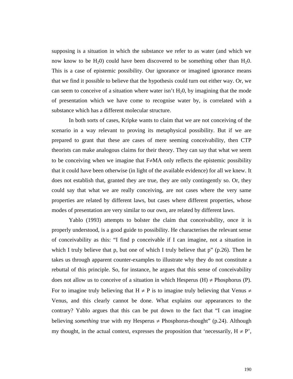supposing is a situation in which the substance we refer to as water (and which we now know to be  $H_2(0)$  could have been discovered to be something other than  $H_2(0)$ . This is a case of epistemic possibility. Our ignorance or imagined ignorance means that we find it possible to believe that the hypothesis could turn out either way. Or, we can seem to conceive of a situation where water isn't  $H_2O$ , by imagining that the mode of presentation which we have come to recognise water by, is correlated with a substance which has a different molecular structure.

In both sorts of cases, Kripke wants to claim that we are not conceiving of the scenario in a way relevant to proving its metaphysical possibility. But if we are prepared to grant that these are cases of mere seeming conceivability, then CTP theorists can make analogous claims for their theory. They can say that what we seem to be conceiving when we imagine that  $F \neq MA$  only reflects the epistemic possibility that it could have been otherwise (in light of the available evidence) for all we knew. It does not establish that, granted they are true, they are only contingently so. Or, they could say that what we are really conceiving, are not cases where the very same properties are related by different laws, but cases where different properties, whose modes of presentation are very similar to our own, are related by different laws.

Yablo (1993) attempts to bolster the claim that conceivability, once it is properly understood, is a good guide to possibility. He characterises the relevant sense of conceivability as this: "I find p conceivable if I can imagine, not a situation in which I truly believe that p, but one of which I truly believe that  $p''$  (p.26). Then he takes us through apparent counter-examples to illustrate why they do not constitute a rebuttal of this principle. So, for instance, he argues that this sense of conceivability does not allow us to conceive of a situation in which Hesperus (H)  $\neq$  Phosphorus (P). For to imagine truly believing that  $H \neq P$  is to imagine truly believing that Venus  $\neq$ Venus, and this clearly cannot be done. What explains our appearances to the contrary? Yablo argues that this can be put down to the fact that "I can imagine believing *something* true with my Hesperus  $\neq$  Phosphorus-thought" (p.24). Although my thought, in the actual context, expresses the proposition that 'necessarily,  $H \neq P'$ ,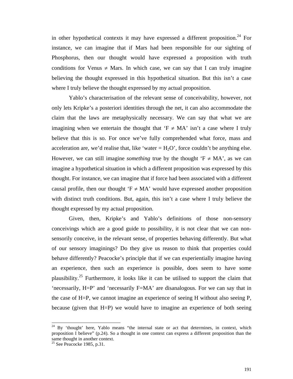in other hypothetical contexts it may have expressed a different proposition.<sup>24</sup> For instance, we can imagine that if Mars had been responsible for our sighting of Phosphorus, then our thought would have expressed a proposition with truth conditions for Venus  $\neq$  Mars. In which case, we can say that I can truly imagine believing the thought expressed in this hypothetical situation. But this isn't a case where I truly believe the thought expressed by my actual proposition.

Yablo's characterisation of the relevant sense of conceivability, however, not only lets Kripke's a posteriori identities through the net, it can also accommodate the claim that the laws are metaphysically necessary. We can say that what we are imagining when we entertain the thought that ' $F \neq MA'$  isn't a case where I truly believe that this is so. For once we've fully comprehended what force, mass and acceleration are, we'd realise that, like 'water =  $H_2O$ ', force couldn't be anything else. However, we can still imagine *something* true by the thought ' $F \neq MA$ ', as we can imagine a hypothetical situation in which a different proposition was expressed by this thought. For instance, we can imagine that if force had been associated with a different causal profile, then our thought ' $F \neq MA'$  would have expressed another proposition with distinct truth conditions. But, again, this isn't a case where I truly believe the thought expressed by my actual proposition.

Given, then, Kripke's and Yablo's definitions of those non-sensory conceivings which are a good guide to possibility, it is not clear that we can nonsensorily conceive, in the relevant sense, of properties behaving differently. But what of our sensory imaginings? Do they give us reason to think that properties could behave differently? Peacocke's principle that if we can experientially imagine having an experience, then such an experience is possible, does seem to have some plausibility.<sup>25</sup> Furthermore, it looks like it can be utilised to support the claim that 'necessarily, H=P' and 'necessarily F=MA' are disanalogous. For we can say that in the case of H=P, we cannot imagine an experience of seeing H without also seeing P, because (given that H=P) we would have to imagine an experience of both seeing

 $\overline{a}$ 

 $24$  By 'thought' here, Yablo means "the internal state or act that determines, in context, which proposition I believe" (p.24). So a thought in one context can express a different proposition than the same thought in another context.

 $25$  See Peacocke 1985, p.31.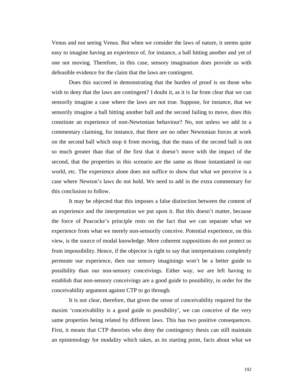Venus and not seeing Venus. But when we consider the laws of nature, it seems quite easy to imagine having an experience of, for instance, a ball hitting another and yet of one not moving. Therefore, in this case, sensory imagination does provide us with defeasible evidence for the claim that the laws are contingent.

Does this succeed in demonstrating that the burden of proof is on those who wish to deny that the laws are contingent? I doubt it, as it is far from clear that we can sensorily imagine a case where the laws are not true. Suppose, for instance, that we sensorily imagine a ball hitting another ball and the second failing to move, does this constitute an experience of non-Newtonian behaviour? No, not unless we add in a commentary claiming, for instance, that there are no other Newtonian forces at work on the second ball which stop it from moving, that the mass of the second ball is not so much greater than that of the first that it doesn't move with the impact of the second, that the properties in this scenario are the same as those instantiated in our world, etc. The experience alone does not suffice to show that what we perceive is a case where Newton's laws do not hold. We need to add in the extra commentary for this conclusion to follow.

It may be objected that this imposes a false distinction between the content of an experience and the interpretation we put upon it. But this doesn't matter, because the force of Peacocke's principle rests on the fact that we can separate what we experience from what we merely non-sensorily conceive. Potential experience, on this view, is the source of modal knowledge. Mere coherent suppositions do not protect us from impossibility. Hence, if the objector is right to say that interpretations completely permeate our experience, then our sensory imaginings won't be a better guide to possibility than our non-sensory conceivings. Either way, we are left having to establish that non-sensory conceivings are a good guide to possibility, in order for the conceivability argument against CTP to go through.

It is not clear, therefore, that given the sense of conceivability required for the maxim 'conceivability is a good guide to possibility', we can conceive of the very same properties being related by different laws. This has two positive consequences. First, it means that CTP theorists who deny the contingency thesis can still maintain an epistemology for modality which takes, as its starting point, facts about what we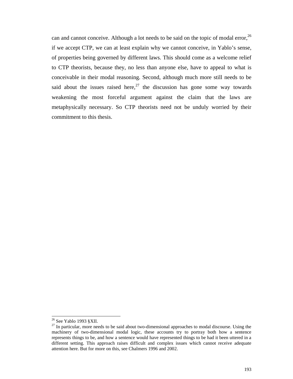can and cannot conceive. Although a lot needs to be said on the topic of modal error,  $^{26}$ if we accept CTP, we can at least explain why we cannot conceive, in Yablo's sense, of properties being governed by different laws. This should come as a welcome relief to CTP theorists, because they, no less than anyone else, have to appeal to what is conceivable in their modal reasoning. Second, although much more still needs to be said about the issues raised here,  $27$  the discussion has gone some way towards weakening the most forceful argument against the claim that the laws are metaphysically necessary. So CTP theorists need not be unduly worried by their commitment to this thesis.

l

 $26$  See Yablo 1993 §XII.

<sup>&</sup>lt;sup>27</sup> In particular, more needs to be said about two-dimensional approaches to modal discourse. Using the machinery of two-dimensional modal logic, these accounts try to portray both how a sentence represents things to be, and how a sentence would have represented things to be had it been uttered in a different setting. This approach raises difficult and complex issues which cannot receive adequate attention here. But for more on this, see Chalmers 1996 and 2002.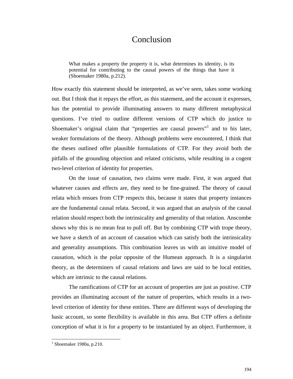## Conclusion

What makes a property the property it is, what determines its identity, is its potential for contributing to the causal powers of the things that have it (Shoemaker 1980a, p.212).

How exactly this statement should be interpreted, as we've seen, takes some working out. But I think that it repays the effort, as this statement, and the account it expresses, has the potential to provide illuminating answers to many different metaphysical questions. I've tried to outline different versions of CTP which do justice to Shoemaker's original claim that "properties are causal powers"<sup>1</sup> and to his later, weaker formulations of the theory. Although problems were encountered, I think that the theses outlined offer plausible formulations of CTP. For they avoid both the pitfalls of the grounding objection and related criticisms, while resulting in a cogent two-level criterion of identity for properties.

On the issue of causation, two claims were made. First, it was argued that whatever causes and effects are, they need to be fine-grained. The theory of causal relata which ensues from CTP respects this, because it states that property instances are the fundamental causal relata. Second, it was argued that an analysis of the causal relation should respect both the intrinsicality and generality of that relation. Anscombe shows why this is no mean feat to pull off. But by combining CTP with trope theory, we have a sketch of an account of causation which can satisfy both the intrinsicality and generality assumptions. This combination leaves us with an intuitive model of causation, which is the polar opposite of the Humean approach. It is a singularist theory, as the determiners of causal relations and laws are said to be local entities, which are intrinsic to the causal relations.

The ramifications of CTP for an account of properties are just as positive. CTP provides an illuminating account of the nature of properties, which results in a twolevel criterion of identity for these entities. There are different ways of developing the basic account, so some flexibility is available in this area. But CTP offers a definite conception of what it is for a property to be instantiated by an object. Furthermore, it

l

 $<sup>1</sup>$  Shoemaker 1980a, p.210.</sup>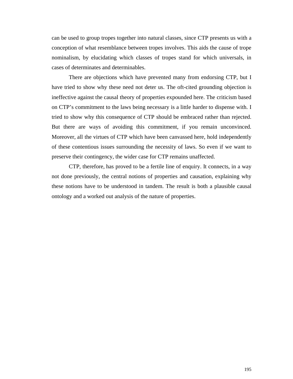can be used to group tropes together into natural classes, since CTP presents us with a conception of what resemblance between tropes involves. This aids the cause of trope nominalism, by elucidating which classes of tropes stand for which universals, in cases of determinates and determinables.

There are objections which have prevented many from endorsing CTP, but I have tried to show why these need not deter us. The oft-cited grounding objection is ineffective against the causal theory of properties expounded here. The criticism based on CTP's commitment to the laws being necessary is a little harder to dispense with. I tried to show why this consequence of CTP should be embraced rather than rejected. But there are ways of avoiding this commitment, if you remain unconvinced. Moreover, all the virtues of CTP which have been canvassed here, hold independently of these contentious issues surrounding the necessity of laws. So even if we want to preserve their contingency, the wider case for CTP remains unaffected.

CTP, therefore, has proved to be a fertile line of enquiry. It connects, in a way not done previously, the central notions of properties and causation, explaining why these notions have to be understood in tandem. The result is both a plausible causal ontology and a worked out analysis of the nature of properties.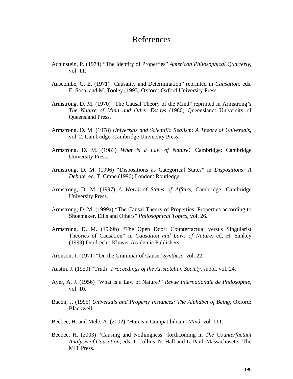## References

- Achinstein, P. (1974) "The Identity of Properties" *American Philosophical Quarterly*, vol. 11.
- Anscombe, G. E. (1971) "Causality and Determination" reprinted in *Causation*, eds. E. Sosa, and M. Tooley (1993) Oxford: Oxford University Press.
- Armstrong, D. M. (1970) "The Causal Theory of the Mind" reprinted in Armstrong's *The Nature of Mind and Other Essays* (1980) Queensland: University of Queensland Press.
- Armstrong, D. M. (1978) *Universals and Scientific Realism: A Theory of Universals*, vol. 2, Cambridge: Cambridge University Press.
- Armstrong, D. M. (1983) *What is a Law of Nature?* Cambridge: Cambridge University Press.
- Armstrong, D. M. (1996) "Dispositions as Categorical States" in *Dispositions: A Debate*, ed. T. Crane (1996) London: Routledge.
- Armstrong, D. M. (1997) *A World of States of Affairs*, Cambridge: Cambridge University Press.
- Armstrong, D. M. (1999a) "The Causal Theory of Properties: Properties according to Shoemaker, Ellis and Others" *Philosophical Topics*, vol. 26.
- Armstrong, D. M. (1999b) "The Open Door: Counterfactual versus Singularist Theories of Causation" in *Causation and Laws of Nature*, ed. H. Sankey (1999) Dordrecht: Kluwer Academic Publishers.
- Aronson, J. (1971) "On the Grammar of Cause" *Synthese*, vol. 22.
- Austin, J. (1950) "Truth" *Proceedings of the Aristotelian Society*, suppl. vol. 24.
- Ayer, A. J. (1956) "What is a Law of Nature?" *Revue Internationale de Philosophie*, vol. 10.
- Bacon, J. (1995) *Universals and Property Instances: The Alphabet of Being*, Oxford: Blackwell.
- Beebee, H. and Mele, A. (2002) "Humean Compatibilism" *Mind*, vol. 111.
- Beebee, H. (2003) "Causing and Nothingness" forthcoming in *The Counterfactual Analysis of Causation*, eds. J. Collins, N. Hall and L. Paul, Massachusetts: The MIT Press.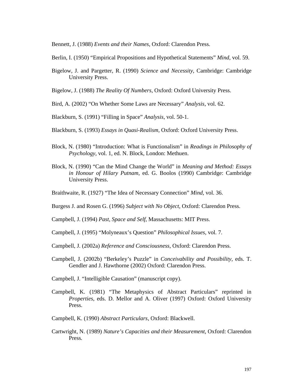Bennett, J. (1988) *Events and their Names*, Oxford: Clarendon Press.

- Berlin, I. (1950) "Empirical Propositions and Hypothetical Statements" *Mind*, vol. 59.
- Bigelow, J. and Pargetter, R. (1990) *Science and Necessity*, Cambridge: Cambridge University Press.
- Bigelow, J. (1988) *The Reality Of Numbers*, Oxford: Oxford University Press.
- Bird, A. (2002) "On Whether Some Laws are Necessary" *Analysis*, vol. 62.
- Blackburn, S. (1991) "Filling in Space" *Analysis*, vol. 50-1.
- Blackburn, S. (1993) *Essays in Quasi-Realism*, Oxford: Oxford University Press.
- Block, N. (1980) "Introduction: What is Functionalism" in *Readings in Philosophy of Psychology*, vol. 1, ed. N. Block, London: Methuen.
- Block, N. (1990) "Can the Mind Change the World" in *Meaning and Method: Essays in Honour of Hilary Putnam*, ed. G. Boolos (1990) Cambridge: Cambridge University Press.
- Braithwaite, R. (1927) "The Idea of Necessary Connection" *Mind*, vol. 36.
- Burgess J. and Rosen G. (1996) *Subject with No Object*, Oxford: Clarendon Press.
- Campbell, J. (1994) *Past, Space and Self*, Massachusetts: MIT Press.
- Campbell, J. (1995) "Molyneaux's Question" *Philosophical Issues*, vol. 7.
- Campbell, J. (2002a) *Reference and Consciousness*, Oxford: Clarendon Press.
- Campbell, J. (2002b) "Berkeley's Puzzle" in *Conceivability and Possibility*, eds. T. Gendler and J. Hawthorne (2002) Oxford: Clarendon Press.
- Campbell, J. "Intelligible Causation" (manuscript copy).
- Campbell, K. (1981) "The Metaphysics of Abstract Particulars" reprinted in *Properties*, eds. D. Mellor and A. Oliver (1997) Oxford: Oxford University Press.
- Campbell, K. (1990) *Abstract Particulars*, Oxford: Blackwell.
- Cartwright, N. (1989) *Nature's Capacities and their Measurement*, Oxford: Clarendon Press*.*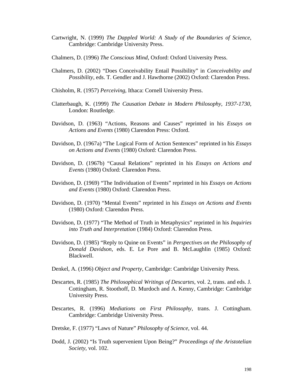- Cartwright, N. (1999) *The Dappled World: A Study of the Boundaries of Science*, Cambridge: Cambridge University Press.
- Chalmers, D. (1996) *The Conscious Mind*, Oxford: Oxford University Press.
- Chalmers, D. (2002) "Does Conceivability Entail Possibility" in *Conceivability and Possibility*, eds. T. Gendler and J. Hawthorne (2002) Oxford: Clarendon Press.
- Chisholm, R. (1957) *Perceiving*, Ithaca: Cornell University Press.
- Clatterbaugh, K. (1999) *The Causation Debate in Modern Philosophy, 1937-1730*, London: Routledge.
- Davidson, D. (1963) "Actions, Reasons and Causes" reprinted in his *Essays on Actions and Events* (1980) Clarendon Press: Oxford.
- Davidson, D. (1967a) "The Logical Form of Action Sentences" reprinted in his *Essays on Actions and Events* (1980) Oxford: Clarendon Press.
- Davidson, D. (1967b) "Causal Relations" reprinted in his *Essays on Actions and Events* (1980) Oxford: Clarendon Press.
- Davidson, D. (1969) "The Individuation of Events" reprinted in his *Essays on Actions and Events* (1980) Oxford: Clarendon Press.
- Davidson, D. (1970) "Mental Events" reprinted in his *Essays on Actions and Events*  (1980) Oxford: Clarendon Press.
- Davidson, D. (1977) "The Method of Truth in Metaphysics" reprinted in his *Inquiries into Truth and Interpretation* (1984) Oxford: Clarendon Press.
- Davidson, D. (1985) "Reply to Quine on Events" in *Perspectives on the Philosophy of Donald Davidson*, eds. E. Le Pore and B. McLaughlin (1985) Oxford: Blackwell.
- Denkel, A. (1996) *Object and Property*, Cambridge: Cambridge University Press.
- Descartes, R. (1985) *The Philosophical Writings of Descartes*, vol. 2, trans. and eds. J. Cottingham, R. Stoothoff, D. Murdoch and A. Kenny, Cambridge: Cambridge University Press.
- Descartes, R. (1996) *Mediations on First Philosophy*, trans. J. Cottingham. Cambridge: Cambridge University Press.
- Dretske, F. (1977) "Laws of Nature" *Philosophy of Science*, vol. 44.
- Dodd, J. (2002) "Is Truth supervenient Upon Being?" *Proceedings of the Aristotelian Society*, vol. 102.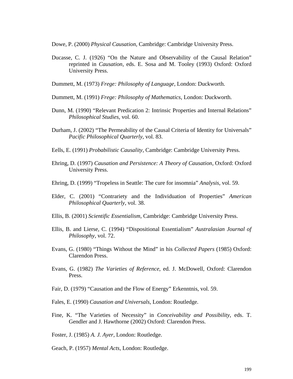Dowe, P. (2000) *Physical Causation*, Cambridge: Cambridge University Press.

Ducasse, C. J. (1926) "On the Nature and Observability of the Causal Relation" reprinted in *Causation*, eds. E. Sosa and M. Tooley (1993) Oxford: Oxford University Press.

Dummett, M. (1973) *Frege: Philosophy of Language*, London: Duckworth.

- Dummett, M. (1991) *Frege: Philosophy of Mathematics*, London: Duckworth.
- Dunn, M. (1990) "Relevant Predication 2: Intrinsic Properties and Internal Relations" *Philosophical Studies*, vol. 60.
- Durham, J. (2002) "The Permeability of the Causal Criteria of Identity for Universals" *Pacific Philosophical Quarterly*, vol. 83.
- Eells, E. (1991) *Probabilistic Causality*, Cambridge: Cambridge University Press.
- Ehring, D. (1997) *Causation and Persistence: A Theory of Causation*, Oxford: Oxford University Press.
- Ehring, D. (1999) "Tropeless in Seattle: The cure for insomnia" *Analysis*, vol. 59.
- Elder, C. (2001) "Contrariety and the Individuation of Properties" *American Philosophical Quarterly*, vol. 38.
- Ellis, B. (2001) *Scientific Essentialism*, Cambridge: Cambridge University Press.
- Ellis, B. and Lierse, C. (1994) "Dispositional Essentialism" *Australasian Journal of Philosophy*, vol. 72.
- Evans, G. (1980) "Things Without the Mind" in his *Collected Papers* (1985) Oxford: Clarendon Press.
- Evans, G. (1982) *The Varieties of Reference*, ed. J. McDowell, Oxford: Clarendon Press.
- Fair, D. (1979) "Causation and the Flow of Energy" Erkenntnis, vol. 59.
- Fales, E. (1990) *Causation and Universals*, London: Routledge.
- Fine, K. "The Varieties of Necessity" in *Conceivability and Possibility*, eds. T. Gendler and J. Hawthorne (2002) Oxford: Clarendon Press.
- Foster, J. (1985) *A. J. Ayer*, London: Routledge.
- Geach, P. (1957) *Mental Acts*, London: Routledge.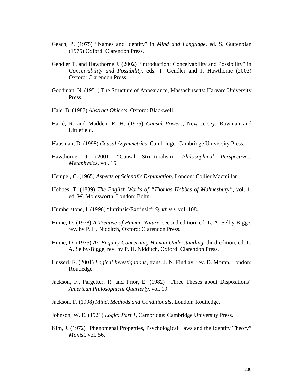- Geach, P. (1975) "Names and Identity" in *Mind and Language*, ed. S. Guttenplan (1975) Oxford: Clarendon Press.
- Gendler T. and Hawthorne J. (2002) "Introduction: Conceivability and Possibility" in *Conceivability and Possibility*, eds. T. Gendler and J. Hawthorne (2002) Oxford: Clarendon Press.
- Goodman, N. (1951) The Structure of Appearance, Massachusetts: Harvard University Press.
- Hale, B. (1987) *Abstract Objects*, Oxford: Blackwell.
- Harrè, R. and Madden, E. H. (1975) *Causal Powers*, New Jersey: Rowman and Littlefield.
- Hausman, D. (1998) *Causal Asymmetries*, Cambridge: Cambridge University Press.
- Hawthorne, J. (2001) "Causal Structuralism" *Philosophical Perspectives: Metaphysics*, vol. 15.
- Hempel, C. (1965) *Aspects of Scientific Explanation*, London: Collier Macmillan
- Hobbes, T. (1839) *The English Works of "Thomas Hobbes of Malmesbury"*, vol. 1, ed. W. Molesworth, London: Bohn.
- Humberstone, I. (1996) "Intrinsic/Extrinsic" *Synthese*, vol. 108.
- Hume, D. (1978) *A Treatise of Human Nature*, second edition, ed. L. A. Selby-Bigge, rev. by P. H. Nidditch, Oxford: Clarendon Press.
- Hume, D. (1975) *An Enquiry Concerning Human Understanding*, third edition, ed. L. A. Selby-Bigge, rev. by P. H. Nidditch, Oxford: Clarendon Press.
- Husserl, E. (2001) *Logical Investigations*, trans. J. N. Findlay, rev. D. Moran, London: Routledge.
- Jackson, F., Pargetter, R. and Prior, E. (1982) "Three Theses about Dispositions" *American Philosophical Quarterly*, vol. 19.
- Jackson, F. (1998) *Mind, Methods and Conditionals*, London: Routledge.
- Johnson, W. E. (1921) *Logic: Part 1*, Cambridge: Cambridge University Press.
- Kim, J. (1972) "Phenomenal Properties, Psychological Laws and the Identity Theory" *Monist*, vol. 56.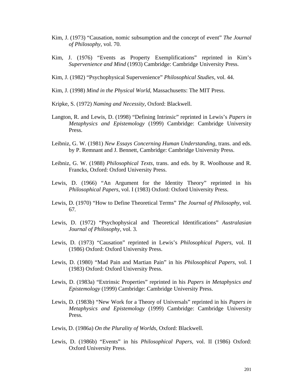- Kim, J. (1973) "Causation, nomic subsumption and the concept of event" *The Journal of Philosophy*, vol. 70.
- Kim, J. (1976) "Events as Property Exemplifications" reprinted in Kim's *Supervenience and Mind* (1993) Cambridge: Cambridge University Press.
- Kim, J. (1982) "Psychophysical Supervenience" *Philosophical Studies*, vol. 44.
- Kim, J. (1998) *Mind in the Physical World*, Massachusetts: The MIT Press.
- Kripke, S. (1972) *Naming and Necessity*, Oxford: Blackwell.
- Langton, R. and Lewis, D. (1998) "Defining Intrinsic" reprinted in Lewis's *Papers in Metaphysics and Epistemology* (1999) Cambridge: Cambridge University Press.
- Leibniz, G. W. (1981) *New Essays Concerning Human Understanding*, trans. and eds. by P. Remnant and J. Bennett, Cambridge: Cambridge University Press.
- Leibniz, G. W. (1988) *Philosophical Texts*, trans. and eds. by R. Woolhouse and R. Francks, Oxford: Oxford University Press.
- Lewis, D. (1966) "An Argument for the Identity Theory" reprinted in his *Philosophical Papers*, vol. I (1983) Oxford: Oxford University Press.
- Lewis, D. (1970) "How to Define Theoretical Terms" *The Journal of Philosophy*, vol. 67*.*
- Lewis, D. (1972) "Psychophysical and Theoretical Identifications" *Australasian Journal of Philosophy*, vol. 3.
- Lewis, D. (1973) "Causation" reprinted in Lewis's *Philosophical Papers*, vol. II (1986) Oxford: Oxford University Press.
- Lewis, D. (1980) "Mad Pain and Martian Pain" in his *Philosophical Papers*, vol. I (1983) Oxford: Oxford University Press.
- Lewis, D. (1983a) "Extrinsic Properties" reprinted in his *Papers in Metaphysics and Epistemology* (1999) Cambridge: Cambridge University Press.
- Lewis, D. (1983b) "New Work for a Theory of Universals" reprinted in his *Papers in Metaphysics and Epistemology* (1999) Cambridge: Cambridge University Press.
- Lewis, D. (1986a) *On the Plurality of Worlds*, Oxford: Blackwell.
- Lewis, D. (1986b) "Events" in his *Philosophical Papers*, vol. II (1986) Oxford: Oxford University Press.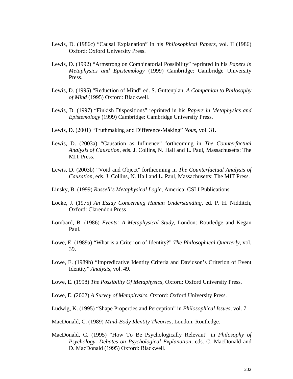- Lewis, D. (1986c) "Causal Explanation" in his *Philosophical Papers*, vol. II (1986) Oxford: Oxford University Press.
- Lewis, D. (1992) "Armstrong on Combinatorial Possibility" reprinted in his *Papers in Metaphysics and Epistemology* (1999) Cambridge: Cambridge University Press.
- Lewis, D. (1995) "Reduction of Mind" ed. S. Guttenplan, *A Companion to Philosophy of Mind* (1995) Oxford: Blackwell.
- Lewis, D. (1997) "Finkish Dispositions" reprinted in his *Papers in Metaphysics and Epistemology* (1999) Cambridge: Cambridge University Press.
- Lewis, D. (2001) "Truthmaking and Difference-Making" *Nous*, vol. 31.
- Lewis, D. (2003a) "Causation as Influence" forthcoming in *The Counterfactual Analysis of Causation*, eds. J. Collins, N. Hall and L. Paul, Massachusetts: The MIT Press.
- Lewis, D. (2003b) "Void and Object" forthcoming in *The Counterfactual Analysis of Causation*, eds. J. Collins, N. Hall and L. Paul, Massachusetts: The MIT Press.
- Linsky, B. (1999) *Russell's Metaphysical Logic*, America: CSLI Publications.
- Locke, J. (1975) *An Essay Concerning Human Understanding*, ed. P. H. Nidditch, Oxford: Clarendon Press
- Lombard, B. (1986) *Events: A Metaphysical Study*, London: Routledge and Kegan Paul.
- Lowe, E. (1989a) "What is a Criterion of Identity?" *The Philosophical Quarterly*, vol. 39.
- Lowe, E. (1989b) "Impredicative Identity Criteria and Davidson's Criterion of Event Identity" *Analysis*, vol. 49.
- Lowe, E. (1998) *The Possibility Of Metaphysics*, Oxford: Oxford University Press.
- Lowe, E. (2002) *A Survey of Metaphysics*, Oxford: Oxford University Press.
- Ludwig, K. (1995) "Shape Properties and Perception" in *Philosophical Issues*, vol. 7.
- MacDonald, C. (1989) *Mind-Body Identity Theories*, London: Routledge.
- MacDonald, C. (1995) "How To Be Psychologically Relevant" in *Philosophy of Psychology*: *Debates on Psychological Explanation*, eds. C. MacDonald and D. MacDonald (1995) Oxford: Blackwell.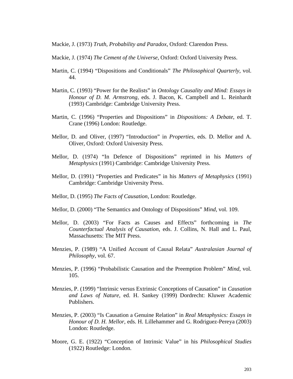Mackie, J. (1973) *Truth, Probability and Paradox*, Oxford: Clarendon Press.

- Mackie, J. (1974) *The Cement of the Universe*, Oxford: Oxford University Press.
- Martin, C. (1994) "Dispositions and Conditionals" *The Philosophical Quarterly*, vol. 44.
- Martin, C. (1993) "Power for the Realists" in *Ontology Causality and Mind: Essays in Honour of D. M. Armstrong*, eds. J. Bacon, K. Campbell and L. Reinhardt (1993) Cambridge: Cambridge University Press.
- Martin, C. (1996) "Properties and Dispositions" in *Dispositions: A Debate*, ed. T. Crane (1996) London: Routledge.
- Mellor, D. and Oliver, (1997) "Introduction" in *Properties*, eds. D. Mellor and A. Oliver, Oxford: Oxford University Press.
- Mellor, D. (1974) "In Defence of Dispositions" reprinted in his *Matters of Metaphysics* (1991) Cambridge: Cambridge University Press.
- Mellor, D. (1991) "Properties and Predicates" in his *Matters of Metaphysics* (1991) Cambridge: Cambridge University Press.
- Mellor, D. (1995) *The Facts of Causation*, London: Routledge.
- Mellor, D. (2000) "The Semantics and Ontology of Dispositions" *Mind*, vol. 109.
- Mellor, D. (2003) "For Facts as Causes and Effects" forthcoming in *The Counterfactual Analysis of Causation*, eds. J. Collins, N. Hall and L. Paul, Massachusetts: The MIT Press.
- Menzies, P. (1989) "A Unified Account of Causal Relata" *Australasian Journal of Philosophy*, vol. 67.
- Menzies, P. (1996) "Probabilistic Causation and the Preemption Problem" *Mind*, vol. 105.
- Menzies, P. (1999) "Intrinsic versus Extrinsic Conceptions of Causation" in *Causation and Laws of Nature*, ed. H. Sankey (1999) Dordrecht: Kluwer Academic Publishers.
- Menzies, P. (2003) "Is Causation a Genuine Relation" in *Real Metaphysics: Essays in Honour of D. H. Mellor*, eds. H. Lillehammer and G. Rodriguez-Pereya (2003) London: Routledge.
- Moore, G. E. (1922) "Conception of Intrinsic Value" in his *Philosophical Studies* (1922) Routledge: London.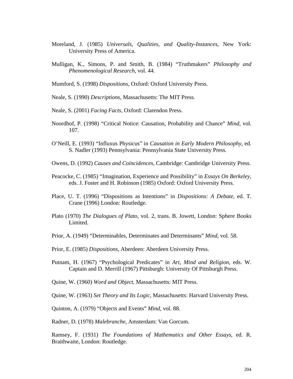- Moreland, J. (1985) *Universals, Qualities, and Quality-Instances*, New York: University Press of America.
- Mulligan, K., Simons, P. and Smith, B. (1984) "Truthmakers" *Philosophy and Phenomenological Research*, vol. 44.
- Mumford, S. (1998) *Dispositions*, Oxford: Oxford University Press.
- Neale, S. (1990) *Descriptions*, Massachusetts: The MIT Press.
- Neale, S. (2001) *Facing Facts*, Oxford: Clarendon Press.
- Noordhof, P. (1998) "Critical Notice: Causation, Probability and Chance" *Mind*, vol. 107.
- O'Neill, E. (1993) "Influxus Physicus" in *Causation in Early Modern Philosophy*, ed. S. Nadler (1993) Pennsylvania: Pennsylvania State University Press.
- Owens, D. (1992) *Causes and Coincidences*, Cambridge: Cambridge University Press.
- Peacocke, C. (1985) "Imagination, Experience and Possibility" in *Essays On Berkeley*, eds. J. Foster and H. Robinson (1985) Oxford: Oxford University Press.
- Place, U. T. (1996) "Dispositions as Intentions" in *Dispositions: A Debate*, ed. T. Crane (1996) London: Routledge.
- Plato (1970) *The Dialogues of Plato*, vol. 2, trans. B. Jowett, London: Sphere Books Limited.
- Prior, A. (1949) "Determinables, Determinates and Determinants" *Mind*, vol. 58.
- Prior, E. (1985) *Dispositions*, Aberdeen: Aberdeen University Press.
- Putnam, H. (1967) "Psychological Predicates" in *Art, Mind and Religion*, eds. W. Captain and D. Merrill (1967) Pittsburgh: University Of Pittsburgh Press.
- Quine, W. (1960) *Word and Object*, Massachusetts: MIT Press.

Quine, W. (1963) *Set Theory and Its Logic*, Massachusetts: Harvard University Press.

Quinton, A. (1979) "Objects and Events" *Mind*, vol. 88.

Radner, D. (1978) *Malebranche*, Amsterdam: Van Gorcum.

Ramsey, F. (1931) *The Foundations of Mathematics and Other Essays*, ed. R. Braithwaite, London: Routledge.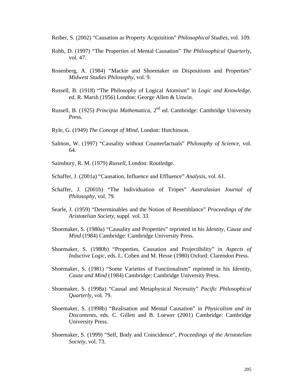- Reiber, S. (2002) "Causation as Property Acquisition" *Philosophical Studies*, vol. 109.
- Robb, D. (1997) "The Properties of Mental Causation" *The Philosophical Quarterly*, vol. 47.
- Rosenberg, A. (1984) "Mackie and Shoemaker on Dispositions and Properties" *Midwest Studies Philosophy*, vol. 9.
- Russell, B. (1918) "The Philosophy of Logical Atomism" in *Logic and Knowledge*, ed. R. Marsh (1956) London: George Allen & Unwin.
- Russell, B. (1925) *Principia Mathematica*, 2nd ed. Cambridge: Cambridge University Press.
- Ryle, G. (1949) *The Concept of Mind*, London: Hutchinson.
- Salmon, W. (1997) "Causality without Counterfactuals" *Philosophy of Science*, vol. 64.
- Sainsbury, R. M. (1979) *Russell*, London: Routledge.
- Schaffer, J. (2001a) "Causation, Influence and Effluence" *Analysis*, vol. 61.
- Schaffer, J. (2001b) "The Individuation of Tropes" *Australasian Journal of Philosophy*, vol. 79.
- Searle, J. (1959) "Determinables and the Notion of Resemblance" *Proceedings of the Aristotelian Society*, suppl. vol. 33.
- Shoemaker, S. (1980a) "Causality and Properties" reprinted in his *Identity, Cause and Mind* (1984) Cambridge: Cambridge University Press.
- Shoemaker, S. (1980b) "Properties, Causation and Projectibility" in *Aspects of Inductive Logic*, eds. L. Cohen and M. Hesse (1980) Oxford: Clarendon Press.
- Shoemaker, S. (1981) "Some Varieties of Functionalism" reprinted in his *Identity, Cause and Mind* (1984) Cambridge: Cambridge University Press.
- Shoemaker, S. (1998a) "Causal and Metaphysical Necessity" *Pacific Philosophical Quarterly*, vol. 79.
- Shoemaker, S. (1998b) "Realisation and Mental Causation" in *Physicalism and its Discontents*, eds. C. Gillett and B. Loewer (2001) Cambridge: Cambridge University Press.
- Shoemaker, S. (1999) "Self, Body and Coincidence", *Proceedings of the Aristotelian Society*, vol. 73.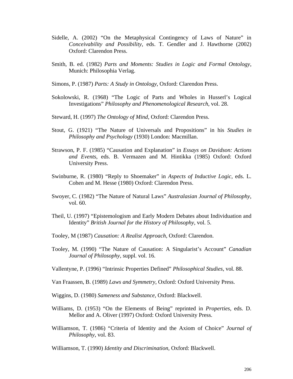- Sidelle, A. (2002) "On the Metaphysical Contingency of Laws of Nature" in *Conceivability and Possibility*, eds. T. Gendler and J. Hawthorne (2002) Oxford: Clarendon Press.
- Smith, B. ed. (1982) *Parts and Moments: Studies in Logic and Formal Ontology*, Munich: Philosophia Verlag.
- Simons, P. (1987) *Parts: A Study in Ontology*, Oxford: Clarendon Press.
- Sokolowski, R. (1968) "The Logic of Parts and Wholes in Husserl's Logical Investigations" *Philosophy and Phenomenological Research*, vol. 28.
- Steward, H. (1997) *The Ontology of Mind*, Oxford: Clarendon Press.
- Stout, G. (1921) "The Nature of Universals and Propositions" in his *Studies in Philosophy and Psychology* (1930) London: Macmillan.
- Strawson, P. F. (1985) "Causation and Explanation" in *Essays on Davidson: Actions and Events*, eds. B. Vermazen and M. Hintikka (1985) Oxford: Oxford University Press.
- Swinburne, R. (1980) "Reply to Shoemaker" in *Aspects of Inductive Logic*, eds. L. Cohen and M. Hesse (1980) Oxford: Clarendon Press.
- Swoyer, C. (1982) "The Nature of Natural Laws" *Australasian Journal of Philosophy*, vol. 60.
- Theil, U. (1997) "Epistemologism and Early Modern Debates about Individuation and Identity" *British Journal for the History of Philosophy*, vol. 5.
- Tooley, M (1987) *Causation: A Realist Approach*, Oxford: Clarendon.
- Tooley, M. (1990) "The Nature of Causation: A Singularist's Account" *Canadian Journal of Philosophy*, suppl. vol. 16.
- Vallentyne, P. (1996) "Intrinsic Properties Defined" *Philosophical Studies*, vol. 88.
- Van Fraassen, B. (1989) *Laws and Symmetry*, Oxford: Oxford University Press.
- Wiggins, D. (1980) *Sameness and Substance*, Oxford: Blackwell.
- Williams, D. (1953) "On the Elements of Being" reprinted in *Properties*, eds. D. Mellor and A. Oliver (1997) Oxford: Oxford University Press.
- Williamson, T. (1986) "Criteria of Identity and the Axiom of Choice" *Journal of Philosophy*, vol. 83.

Williamson, T. (1990) *Identity and Discrimination*, Oxford: Blackwell.